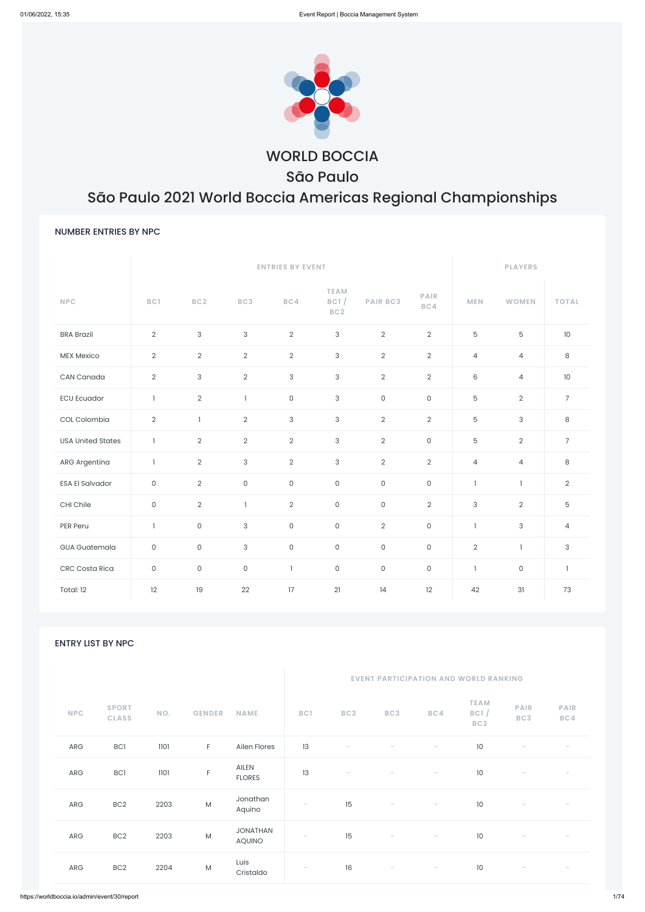

WORLD BOCCIA São Paulo

# São Paulo 2021 World Boccia Americas Regional Championships

# NUMBER ENTRIES BY NPC

|                          |                     |                     | <b>ENTRIES BY EVENT</b> |                     | <b>PLAYERS</b>                         |                     |                     |                           |                |                |
|--------------------------|---------------------|---------------------|-------------------------|---------------------|----------------------------------------|---------------------|---------------------|---------------------------|----------------|----------------|
| <b>NPC</b>               | BC1                 | BC <sub>2</sub>     | BC3                     | BC4                 | <b>TEAM</b><br>BC1/<br>BC <sub>2</sub> | <b>PAIR BC3</b>     | <b>PAIR</b><br>BC4  | <b>MEN</b>                | <b>WOMEN</b>   | <b>TOTAL</b>   |
| <b>BRA Brazil</b>        | $\overline{2}$      | 3                   | $\mathsf 3$             | $\overline{2}$      | $\mathsf{3}$                           | $\overline{2}$      | $\overline{2}$      | $\overline{5}$            | 5              | 10             |
| <b>MEX Mexico</b>        | $\overline{2}$      | $\overline{2}$      | $\overline{2}$          | $\overline{2}$      | $\ensuremath{\mathsf{3}}$              | $\sqrt{2}$          | $\overline{2}$      | $\overline{4}$            | $\overline{4}$ | $\,8\,$        |
| CAN Canada               | $\overline{2}$      | 3                   | $\overline{2}$          | 3                   | $\mathsf{3}$                           | $\overline{2}$      | $\overline{2}$      | $6\,$                     | $\overline{4}$ | 10             |
| <b>ECU Ecuador</b>       | $\mathbf{1}$        | $\overline{2}$      | $\mathbf{1}$            | $\mathsf{O}\xspace$ | $\mathsf{3}$                           | $\mathsf{O}\xspace$ | $\mathsf O$         | $\overline{5}$            | $\overline{2}$ | $\overline{7}$ |
| COL Colombia             | $\overline{2}$      | $\mathbf{1}$        | $\mathbf{2}$            | 3                   | $\ensuremath{\mathsf{3}}$              | $\sqrt{2}$          | $\overline{2}$      | $\overline{5}$            | 3              | $\,8\,$        |
| <b>USA United States</b> | $\mathbf{1}$        | $\overline{2}$      | $\overline{2}$          | $\overline{2}$      | $\mathsf 3$                            | $\overline{2}$      | $\mathsf{O}\xspace$ | $\mathbf 5$               | $\overline{2}$ | $\overline{7}$ |
| <b>ARG Argentina</b>     | $\mathbf{1}$        | $\overline{2}$      | $\mathsf 3$             | $\overline{2}$      | $\ensuremath{\mathsf{3}}$              | $\overline{2}$      | $\overline{2}$      | $\overline{4}$            | $\overline{4}$ | $\,8\,$        |
| <b>ESA El Salvador</b>   | $\mathsf O$         | $\overline{2}$      | $\mathsf{O}\xspace$     | $\mathsf{O}\xspace$ | $\mathsf O$                            | $\mathsf{O}\xspace$ | 0                   | $\mathbf{1}$              | ı              | $\overline{2}$ |
| CHI Chile                | $\mathsf{O}\xspace$ | $\overline{2}$      | $\mathbf{I}$            | $\overline{2}$      | $\mathsf{O}$                           | $\mathsf{O}\xspace$ | $\overline{2}$      | $\ensuremath{\mathsf{3}}$ | $\overline{2}$ | 5              |
| PER Peru                 | $\mathbf{1}$        | $\mathsf O$         | $\sqrt{3}$              | $\mathsf{O}\xspace$ | $\mathsf{O}\xspace$                    | $\overline{2}$      | $\mathsf O$         | $\mathbf{1}$              | 3              | $\overline{4}$ |
| <b>GUA Guatemala</b>     | $\mathsf{O}\xspace$ | $\mathsf O$         | $\sqrt{3}$              | $\mathsf{O}\xspace$ | $\mathsf{O}\xspace$                    | $\mathsf{O}\xspace$ | 0                   | $\sqrt{2}$                | $\mathbf{1}$   | 3              |
| <b>CRC Costa Rica</b>    | $\mathsf{O}\xspace$ | $\mathsf{O}\xspace$ | $\mathsf{O}\xspace$     | $\mathbf{I}$        | $\mathsf O$                            | $\mathsf{O}\xspace$ | $\mathsf O$         | $\mathbf{1}$              | $\mathsf{O}$   | $\mathbf{I}$   |
| Total: 12                | 12                  | 19                  | 22                      | 17                  | 21                                     | 14                  | 12                  | 42                        | 31             | 73             |

ENTRY LIST BY NPC

| <b>NPC</b>  | <b>SPORT</b><br><b>CLASS</b> | NO.  | <b>GENDER</b> | <b>NAME</b>                      | BC1                      | BC <sub>2</sub>          | BC3                      | BC4                      | <b>TEAM</b><br>BC1/<br>BC <sub>2</sub> | <b>PAIR</b><br>BC3       | <b>PAIR</b><br>BC4 |
|-------------|------------------------------|------|---------------|----------------------------------|--------------------------|--------------------------|--------------------------|--------------------------|----------------------------------------|--------------------------|--------------------|
| ${\sf ARG}$ | BC1                          | 1101 | $\mathsf F$   | Ailen Flores                     | 13                       | $\overline{\phantom{a}}$ |                          | $\overline{\phantom{a}}$ | $10$                                   |                          |                    |
| ARG         | BC1                          | 1101 | $\mathsf F$   | AILEN<br><b>FLORES</b>           | 13                       |                          |                          | $\overline{\phantom{a}}$ | $10$                                   |                          |                    |
| ARG         | BC <sub>2</sub>              | 2203 | ${\sf M}$     | Jonathan<br>Aquino               | $\overline{\phantom{m}}$ | 15                       | $\overline{\phantom{a}}$ | $\overline{\phantom{a}}$ | 10                                     |                          |                    |
| ARG         | BC <sub>2</sub>              | 2203 | M             | <b>JONATHAN</b><br><b>AQUINO</b> | $\overline{\phantom{a}}$ | 15                       | $\overline{\phantom{a}}$ | $\overline{\phantom{a}}$ | 10                                     | $\overline{\phantom{a}}$ |                    |
| ARG         | BC <sub>2</sub>              | 2204 | M             | Luis<br>Cristaldo                | $\overline{\phantom{a}}$ | 16                       | $\overline{\phantom{a}}$ | $\overline{\phantom{a}}$ | 10                                     | $\overline{\phantom{a}}$ |                    |
|             |                              |      |               |                                  |                          |                          |                          |                          |                                        |                          |                    |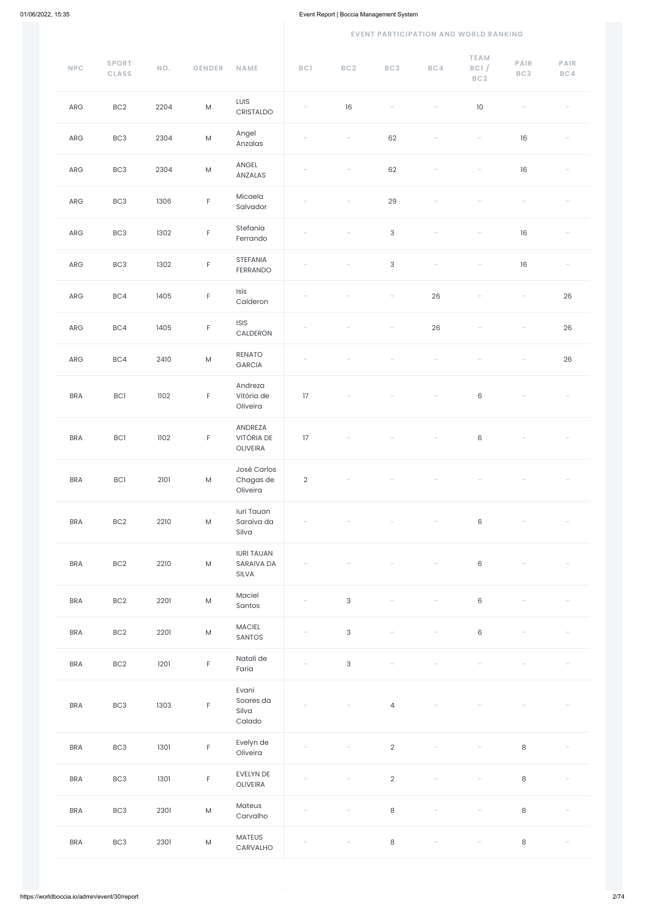| $\ensuremath{\mathsf{NPC}}$ | <b>SPORT</b><br><b>CLASS</b> | NO.  | <b>GENDER</b>                                                                                              | <b>NAME</b>                              | BC1                      | BC2                       | BC3                      | BC4                      | <b>TEAM</b><br>BC1/<br>BC <sub>2</sub> | <b>PAIR</b><br>BC3       | <b>PAIR</b><br>BC4       |
|-----------------------------|------------------------------|------|------------------------------------------------------------------------------------------------------------|------------------------------------------|--------------------------|---------------------------|--------------------------|--------------------------|----------------------------------------|--------------------------|--------------------------|
| ARG                         | BC <sub>2</sub>              | 2204 | $\mathsf{M}% _{T}=\mathsf{M}_{T}\!\left( a,b\right) ,\ \mathsf{M}_{T}=\mathsf{M}_{T}\!\left( a,b\right) ,$ | LUIS<br>CRISTALDO                        |                          | 16                        | $\overline{\phantom{a}}$ | $\overline{\phantom{a}}$ | $10\,$                                 |                          |                          |
| ARG                         | BC <sub>3</sub>              | 2304 | ${\sf M}$                                                                                                  | Angel<br>Anzalas                         |                          | $\overline{\phantom{a}}$  | 62                       |                          |                                        | 16                       |                          |
| ARG                         | BC <sub>3</sub>              | 2304 | ${\sf M}$                                                                                                  | ANGEL<br>ANZALAS                         |                          |                           | 62                       |                          |                                        | $16\,$                   |                          |
| ARG                         | BC <sub>3</sub>              | 1306 | $\mathsf F$                                                                                                | Micaela<br>Salvador                      |                          |                           | 29                       |                          |                                        |                          |                          |
| ARG                         | BC <sub>3</sub>              | 1302 | $\mathsf F$                                                                                                | Stefania<br>Ferrando                     |                          |                           | $\sqrt{3}$               |                          |                                        | $16\,$                   |                          |
| ${\sf ARG}$                 | BC <sub>3</sub>              | 1302 | $\mathsf F$                                                                                                | STEFANIA<br>FERRANDO                     |                          |                           | $\sqrt{3}$               | $\overline{\phantom{a}}$ |                                        | 16                       |                          |
| ${\sf ARG}$                 | BC4                          | 1405 | $\mathsf F$                                                                                                | Isis<br>Calderon                         |                          |                           |                          | 26                       |                                        | $\overline{\phantom{0}}$ | 26                       |
| ${\sf ARG}$                 | BC4                          | 1405 | $\mathsf F$                                                                                                | <b>ISIS</b><br>CALDERON                  |                          |                           |                          | 26                       |                                        |                          | 26                       |
| ARG                         | BC4                          | 2410 | ${\sf M}$                                                                                                  | <b>RENATO</b><br>GARCIA                  |                          |                           |                          |                          |                                        |                          | 26                       |
| <b>BRA</b>                  | BC1                          | 1102 | $\mathsf F$                                                                                                | Andreza<br>Vitória de<br>Oliveira        | 17                       |                           |                          |                          | $\,6\,$                                |                          | $\overline{\phantom{a}}$ |
| <b>BRA</b>                  | BC1                          | 1102 | $\mathsf F$                                                                                                | ANDREZA<br><b>VITÓRIA DE</b><br>OLIVEIRA | 17                       |                           |                          |                          | $\,6\,$                                |                          |                          |
| <b>BRA</b>                  | BC1                          | 2101 | ${\sf M}$                                                                                                  | José Carlos<br>Chagas de<br>Oliveira     | $\sqrt{2}$               |                           |                          |                          |                                        |                          |                          |
| <b>BRA</b>                  | BC <sub>2</sub>              | 2210 | $\mathsf{M}% _{T}=\mathsf{M}_{T}\!\left( a,b\right) ,\ \mathsf{M}_{T}=\mathsf{M}_{T}\!\left( a,b\right) ,$ | luri Tauan<br>Saraiva da<br>Silva        |                          |                           |                          |                          | $\,6\,$                                |                          |                          |
| <b>BRA</b>                  | BC <sub>2</sub>              | 2210 | ${\sf M}$                                                                                                  | <b>IURI TAUAN</b><br>SARAIVA DA<br>SILVA |                          |                           |                          |                          | $\,6\,$                                |                          |                          |
| <b>BRA</b>                  | BC <sub>2</sub>              | 2201 | ${\sf M}$                                                                                                  | Maciel<br>Santos                         |                          | $\ensuremath{\mathsf{3}}$ |                          |                          | $\,6$                                  |                          |                          |
| <b>BRA</b>                  | BC <sub>2</sub>              | 2201 | ${\sf M}$                                                                                                  | <b>MACIEL</b><br>SANTOS                  |                          | $\sqrt{3}$                |                          |                          | $\,6$                                  |                          |                          |
| <b>BRA</b>                  | BC <sub>2</sub>              | 1201 | $\mathsf F$                                                                                                | Natali de<br>Faria                       |                          | $\sqrt{3}$                |                          |                          |                                        |                          |                          |
| <b>BRA</b>                  | BC <sub>3</sub>              | 1303 | $\mathsf F$                                                                                                | Evani<br>Soares da<br>Silva<br>Calado    |                          |                           | $\overline{4}$           |                          |                                        |                          |                          |
| <b>BRA</b>                  | BC <sub>3</sub>              | 1301 | $\mathsf F$                                                                                                | Evelyn de<br>Oliveira                    | $\overline{\phantom{a}}$ | $\overline{\phantom{0}}$  | $\overline{2}$           | $\overline{\phantom{a}}$ | $\overline{\phantom{a}}$               | $\,8\,$                  |                          |
| <b>BRA</b>                  | BC <sub>3</sub>              | 1301 | $\mathsf F$                                                                                                | EVELYN DE<br>OLIVEIRA                    |                          |                           | $\overline{2}$           |                          |                                        | $\,8\,$                  |                          |
| <b>BRA</b>                  | BC <sub>3</sub>              | 2301 | ${\sf M}$                                                                                                  | Mateus<br>Carvalho                       |                          |                           | $\,8\,$                  |                          |                                        | $\,8\,$                  |                          |
| <b>BRA</b>                  | BC <sub>3</sub>              | 2301 | ${\sf M}$                                                                                                  | MATEUS<br>CARVALHO                       |                          |                           | $\,8\,$                  | $\overline{\phantom{a}}$ | $\overline{\phantom{a}}$               | $\,8\,$                  |                          |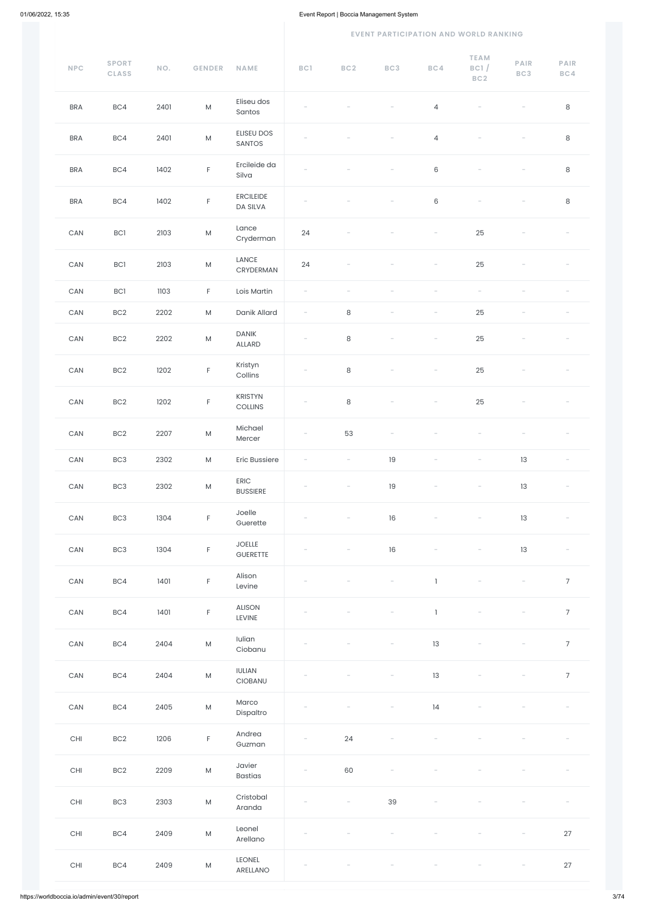| NPC                   | <b>SPORT</b><br><b>CLASS</b> | NO.  | <b>GENDER</b> | <b>NAME</b>                  | BC1                      | BC <sub>2</sub>          | BC3                      | BC4                      | <b>TEAM</b><br>BC1/<br>BC2 | <b>PAIR</b><br>BC3 | <b>PAIR</b><br>BC4 |
|-----------------------|------------------------------|------|---------------|------------------------------|--------------------------|--------------------------|--------------------------|--------------------------|----------------------------|--------------------|--------------------|
| <b>BRA</b>            | BC4                          | 2401 | ${\sf M}$     | Eliseu dos<br>Santos         |                          |                          |                          | $\overline{4}$           |                            |                    | $\,8\,$            |
| <b>BRA</b>            | BC4                          | 2401 | ${\sf M}$     | ELISEU DOS<br>SANTOS         |                          |                          |                          | $\overline{4}$           |                            |                    | $\,8\,$            |
| <b>BRA</b>            | BC4                          | 1402 | $\mathsf F$   | Ercileide da<br>Silva        |                          |                          |                          | $\,6\,$                  |                            |                    | $\,8\,$            |
| <b>BRA</b>            | BC4                          | 1402 | $\mathsf F$   | <b>ERCILEIDE</b><br>DA SILVA | $\overline{\phantom{a}}$ |                          |                          | $\,6\,$                  |                            |                    | $\,8\,$            |
| CAN                   | BC1                          | 2103 | ${\sf M}$     | Lance<br>Cryderman           | 24                       |                          |                          |                          | 25                         |                    |                    |
| CAN                   | BC1                          | 2103 | ${\sf M}$     | LANCE<br>CRYDERMAN           | 24                       |                          |                          |                          | 25                         |                    |                    |
| ${\sf CAN}$           | <b>BC1</b>                   | 1103 | $\mathsf F$   | Lois Martin                  | $\overline{\phantom{0}}$ |                          |                          |                          |                            |                    |                    |
| $\mathsf{CAN}\xspace$ | BC <sub>2</sub>              | 2202 | ${\sf M}$     | Danik Allard                 |                          | $\,8\,$                  | $\overline{\phantom{0}}$ |                          | 25                         |                    |                    |
| ${\sf CAN}$           | BC <sub>2</sub>              | 2202 | ${\sf M}$     | <b>DANIK</b><br>ALLARD       | $\overline{\phantom{0}}$ | $\,8\,$                  |                          |                          | 25                         |                    |                    |
| CAN                   | BC <sub>2</sub>              | 1202 | $\mathsf F$   | Kristyn<br>Collins           | $\overline{\phantom{a}}$ | $\,8\,$                  |                          | $\overline{\phantom{a}}$ | 25                         |                    |                    |
| CAN                   | BC <sub>2</sub>              | 1202 | $\mathsf F$   | KRISTYN<br>COLLINS           | $\overline{\phantom{a}}$ | $\,8\,$                  |                          | $\overline{\phantom{0}}$ | 25                         |                    |                    |
| CAN                   | BC <sub>2</sub>              | 2207 | ${\sf M}$     | Michael<br>Mercer            |                          | 53                       |                          |                          |                            |                    |                    |
| $\mathsf{CAN}\xspace$ | BC3                          | 2302 | ${\sf M}$     | <b>Eric Bussiere</b>         | $\overline{\phantom{0}}$ | $\overline{\phantom{a}}$ | 19                       |                          | $\overline{\phantom{0}}$   | 13                 |                    |
| $\mathsf{CAN}\xspace$ | BC <sub>3</sub>              | 2302 | ${\sf M}$     | ERIC<br><b>BUSSIERE</b>      |                          |                          | 19                       |                          |                            | 13                 |                    |
| $\mathsf{CAN}\xspace$ | BC <sub>3</sub>              | 1304 | $\mathsf F$   | Joelle<br>Guerette           |                          |                          | 16                       |                          |                            | 13                 |                    |
| CAN                   | BC <sub>3</sub>              | 1304 | $\mathsf F$   | <b>JOELLE</b><br>GUERETTE    |                          |                          | 16                       |                          |                            | 13                 |                    |
| CAN                   | BC4                          | 1401 | $\mathsf F$   | Alison<br>Levine             |                          |                          |                          | $\mathbb{I}$             |                            |                    | $\overline{7}$     |
| $\mathsf{CAN}\xspace$ | BC4                          | 1401 | $\mathsf F$   | ALISON<br>LEVINE             |                          |                          |                          | $\mathbbm{1}$            |                            |                    | $\overline{7}$     |
| $\mathsf{CAN}\xspace$ | BC4                          | 2404 | ${\sf M}$     | Iulian<br>Ciobanu            |                          |                          |                          | 13                       |                            |                    | $\overline{7}$     |
| $\mathsf{CAN}\xspace$ | BC4                          | 2404 | ${\sf M}$     | <b>IULIAN</b><br>CIOBANU     |                          |                          |                          | 13                       |                            |                    | $\overline{7}$     |
| $\mathsf{CAN}\xspace$ | BC4                          | 2405 | ${\sf M}$     | Marco<br>Dispaltro           |                          |                          | $\overline{\phantom{0}}$ | 4                        | -                          |                    |                    |
| CHI                   | BC <sub>2</sub>              | 1206 | F.            | Andrea<br>Guzman             | $\overline{\phantom{a}}$ | 24                       | $\equiv$                 | $\overline{\phantom{a}}$ | $\overline{\phantom{a}}$   | $\equiv$           | $\sim$             |
| $\mathsf{CHI}$        | BC <sub>2</sub>              | 2209 | ${\sf M}$     | Javier<br><b>Bastias</b>     |                          | 60                       |                          |                          |                            |                    |                    |
| CHI                   | BC3                          | 2303 | ${\sf M}$     | Cristobal<br>Aranda          |                          |                          | 39                       |                          |                            |                    |                    |
| $\mathsf{CHI}$        | BC4                          | 2409 | ${\sf M}$     | Leonel<br>Arellano           |                          |                          |                          |                          |                            |                    | $27\,$             |
| $\mathsf{CHI}$        | BC4                          | 2409 | ${\sf M}$     | LEONEL<br>ARELLANO           |                          |                          |                          |                          |                            |                    | 27                 |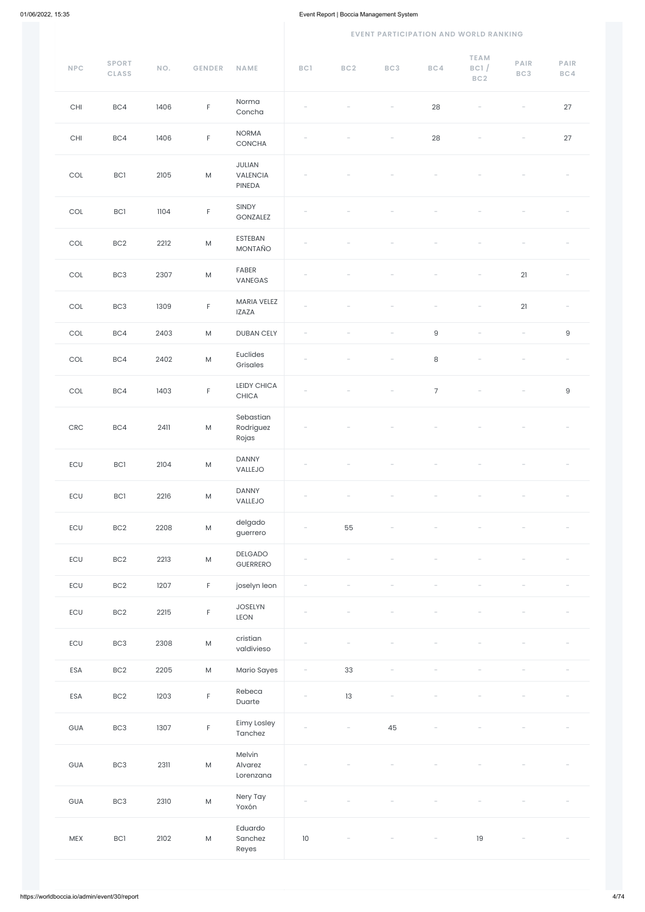| $\ensuremath{\mathsf{NPC}}$ | <b>SPORT</b><br><b>CLASS</b> | NO.  | <b>GENDER</b> | <b>NAME</b>                                         | BC1                      | BC <sub>2</sub>          | BC3                      | BC4                      | <b>TEAM</b><br>BC1/<br>BC2 | PAIR<br>BC3              | <b>PAIR</b><br>BC4       |
|-----------------------------|------------------------------|------|---------------|-----------------------------------------------------|--------------------------|--------------------------|--------------------------|--------------------------|----------------------------|--------------------------|--------------------------|
| $\mathsf{CHI}$              | BC4                          | 1406 | $\mathsf F$   | Norma<br>Concha                                     |                          |                          |                          | 28                       |                            |                          | 27                       |
| CHI                         | BC4                          | 1406 | $\mathsf F$   | <b>NORMA</b><br>CONCHA                              |                          |                          |                          | 28                       |                            |                          | 27                       |
| $\mathop{\rm COL}\nolimits$ | BC1                          | 2105 | ${\sf M}$     | JULIAN<br>VALENCIA<br>PINEDA                        |                          |                          |                          |                          |                            |                          |                          |
| COL                         | BC1                          | 1104 | $\mathsf F$   | SINDY<br>GONZALEZ                                   |                          |                          |                          |                          |                            |                          |                          |
| $\mathop{\rm COL}\nolimits$ | BC <sub>2</sub>              | 2212 | ${\sf M}$     | ESTEBAN<br>MONTAÑO                                  |                          |                          |                          |                          |                            |                          |                          |
| $\mathop{\rm COL}\nolimits$ | BC <sub>3</sub>              | 2307 | ${\sf M}$     | FABER<br>VANEGAS                                    |                          |                          |                          |                          |                            | 21                       |                          |
| COL                         | BC <sub>3</sub>              | 1309 | $\mathsf F$   | MARIA VELEZ<br><b>IZAZA</b>                         |                          |                          |                          |                          |                            | 21                       | $\overline{\phantom{a}}$ |
| COL                         | BC4                          | 2403 | ${\sf M}$     | <b>DUBAN CELY</b>                                   |                          |                          |                          | $\mathsf g$              |                            | $\overline{\phantom{a}}$ | $\hbox{9}$               |
| COL                         | BC4                          | 2402 | ${\sf M}$     | Euclides<br>Grisales                                |                          |                          |                          | $\,8\,$                  |                            |                          |                          |
| COL                         | BC4                          | 1403 | F             | <b>LEIDY CHICA</b><br>$\ensuremath{\mathsf{CHICA}}$ | $\overline{\phantom{a}}$ |                          | $\overline{\phantom{a}}$ | $\overline{7}$           | $\overline{\phantom{a}}$   | $\overline{\phantom{a}}$ | 9                        |
| $\mathsf{CRC}$              | BC4                          | 2411 | ${\sf M}$     | Sebastian<br>Rodriguez<br>Rojas                     |                          |                          |                          |                          |                            |                          |                          |
| $\mathsf{ECU}$              | <b>BC1</b>                   | 2104 | ${\sf M}$     | <b>DANNY</b><br>VALLEJO                             |                          |                          |                          |                          |                            |                          |                          |
| ECU                         | <b>BC1</b>                   | 2216 | ${\sf M}$     | <b>DANNY</b><br>VALLEJO                             |                          |                          |                          |                          |                            |                          |                          |
| $\mathsf{ECU}$              | BC <sub>2</sub>              | 2208 | ${\sf M}$     | delgado<br>guerrero                                 | $\overline{\phantom{a}}$ | 55                       |                          |                          |                            |                          |                          |
| $\mathsf{ECU}$              | BC2                          | 2213 | ${\sf M}$     | <b>DELGADO</b><br>GUERRERO                          |                          |                          |                          |                          |                            |                          |                          |
| ECU                         | BC <sub>2</sub>              | 1207 | $\mathsf F$   | joselyn leon                                        |                          |                          |                          |                          |                            |                          |                          |
| $\mathsf{ECU}$              | BC <sub>2</sub>              | 2215 | $\mathsf F$   | <b>JOSELYN</b><br>LEON                              |                          |                          |                          |                          |                            |                          |                          |
| $\mathsf{ECU}$              | BC3                          | 2308 | ${\sf M}$     | cristian<br>valdivieso                              |                          |                          |                          |                          |                            |                          |                          |
| ESA                         | BC <sub>2</sub>              | 2205 | ${\sf M}$     | Mario Sayes                                         | $\overline{\phantom{a}}$ | 33                       |                          |                          |                            |                          |                          |
| ESA                         | BC <sub>2</sub>              | 1203 | $\mathsf F$   | Rebeca<br>Duarte                                    | $\overline{\phantom{a}}$ | 13                       |                          |                          |                            |                          |                          |
| GUA                         | BC <sub>3</sub>              | 1307 | $\mathsf F$   | Eimy Losley<br>Tanchez                              |                          | $\overline{\phantom{a}}$ | 45                       |                          |                            |                          |                          |
| GUA                         | BC3                          | 2311 | ${\sf M}$     | Melvin<br>Alvarez<br>Lorenzana                      |                          |                          |                          |                          |                            |                          |                          |
| GUA                         | BC3                          | 2310 | ${\sf M}$     | Nery Tay<br>Yoxón                                   |                          |                          |                          |                          |                            |                          |                          |
| MEX                         | BC1                          | 2102 | ${\sf M}$     | Eduardo<br>Sanchez<br>Reyes                         | $10$                     |                          |                          | $\overline{\phantom{0}}$ | 19                         | $\overline{\phantom{a}}$ |                          |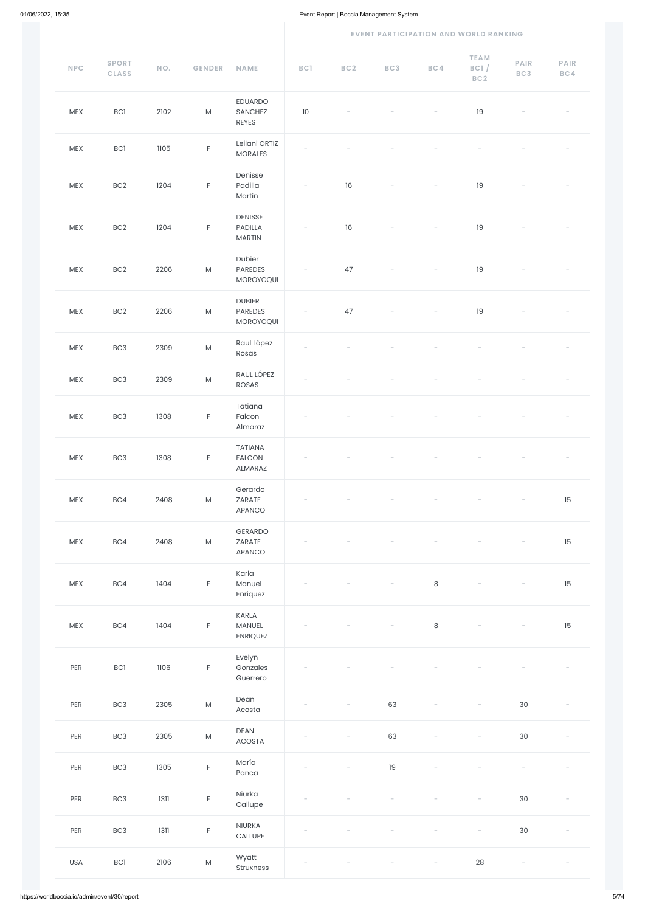| NPC        | <b>SPORT</b><br><b>CLASS</b> | NO.  | <b>GENDER</b> | <b>NAME</b>                                | BC1                      | BC <sub>2</sub> | BC3 | BC4                      | <b>TEAM</b><br>BC1/<br>BC <sub>2</sub> | <b>PAIR</b><br>BC3 | <b>PAIR</b><br>BC4 |
|------------|------------------------------|------|---------------|--------------------------------------------|--------------------------|-----------------|-----|--------------------------|----------------------------------------|--------------------|--------------------|
| MEX        | <b>BC1</b>                   | 2102 | ${\sf M}$     | EDUARDO<br><b>SANCHEZ</b><br>REYES         | $10$                     |                 |     |                          | 19                                     |                    |                    |
| MEX        | <b>BC1</b>                   | 1105 | $\mathsf F$   | Leilani ORTIZ<br><b>MORALES</b>            |                          |                 |     |                          |                                        |                    |                    |
| MEX        | BC <sub>2</sub>              | 1204 | $\mathsf F$   | Denisse<br>Padilla<br>Martin               | $\overline{\phantom{a}}$ | $16\,$          |     |                          | 19                                     |                    |                    |
| <b>MEX</b> | BC <sub>2</sub>              | 1204 | $\mathsf F$   | <b>DENISSE</b><br>PADILLA<br><b>MARTIN</b> | $\overline{\phantom{a}}$ | 16              |     | $\overline{\phantom{a}}$ | 19                                     |                    |                    |
| MEX        | BC <sub>2</sub>              | 2206 | ${\sf M}$     | Dubier<br>PAREDES<br>MOROYOQUI             |                          | 47              |     |                          | 19                                     |                    |                    |
| <b>MEX</b> | BC <sub>2</sub>              | 2206 | ${\sf M}$     | <b>DUBIER</b><br>PAREDES<br>MOROYOQUI      |                          | 47              |     |                          | 19                                     |                    |                    |
| MEX        | BC <sub>3</sub>              | 2309 | ${\sf M}$     | Raul López<br>Rosas                        |                          |                 |     |                          |                                        |                    |                    |
| MEX        | BC <sub>3</sub>              | 2309 | ${\sf M}$     | RAUL LÓPEZ<br><b>ROSAS</b>                 |                          |                 |     |                          |                                        |                    |                    |
| MEX        | BC <sub>3</sub>              | 1308 | $\mathsf F$   | Tatiana<br>Falcon<br>Almaraz               |                          |                 |     |                          |                                        |                    |                    |
| MEX        | BC <sub>3</sub>              | 1308 | $\mathsf F$   | <b>TATIANA</b><br><b>FALCON</b><br>ALMARAZ |                          |                 |     |                          |                                        |                    |                    |
| MEX        | BC4                          | 2408 | ${\sf M}$     | Gerardo<br>ZARATE<br>APANCO                |                          |                 |     |                          |                                        |                    | 15                 |
| MEX        | BC4                          | 2408 | ${\sf M}$     | GERARDO<br>ZARATE<br>APANCO                |                          |                 |     |                          |                                        |                    | 15                 |
| MEX        | BC4                          | 1404 | $\mathsf F$   | Karla<br>Manuel<br>Enriquez                |                          |                 |     | $\,8\,$                  |                                        |                    | 15                 |
| MEX        | BC4                          | 1404 | $\mathsf F$   | KARLA<br>MANUEL<br><b>ENRIQUEZ</b>         |                          |                 |     | $\,8\,$                  |                                        |                    | 15                 |
| PER        | <b>BC1</b>                   | 1106 | $\mathsf F$   | Evelyn<br>Gonzales<br>Guerrero             |                          |                 |     |                          |                                        |                    |                    |

| PER | BC <sub>3</sub> | 2305   | ${\sf M}$   | Dean<br>Acosta        |                          |                          | 63 |                          |                          | 30     |  |
|-----|-----------------|--------|-------------|-----------------------|--------------------------|--------------------------|----|--------------------------|--------------------------|--------|--|
| PER | BC <sub>3</sub> | 2305   | M           | <b>DEAN</b><br>ACOSTA | $\overline{\phantom{a}}$ | $\overline{\phantom{a}}$ | 63 | $\overline{\phantom{a}}$ | $\overline{\phantom{m}}$ | $30\,$ |  |
| PER | BC <sub>3</sub> | 1305   | $\mathsf F$ | María<br>Panca        |                          |                          | 19 |                          |                          |        |  |
| PER | BC <sub>3</sub> | $1311$ | $\mathsf F$ | Niurka<br>Callupe     | $\overline{\phantom{a}}$ |                          |    |                          | $\overline{\phantom{m}}$ | 30     |  |
| PER | BC <sub>3</sub> | 1311   | $\mathsf F$ | NIURKA<br>CALLUPE     |                          |                          |    |                          |                          | $30\,$ |  |
| USA | <b>BC1</b>      | 2106   | ${\sf M}$   | Wyatt<br>Struxness    |                          |                          |    | $\overline{\phantom{m}}$ | 28                       |        |  |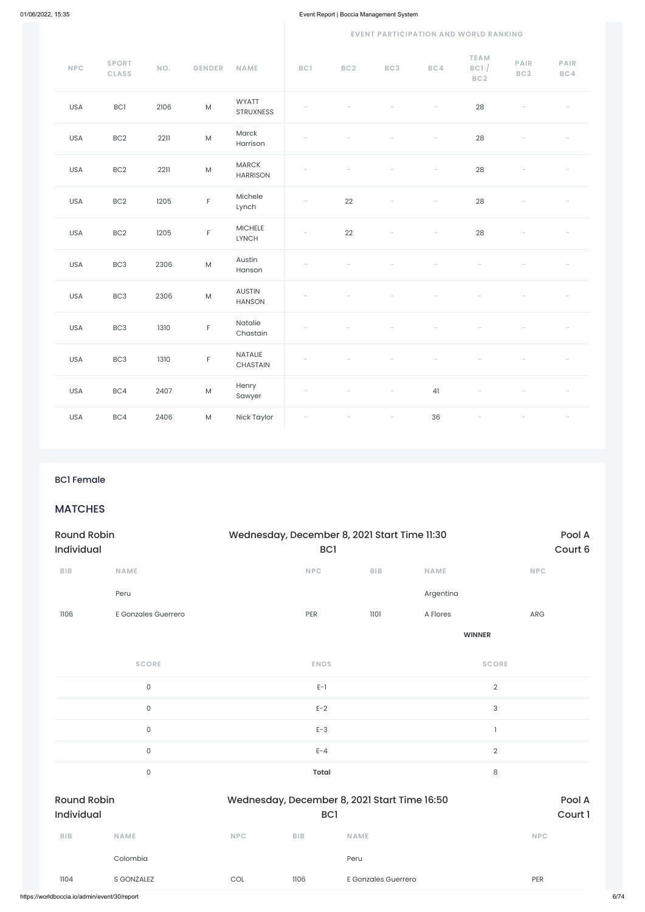### **EVENT PARTICIPATION AND WORLD RANKING**

| <b>NPC</b> | <b>SPORT</b><br><b>CLASS</b> | NO.  | <b>GENDER</b>                                                                                              | NAME                            | BC1                      | BC <sub>2</sub> | BC3                      | BC4 | <b>TEAM</b><br>BC1/<br>BC2 | PAIR<br>BC3 | PAIR<br>BC4 |
|------------|------------------------------|------|------------------------------------------------------------------------------------------------------------|---------------------------------|--------------------------|-----------------|--------------------------|-----|----------------------------|-------------|-------------|
| <b>USA</b> | BC1                          | 2106 | ${\sf M}$                                                                                                  | <b>WYATT</b><br>STRUXNESS       |                          |                 |                          |     | 28                         |             |             |
| <b>USA</b> | BC <sub>2</sub>              | 2211 | ${\sf M}$                                                                                                  | Marck<br>Harrison               |                          |                 |                          |     | 28                         |             |             |
| <b>USA</b> | BC2                          | 2211 | ${\sf M}$                                                                                                  | <b>MARCK</b><br><b>HARRISON</b> |                          |                 |                          |     | 28                         |             |             |
| <b>USA</b> | BC <sub>2</sub>              | 1205 | $\mathsf F$                                                                                                | Michele<br>Lynch                |                          | 22              |                          |     | 28                         |             |             |
| <b>USA</b> | BC <sub>2</sub>              | 1205 | $\mathsf F$                                                                                                | $MICHELE$<br><b>LYNCH</b>       |                          | 22              |                          |     | 28                         |             |             |
| <b>USA</b> | BC <sub>3</sub>              | 2306 | ${\sf M}$                                                                                                  | Austin<br>Hanson                |                          |                 |                          |     |                            |             |             |
| <b>USA</b> | BC <sub>3</sub>              | 2306 | ${\sf M}$                                                                                                  | AUSTIN<br><b>HANSON</b>         |                          |                 |                          |     |                            |             |             |
| <b>USA</b> | BC <sub>3</sub>              | 1310 | $\mathsf F$                                                                                                | Natalie<br>Chastain             |                          |                 |                          |     |                            |             |             |
| USA        | BC <sub>3</sub>              | 1310 | $\mathsf F$                                                                                                | NATALIE<br>CHASTAIN             |                          |                 |                          |     |                            |             |             |
| <b>USA</b> | BC4                          | 2407 | $\mathsf{M}% _{T}=\mathsf{M}_{T}\!\left( a,b\right) ,\ \mathsf{M}_{T}=\mathsf{M}_{T}\!\left( a,b\right) ,$ | Henry<br>Sawyer                 |                          |                 |                          | 41  |                            |             |             |
| <b>USA</b> | BC4                          | 2406 | ${\sf M}$                                                                                                  | Nick Taylor                     | $\overline{\phantom{0}}$ |                 | $\overline{\phantom{a}}$ | 36  | $\overline{\phantom{0}}$   |             |             |

# BC1 Female

# MATCHES

| <b>Round Robin</b><br><b>Individual</b> |                     | Wednesday, December 8, 2021 Start Time 11:30 |             | Pool A<br>Court 6 |             |               |  |
|-----------------------------------------|---------------------|----------------------------------------------|-------------|-------------------|-------------|---------------|--|
| <b>BIB</b>                              | <b>NAME</b>         |                                              | <b>NPC</b>  | <b>BIB</b>        | <b>NAME</b> | <b>NPC</b>    |  |
|                                         | Peru                |                                              |             |                   | Argentina   |               |  |
| 1106                                    | E Gonzales Guerrero |                                              | PER         | 1101              | A Flores    | ARG           |  |
|                                         |                     |                                              |             |                   |             | <b>WINNER</b> |  |
|                                         | <b>SCORE</b>        |                                              | <b>ENDS</b> |                   |             | <b>SCORE</b>  |  |

| 0                                       |            | $E-1$           |                                              | 2              |                   |
|-----------------------------------------|------------|-----------------|----------------------------------------------|----------------|-------------------|
| $\mathsf{O}\xspace$                     |            | $E-2$           |                                              | $\sqrt{3}$     |                   |
| $\mathsf{O}\xspace$                     |            | $E-3$           |                                              |                |                   |
| $\mathsf O$                             |            | $E - 4$         |                                              | $\overline{2}$ |                   |
| $\mathsf{O}\xspace$                     |            | Total           |                                              | 8              |                   |
|                                         |            |                 |                                              |                |                   |
| <b>Round Robin</b><br><b>Individual</b> |            | BC <sub>1</sub> | Wednesday, December 8, 2021 Start Time 16:50 |                | Pool A<br>Court 1 |
| <b>BIB</b><br><b>NAME</b>               | <b>NPC</b> | <b>BIB</b>      | <b>NAME</b>                                  |                | <b>NPC</b>        |
| Colombia                                |            |                 | Peru                                         |                |                   |
| 1104<br>S GONZALEZ                      | COL        | 1106            | E Gonzales Guerrero                          |                | PER               |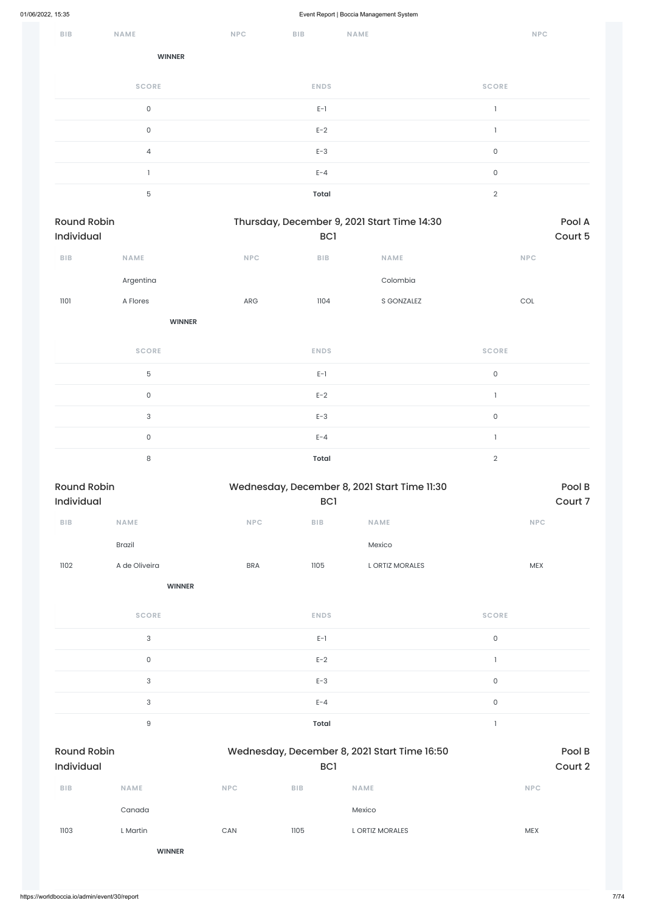| <b>BIB</b>                       | <b>NAME</b>         | <b>NPC</b> | <b>BIB</b>   | <b>NAME</b>                                 | <b>NPC</b>          |                   |
|----------------------------------|---------------------|------------|--------------|---------------------------------------------|---------------------|-------------------|
|                                  | <b>WINNER</b>       |            |              |                                             |                     |                   |
|                                  | <b>SCORE</b>        |            | <b>ENDS</b>  |                                             | <b>SCORE</b>        |                   |
|                                  | $\mathsf{O}\xspace$ |            | $E-1$        |                                             | $\mathbf{I}$        |                   |
|                                  | $\mathsf{O}\xspace$ |            | $E-2$        |                                             | $\mathbf{I}$        |                   |
|                                  | $\overline{4}$      |            | $E-3$        |                                             | $\mathsf{O}\xspace$ |                   |
|                                  | $\mathbf{1}$        |            | $E - 4$      |                                             | $\mathsf{O}\xspace$ |                   |
|                                  | 5                   |            | <b>Total</b> |                                             | $\sqrt{2}$          |                   |
| <b>Round Robin</b><br>Individual |                     |            | BC1          | Thursday, December 9, 2021 Start Time 14:30 |                     | Pool A<br>Court 5 |
| BIB                              | <b>NAME</b>         | <b>NPC</b> | BIB          | NAME                                        | <b>NPC</b>          |                   |
|                                  | Argentina           |            |              | Colombia                                    |                     |                   |
| 1101                             | A Flores            | ARG        | 1104         | S GONZALEZ                                  | COL                 |                   |
|                                  | <b>WINNER</b>       |            |              |                                             |                     |                   |

| <b>SCORE</b>  | <b>ENDS</b>  | <b>SCORE</b> |  |
|---------------|--------------|--------------|--|
| 5             | $E-1$        | 0            |  |
| $\Omega$      | $E-2$        |              |  |
| 3             | $E-3$        | 0            |  |
| $\Omega$      | $E - 4$      |              |  |
| $\Omega$<br>Q | <b>Total</b> |              |  |

| <b>Round Robin</b><br><b>Individual</b> |                                                                                                                                                                                                                                                                                                                                                                                                                                                             |            | Wednesday, December 8, 2021 Start Time 11:30<br><b>BCI</b> |                       |                                                                                                                                                                                                                                                                                                                                                                                                                                                             |  |  |
|-----------------------------------------|-------------------------------------------------------------------------------------------------------------------------------------------------------------------------------------------------------------------------------------------------------------------------------------------------------------------------------------------------------------------------------------------------------------------------------------------------------------|------------|------------------------------------------------------------|-----------------------|-------------------------------------------------------------------------------------------------------------------------------------------------------------------------------------------------------------------------------------------------------------------------------------------------------------------------------------------------------------------------------------------------------------------------------------------------------------|--|--|
| <b>BIB</b>                              | <b>NAME</b>                                                                                                                                                                                                                                                                                                                                                                                                                                                 | <b>NPC</b> | <b>BIB</b>                                                 | <b>NAME</b>           | <b>NPC</b>                                                                                                                                                                                                                                                                                                                                                                                                                                                  |  |  |
|                                         | <b>Brazil</b>                                                                                                                                                                                                                                                                                                                                                                                                                                               |            |                                                            | Mexico                |                                                                                                                                                                                                                                                                                                                                                                                                                                                             |  |  |
| 1102                                    | A de Oliveira                                                                                                                                                                                                                                                                                                                                                                                                                                               | <b>BRA</b> | 1105                                                       | <b>LORTIZ MORALES</b> | <b>MEX</b>                                                                                                                                                                                                                                                                                                                                                                                                                                                  |  |  |
|                                         | <b>WINNER</b>                                                                                                                                                                                                                                                                                                                                                                                                                                               |            |                                                            |                       |                                                                                                                                                                                                                                                                                                                                                                                                                                                             |  |  |
|                                         | $\mathcal{L} \mathcal{L} \mathcal{L} \mathcal{L} \mathcal{L} \mathcal{L} \mathcal{L} \mathcal{L} \mathcal{L} \mathcal{L} \mathcal{L} \mathcal{L} \mathcal{L} \mathcal{L} \mathcal{L} \mathcal{L} \mathcal{L} \mathcal{L} \mathcal{L} \mathcal{L} \mathcal{L} \mathcal{L} \mathcal{L} \mathcal{L} \mathcal{L} \mathcal{L} \mathcal{L} \mathcal{L} \mathcal{L} \mathcal{L} \mathcal{L} \mathcal{L} \mathcal{L} \mathcal{L} \mathcal{L} \mathcal{L} \mathcal{$ |            | <b>FALSO</b>                                               |                       | $\mathcal{L} \mathcal{L} \mathcal{L} \mathcal{L} \mathcal{L} \mathcal{L} \mathcal{L} \mathcal{L} \mathcal{L} \mathcal{L} \mathcal{L} \mathcal{L} \mathcal{L} \mathcal{L} \mathcal{L} \mathcal{L} \mathcal{L} \mathcal{L} \mathcal{L} \mathcal{L} \mathcal{L} \mathcal{L} \mathcal{L} \mathcal{L} \mathcal{L} \mathcal{L} \mathcal{L} \mathcal{L} \mathcal{L} \mathcal{L} \mathcal{L} \mathcal{L} \mathcal{L} \mathcal{L} \mathcal{L} \mathcal{L} \mathcal{$ |  |  |

| <b>SCORE</b> | <b>ENDS</b> | <b>SCORE</b> |
|--------------|-------------|--------------|
| っ            | $E-1$       |              |
|              | $E-2$       |              |
|              | $E-3$       |              |

|                                  | $\ensuremath{\mathsf{3}}$ |            | $E - 4$                                                         |                 | $\mathsf{O}$      |  |
|----------------------------------|---------------------------|------------|-----------------------------------------------------------------|-----------------|-------------------|--|
|                                  | $\hbox{9}$<br>Total       |            |                                                                 |                 |                   |  |
| <b>Round Robin</b><br>Individual |                           |            | Wednesday, December 8, 2021 Start Time 16:50<br>BC <sub>1</sub> |                 | Pool B<br>Court 2 |  |
| <b>BIB</b>                       | <b>NAME</b>               | <b>NPC</b> | <b>BIB</b>                                                      | <b>NAME</b>     | <b>NPC</b>        |  |
|                                  | Canada                    |            |                                                                 | Mexico          |                   |  |
| 1103                             | L Martin                  | CAN        | 1105                                                            | L ORTIZ MORALES | <b>MEX</b>        |  |
|                                  | <b>WINNER</b>             |            |                                                                 |                 |                   |  |
|                                  |                           |            |                                                                 |                 |                   |  |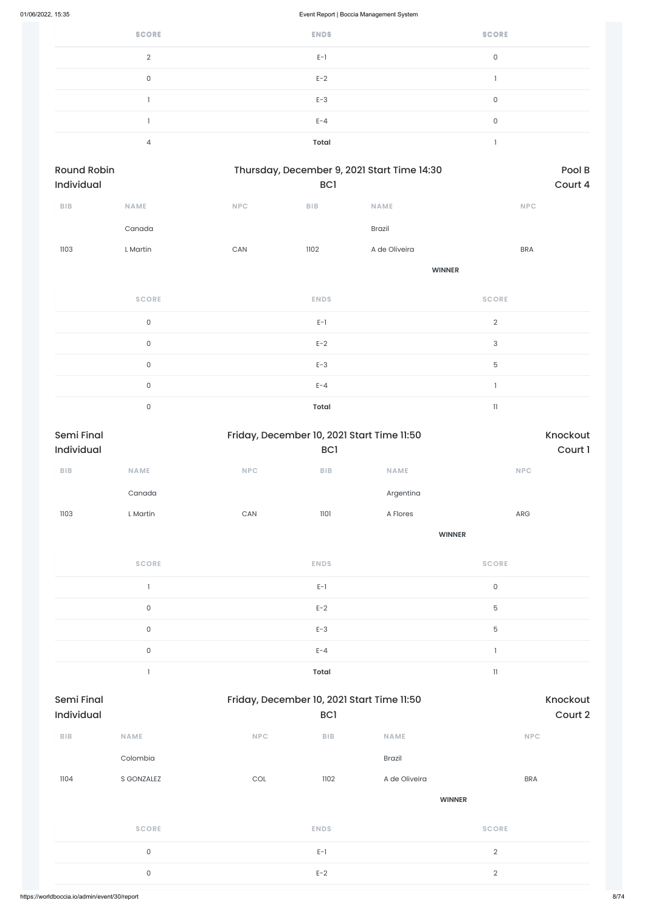| <b>SCORE</b> | <b>ENDS</b>  | <b>SCORE</b> |
|--------------|--------------|--------------|
| $\Omega$     | $E-1$        | 0            |
| 0            | $E-2$        |              |
|              | $E-3$        | 0            |
|              | $E - 4$      | $\Omega$     |
|              | <b>Total</b> |              |

| Round Robin<br>Individual | Thursday, December 9, 2021 Start Time 14:30<br>BC1 |            |             |               |                |
|---------------------------|----------------------------------------------------|------------|-------------|---------------|----------------|
| BIB                       | NAME                                               | <b>NPC</b> | BIB         | NAME          | NPC            |
|                           | Canada                                             |            |             | Brazil        |                |
| 1103                      | L Martin                                           | CAN        | 1102        | A de Oliveira | <b>BRA</b>     |
|                           |                                                    |            |             | <b>WINNER</b> |                |
|                           | <b>SCORE</b>                                       |            | <b>ENDS</b> |               | <b>SCORE</b>   |
|                           | $\mathsf{O}$                                       |            | $E-1$       |               | $\overline{2}$ |
|                           | $\mathsf{O}$                                       |            | $E-2$       |               | $\sqrt{3}$     |
|                           | $\mathsf{O}$                                       |            | $E-3$       |               | 5              |
|                           | $\mathsf{O}$                                       |            | $E - 4$     |               | $\mathbf{I}$   |
|                           | $\mathsf{O}\xspace$                                |            | Total       |               | $\mathbf{1}$   |

| Semi Final<br>Individual |                                |     | BC1         | Friday, December 10, 2021 Start Time 11:50 | Knockout<br>Court 1        |  |  |
|--------------------------|--------------------------------|-----|-------------|--------------------------------------------|----------------------------|--|--|
|                          |                                |     |             |                                            |                            |  |  |
| ${\sf B}{\sf I}{\sf B}$  | <b>NAME</b>                    | NPC | BIB         | <b>NAME</b>                                | <b>NPC</b>                 |  |  |
|                          | Canada                         |     |             | Argentina                                  |                            |  |  |
| 1103                     | L Martin                       | CAN | 1101        | A Flores                                   | ARG                        |  |  |
|                          |                                |     |             | <b>WINNER</b>                              |                            |  |  |
|                          | <b>SCORE</b>                   |     | <b>ENDS</b> |                                            | <b>SCORE</b>               |  |  |
|                          | $\mathbf{I}$                   |     | $E-1$       |                                            | $\mathsf{O}\xspace$        |  |  |
|                          | $\mathsf{O}\xspace$            |     | $E-2$       |                                            | $\mathbf 5$                |  |  |
|                          | $\mathsf{O}\xspace$            |     | $E-3$       |                                            | 5                          |  |  |
|                          | $\mathsf{O}\xspace$            |     | $E - 4$     |                                            | $\mathbf{1}$               |  |  |
|                          | $\begin{array}{c} \end{array}$ |     | Total       |                                            | $\ensuremath{\mathsf{11}}$ |  |  |

| <b>Semi Final</b><br>Individual |              | Friday, December 10, 2021 Start Time 11:50 | <b>BCI</b>  |               | Knockout<br>Court 2 |
|---------------------------------|--------------|--------------------------------------------|-------------|---------------|---------------------|
| <b>BIB</b>                      | <b>NAME</b>  | <b>NPC</b>                                 | <b>BIB</b>  | <b>NAME</b>   | <b>NPC</b>          |
|                                 | Colombia     |                                            |             | Brazil        |                     |
| 1104                            | S GONZALEZ   | COL                                        | 1102        | A de Oliveira | <b>BRA</b>          |
|                                 |              |                                            |             | <b>WINNER</b> |                     |
|                                 | <b>SCORE</b> |                                            | <b>ENDS</b> |               | <b>SCORE</b>        |
|                                 | $\mathsf O$  |                                            | $E-1$       |               | $\sqrt{2}$          |
|                                 | $\mathsf O$  |                                            | $E-2$       |               | $\sqrt{2}$          |
|                                 |              |                                            |             |               |                     |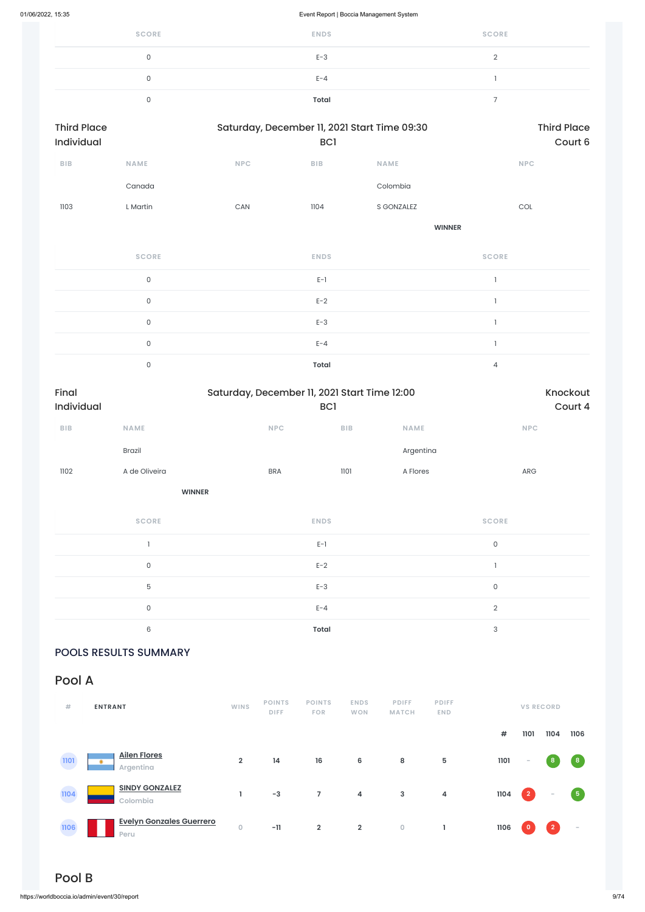| <b>SCORE</b> | <b>ENDS</b> | <b>SCORE</b> |
|--------------|-------------|--------------|
| 0            | $E-3$       |              |
| 0            | $E - 4$     |              |
|              | Total       |              |

| <b>Third Place</b><br>Individual |                     |            | Saturday, December 11, 2021 Start Time 09:30<br>BC <sub>1</sub> | <b>Third Place</b><br>Court 6 |                                       |  |
|----------------------------------|---------------------|------------|-----------------------------------------------------------------|-------------------------------|---------------------------------------|--|
| BIB                              | <b>NAME</b>         | <b>NPC</b> | ${\sf B}{\sf I}{\sf B}$                                         | <b>NAME</b>                   | NPC                                   |  |
|                                  | Canada              |            |                                                                 | Colombia                      |                                       |  |
| 1103                             | L Martin            | CAN        | 1104                                                            | S GONZALEZ                    | $\mathop{\rm COL}\nolimits$           |  |
|                                  |                     |            |                                                                 | <b>WINNER</b>                 |                                       |  |
|                                  | <b>SCORE</b>        |            | <b>ENDS</b>                                                     |                               | <b>SCORE</b>                          |  |
|                                  | $\mathsf{O}\xspace$ |            | $E-1$                                                           |                               |                                       |  |
|                                  | $\mathsf{O}\xspace$ |            | $E-2$                                                           |                               | $\mathbf{1}$                          |  |
|                                  | $\mathsf{O}$        |            | $E-3$                                                           |                               | $\overline{1}$                        |  |
|                                  | $\mathsf{O}\xspace$ |            | $E - 4$                                                         |                               | $\begin{array}{c} \hline \end{array}$ |  |
|                                  | $\mathsf{O}\xspace$ |            | <b>Total</b>                                                    |                               | 4                                     |  |

| Final<br>Individual |               | Saturday, December 11, 2021 Start Time 12:00<br><b>BCI</b> | Knockout<br>Court 4 |             |            |
|---------------------|---------------|------------------------------------------------------------|---------------------|-------------|------------|
| <b>BIB</b>          | <b>NAME</b>   | <b>NPC</b>                                                 | <b>BIB</b>          | <b>NAME</b> | <b>NPC</b> |
|                     | <b>Brazil</b> |                                                            |                     | Argentina   |            |
| 1102                | A de Oliveira | <b>BRA</b>                                                 | 1101                | A Flores    | <b>ARG</b> |
|                     |               | <b>WINNER</b>                                              |                     |             |            |

**SCORE ENDS SCORE**  $E-1$  0 0 between the contract  $E-2$  and  $E-2$  and  $E-2$  and  $E-2$  and  $E-2$  and  $E-2$  and  $E-2$  and  $E-2$  and  $E-2$  and  $E-2$  and  $E-2$  and  $E-2$  and  $E-2$  and  $E-2$  and  $E-2$  and  $E-2$  and  $E-2$  and  $E-2$  and  $E-2$  and  $E-2$  an  $5$  B and  $5$  and  $5$  and  $5$  and  $5$  and  $5$  and  $5$  and  $5$  and  $5$  and  $5$  and  $5$  and  $5$  and  $5$  and  $5$  and  $5$  and  $5$  and  $5$  and  $5$  and  $5$  and  $5$  and  $5$  and  $5$  and  $5$  and  $5$  and  $5$  and  $5$  and  $5$  and  $5$ 0 between the contract  $E-4$  and  $E-4$  and  $2$ 6 **Total** 3

POOLS RESULTS SUMMARY

Pool A



# Pool B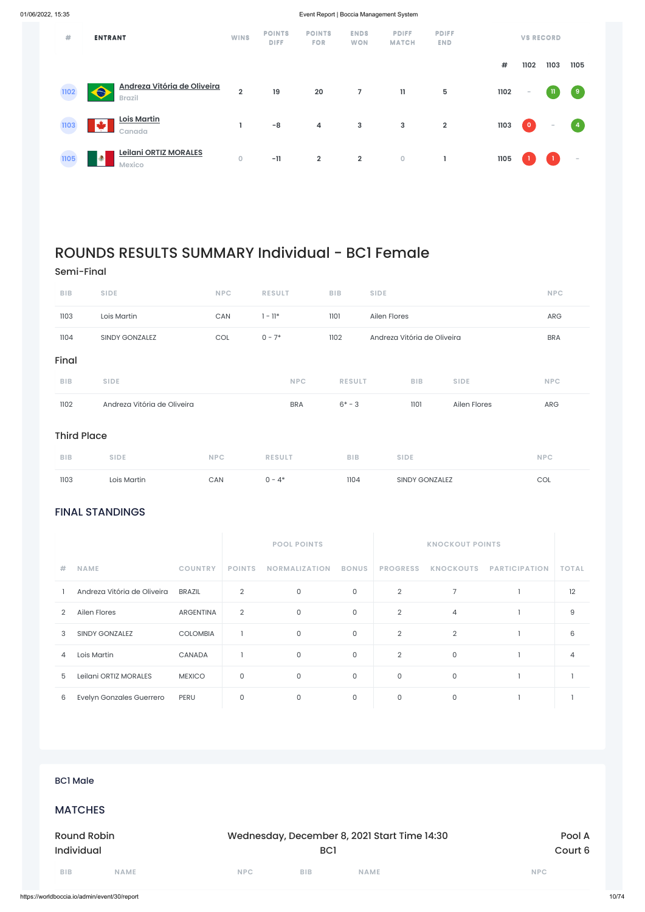# FINAL STANDINGS

| 尝    | <b>ENTRANT</b>                                                  | <b>WINS</b>             | <b>POINTS</b><br><b>DIFF</b> | <b>POINTS</b><br><b>FOR</b> | <b>ENDS</b><br><b>WON</b> | <b>PDIFF</b><br><b>MATCH</b> | <b>PDIFF</b><br><b>END</b> |      |           | <b>VS RECORD</b> |                                   |
|------|-----------------------------------------------------------------|-------------------------|------------------------------|-----------------------------|---------------------------|------------------------------|----------------------------|------|-----------|------------------|-----------------------------------|
|      |                                                                 |                         |                              |                             |                           |                              |                            | #    | 1102      | 1103             | 1105                              |
| 1102 | Andreza Vitória de Oliveira<br>$\hat{\bullet}$<br><b>Brazil</b> | $\overline{\mathbf{2}}$ | 19                           | 20                          | $\overline{7}$            | $\mathbf{11}$                | 5                          | 1102 | $\sim$    | - 11             | (9)                               |
| 1103 | <b>Lois Martin</b><br>طله<br>Canada                             |                         | $-8$                         | 4                           | $\mathbf{3}$              | $\mathbf{3}$                 | $\overline{2}$             | 1103 | $\bullet$ | $\sim$           | $\begin{pmatrix} 4 \end{pmatrix}$ |
| 1105 | <b>Leilani ORTIZ MORALES</b><br>۰<br><b>Mexico</b>              | $\overline{0}$          | $-11$                        | $\overline{\mathbf{2}}$     | $\overline{2}$            | $\mathsf O$                  |                            | 1105 |           |                  | $\sim$                            |

|            |                             |                  | <b>POOL POINTS</b>                           |                      |                     | <b>KNOCKOUT POINTS</b> |                     |                      |                |
|------------|-----------------------------|------------------|----------------------------------------------|----------------------|---------------------|------------------------|---------------------|----------------------|----------------|
| $\#$       | <b>NAME</b>                 | <b>COUNTRY</b>   | <b>POINTS</b>                                | <b>NORMALIZATION</b> | <b>BONUS</b>        | <b>PROGRESS</b>        | <b>KNOCKOUTS</b>    | <b>PARTICIPATION</b> | <b>TOTAL</b>   |
| -1         | Andreza Vitória de Oliveira | <b>BRAZIL</b>    | $\overline{2}$                               | $\mathsf{O}\xspace$  | $\mathsf O$         | $\sqrt{2}$             | $\overline{7}$      | $\mathbf{1}$         | 12             |
| $\sqrt{2}$ | Ailen Flores                | <b>ARGENTINA</b> | $\overline{2}$                               | $\mathsf{O}\xspace$  | $\mathsf{O}\xspace$ | $\sqrt{2}$             | 4                   | $\mathbf{1}$         | 9              |
| 3          | SINDY GONZALEZ              | <b>COLOMBIA</b>  | $\mathbf{1}$                                 | $\mathsf{O}\xspace$  | $\mathsf O$         | $\sqrt{2}$             | $\overline{2}$      | $\mathbf{1}$         | 6              |
| 4          | Lois Martin                 | CANADA           | $\mathbf{1}$                                 | $\mathsf{O}\xspace$  | $\mathsf{O}$        | $\sqrt{2}$             | $\mathsf{O}\xspace$ | $\mathbf{1}$         | $\overline{4}$ |
| 5          | Leilani ORTIZ MORALES       | <b>MEXICO</b>    | $\mathsf O$                                  | $\mathsf O$          | $\mathsf O$         | $\mathsf{O}$           | 0                   | $\mathbf{I}$         | $\mathbf{I}$   |
| $\,6\,$    | Evelyn Gonzales Guerrero    | PERU             | $\mathsf{O}\xspace$                          | $\mathsf{O}\xspace$  | $\mathsf{O}$        | $\mathsf{O}$           | $\mathsf{O}\xspace$ | $\mathbf{I}$         | $\mathbf{1}$   |
|            |                             |                  |                                              |                      |                     |                        |                     |                      |                |
|            |                             |                  |                                              |                      |                     |                        |                     |                      |                |
|            |                             |                  |                                              |                      |                     |                        |                     |                      |                |
|            | <b>BC1 Male</b>             |                  |                                              |                      |                     |                        |                     |                      |                |
|            | <b>MATCHES</b>              |                  |                                              |                      |                     |                        |                     |                      |                |
|            | <b>Round Robin</b>          |                  | Wednesday, December 8, 2021 Start Time 14:30 |                      |                     |                        |                     |                      | Pool A         |
|            | Individual                  |                  |                                              | BC1                  |                     |                        |                     |                      | Court 6        |
| <b>BIB</b> | NAME                        |                  | <b>NPC</b>                                   | <b>BIB</b>           | <b>NAME</b>         |                        |                     | <b>NPC</b>           |                |

# ROUNDS RESULTS SUMMARY Individual - BC1 Female

# Semi-Final

| 1103               | Lois Martin                 | CAN        | $0 - 4*$      | 1104          | <b>SINDY GONZALEZ</b>       |              | COL        |
|--------------------|-----------------------------|------------|---------------|---------------|-----------------------------|--------------|------------|
| <b>BIB</b>         | <b>SIDE</b>                 | <b>NPC</b> | <b>RESULT</b> | <b>BIB</b>    | <b>SIDE</b>                 |              | <b>NPC</b> |
| <b>Third Place</b> |                             |            |               |               |                             |              |            |
| 1102               | Andreza Vitória de Oliveira |            | <b>BRA</b>    | $6* - 3$      | 1101                        | Ailen Flores | ARG        |
| <b>BIB</b>         | <b>SIDE</b>                 |            | <b>NPC</b>    | <b>RESULT</b> | <b>BIB</b>                  | <b>SIDE</b>  | <b>NPC</b> |
| Final              |                             |            |               |               |                             |              |            |
| 1104               | SINDY GONZALEZ              | COL        | $0 - 7*$      | 1102          | Andreza Vitória de Oliveira |              | <b>BRA</b> |
| 1103               | Lois Martin                 | CAN        | $1 - 11*$     | 1101          | Ailen Flores                |              | ARG        |
| <b>BIB</b>         | <b>SIDE</b>                 | <b>NPC</b> | <b>RESULT</b> | <b>BIB</b>    | <b>SIDE</b>                 |              | <b>NPC</b> |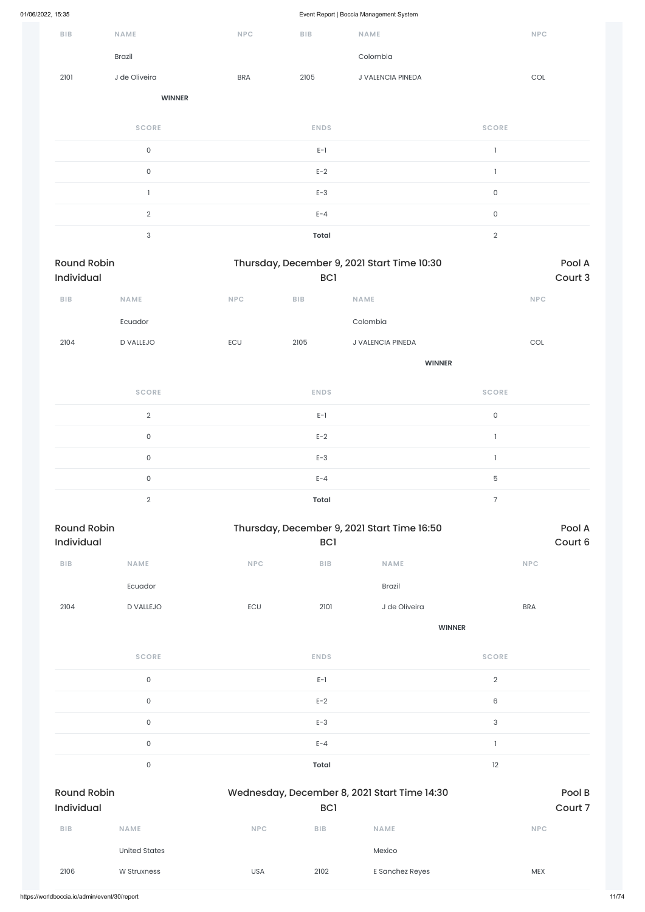| 01/06/2022, 15:35 |  |
|-------------------|--|
|                   |  |

Event Report | Boccia Management System

|                                  |                           |            | $\mathbf{r}$ and $\mathbf{r}$ | $\check{\phantom{a}}$                       |                     |                             |                   |
|----------------------------------|---------------------------|------------|-------------------------------|---------------------------------------------|---------------------|-----------------------------|-------------------|
| <b>BIB</b>                       | NAME                      | <b>NPC</b> | ${\sf B}{\sf I}{\sf B}$       | NAME                                        |                     | $\ensuremath{\mathsf{NPC}}$ |                   |
|                                  | Brazil                    |            |                               | Colombia                                    |                     |                             |                   |
| 2101                             | J de Oliveira             | <b>BRA</b> | 2105                          | J VALENCIA PINEDA                           |                     | $\mathop{\rm COL}\nolimits$ |                   |
|                                  | <b>WINNER</b>             |            |                               |                                             |                     |                             |                   |
|                                  | <b>SCORE</b>              |            | <b>ENDS</b>                   |                                             | <b>SCORE</b>        |                             |                   |
|                                  | $\mathsf{O}\xspace$       |            | $E-1$                         |                                             | $\mathbf{1}$        |                             |                   |
|                                  | $\mathsf O$               |            | $E-2$                         |                                             | $\mathbf{I}$        |                             |                   |
|                                  | $\mathbf{1}$              |            | $E-3$                         |                                             | $\mathsf{O}\xspace$ |                             |                   |
|                                  | $\overline{2}$            |            | $E - 4$                       |                                             | $\mathsf{O}\xspace$ |                             |                   |
|                                  | $\ensuremath{\mathsf{3}}$ |            | <b>Total</b>                  |                                             | $\sqrt{2}$          |                             |                   |
| <b>Round Robin</b><br>Individual |                           |            | BC1                           | Thursday, December 9, 2021 Start Time 10:30 |                     |                             | Pool A<br>Court 3 |
| ${\sf B}{\sf I}{\sf B}$          | <b>NAME</b>               | <b>NPC</b> | ${\sf B}{\sf I}{\sf B}$       | <b>NAME</b>                                 |                     | <b>NPC</b>                  |                   |
|                                  | Ecuador                   |            |                               | Colombia                                    |                     |                             |                   |
| 2104                             | D VALLEJO                 | ECU        | 2105                          | J VALENCIA PINEDA                           |                     | $\mathop{\rm COL}\nolimits$ |                   |
|                                  |                           |            |                               | <b>WINNER</b>                               |                     |                             |                   |
|                                  | <b>SCORE</b>              |            | <b>ENDS</b>                   |                                             | <b>SCORE</b>        |                             |                   |
|                                  | $\overline{2}$            |            | $E-1$                         |                                             | $\mathsf{O}\xspace$ |                             |                   |
|                                  | $\mathsf{O}\xspace$       |            | $E-2$                         |                                             | $\mathbf{l}$        |                             |                   |
|                                  | $\mathsf{O}\xspace$       |            | $E-3$                         |                                             | $\mathbbm{1}$       |                             |                   |
|                                  | $\mathsf O$               |            | $E - 4$                       |                                             | $\mathbf 5$         |                             |                   |
|                                  | $\overline{2}$            |            | <b>Total</b>                  |                                             | $\overline{7}$      |                             |                   |
| <b>Round Robin</b><br>Individual |                           |            | BC <sub>1</sub>               | Thursday, December 9, 2021 Start Time 16:50 |                     |                             | Pool A<br>Court 6 |
| ${\sf B}{\sf I}{\sf B}$          | NAME                      | NPC        | ${\sf B}{\sf I}{\sf B}$       | NAME                                        |                     | <b>NPC</b>                  |                   |
|                                  | Ecuador                   |            |                               | Brazil                                      |                     |                             |                   |
| 2104                             | D VALLEJO                 | ECU        | 2101                          | J de Oliveira                               |                     | <b>BRA</b>                  |                   |
|                                  |                           |            |                               |                                             | <b>WINNER</b>       |                             |                   |
|                                  | <b>SCORE</b>              |            | <b>ENDS</b>                   |                                             | <b>SCORE</b>        |                             |                   |
|                                  |                           |            |                               |                                             |                     |                             |                   |

0 between the contract  $E-1$  and  $E-1$  and  $E-1$  and  $E-2$ 

|                                         | $\mathsf{O}$         |            | $E-2$                                                           |                 | $\mathsf 6$               |                   |
|-----------------------------------------|----------------------|------------|-----------------------------------------------------------------|-----------------|---------------------------|-------------------|
|                                         | $\mathsf{O}$         |            | $E-3$                                                           |                 | $\ensuremath{\mathsf{3}}$ |                   |
|                                         | $\mathsf{O}$         |            | $E - 4$                                                         |                 |                           |                   |
|                                         | $\mathsf{O}$         |            | <b>Total</b>                                                    |                 | 12                        |                   |
| <b>Round Robin</b><br><b>Individual</b> |                      |            | Wednesday, December 8, 2021 Start Time 14:30<br>BC <sub>1</sub> |                 |                           | Pool B<br>Court 7 |
| <b>BIB</b>                              | <b>NAME</b>          | <b>NPC</b> | <b>BIB</b>                                                      | <b>NAME</b>     |                           | <b>NPC</b>        |
|                                         | <b>United States</b> |            |                                                                 | Mexico          |                           |                   |
| 2106                                    | W Struxness          | <b>USA</b> | 2102                                                            | E Sanchez Reyes |                           | <b>MEX</b>        |
|                                         |                      |            |                                                                 |                 |                           |                   |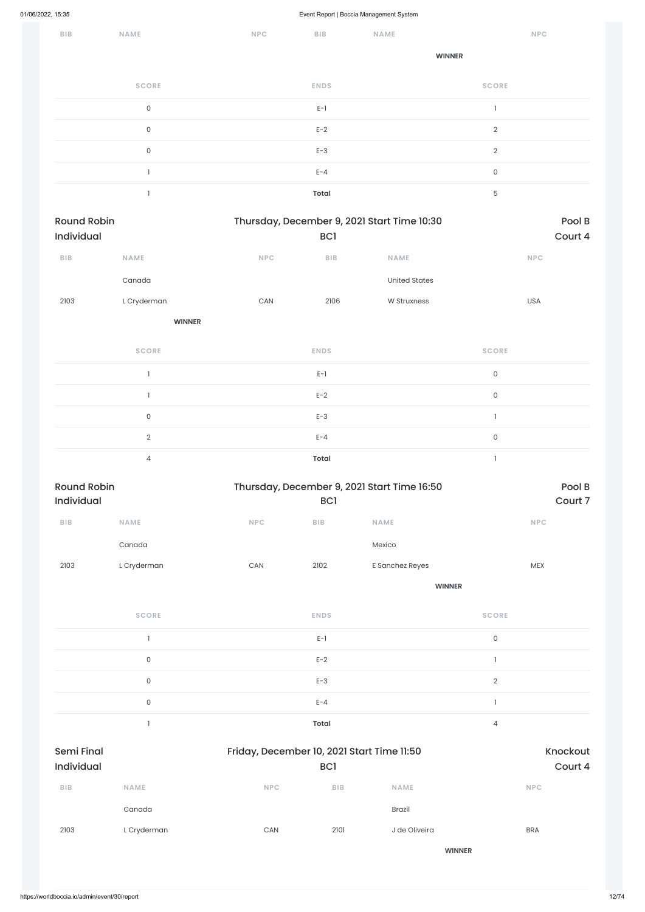| <b>BIB</b> | NAME         | <b>NPC</b> | <b>BIB</b>   | <b>NAME</b> | <b>NPC</b>     |  |
|------------|--------------|------------|--------------|-------------|----------------|--|
|            |              |            |              |             | <b>WINNER</b>  |  |
|            | <b>SCORE</b> |            | <b>ENDS</b>  |             | <b>SCORE</b>   |  |
|            | 0            |            | $E-1$        |             |                |  |
|            | $\mathsf O$  |            | $E-2$        |             | $\overline{2}$ |  |
|            | $\mathsf O$  |            | $E-3$        |             | $\overline{2}$ |  |
|            |              |            | $E - 4$      |             | $\mathsf O$    |  |
|            |              |            | <b>Total</b> |             | 5              |  |

| Round Robin             |                |                       | Thursday, December 9, 2021 Start Time 10:30 |                                             |              | Pool B      |  |  |
|-------------------------|----------------|-----------------------|---------------------------------------------|---------------------------------------------|--------------|-------------|--|--|
| Individual              |                |                       | BC1                                         |                                             |              | Court 4     |  |  |
| ${\sf B}{\sf I}{\sf B}$ | <b>NAME</b>    | NPC                   | ${\sf B}{\sf I}{\sf B}$                     | <b>NAME</b>                                 |              | <b>NPC</b>  |  |  |
|                         | Canada         |                       |                                             | <b>United States</b>                        |              |             |  |  |
| 2103                    | L Cryderman    | ${\sf CAN}$           | 2106                                        | W Struxness                                 |              | USA         |  |  |
|                         | <b>WINNER</b>  |                       |                                             |                                             |              |             |  |  |
|                         | <b>SCORE</b>   |                       | <b>ENDS</b>                                 |                                             | <b>SCORE</b> |             |  |  |
|                         | $\mathbf{I}$   |                       | $E-1$                                       |                                             | $\mathsf O$  |             |  |  |
|                         | $\mathbf{I}$   |                       | $E-2$                                       |                                             | $\mathsf O$  |             |  |  |
|                         | $\mathsf{O}$   |                       | $E-3$                                       |                                             | $\mathbf{I}$ |             |  |  |
|                         | $\overline{2}$ |                       | $E - 4$                                     |                                             | $\mathsf O$  |             |  |  |
|                         | $\overline{4}$ |                       | <b>Total</b>                                |                                             | $\mathbf{I}$ |             |  |  |
| <b>Round Robin</b>      |                |                       |                                             | Thursday, December 9, 2021 Start Time 16:50 |              | Pool B      |  |  |
| Individual              |                |                       | BC <sub>1</sub>                             |                                             |              | Court 7     |  |  |
| ${\sf BIB}$             | <b>NAME</b>    | <b>NPC</b>            | ${\sf B}{\sf I}{\sf B}$                     | <b>NAME</b>                                 |              | <b>NPC</b>  |  |  |
|                         | Canada         |                       |                                             | Mexico                                      |              |             |  |  |
| 2103                    | L Cryderman    | $\mathsf{CAN}\xspace$ | 2102                                        | E Sanchez Reyes                             |              | ${\sf MEX}$ |  |  |
|                         |                |                       |                                             | <b>WINNER</b>                               |              |             |  |  |
|                         | <b>SCORE</b>   |                       | <b>ENDS</b>                                 |                                             | <b>SCORE</b> |             |  |  |
|                         | $\mathbf{I}$   |                       | $E-1$                                       |                                             | $\mathsf{O}$ |             |  |  |
|                         | $\mathsf O$    |                       | $E-2$                                       |                                             | $\mathbf{I}$ |             |  |  |
|                         | $\mathsf O$    |                       | $E-3$                                       |                                             | $\sqrt{2}$   |             |  |  |

|                                 | $\mathsf 0$ |            | $E - 4$                                           |               |                |                     |
|---------------------------------|-------------|------------|---------------------------------------------------|---------------|----------------|---------------------|
|                                 |             |            | <b>Total</b>                                      |               | $\overline{4}$ |                     |
| <b>Semi Final</b><br>Individual |             |            | Friday, December 10, 2021 Start Time 11:50<br>BC1 |               |                | Knockout<br>Court 4 |
| <b>BIB</b>                      | <b>NAME</b> | <b>NPC</b> | <b>BIB</b>                                        | <b>NAME</b>   | <b>NPC</b>     |                     |
|                                 | Canada      |            |                                                   | <b>Brazil</b> |                |                     |
| 2103                            | L Cryderman | CAN        | 2101                                              | J de Oliveira | <b>BRA</b>     |                     |
|                                 |             |            |                                                   | <b>WINNER</b> |                |                     |
|                                 |             |            |                                                   |               |                |                     |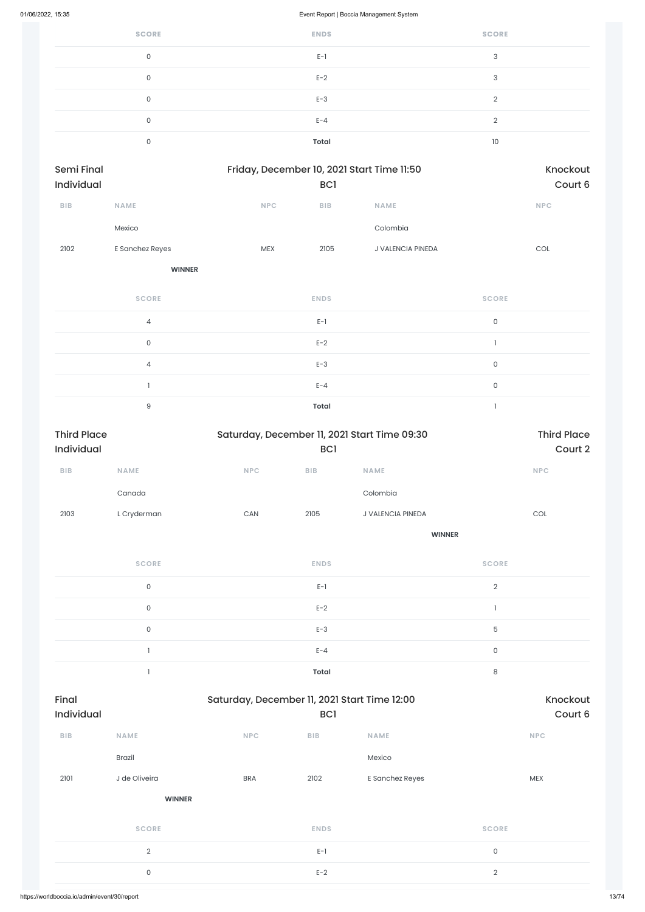| <b>SCORE</b> | <b>ENDS</b>  | <b>SCORE</b>   |
|--------------|--------------|----------------|
| 0            | $E-1$        | 3              |
| 0            | $E-2$        | 3              |
| $\mathbf 0$  | $E-3$        | $\mathfrak{D}$ |
| 0            | $E - 4$      | $\Omega$       |
| 0            | <b>Total</b> | 10             |

| <b>Semi Final</b> |                 |            | Friday, December 10, 2021 Start Time 11:50 |                          |            |  |
|-------------------|-----------------|------------|--------------------------------------------|--------------------------|------------|--|
| <b>Individual</b> |                 |            | BC <sub>1</sub>                            |                          | Court 6    |  |
| <b>BIB</b>        | <b>NAME</b>     | <b>NPC</b> | <b>BIB</b>                                 | <b>NAME</b>              | <b>NPC</b> |  |
|                   | Mexico          |            |                                            | Colombia                 |            |  |
| 2102              | E Sanchez Reyes | <b>MEX</b> | 2105                                       | <b>J VALENCIA PINEDA</b> | COL        |  |
|                   |                 |            |                                            |                          |            |  |

**WINNER**

| <b>SCORE</b>   | <b>ENDS</b>  | <b>SCORE</b> |
|----------------|--------------|--------------|
| $\overline{4}$ | $E-1$        | $\mathbf 0$  |
| $\mathbf 0$    | $E-2$        |              |
| $\overline{4}$ | $E-3$        | 0            |
|                | $E - 4$      | $\mathbf 0$  |
| 9              | <b>Total</b> |              |

| <b>Third Place</b><br>Individual |                     |             | Saturday, December 11, 2021 Start Time 09:30 |                   |                             |         |  |
|----------------------------------|---------------------|-------------|----------------------------------------------|-------------------|-----------------------------|---------|--|
|                                  |                     |             | BC <sub>1</sub>                              |                   |                             | Court 2 |  |
| ${\sf B}{\sf I}{\sf B}$          | NAME                | <b>NPC</b>  | BIB                                          | <b>NAME</b>       | <b>NPC</b>                  |         |  |
|                                  | Canada              |             |                                              | Colombia          |                             |         |  |
| 2103                             | L Cryderman         | ${\sf CAN}$ | 2105                                         | J VALENCIA PINEDA | $\mathop{\rm COL}\nolimits$ |         |  |
|                                  |                     |             |                                              | <b>WINNER</b>     |                             |         |  |
|                                  | <b>SCORE</b>        |             | <b>ENDS</b>                                  |                   | <b>SCORE</b>                |         |  |
|                                  | $\mathsf{O}$        |             | $E-1$                                        |                   | $\overline{2}$              |         |  |
|                                  | $\mathsf{O}\xspace$ |             | $E-2$                                        |                   |                             |         |  |
|                                  | $\mathsf{O}\xspace$ |             | $E-3$                                        |                   | $\mathbf 5$                 |         |  |
|                                  |                     |             | $E - 4$                                      |                   | $\mathsf{O}\xspace$         |         |  |
|                                  |                     |             | <b>Total</b>                                 |                   | 8                           |         |  |

| Final<br><b>Individual</b> |                | Saturday, December 11, 2021 Start Time 12:00<br>BC <sub>1</sub> |             |                 | Knockout<br>Court 6 |
|----------------------------|----------------|-----------------------------------------------------------------|-------------|-----------------|---------------------|
| <b>BIB</b>                 | <b>NAME</b>    | NPC                                                             | <b>BIB</b>  | <b>NAME</b>     | <b>NPC</b>          |
|                            | <b>Brazil</b>  |                                                                 |             | Mexico          |                     |
| 2101                       | J de Oliveira  | <b>BRA</b>                                                      | 2102        | E Sanchez Reyes | <b>MEX</b>          |
|                            | <b>WINNER</b>  |                                                                 |             |                 |                     |
|                            | <b>SCORE</b>   |                                                                 | <b>ENDS</b> |                 | <b>SCORE</b>        |
|                            | $\overline{2}$ |                                                                 | $E-1$       |                 | $\mathsf{O}\xspace$ |
|                            | $\mathsf O$    |                                                                 | $E-2$       |                 | $\sqrt{2}$          |
|                            |                |                                                                 |             |                 |                     |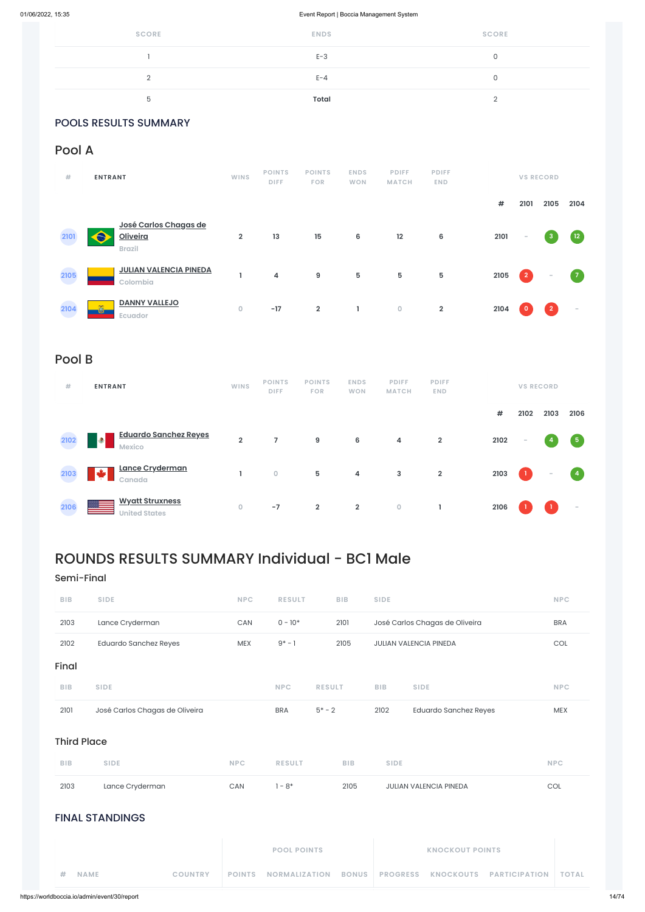| <b>SCORE</b> | <b>ENDS</b>  | <b>SCORE</b> |
|--------------|--------------|--------------|
|              | $E-3$        |              |
|              | $E - 4$      |              |
| b            | <b>Total</b> |              |

# POOLS RESULTS SUMMARY

# Pool A

| #    | <b>ENTRANT</b>                                            | <b>WINS</b>    | <b>POINTS</b><br><b>DIFF</b> | <b>POINTS</b><br><b>FOR</b> | <b>ENDS</b><br><b>WON</b> | <b>PDIFF</b><br><b>MATCH</b> | <b>PDIFF</b><br><b>END</b> |      |                          | <b>VS RECORD</b>         |                          |
|------|-----------------------------------------------------------|----------------|------------------------------|-----------------------------|---------------------------|------------------------------|----------------------------|------|--------------------------|--------------------------|--------------------------|
|      |                                                           |                |                              |                             |                           |                              |                            | #    | 2101                     | 2105                     | 2104                     |
| 2101 | José Carlos Chagas de<br><b>Oliveira</b><br><b>Brazil</b> | $\overline{2}$ | 13                           | 15                          | 6                         | 12                           | 6                          | 2101 | $\overline{\phantom{a}}$ | -3                       | 12 <sub>2</sub>          |
| 2105 | <b>JULIAN VALENCIA PINEDA</b><br>Colombia                 |                | 4                            | 9                           | ${\bf 5}$                 | 5                            | 5                          | 2105 | $\vert$ 2                | $\overline{\phantom{a}}$ | $\mathbf{7}$             |
| 2104 | <b>DANNY VALLEJO</b><br>õ<br>Ecuador                      | $\mathbf 0$    | $-17$                        | $\overline{2}$              | J.                        | $\mathbf 0$                  | $\overline{2}$             | 2104 | $\mathbf 0$              | $\overline{2}$           | $\overline{\phantom{a}}$ |

# Pool B

| #    | <b>ENTRANT</b>                                     | <b>WINS</b>    | <b>POINTS</b><br><b>DIFF</b> | <b>POINTS</b><br><b>FOR</b> | <b>ENDS</b><br><b>WON</b> | <b>PDIFF</b><br><b>MATCH</b> | <b>PDIFF</b><br><b>END</b> |      |        | <b>VS RECORD</b>         |                |
|------|----------------------------------------------------|----------------|------------------------------|-----------------------------|---------------------------|------------------------------|----------------------------|------|--------|--------------------------|----------------|
|      |                                                    |                |                              |                             |                           |                              |                            | #    | 2102   | 2103                     | 2106           |
| 2102 | <b>Eduardo Sanchez Reyes</b><br>Ł<br><b>Mexico</b> | $\overline{2}$ | $\overline{7}$               | 9                           | 6                         | 4                            | $\overline{2}$             | 2102 | $\sim$ | -4                       | $\sqrt{5}$     |
| 2103 | Lance Cryderman<br>÷<br>Canada                     |                | $\mathbf 0$                  | 5                           | 4                         | 3                            | $\overline{2}$             | 2103 | - 1 -  | $\overline{\phantom{a}}$ | $\overline{4}$ |
| 2106 | <b>Wyatt Struxness</b><br><b>United States</b>     | $\circ$        | $-7$                         | $\overline{2}$              | $\overline{\mathbf{2}}$   | $\mathbf 0$                  |                            | 2106 |        |                          | -              |

| <b>BIB</b>         | <b>SIDE</b>                    |                |               | <b>NPC</b>           | <b>RESULT</b> |              | <b>BIB</b>      | <b>SIDE</b>                  |                      | <b>NPC</b>   |
|--------------------|--------------------------------|----------------|---------------|----------------------|---------------|--------------|-----------------|------------------------------|----------------------|--------------|
| 2101               | José Carlos Chagas de Oliveira |                |               | <b>BRA</b>           | $5* - 2$      |              | 2102            | <b>Eduardo Sanchez Reyes</b> |                      | <b>MEX</b>   |
| <b>Third Place</b> |                                |                |               |                      |               |              |                 |                              |                      |              |
| <b>BIB</b>         | <b>SIDE</b>                    |                | <b>NPC</b>    | <b>RESULT</b>        |               | <b>BIB</b>   | <b>SIDE</b>     |                              |                      | <b>NPC</b>   |
| 2103               | Lance Cryderman                |                | CAN           | $1 - 8*$             |               | 2105         |                 | JULIAN VALENCIA PINEDA       |                      | COL          |
|                    | <b>FINAL STANDINGS</b>         |                |               |                      |               |              |                 |                              |                      |              |
|                    |                                |                |               | <b>POOL POINTS</b>   |               |              |                 | <b>KNOCKOUT POINTS</b>       |                      |              |
| #                  | <b>NAME</b>                    | <b>COUNTRY</b> | <b>POINTS</b> | <b>NORMALIZATION</b> |               | <b>BONUS</b> | <b>PROGRESS</b> | <b>KNOCKOUTS</b>             | <b>PARTICIPATION</b> | <b>TOTAL</b> |

# ROUNDS RESULTS SUMMARY Individual - BC1 Male

# Semi-Final

| <b>BIB</b> | <b>SIDE</b>                  | <b>NPC</b> | <b>RESULT</b> | <b>BIB</b> | <b>SIDE</b>                    | <b>NPC</b> |
|------------|------------------------------|------------|---------------|------------|--------------------------------|------------|
| 2103       | Lance Cryderman              | <b>CAN</b> | $0 - 10*$     | 2101       | José Carlos Chagas de Oliveira | <b>BRA</b> |
| 2102       | <b>Eduardo Sanchez Reyes</b> | <b>MEX</b> | $9* - 1$      | 2105       | <b>JULIAN VALENCIA PINEDA</b>  | <b>COL</b> |
| Final      |                              |            |               |            |                                |            |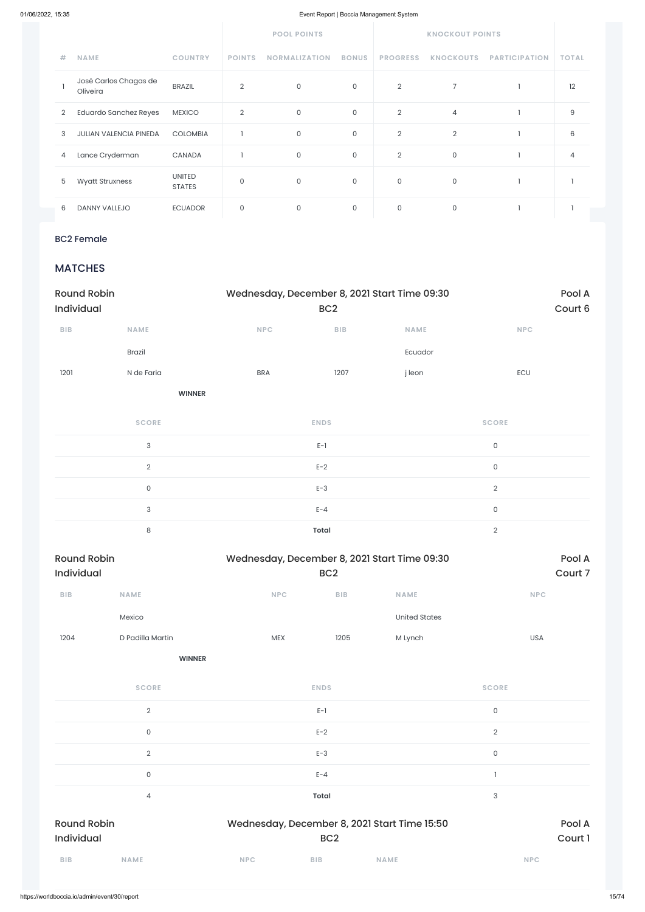|                |                                   |                                | <b>POOL POINTS</b> |                      |              | <b>KNOCKOUT POINTS</b> |                  |                      |                |
|----------------|-----------------------------------|--------------------------------|--------------------|----------------------|--------------|------------------------|------------------|----------------------|----------------|
| #              | <b>NAME</b>                       | <b>COUNTRY</b>                 | <b>POINTS</b>      | <b>NORMALIZATION</b> | <b>BONUS</b> | <b>PROGRESS</b>        | <b>KNOCKOUTS</b> | <b>PARTICIPATION</b> | <b>TOTAL</b>   |
|                | José Carlos Chagas de<br>Oliveira | <b>BRAZIL</b>                  | $\overline{2}$     | $\mathsf O$          | 0            | $\overline{2}$         | $\overline{7}$   |                      | 12             |
| $\overline{2}$ | <b>Eduardo Sanchez Reyes</b>      | <b>MEXICO</b>                  | $\overline{2}$     | $\mathsf O$          | 0            | $\overline{2}$         | $\overline{4}$   |                      | 9              |
| 3              | <b>JULIAN VALENCIA PINEDA</b>     | <b>COLOMBIA</b>                |                    | $\mathsf O$          | 0            | $\overline{2}$         | $\overline{2}$   |                      | 6              |
| 4              | Lance Cryderman                   | CANADA                         |                    | $\mathsf O$          | 0            | $\overline{2}$         | $\mathsf O$      |                      | $\overline{4}$ |
| 5              | <b>Wyatt Struxness</b>            | <b>UNITED</b><br><b>STATES</b> | $\overline{0}$     | $\mathsf O$          | $\mathbf 0$  | 0                      | $\mathbf 0$      |                      |                |
| 6              | DANNY VALLEJO                     | <b>ECUADOR</b>                 | $\mathbf 0$        | 0                    | 0            | 0                      | $\mathbf 0$      |                      |                |

## BC2 Female

# **MATCHES**

| <b>Round Robin</b><br>Individual |                           | Wednesday, December 8, 2021 Start Time 09:30 | Pool A<br>Court 6 |             |                     |
|----------------------------------|---------------------------|----------------------------------------------|-------------------|-------------|---------------------|
| ${\sf B}{\sf I}{\sf B}$          | <b>NAME</b>               | <b>NPC</b>                                   | BIB               | <b>NAME</b> | NPC                 |
|                                  | Brazil                    |                                              |                   | Ecuador     |                     |
| 1201                             | N de Faria                | <b>BRA</b>                                   | 1207              | j leon      | ECU                 |
|                                  | <b>WINNER</b>             |                                              |                   |             |                     |
|                                  | <b>SCORE</b>              |                                              | <b>ENDS</b>       |             | <b>SCORE</b>        |
|                                  | $\ensuremath{\mathsf{3}}$ |                                              | $E-1$             |             | $\mathsf{O}\xspace$ |
|                                  | $\mathbf{2}$              |                                              | $E-2$             |             | $\mathsf{O}$        |
|                                  | $\mathsf{O}\xspace$       |                                              | $E-3$             |             | $\overline{2}$      |
|                                  | $\ensuremath{\mathsf{3}}$ |                                              | $E - 4$           |             | $\mathsf{O}\xspace$ |
|                                  | $\,8\,$                   |                                              | <b>Total</b>      |             | $\sqrt{2}$          |



| <b>SCORE</b>                     | <b>ENDS</b>                                  | <b>SCORE</b> |
|----------------------------------|----------------------------------------------|--------------|
| $\overline{2}$                   | $E-1$                                        | $\mathsf{O}$ |
| $\mathsf{O}\xspace$              | $E-2$                                        | $\sqrt{2}$   |
| $\overline{2}$                   | $E-3$                                        | $\mathsf O$  |
| $\mathsf{O}\xspace$              | $E - 4$                                      |              |
| 4                                | <b>Total</b>                                 | 3            |
| <b>Round Robin</b><br>Individual | Wednesday, December 8, 2021 Start Time 15:50 | Pool A       |
|                                  | BC <sub>2</sub>                              | Court 1      |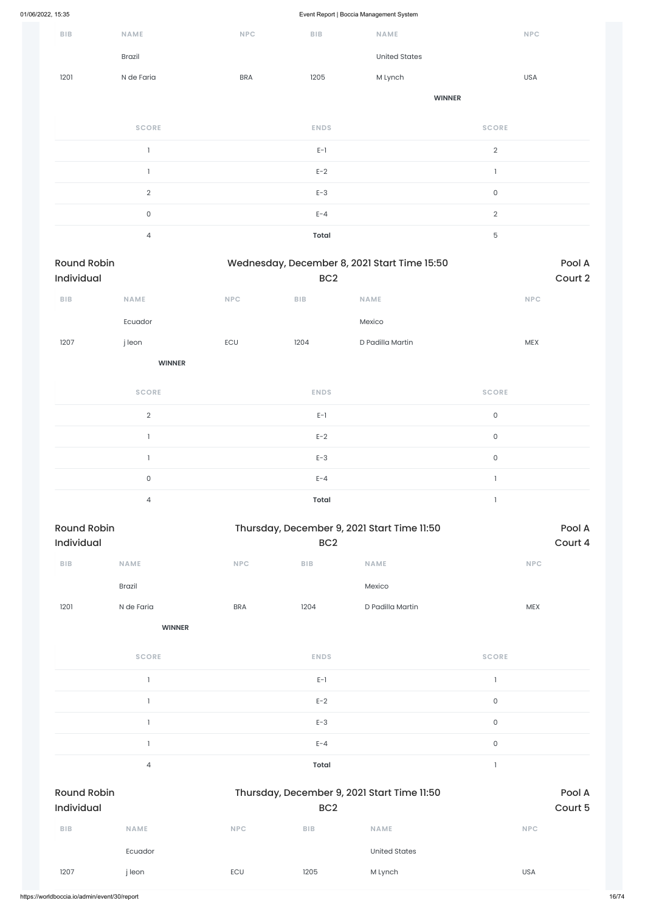Event Report | Boccia Management System

| ${\sf B}{\sf I}{\sf B}$          | <b>NAME</b>              | <b>NPC</b>                  | <b>BIB</b>      | <b>NAME</b>                                  | <b>NPC</b>          |                   |  |
|----------------------------------|--------------------------|-----------------------------|-----------------|----------------------------------------------|---------------------|-------------------|--|
|                                  | Brazil                   |                             |                 | <b>United States</b>                         |                     |                   |  |
| 1201                             | N de Faria               | <b>BRA</b>                  | 1205            | M Lynch                                      | <b>USA</b>          |                   |  |
|                                  |                          |                             |                 | <b>WINNER</b>                                |                     |                   |  |
|                                  | <b>SCORE</b>             |                             | <b>ENDS</b>     |                                              | <b>SCORE</b>        |                   |  |
|                                  | $\overline{\phantom{a}}$ |                             | $E-1$           |                                              | $\overline{2}$      |                   |  |
|                                  | $\overline{\phantom{a}}$ |                             | $E-2$           |                                              | $\mathbf{I}$        |                   |  |
|                                  | $\overline{2}$           |                             | $E-3$           |                                              | $\mathsf O$         |                   |  |
|                                  | $\mathsf{O}\xspace$      |                             | $E - 4$         |                                              | $\overline{2}$      |                   |  |
|                                  | $\overline{4}$           |                             | <b>Total</b>    |                                              | $\mathbf 5$         |                   |  |
| <b>Round Robin</b><br>Individual |                          |                             | BC <sub>2</sub> | Wednesday, December 8, 2021 Start Time 15:50 |                     | Pool A<br>Court 2 |  |
| ${\sf B}{\sf I}{\sf B}$          | NAME                     | NPC                         | <b>BIB</b>      | NAME                                         | NPC                 |                   |  |
|                                  | Ecuador                  |                             |                 | Mexico                                       |                     |                   |  |
| 1207                             | j leon                   | ECU                         | 1204            | D Padilla Martin                             | MEX                 |                   |  |
|                                  | <b>WINNER</b>            |                             |                 |                                              |                     |                   |  |
|                                  | <b>SCORE</b>             |                             | <b>ENDS</b>     |                                              | <b>SCORE</b>        |                   |  |
|                                  | $\overline{2}$           |                             | $E-1$           |                                              | $\mathsf{O}$        |                   |  |
|                                  | $\mathbf{I}$             |                             | $E-2$           |                                              | $\mathsf O$         |                   |  |
|                                  | $\mathbf{I}$             |                             | $E-3$           |                                              | $\mathsf{O}\xspace$ |                   |  |
|                                  | $\mathsf{O}\xspace$      |                             | $E - 4$         |                                              | $\mathbf{I}$        |                   |  |
|                                  | $\overline{4}$           |                             | <b>Total</b>    |                                              | $\mathbf{1}$        |                   |  |
| <b>Round Robin</b><br>Individual |                          |                             | BC <sub>2</sub> | Thursday, December 9, 2021 Start Time 11:50  |                     | Pool A<br>Court 4 |  |
| BIB                              | NAME                     | $\ensuremath{\mathsf{NPC}}$ | BIB             | <b>NAME</b>                                  | <b>NPC</b>          |                   |  |
|                                  | Brazil                   |                             |                 | Mexico                                       |                     |                   |  |
| 1201                             | N de Faria               | <b>BRA</b>                  | 1204            | D Padilla Martin                             | MEX                 |                   |  |
|                                  | <b>WINNER</b>            |                             |                 |                                              |                     |                   |  |
|                                  | <b>SCORE</b>             |                             | <b>ENDS</b>     |                                              | <b>SCORE</b>        |                   |  |

1 decreases the contract of  $E-1$  and  $E-1$  and  $E-1$  and  $E-1$  and  $E-1$  and  $E-1$ 

|                                  |             |                                                                | $E-2$        |                      | $\mathsf O$         |  |
|----------------------------------|-------------|----------------------------------------------------------------|--------------|----------------------|---------------------|--|
|                                  |             |                                                                | $E-3$        |                      | $\mathsf{O}$        |  |
|                                  |             |                                                                | $E - 4$      |                      | $\mathsf{O}\xspace$ |  |
|                                  | 4           |                                                                | <b>Total</b> |                      |                     |  |
| <b>Round Robin</b><br>Individual |             | Thursday, December 9, 2021 Start Time 11:50<br>BC <sub>2</sub> |              |                      |                     |  |
| <b>BIB</b>                       | <b>NAME</b> | <b>NPC</b>                                                     | <b>BIB</b>   | <b>NAME</b>          | <b>NPC</b>          |  |
|                                  | Ecuador     |                                                                |              | <b>United States</b> |                     |  |
| 1207                             | j leon      | ECU                                                            | 1205         | M Lynch              | <b>USA</b>          |  |
|                                  |             |                                                                |              |                      |                     |  |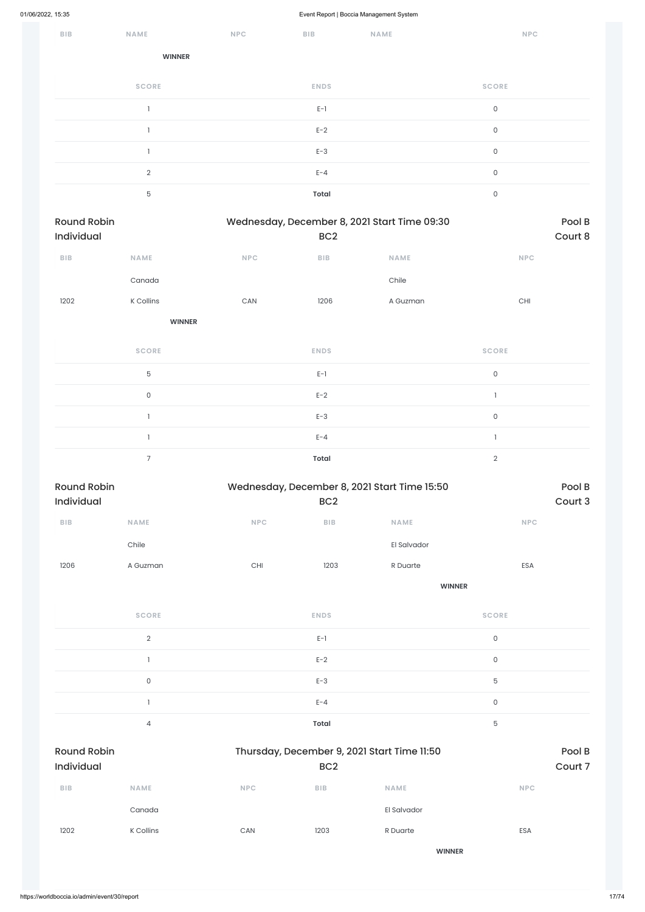| BIB | NAME           | <b>NPC</b> | BIB         | NAME | NPC          |
|-----|----------------|------------|-------------|------|--------------|
|     | <b>WINNER</b>  |            |             |      |              |
|     | <b>SCORE</b>   |            | <b>ENDS</b> |      | <b>SCORE</b> |
|     |                |            | $E-1$       |      | $\mathsf{O}$ |
|     |                |            | $E-2$       |      | $\mathsf O$  |
|     |                |            | $E-3$       |      | $\mathsf O$  |
|     | $\overline{2}$ |            | $E - 4$     |      | $\mathsf O$  |
|     | 5              |            | Total       |      | $\mathsf O$  |

| <b>Round Robin</b><br>Individual |                     |                       | BC <sub>2</sub>         | Wednesday, December 8, 2021 Start Time 09:30 |                     | Pool B<br>Court 8 |
|----------------------------------|---------------------|-----------------------|-------------------------|----------------------------------------------|---------------------|-------------------|
| ${\sf B}{\sf I}{\sf B}$          | NAME                | NPC                   | ${\sf B}{\sf I}{\sf B}$ | <b>NAME</b>                                  | <b>NPC</b>          |                   |
|                                  | Canada              |                       |                         | Chile                                        |                     |                   |
| 1202                             | K Collins           | $\mathsf{CAN}\xspace$ | 1206                    | A Guzman                                     | $\mathsf{CHI}$      |                   |
|                                  | <b>WINNER</b>       |                       |                         |                                              |                     |                   |
|                                  | <b>SCORE</b>        |                       | <b>ENDS</b>             |                                              | <b>SCORE</b>        |                   |
|                                  | $\mathbf 5$         |                       | $E-1$                   |                                              | $\mathsf{O}\xspace$ |                   |
|                                  | $\mathsf{O}\xspace$ |                       | $E-2$                   |                                              | $\mathbb{I}$        |                   |
|                                  | $\mathbf{1}$        |                       | $E-3$                   |                                              | $\mathsf{O}\xspace$ |                   |
|                                  | $\mathbf{1}$        |                       | $E - 4$                 |                                              | $\mathbf{I}$        |                   |
|                                  | $\overline{7}$      |                       | <b>Total</b>            |                                              | $\mathbf{2}$        |                   |
| <b>Round Robin</b>               |                     |                       |                         | Wednesday, December 8, 2021 Start Time 15:50 |                     | Pool B            |
| Individual                       |                     |                       | BC <sub>2</sub>         |                                              |                     | Court 3           |
| ${\sf B}{\sf I}{\sf B}$          | NAME                | NPC                   | BIB                     | <b>NAME</b>                                  | <b>NPC</b>          |                   |
|                                  | Chile               |                       |                         | El Salvador                                  |                     |                   |
| 1206                             | A Guzman            | CHI                   | 1203                    | R Duarte                                     | ESA                 |                   |
|                                  |                     |                       |                         | <b>WINNER</b>                                |                     |                   |
|                                  | <b>SCORE</b>        |                       | <b>ENDS</b>             |                                              | <b>SCORE</b>        |                   |
|                                  | $\sqrt{2}$          |                       | $E-1$                   |                                              | $\mathsf{O}\xspace$ |                   |
|                                  | $\mathbf{1}$        |                       | $E-2$                   |                                              | $\mathsf{O}\xspace$ |                   |
|                                  | $\mathsf{O}\xspace$ |                       | $E-3$                   |                                              | $\mathbf 5$         |                   |

|                                  |                |            | $E - 4$         |                                             | $\mathsf{O}\xspace$ |                   |
|----------------------------------|----------------|------------|-----------------|---------------------------------------------|---------------------|-------------------|
|                                  | $\overline{4}$ |            | Total           |                                             | 5                   |                   |
| <b>Round Robin</b><br>Individual |                |            | BC <sub>2</sub> | Thursday, December 9, 2021 Start Time 11:50 |                     | Pool B<br>Court 7 |
| <b>BIB</b>                       | <b>NAME</b>    | <b>NPC</b> | <b>BIB</b>      | <b>NAME</b>                                 | <b>NPC</b>          |                   |
|                                  | Canada         |            |                 | El Salvador                                 |                     |                   |
| 1202                             | K Collins      | CAN        | 1203            | R Duarte                                    | ESA                 |                   |
|                                  |                |            |                 | <b>WINNER</b>                               |                     |                   |
|                                  |                |            |                 |                                             |                     |                   |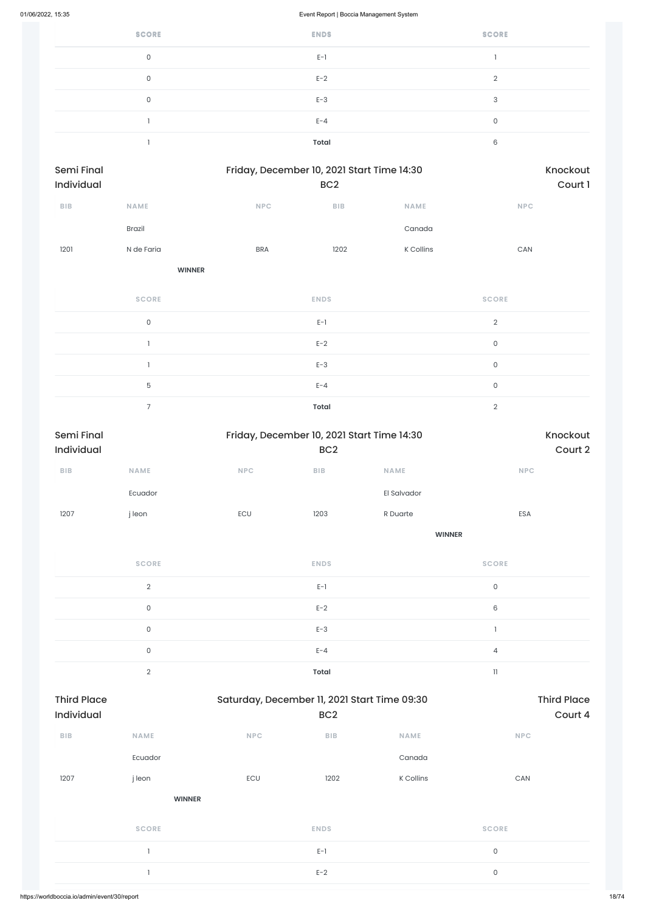| <b>SCORE</b> | <b>ENDS</b> | <b>SCORE</b> |
|--------------|-------------|--------------|
| 0            | $E-1$       |              |
| 0            | $E-2$       | $\Omega$     |
| 0            | $E-3$       | 3            |
|              | $E - 4$     | 0            |
|              | Total       | 6            |

| <b>Semi Final</b><br><b>Individual</b> |               | Friday, December 10, 2021 Start Time 14:30 | BC <sub>2</sub> |             | Knockout<br>Court 1 |
|----------------------------------------|---------------|--------------------------------------------|-----------------|-------------|---------------------|
| <b>BIB</b>                             | <b>NAME</b>   | <b>NPC</b>                                 | <b>BIB</b>      | <b>NAME</b> | <b>NPC</b>          |
|                                        | <b>Brazil</b> |                                            |                 | Canada      |                     |
| 1201                                   | N de Faria    | <b>BRA</b>                                 | 1202            | K Collins   | CAN                 |
|                                        | <b>WINNER</b> |                                            |                 |             |                     |

| <b>SCORE</b> | <b>ENDS</b>  | <b>SCORE</b>   |
|--------------|--------------|----------------|
| $\mathbf{0}$ | $E-1$        | $\overline{2}$ |
|              | $E-2$        | $\mathbf 0$    |
|              | $E-3$        | 0              |
| 5            | $E - 4$      | 0              |
|              | <b>Total</b> | $\Omega$       |

| Semi Final |                     |            |                 | Friday, December 10, 2021 Start Time 14:30 | Knockout                   |
|------------|---------------------|------------|-----------------|--------------------------------------------|----------------------------|
| Individual |                     |            | BC <sub>2</sub> |                                            | Court 2                    |
| BIB        | <b>NAME</b>         | <b>NPC</b> | BIB             | <b>NAME</b>                                | NPC                        |
|            | Ecuador             |            |                 | El Salvador                                |                            |
| 1207       | j leon              | ECU        | 1203            | R Duarte                                   | ESA                        |
|            |                     |            |                 | <b>WINNER</b>                              |                            |
|            | <b>SCORE</b>        |            | <b>ENDS</b>     |                                            | <b>SCORE</b>               |
|            | $\mathbf{2}$        |            | $E-1$           |                                            | $\mathsf{O}\xspace$        |
|            | $\mathsf O$         |            | $E-2$           |                                            | 6                          |
|            | $\mathsf{O}\xspace$ |            | $E-3$           |                                            |                            |
|            | $\mathsf O$         |            | $E - 4$         |                                            | $\overline{4}$             |
|            | $\mathbf{2}$        |            | <b>Total</b>    |                                            | $\ensuremath{\mathsf{11}}$ |

| <b>Third Place</b><br><b>Individual</b> |               | Saturday, December 11, 2021 Start Time 09:30 | BC <sub>2</sub> |             | <b>Third Place</b><br>Court 4 |  |
|-----------------------------------------|---------------|----------------------------------------------|-----------------|-------------|-------------------------------|--|
| <b>BIB</b>                              | <b>NAME</b>   | <b>NPC</b>                                   | BIB             | <b>NAME</b> | <b>NPC</b>                    |  |
|                                         | Ecuador       |                                              |                 | Canada      |                               |  |
| 1207                                    | j leon        | ECU                                          | 1202            | K Collins   | CAN                           |  |
|                                         | <b>WINNER</b> |                                              |                 |             |                               |  |
|                                         | <b>SCORE</b>  |                                              | <b>ENDS</b>     |             | <b>SCORE</b>                  |  |
|                                         |               |                                              | $E-1$           |             | $\mathsf{O}$                  |  |
|                                         |               |                                              | $E-2$           |             | $\mathsf{O}$                  |  |
|                                         |               |                                              |                 |             |                               |  |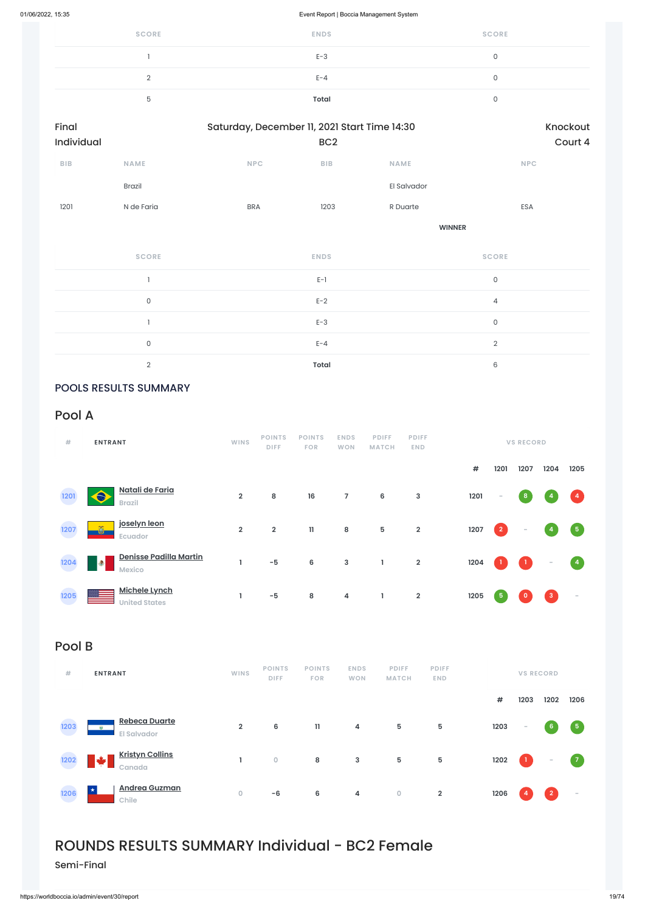| <b>SCORE</b> | <b>ENDS</b>  | <b>SCORE</b> |
|--------------|--------------|--------------|
|              | $E-3$        |              |
|              | $E - 4$      |              |
|              | <b>Total</b> |              |

| Final      |               | Saturday, December 11, 2021 Start Time 14:30 | Knockout        |               |            |
|------------|---------------|----------------------------------------------|-----------------|---------------|------------|
| Individual |               |                                              | BC <sub>2</sub> |               | Court 4    |
| <b>BIB</b> | <b>NAME</b>   | <b>NPC</b>                                   | <b>BIB</b>      | <b>NAME</b>   | <b>NPC</b> |
|            | <b>Brazil</b> |                                              |                 | El Salvador   |            |
| 1201       | N de Faria    | <b>BRA</b>                                   | 1203            | R Duarte      | ESA        |
|            |               |                                              |                 | <b>WINNER</b> |            |
|            |               |                                              |                 |               |            |

| <b>SCORE</b> | <b>ENDS</b>  | <b>SCORE</b>   |
|--------------|--------------|----------------|
|              | $E-1$        | 0              |
| 0            | $E-2$        | $\overline{4}$ |
|              | $E-3$        | $\mathbf{0}$   |
| 0            | $E - 4$      | $\Omega$       |
| $\Omega$     | <b>Total</b> | 6              |

# POOLS RESULTS SUMMARY

# Pool A

| #    | <b>ENTRANT</b>                                | <b>WINS</b>    | <b>POINTS</b><br><b>DIFF</b> | <b>POINTS</b><br><b>FOR</b> | <b>ENDS</b><br><b>WON</b> | <b>PDIFF</b><br><b>MATCH</b> | <b>PDIFF</b><br><b>END</b> |      |                         | <b>VS RECORD</b> |              |                          |
|------|-----------------------------------------------|----------------|------------------------------|-----------------------------|---------------------------|------------------------------|----------------------------|------|-------------------------|------------------|--------------|--------------------------|
|      |                                               |                |                              |                             |                           |                              |                            | $\#$ | 1201                    | 1207             | 1204         | 1205                     |
| 1201 | Natali de Faria<br>$\bullet$<br><b>Brazil</b> | $\overline{2}$ | 8                            | 16                          | $\overline{7}$            | $6\phantom{a}$               | 3                          | 1201 | $\sim$                  | 8                |              | $\left  \right $ 4       |
| 1207 | joselyn leon<br>õ<br>Ecuador                  | $\overline{2}$ | $\overline{\mathbf{2}}$      | $\mathbf{1}$                | 8                         | $5\phantom{.0}$              | $\overline{\mathbf{2}}$    | 1207 | $\overline{\mathbf{2}}$ | $\sim$           | 4            | $\boxed{5}$              |
| 1204 | Denisse Padilla Martin<br>$\bullet$<br>Mexico |                | $-5$                         | 6                           | $\mathbf{3}$              | Τ.                           | $\overline{2}$             | 1204 |                         | $\bf{1}$         | -            | $\overline{4}$           |
| 1205 | <b>Michele Lynch</b><br><b>United States</b>  |                | $-5$                         | 8                           | 4                         | L                            | $\overline{2}$             | 1205 | 5 <sub>5</sub>          |                  | $\mathbf{3}$ | $\overline{\phantom{a}}$ |

# Pool B

| # | <b>ENTRANT</b> | <b>WINS</b> | <b>POINTS</b> |  | POINTS ENDS PDIFF | <b>PDIFF</b> | <b>VS RECORD</b> |
|---|----------------|-------------|---------------|--|-------------------|--------------|------------------|
|   |                |             | <b>DIFF</b>   |  | FOR WON MATCH     | <b>END</b>   |                  |



# ROUNDS RESULTS SUMMARY Individual - BC2 Female

Semi-Final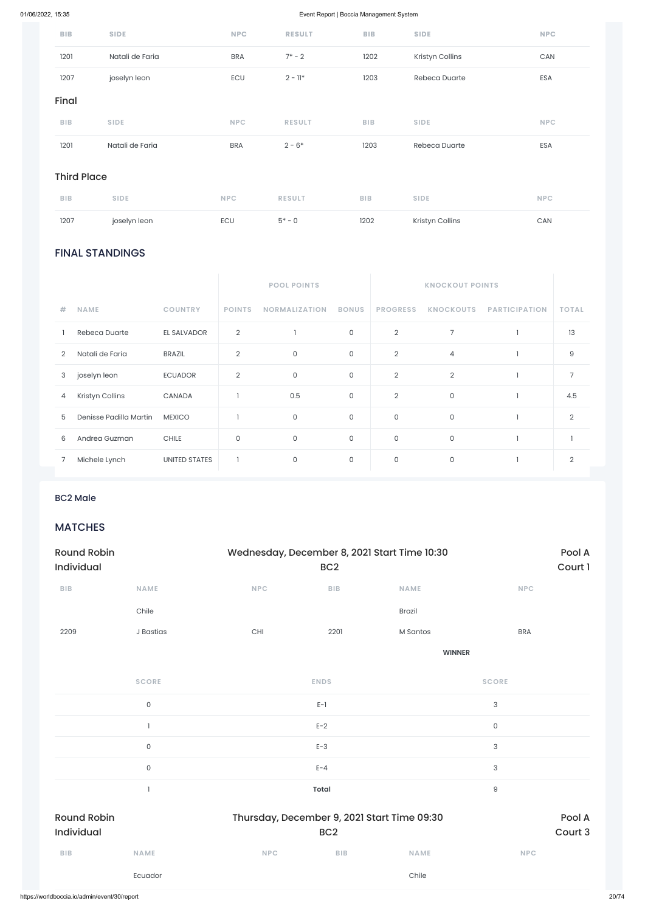# FINAL STANDINGS

|   |                        |                      |                     | <b>POOL POINTS</b>   |              |                 | <b>KNOCKOUT POINTS</b> |                      |                |
|---|------------------------|----------------------|---------------------|----------------------|--------------|-----------------|------------------------|----------------------|----------------|
| # | <b>NAME</b>            | <b>COUNTRY</b>       | <b>POINTS</b>       | <b>NORMALIZATION</b> | <b>BONUS</b> | <b>PROGRESS</b> | <b>KNOCKOUTS</b>       | <b>PARTICIPATION</b> | <b>TOTAL</b>   |
|   | Rebeca Duarte          | EL SALVADOR          | $\overline{2}$      |                      | 0            | $\overline{2}$  | $\overline{7}$         |                      | 13             |
| 2 | Natali de Faria        | <b>BRAZIL</b>        | $\overline{2}$      | $\mathsf O$          | $\mathsf O$  | $\overline{2}$  | $\overline{4}$         |                      | 9              |
| 3 | joselyn leon           | <b>ECUADOR</b>       | $\overline{2}$      | $\mathsf O$          | $\mathsf O$  | $\overline{2}$  | $\overline{2}$         | 1                    | 7              |
| 4 | Kristyn Collins        | CANADA               |                     | 0.5                  | 0            | $\overline{2}$  | $\mathsf O$            | 1                    | 4.5            |
| 5 | Denisse Padilla Martin | <b>MEXICO</b>        |                     | $\mathsf O$          | $\mathsf O$  | $\mathsf{O}$    | $\mathsf{O}$           |                      | $\overline{2}$ |
| 6 | Andrea Guzman          | <b>CHILE</b>         | $\mathsf{O}\xspace$ | $\mathsf O$          | $\mathsf O$  | $\mathsf O$     | 0                      |                      |                |
|   | Michele Lynch          | <b>UNITED STATES</b> |                     | $\mathsf O$          | $\mathsf O$  | $\mathsf O$     | $\mathsf O$            |                      | $\overline{2}$ |

| <b>BIB</b>         | <b>SIDE</b>     | <b>NPC</b> | <b>RESULT</b> | <b>BIB</b> | <b>SIDE</b>     | <b>NPC</b> |
|--------------------|-----------------|------------|---------------|------------|-----------------|------------|
| 1201               | Natali de Faria | <b>BRA</b> | $7^*$ – 2     | 1202       | Kristyn Collins | CAN        |
| 1207               | joselyn leon    | ECU        | $2 - 11*$     | 1203       | Rebeca Duarte   | ESA        |
| Final              |                 |            |               |            |                 |            |
| <b>BIB</b>         | <b>SIDE</b>     | <b>NPC</b> | <b>RESULT</b> | <b>BIB</b> | <b>SIDE</b>     | <b>NPC</b> |
| 1201               | Natali de Faria | <b>BRA</b> | $2 - 6*$      | 1203       | Rebeca Duarte   | ESA        |
| <b>Third Place</b> |                 |            |               |            |                 |            |

| <b>BIB</b> | <b>SIDE</b>  | NPC | <b>RESULT</b> | <b>BIB</b> | <b>SIDE</b>     | <b>NPC</b> |
|------------|--------------|-----|---------------|------------|-----------------|------------|
| 1207       | joselyn leon | ECU | $5* - 0$      | 1202       | Kristyn Collins | CAN        |

## BC2 Male

# **MATCHES**

| <b>Round Robin</b><br><b>Individual</b> |             |            | Wednesday, December 8, 2021 Start Time 10:30<br>BC <sub>2</sub> |               |            |  |  |
|-----------------------------------------|-------------|------------|-----------------------------------------------------------------|---------------|------------|--|--|
| <b>BIB</b>                              | <b>NAME</b> | <b>NPC</b> | <b>BIB</b>                                                      | <b>NAME</b>   | <b>NPC</b> |  |  |
|                                         | Chile       |            |                                                                 | <b>Brazil</b> |            |  |  |
| 2209                                    | J Bastias   | <b>CHI</b> | 2201                                                            | M Santos      | <b>BRA</b> |  |  |
|                                         |             |            |                                                                 | <b>WINNER</b> |            |  |  |

**SCORE ENDS SCORE**

|                    | $\mathsf{O}\xspace$ |                                             | $E-1$           |             | $\ensuremath{\mathsf{3}}$ |         |
|--------------------|---------------------|---------------------------------------------|-----------------|-------------|---------------------------|---------|
|                    |                     |                                             | $E-2$           |             | $\mathsf{O}\xspace$       |         |
|                    | $\mathsf{O}\xspace$ |                                             | $E-3$           |             | $\sqrt{3}$                |         |
|                    | $\mathsf{O}\xspace$ |                                             | $E - 4$         |             | $\sqrt{3}$                |         |
|                    |                     |                                             | <b>Total</b>    |             | $\hbox{9}$                |         |
| <b>Round Robin</b> |                     | Thursday, December 9, 2021 Start Time 09:30 |                 |             |                           | Pool A  |
| Individual         |                     |                                             | BC <sub>2</sub> |             |                           | Court 3 |
| BIB                | <b>NAME</b>         | <b>NPC</b>                                  | BIB             | <b>NAME</b> | <b>NPC</b>                |         |
|                    | Ecuador             |                                             |                 | Chile       |                           |         |
|                    |                     |                                             |                 |             |                           |         |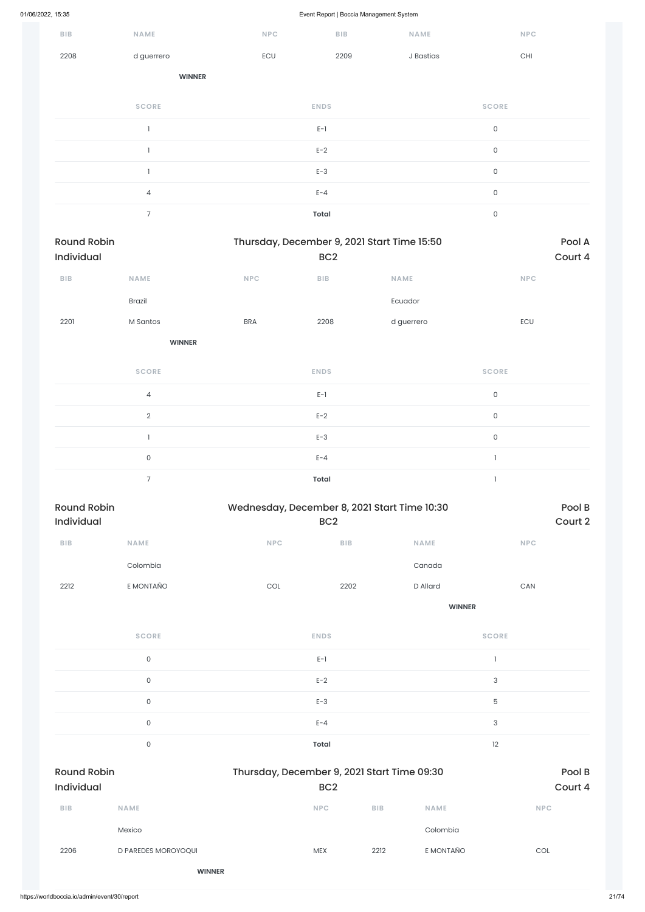|                                  |                     |                             | . .             | ັ                                            |                       |                   |
|----------------------------------|---------------------|-----------------------------|-----------------|----------------------------------------------|-----------------------|-------------------|
| BIB                              | NAME                | NPC                         | BIB             | NAME                                         | NPC                   |                   |
| 2208                             | d guerrero          | ECU                         | 2209            | J Bastias                                    | $\mathsf{CHI}$        |                   |
|                                  | <b>WINNER</b>       |                             |                 |                                              |                       |                   |
|                                  | <b>SCORE</b>        |                             | <b>ENDS</b>     |                                              | <b>SCORE</b>          |                   |
|                                  | $\mathbf{I}$        |                             | $E-1$           |                                              | $\mathsf{O}\xspace$   |                   |
|                                  | $\mathbb{I}$        |                             | $E-2$           |                                              | $\mathsf{O}\xspace$   |                   |
|                                  | $\mathbf{I}$        |                             | $E-3$           |                                              | $\mathsf{O}\xspace$   |                   |
|                                  | $\overline{4}$      |                             | $E - 4$         |                                              | $\mathsf{O}\xspace$   |                   |
|                                  | $\overline{7}$      |                             | <b>Total</b>    |                                              | $\mathsf{O}\xspace$   |                   |
| <b>Round Robin</b><br>Individual |                     |                             | BC <sub>2</sub> | Thursday, December 9, 2021 Start Time 15:50  |                       | Pool A<br>Court 4 |
| ${\sf B}{\sf I}{\sf B}$          | NAME                | $\ensuremath{\mathsf{NPC}}$ | BIB             | NAME                                         | NPC                   |                   |
|                                  | Brazil              |                             |                 | Ecuador                                      |                       |                   |
| 2201                             | M Santos            | <b>BRA</b>                  | 2208            | d guerrero                                   | ECU                   |                   |
|                                  | <b>WINNER</b>       |                             |                 |                                              |                       |                   |
|                                  | <b>SCORE</b>        |                             | <b>ENDS</b>     |                                              | <b>SCORE</b>          |                   |
|                                  | $\overline{4}$      |                             | $E-1$           |                                              | $\mathsf{O}\xspace$   |                   |
|                                  | $\overline{2}$      |                             | $E-2$           |                                              | $\mathsf{O}\xspace$   |                   |
|                                  | $\mathbf{I}$        |                             | $E-3$           |                                              | $\mathsf{O}\xspace$   |                   |
|                                  | $\mathsf{O}\xspace$ |                             | $E - 4$         |                                              | $\mathbf{1}$          |                   |
|                                  | $\overline{7}$      |                             | <b>Total</b>    |                                              | $\mathbf{1}$          |                   |
| <b>Round Robin</b><br>Individual |                     |                             | BC <sub>2</sub> | Wednesday, December 8, 2021 Start Time 10:30 |                       | Pool B<br>Court 2 |
| ${\sf B}{\sf I}{\sf B}$          | NAME                | NPC                         | ${\sf BIB}$     | NAME                                         | NPC                   |                   |
|                                  | Colombia            |                             |                 | Canada                                       |                       |                   |
| 2212                             | E MONTAÑO           | $\mathop{\rm COL}\nolimits$ | 2202            | D Allard                                     | $\mathsf{CAN}\xspace$ |                   |
|                                  |                     |                             |                 | <b>WINNER</b>                                |                       |                   |
|                                  | <b>SCORE</b>        |                             | <b>ENDS</b>     |                                              | <b>SCORE</b>          |                   |
|                                  | $\mathsf{O}\xspace$ |                             | $E-1$           |                                              | $\mathbf{1}$          |                   |

0 and  $E-2$  and  $E-2$  and  $E-2$  and  $E-2$  and  $E-2$  and  $E-2$  and  $E-2$  and  $E-2$  and  $E-2$  and  $E-2$  and  $E-2$  and  $E-2$  and  $E-2$  and  $E-2$  and  $E-2$  and  $E-2$  and  $E-2$  and  $E-2$  and  $E-2$  and  $E-2$  and  $E-2$  and  $E-2$ 

|                                              | $\mathsf{O}$        | $E-3$                                       |                 |             | 5          |                   |
|----------------------------------------------|---------------------|---------------------------------------------|-----------------|-------------|------------|-------------------|
|                                              | $\mathsf{O}$        | $E - 4$                                     |                 |             | 3          |                   |
|                                              | $\mathsf{O}$        | <b>Total</b>                                |                 |             | 12         |                   |
| <b>Round Robin</b><br>Individual             |                     | Thursday, December 9, 2021 Start Time 09:30 | BC <sub>2</sub> |             |            | Pool B<br>Court 4 |
| <b>BIB</b>                                   | <b>NAME</b>         | <b>NPC</b>                                  | <b>BIB</b>      | <b>NAME</b> | <b>NPC</b> |                   |
|                                              | Mexico              |                                             |                 | Colombia    |            |                   |
| 2206                                         | D PAREDES MOROYOQUI | <b>MEX</b>                                  | 2212            | E MONTAÑO   | COL        |                   |
|                                              | <b>WINNER</b>       |                                             |                 |             |            |                   |
| https://worldboccia.io/admin/event/30/report |                     |                                             |                 |             |            |                   |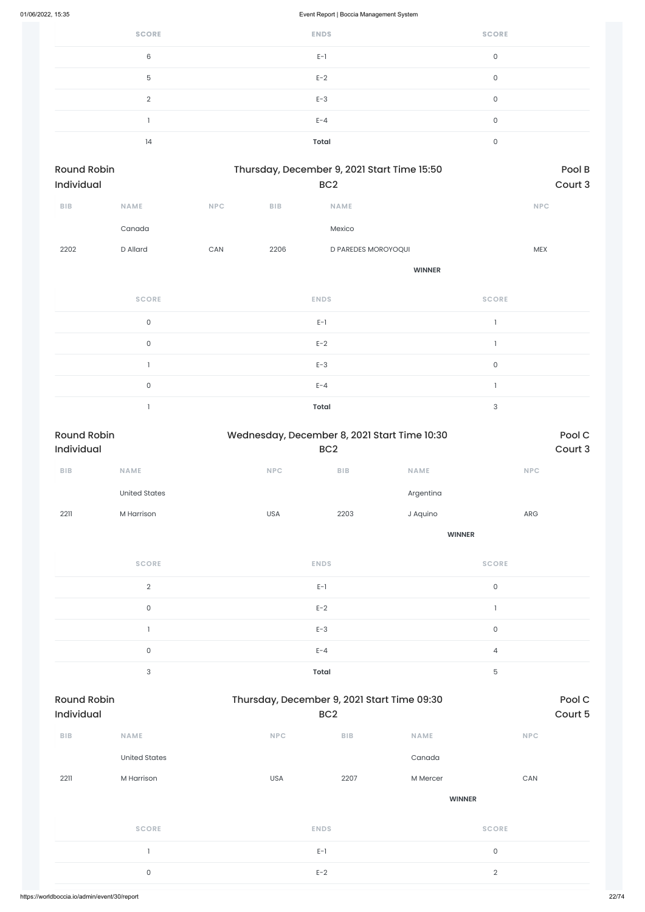| <b>SCORE</b> | <b>ENDS</b>  | <b>SCORE</b> |
|--------------|--------------|--------------|
| 6            | $E-1$        | 0            |
| 5            | $E-2$        | 0            |
| $\Omega$     | $E-3$        | 0            |
|              | $E - 4$      | 0            |
| 14           | <b>Total</b> | 0            |

| <b>Round Robin</b><br>Individual |                     |            |            | Thursday, December 9, 2021 Start Time 15:50<br>BC <sub>2</sub> |                | Pool B<br>Court 3 |
|----------------------------------|---------------------|------------|------------|----------------------------------------------------------------|----------------|-------------------|
| <b>BIB</b>                       | <b>NAME</b>         | <b>NPC</b> | <b>BIB</b> | <b>NAME</b>                                                    |                | <b>NPC</b>        |
|                                  | Canada              |            |            | Mexico                                                         |                |                   |
| 2202                             | D Allard            | CAN        | 2206       | D PAREDES MOROYOQUI                                            |                | <b>MEX</b>        |
|                                  |                     |            |            | <b>WINNER</b>                                                  |                |                   |
|                                  | <b>SCORE</b>        |            |            | <b>ENDS</b>                                                    | <b>SCORE</b>   |                   |
|                                  | $\mathsf{O}\xspace$ |            |            | $E-1$                                                          | $\mathbf{1}$   |                   |
|                                  | $\mathsf{O}\xspace$ |            |            | $E-2$                                                          | $\overline{1}$ |                   |
|                                  |                     |            |            | $E-3$                                                          | $\mathsf{O}$   |                   |
|                                  |                     |            |            |                                                                |                |                   |

 $E-4$  and  $E-4$  and  $E-4$  and  $E-4$  and  $E-4$  and  $E-4$  and  $E-4$  and  $E-4$  and  $E-4$  and  $E-4$  and  $E-4$  and  $E-4$  and  $E-4$  and  $E-4$  and  $E-4$  and  $E-4$  and  $E-4$  and  $E-4$  and  $E-4$  and  $E-4$  and  $E-4$  and  $E-4$  and

1 **Total** 3

| <b>Round Robin</b><br><b>Individual</b> |                      | Wednesday, December 8, 2021 Start Time 10:30 | Pool C<br>Court 3 |               |              |
|-----------------------------------------|----------------------|----------------------------------------------|-------------------|---------------|--------------|
| <b>BIB</b>                              | <b>NAME</b>          | <b>NPC</b>                                   | <b>BIB</b>        | <b>NAME</b>   | <b>NPC</b>   |
|                                         | <b>United States</b> |                                              |                   | Argentina     |              |
| 2211                                    | M Harrison           | <b>USA</b>                                   | 2203              | J Aquino      | ARG          |
|                                         |                      |                                              |                   | <b>WINNER</b> |              |
|                                         | <b>SCORE</b>         |                                              | <b>ENDS</b>       |               | <b>SCORE</b> |
|                                         | $\overline{2}$       |                                              | $E-1$             |               | 0            |
|                                         | $\sim$               |                                              | $\Gamma$ $\Omega$ |               | - 11 -       |

| $\sim$ | $E-1$        |   |
|--------|--------------|---|
|        | $E-2$        |   |
|        | $E-3$        |   |
|        | $F - 4$      |   |
| ╭      | <b>Total</b> | 后 |

| <b>Round Robin</b><br><b>Individual</b> |                      |            | Thursday, December 9, 2021 Start Time 09:30<br>BC <sub>2</sub> |               |                     |
|-----------------------------------------|----------------------|------------|----------------------------------------------------------------|---------------|---------------------|
| <b>BIB</b>                              | <b>NAME</b>          | <b>NPC</b> | <b>BIB</b>                                                     | <b>NAME</b>   | <b>NPC</b>          |
|                                         | <b>United States</b> |            |                                                                | Canada        |                     |
| 2211                                    | M Harrison           | <b>USA</b> | 2207                                                           | M Mercer      | CAN                 |
|                                         |                      |            |                                                                | <b>WINNER</b> |                     |
|                                         | <b>SCORE</b>         |            | <b>ENDS</b>                                                    |               | <b>SCORE</b>        |
|                                         | -1                   |            | $E-1$                                                          |               | $\mathsf{O}\xspace$ |
|                                         | $\mathsf{O}\xspace$  |            | $E-2$                                                          |               | $\sqrt{2}$          |
|                                         |                      |            |                                                                |               |                     |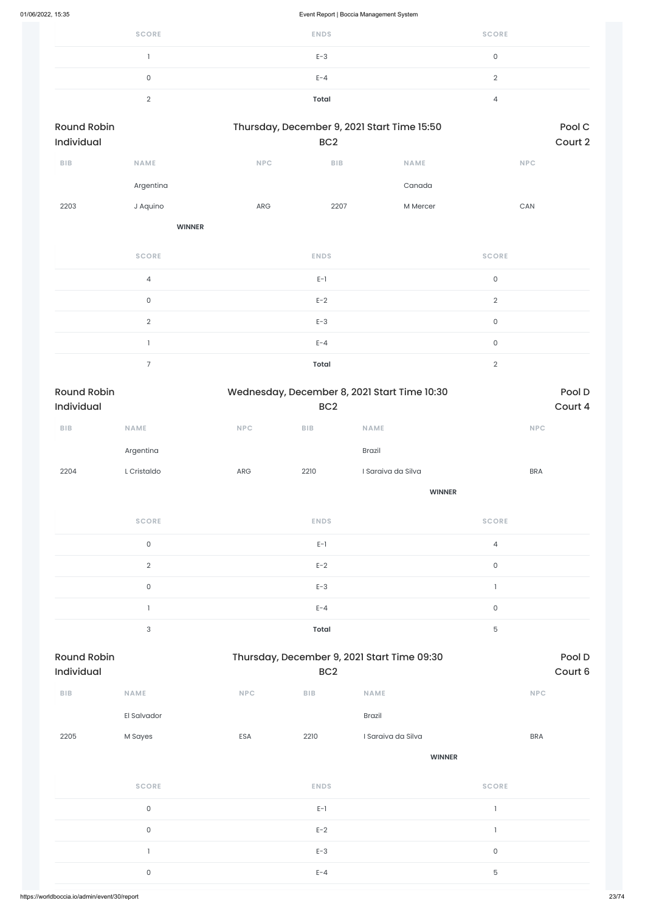| <b>SCORE</b> | <b>ENDS</b>  | <b>SCORE</b> |
|--------------|--------------|--------------|
|              | $E-3$        |              |
|              | $E - 4$      |              |
|              | <b>Total</b> |              |

| <b>Round Robin</b><br>Individual |                     | Thursday, December 9, 2021 Start Time 15:50 | Pool C<br>Court 2 |             |                     |
|----------------------------------|---------------------|---------------------------------------------|-------------------|-------------|---------------------|
| BIB                              | <b>NAME</b>         | NPC                                         | BIB               | <b>NAME</b> | <b>NPC</b>          |
|                                  | Argentina           |                                             |                   | Canada      |                     |
| 2203                             | J Aquino            | ARG                                         | 2207              | M Mercer    | ${\sf CAN}$         |
|                                  | <b>WINNER</b>       |                                             |                   |             |                     |
|                                  | <b>SCORE</b>        |                                             | <b>ENDS</b>       |             | <b>SCORE</b>        |
|                                  | $\sqrt{4}$          |                                             | $E-1$             |             | $\mathsf{O}$        |
|                                  | $\mathsf{O}\xspace$ |                                             | $E-2$             |             | $\mathbf{2}$        |
|                                  | $\mathbf{2}$        |                                             | $E-3$             |             | $\mathsf O$         |
|                                  |                     |                                             | $E - 4$           |             | $\mathsf{O}\xspace$ |

Round Robin **Robin Round Robin Thursday, December 9, 2021 Start Time 09:30** Pool D Individual BC2 Court 6

| Total |  |
|-------|--|
|       |  |
|       |  |

| <b>Round Robin</b><br>Individual |                     |            | Wednesday, December 8, 2021 Start Time 10:30<br>BC <sub>2</sub> | Pool D<br>Court 4  |                     |
|----------------------------------|---------------------|------------|-----------------------------------------------------------------|--------------------|---------------------|
| BIB                              | <b>NAME</b>         | <b>NPC</b> | BIB                                                             | <b>NAME</b>        | <b>NPC</b>          |
|                                  | Argentina           |            |                                                                 | Brazil             |                     |
| 2204                             | L Cristaldo         | ARG        | 2210                                                            | I Saraiva da Silva | <b>BRA</b>          |
|                                  |                     |            |                                                                 | <b>WINNER</b>      |                     |
|                                  | <b>SCORE</b>        |            | <b>ENDS</b>                                                     |                    | <b>SCORE</b>        |
|                                  | $\mathsf{O}\xspace$ |            | $E-1$                                                           |                    | $\overline{4}$      |
|                                  | $\sqrt{2}$          |            | $E-2$                                                           |                    | $\mathsf{O}\xspace$ |
|                                  | $\mathsf{O}\xspace$ |            | $E-3$                                                           |                    | $\mathbf{I}$        |
|                                  |                     |            | $E - 4$                                                         |                    | $\mathsf{O}$        |

3 **Total** 5

| ${\sf B}{\sf I}{\sf B}$ | NAME                | <b>NPC</b> | BIB         | NAME               | NPC                 |
|-------------------------|---------------------|------------|-------------|--------------------|---------------------|
|                         | El Salvador         |            |             | Brazil             |                     |
| 2205                    | M Sayes             | ESA        | 2210        | I Saraiva da Silva | <b>BRA</b>          |
|                         |                     |            |             | <b>WINNER</b>      |                     |
|                         | <b>SCORE</b>        |            | <b>ENDS</b> |                    | <b>SCORE</b>        |
|                         | $\mathsf{O}\xspace$ |            | $E-1$       |                    |                     |
|                         | $\mathsf O$         |            | $E-2$       |                    |                     |
|                         |                     |            | $E-3$       |                    | $\mathsf{O}\xspace$ |
|                         | $\mathsf{O}\xspace$ |            | $E - 4$     |                    | $\mathbf 5$         |
|                         |                     |            |             |                    |                     |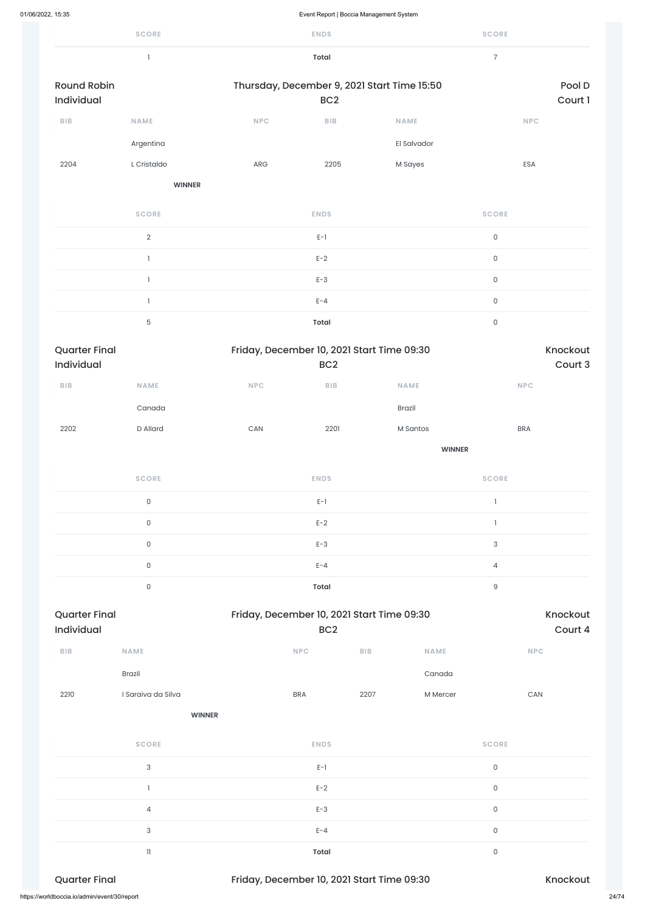|                                    | <b>SCORE</b>        |     | <b>ENDS</b>                                                   |                                             | <b>SCORE</b>                |                     |  |  |
|------------------------------------|---------------------|-----|---------------------------------------------------------------|---------------------------------------------|-----------------------------|---------------------|--|--|
|                                    | $\mathbf{I}$        |     | <b>Total</b>                                                  |                                             | $\overline{7}$              |                     |  |  |
| <b>Round Robin</b><br>Individual   |                     |     | BC <sub>2</sub>                                               | Thursday, December 9, 2021 Start Time 15:50 |                             | Pool D<br>Court 1   |  |  |
| <b>BIB</b>                         | <b>NAME</b>         | NPC | BIB                                                           | <b>NAME</b>                                 | <b>NPC</b>                  |                     |  |  |
|                                    | Argentina           |     |                                                               | El Salvador                                 |                             |                     |  |  |
| 2204                               | L Cristaldo         | ARG | 2205                                                          | M Sayes                                     | ESA                         |                     |  |  |
|                                    | <b>WINNER</b>       |     |                                                               |                                             |                             |                     |  |  |
|                                    | <b>SCORE</b>        |     | <b>ENDS</b>                                                   |                                             | <b>SCORE</b>                |                     |  |  |
|                                    | $\overline{2}$      |     | $E-1$                                                         |                                             | $\mathsf{O}\xspace$         |                     |  |  |
|                                    | $\mathbf{I}$        |     | $E-2$                                                         |                                             | $\mathsf{O}\xspace$         |                     |  |  |
|                                    | $\mathbf{1}$        |     | $E-3$                                                         |                                             | $\mathsf{O}\xspace$         |                     |  |  |
|                                    | $\mathbf{I}$        |     | $E - 4$                                                       |                                             | $\mathsf{O}\xspace$         |                     |  |  |
|                                    | $\mathbf 5$         |     | <b>Total</b>                                                  |                                             | $\mathsf{O}\xspace$         |                     |  |  |
| <b>Quarter Final</b><br>Individual |                     |     | Friday, December 10, 2021 Start Time 09:30<br>BC <sub>2</sub> |                                             |                             |                     |  |  |
| BIB                                | <b>NAME</b>         | NPC | ${\sf B}{\sf I}{\sf B}$                                       | NAME                                        | $\ensuremath{\mathsf{NPC}}$ |                     |  |  |
|                                    | Canada              |     |                                                               | Brazil                                      |                             |                     |  |  |
| 2202                               | D Allard            | CAN | 2201                                                          | M Santos                                    | <b>BRA</b>                  |                     |  |  |
|                                    |                     |     |                                                               | <b>WINNER</b>                               |                             |                     |  |  |
|                                    | <b>SCORE</b>        |     | <b>ENDS</b>                                                   |                                             | <b>SCORE</b>                |                     |  |  |
|                                    | $\mathsf{O}\xspace$ |     | $E-1$                                                         |                                             | $\mathbf{I}$                |                     |  |  |
|                                    | $\mathsf O$         |     | $E-2$                                                         |                                             | $\mathbf{1}$                |                     |  |  |
|                                    | $\mathsf{O}\xspace$ |     | $E-3$                                                         |                                             | 3                           |                     |  |  |
|                                    | $\mathsf{O}\xspace$ |     | $E - 4$                                                       |                                             | $\overline{4}$              |                     |  |  |
|                                    | $\mathsf{O}\xspace$ |     | <b>Total</b>                                                  |                                             | $\hbox{9}$                  |                     |  |  |
| <b>Quarter Final</b><br>Individual |                     |     | BC <sub>2</sub>                                               | Friday, December 10, 2021 Start Time 09:30  |                             | Knockout<br>Court 4 |  |  |
| BIB                                | NAME                |     | NPC                                                           | ${\sf B}{\sf I}{\sf B}$<br><b>NAME</b>      | <b>NPC</b>                  |                     |  |  |

Brazil Canada and Canada and Canada and Canada and Canada and Canada and Canada and Canada and Canada and Cana

| 2210<br>I Saraiva da Silva                   |               | <b>BRA</b>                                 | 2207 | M Mercer     | CAN      |       |
|----------------------------------------------|---------------|--------------------------------------------|------|--------------|----------|-------|
|                                              | <b>WINNER</b> |                                            |      |              |          |       |
| <b>SCORE</b>                                 |               | <b>ENDS</b>                                |      | <b>SCORE</b> |          |       |
| $\mathbf{3}$                                 |               | $E-1$                                      |      | $\mathsf{O}$ |          |       |
|                                              |               | $E-2$                                      |      | $\mathsf O$  |          |       |
| 4                                            |               | $E-3$                                      |      | $\mathsf O$  |          |       |
| $\sqrt{3}$                                   |               | $E - 4$                                    |      | $\mathsf O$  |          |       |
| 11                                           |               | Total                                      |      | $\mathsf O$  |          |       |
| <b>Quarter Final</b>                         |               | Friday, December 10, 2021 Start Time 09:30 |      |              | Knockout |       |
| https://worldboccia.io/admin/event/30/report |               |                                            |      |              |          | 24/74 |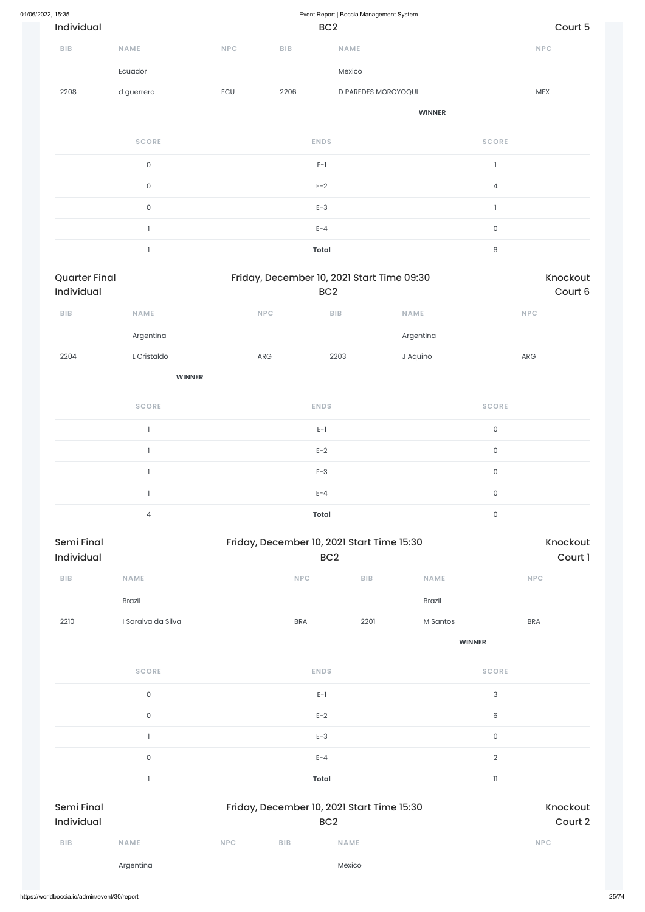| 01/06/2022, 15:35 | Event Report   Boccia Management System |            |                                                               |                                            |               |                     |             |  |  |
|-------------------|-----------------------------------------|------------|---------------------------------------------------------------|--------------------------------------------|---------------|---------------------|-------------|--|--|
| Individual        |                                         |            |                                                               | BC <sub>2</sub>                            |               |                     | Court 5     |  |  |
| <b>BIB</b>        | <b>NAME</b>                             | <b>NPC</b> | BIB                                                           | <b>NAME</b>                                |               |                     | NPC         |  |  |
|                   | Ecuador                                 |            |                                                               | Mexico                                     |               |                     |             |  |  |
| 2208              | d guerrero                              | ECU        | 2206                                                          | D PAREDES MOROYOQUI                        |               |                     | MEX         |  |  |
|                   |                                         |            |                                                               |                                            | <b>WINNER</b> |                     |             |  |  |
|                   | <b>SCORE</b>                            |            |                                                               | <b>ENDS</b>                                |               | <b>SCORE</b>        |             |  |  |
|                   | $\mathsf{O}\xspace$                     |            |                                                               | $E-1$                                      |               | $\mathbf{I}$        |             |  |  |
|                   | $\mathsf{O}\xspace$                     |            |                                                               | $E-2$                                      |               | $\overline{4}$      |             |  |  |
|                   | $\mathsf{O}\xspace$                     |            |                                                               | $E-3$                                      |               | $\mathbf{I}$        |             |  |  |
|                   | $\mathbf{I}$                            |            |                                                               | $E - 4$                                    |               | $\mathsf{O}\xspace$ |             |  |  |
|                   | $\mathbf{1}$                            |            | <b>Total</b>                                                  |                                            |               |                     |             |  |  |
| Individual        | <b>Quarter Final</b>                    |            | Friday, December 10, 2021 Start Time 09:30<br>BC <sub>2</sub> |                                            |               | Knockout<br>Court 6 |             |  |  |
| BIB               | NAME                                    |            | NPC                                                           | ${\sf BIB}$                                | NAME          |                     | NPC         |  |  |
|                   | Argentina                               |            |                                                               |                                            | Argentina     |                     |             |  |  |
| 2204              | L Cristaldo                             |            | ARG                                                           | 2203                                       | J Aquino      |                     | ${\sf ARG}$ |  |  |
|                   | <b>WINNER</b>                           |            |                                                               |                                            |               |                     |             |  |  |
|                   | <b>SCORE</b>                            |            |                                                               | <b>ENDS</b>                                |               | <b>SCORE</b>        |             |  |  |
|                   | $\mathbf{I}$                            |            |                                                               | $E-1$                                      |               | $\mathsf{O}\xspace$ |             |  |  |
|                   | $\mathbf{1}$                            |            |                                                               | $E-2$                                      |               | $\mathsf{O}\xspace$ |             |  |  |
|                   | $\mathbf{I}$                            |            |                                                               | $E-3$                                      |               | $\mathsf{O}\xspace$ |             |  |  |
| $\mathbf{1}$      |                                         |            |                                                               | $E - 4$                                    |               | $\mathsf{O}\xspace$ |             |  |  |
|                   | $\overline{4}$                          |            | <b>Total</b>                                                  |                                            |               | $\mathsf{O}\xspace$ |             |  |  |
| Semi Final        |                                         |            |                                                               | Friday, December 10, 2021 Start Time 15:30 |               |                     | Knockout    |  |  |
| Individual        |                                         |            |                                                               | BC <sub>2</sub>                            |               |                     | Court 1     |  |  |
| BIB               | NAME                                    |            | <b>NPC</b>                                                    | BIB                                        | NAME          |                     | NPC         |  |  |
|                   | Brazil                                  |            |                                                               |                                            | Brazil        |                     |             |  |  |

2210 I Saraiva da Silva BRA 2201 M Santos BRA

**WINNER**

**SCORE ENDS SCORE**

|                                 | $\mathsf{O}\xspace$ |            |                                            | $E-1$               | 3            |  |
|---------------------------------|---------------------|------------|--------------------------------------------|---------------------|--------------|--|
|                                 | $\mathsf{O}$        |            |                                            | 6                   |              |  |
|                                 |                     |            |                                            | $E-3$               | $\mathsf{O}$ |  |
|                                 | $\mathsf O$         |            | $E - 4$                                    | $\sqrt{2}$          |              |  |
|                                 |                     |            | <b>Total</b>                               | $\mathbf{1}$        |              |  |
| <b>Semi Final</b><br>Individual |                     |            | Friday, December 10, 2021 Start Time 15:30 | Knockout<br>Court 2 |              |  |
| <b>BIB</b>                      | <b>NAME</b>         | <b>NPC</b> | <b>BIB</b>                                 | <b>NAME</b>         | <b>NPC</b>   |  |
|                                 | Argentina           |            |                                            | Mexico              |              |  |
|                                 |                     |            |                                            |                     |              |  |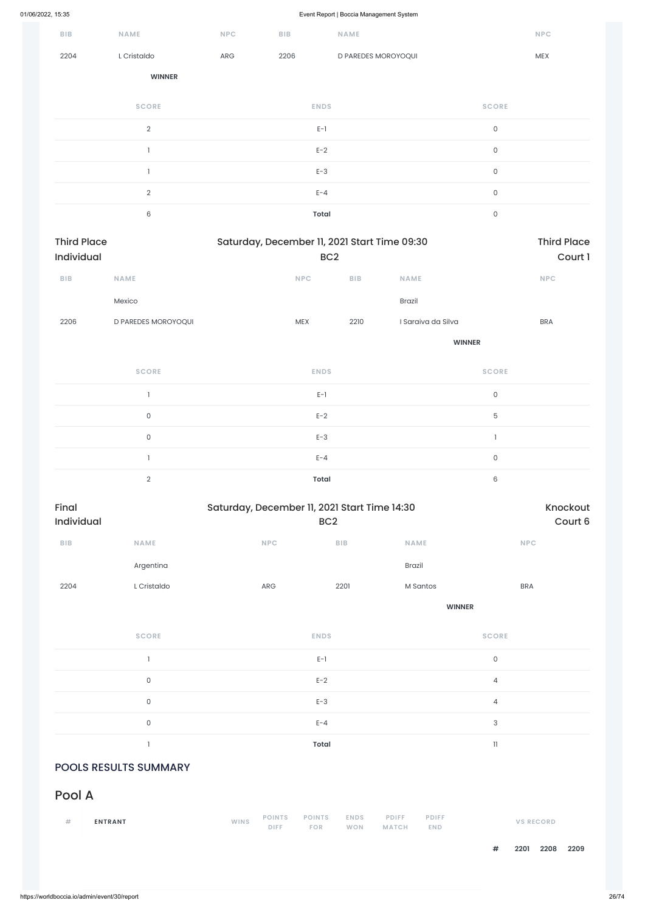|                                  |                     |             |                                              | $\mathbf{r}$ and $\mathbf{r}$<br>ັ |                    |               |                               |  |
|----------------------------------|---------------------|-------------|----------------------------------------------|------------------------------------|--------------------|---------------|-------------------------------|--|
| <b>BIB</b>                       | NAME                | <b>NPC</b>  | BIB                                          | NAME                               |                    |               | NPC                           |  |
| 2204                             | L Cristaldo         | ARG         | 2206                                         | D PAREDES MOROYOQUI                |                    |               | MEX                           |  |
|                                  | <b>WINNER</b>       |             |                                              |                                    |                    |               |                               |  |
|                                  | <b>SCORE</b>        |             |                                              | <b>ENDS</b>                        |                    | <b>SCORE</b>  |                               |  |
|                                  | $\overline{2}$      |             |                                              | $E-1$                              |                    | $\mathsf{O}$  |                               |  |
|                                  | $\mathbf{1}$        |             |                                              | $E-2$                              |                    | $\mathsf{O}$  |                               |  |
|                                  | $\mathbf{I}$        |             |                                              | $E-3$                              |                    | $\mathsf{O}$  |                               |  |
|                                  | $\overline{2}$      |             |                                              | $E - 4$                            |                    | $\mathsf{O}$  |                               |  |
|                                  | $\,6\,$             |             |                                              | <b>Total</b>                       |                    | $\mathsf{O}$  |                               |  |
| <b>Third Place</b><br>Individual |                     |             | Saturday, December 11, 2021 Start Time 09:30 | BC <sub>2</sub>                    |                    |               | <b>Third Place</b><br>Court 1 |  |
| BIB                              | NAME                |             | NPC                                          | BIB                                | <b>NAME</b>        |               | NPC                           |  |
|                                  | Mexico              |             |                                              |                                    | Brazil             |               |                               |  |
| 2206                             | D PAREDES MOROYOQUI |             | <b>MEX</b>                                   | 2210                               | I Saraiva da Silva |               | <b>BRA</b>                    |  |
|                                  |                     |             |                                              | <b>WINNER</b>                      |                    |               |                               |  |
|                                  | <b>SCORE</b>        |             |                                              | <b>ENDS</b>                        |                    | <b>SCORE</b>  |                               |  |
|                                  | $\mathbf{I}$        |             |                                              | $E-1$                              |                    | $\mathsf{O}$  |                               |  |
|                                  | $\mathsf{O}\xspace$ |             |                                              | $E-2$                              |                    | $\mathbf 5$   |                               |  |
|                                  | $\mathsf{O}\xspace$ |             |                                              | $E-3$                              |                    | $\mathbbm{1}$ |                               |  |
|                                  | $\mathbf{1}$        |             |                                              | $E - 4$                            |                    | $\mathsf{O}$  |                               |  |
|                                  | $\overline{2}$      |             |                                              | <b>Total</b>                       |                    | $\,$ 6 $\,$   |                               |  |
| Final<br>Individual              |                     |             | Saturday, December 11, 2021 Start Time 14:30 | BC <sub>2</sub>                    |                    |               | Knockout<br>Court 6           |  |
| ${\sf B}{\sf I}{\sf B}$          | NAME                |             | NPC                                          | BIB                                | NAME               |               | <b>NPC</b>                    |  |
|                                  | Argentina           |             |                                              |                                    | Brazil             |               |                               |  |
| 2204                             | L Cristaldo         |             | ARG                                          | 2201                               | M Santos           |               | <b>BRA</b>                    |  |
|                                  |                     |             |                                              | <b>WINNER</b>                      |                    |               |                               |  |
|                                  | <b>SCORE</b>        | <b>ENDS</b> |                                              |                                    |                    | <b>SCORE</b>  |                               |  |
|                                  | $\mathbf{1}$        |             |                                              | $\mathsf{E}\text{-}\mathsf{1}$     |                    | $\mathsf{O}$  |                               |  |

| $\mathsf{O}\xspace$          |             |                        | $E-3$                       |                           |                       |                            | 4                         |                  |              |
|------------------------------|-------------|------------------------|-----------------------------|---------------------------|-----------------------|----------------------------|---------------------------|------------------|--------------|
| $\mathsf{O}\xspace$          |             |                        | $E - 4$                     |                           |                       |                            | $\ensuremath{\mathsf{3}}$ |                  |              |
| п                            |             |                        | <b>Total</b>                |                           |                       |                            | $\mathbf{1}$              |                  |              |
| <b>POOLS RESULTS SUMMARY</b> |             |                        |                             |                           |                       |                            |                           |                  |              |
| Pool A                       |             |                        |                             |                           |                       |                            |                           |                  |              |
| #<br><b>ENTRANT</b>          | <b>WINS</b> | <b>POINTS</b><br>DIFF. | <b>POINTS</b><br><b>FOR</b> | <b>ENDS</b><br><b>WON</b> | <b>PDIFF</b><br>MATCH | <b>PDIFF</b><br><b>END</b> |                           | <b>VS RECORD</b> |              |
|                              |             |                        |                             |                           |                       |                            | $\#$                      | 2201             | 2208<br>2209 |
|                              |             |                        |                             |                           |                       |                            |                           |                  |              |

0 and  $E-2$  and  $E-2$  and  $E-2$  and  $E-2$  and  $E-2$  and  $E-2$  and  $E-2$  and  $E-2$  and  $E-2$  and  $E-2$  and  $E-2$  and  $E-2$  and  $E-2$  and  $E-2$  and  $E-2$  and  $E-2$  and  $E-2$  and  $E-2$  and  $E-2$  and  $E-2$  and  $E-2$  and  $E-2$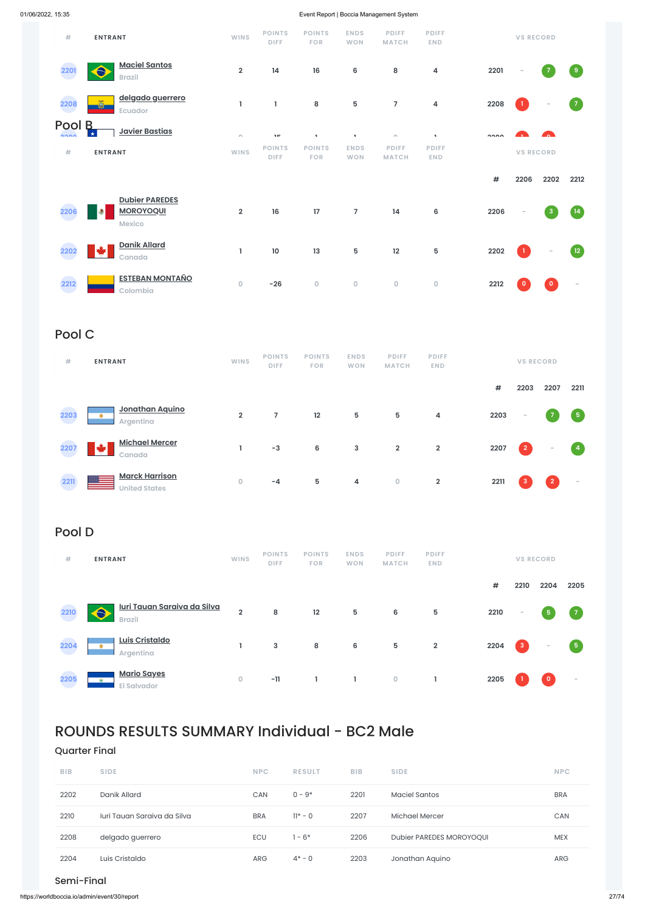| #              | <b>ENTRANT</b>                                      | <b>WINS</b>             | <b>POINTS</b><br><b>DIFF</b> | <b>POINTS</b><br><b>FOR</b> | <b>ENDS</b><br><b>WON</b> | <b>PDIFF</b><br><b>MATCH</b> | <b>PDIFF</b><br><b>END</b> |        | <b>VS RECORD</b>         |                          |                          |
|----------------|-----------------------------------------------------|-------------------------|------------------------------|-----------------------------|---------------------------|------------------------------|----------------------------|--------|--------------------------|--------------------------|--------------------------|
| 2201           | <b>Maciel Santos</b><br>$\bullet$<br><b>Brazil</b>  | $\overline{2}$          | 14                           | 16                          | 6                         | 8                            | 4                          | 2201   | $\overline{\phantom{a}}$ | $\overline{7}$           | $\overline{9}$           |
| 2208           | delgado guerrero<br>õ<br>Ecuador                    | 1                       | 1                            | 8                           | 5                         | $\overline{7}$               | 4                          | 2208   | 1.                       | $\overline{\phantom{a}}$ | $\overline{7}$           |
| Pool<br>$\sim$ | $\mathsf B$<br><b>Javier Bastias</b><br>$\star$     | $\sqrt{2}$              | 3.00                         | ×                           | ×                         | $\sim$                       | $\mathbf{u}$               | $\sim$ |                          | <b>Contract</b>          |                          |
| #              | <b>ENTRANT</b>                                      | <b>WINS</b>             | <b>POINTS</b><br><b>DIFF</b> | <b>POINTS</b><br><b>FOR</b> | <b>ENDS</b><br><b>WON</b> | <b>PDIFF</b><br><b>MATCH</b> | <b>PDIFF</b><br><b>END</b> |        | <b>VS RECORD</b>         |                          |                          |
|                |                                                     |                         |                              |                             |                           |                              |                            | #      | 2206                     | 2202                     | 2212                     |
| 2206           | <b>Dubier PAREDES</b><br><b>MOROYOQUI</b><br>Mexico | $\overline{\mathbf{2}}$ | 16                           | 17                          | $\overline{7}$            | 14                           | 6                          | 2206   | $\overline{\phantom{a}}$ | $\mathbf{3}$             | $\left(14\right)$        |
| 2202           | <b>Danik Allard</b><br>L*<br>Canada                 | L                       | 10                           | 13                          | 5                         | 12                           | 5                          | 2202   | $\mathbf{1}$             | $\sim$                   | $\sqrt{12}$              |
| 2212           | <b>ESTEBAN MONTAÑO</b><br>Colombia                  | $\mathsf{O}\xspace$     | $-26$                        | $\mathsf{O}\xspace$         | $\mathsf{O}\xspace$       | $\mathsf{O}\xspace$          | $\mathsf{O}\xspace$        | 2212   | $\mathbf{O}$             | $\circ$                  | $\overline{\phantom{a}}$ |

# Pool C

| #    | <b>ENTRANT</b>                                | <b>WINS</b>    | <b>POINTS</b><br><b>DIFF</b> | <b>POINTS</b><br><b>FOR</b> | <b>ENDS</b><br><b>WON</b> | <b>PDIFF</b><br><b>MATCH</b> | <b>PDIFF</b><br><b>END</b> |      | <b>VS RECORD</b> |                |                         |
|------|-----------------------------------------------|----------------|------------------------------|-----------------------------|---------------------------|------------------------------|----------------------------|------|------------------|----------------|-------------------------|
|      |                                               |                |                              |                             |                           |                              |                            | #    | 2203             | 2207           | 2211                    |
| 2203 | Jonathan Aquino<br>٠<br>Argentina             | $\overline{2}$ | $\overline{7}$               | 12                          | $5\phantom{.0}$           | 5                            | 4                          | 2203 | $\sim$           |                | $\sqrt{5}$              |
| 2207 | <b>Michael Mercer</b><br>÷<br>Canada          |                | $-3$                         | $6\phantom{1}6$             | 3                         | $\overline{2}$               | $\overline{2}$             | 2207 | $\mathbf{2}$     | $\sim$         | $\overline{\mathbf{4}}$ |
| 2211 | <b>Marck Harrison</b><br><b>United States</b> | $\circ$        | $-4$                         | 5                           | 4                         | $\mathsf O$                  | $\overline{2}$             | 2211 | 3                | $\overline{2}$ | $\sim$                  |

# Pool D

| #    | <b>ENTRANT</b>                                          | <b>WINS</b>    | <b>POINTS</b><br><b>DIFF</b> | <b>POINTS</b><br><b>FOR</b> | <b>ENDS</b><br><b>WON</b> | <b>PDIFF</b><br><b>MATCH</b> | <b>PDIFF</b><br><b>END</b> |      |                          | <b>VS RECORD</b>        |                |
|------|---------------------------------------------------------|----------------|------------------------------|-----------------------------|---------------------------|------------------------------|----------------------------|------|--------------------------|-------------------------|----------------|
|      |                                                         |                |                              |                             |                           |                              |                            | #    | 2210                     | 2204                    | 2205           |
| 2210 | <u>Iuri Tauan Saraiva da Silva</u><br><b>Brazil</b>     | $\overline{2}$ | 8                            | 12                          | 5                         | 6                            | 5                          | 2210 | $\overline{\phantom{a}}$ | $\overline{\mathbf{5}}$ | $\overline{7}$ |
| 2204 | Luis Cristaldo<br>$\bullet$<br>Argentina                |                | 3                            | 8                           | 6                         | 5                            | $\overline{2}$             | 2204 | $\overline{3}$           | -                       | $5^{\circ}$    |
| 2205 | <b>Mario Sayes</b><br><b>Gulf</b><br><b>Fl Salvador</b> | 0              | $-11$                        |                             |                           | $\mathsf{O}\xspace$          |                            | 2205 |                          | $\overline{\mathbf{0}}$ | $\sim$         |

# ROUNDS RESULTS SUMMARY Individual - BC2 Male

# Quarter Final

| <b>BIB</b> | <b>SIDE</b>                 | <b>NPC</b> | <b>RESULT</b> | <b>BIB</b> | <b>SIDE</b>              | <b>NPC</b> |
|------------|-----------------------------|------------|---------------|------------|--------------------------|------------|
| 2202       | Danik Allard                | CAN        | $0 - 9*$      | 2201       | Maciel Santos            | <b>BRA</b> |
| 2210       | Turi Tauan Saraiya da Silva | <b>BRA</b> | $11* - 0$     | 2207       | Michael Mercer           | <b>CAN</b> |
| 2208       | delgado guerrero            | <b>ECU</b> | 1 - 6*        | 2206       | Dubier PAREDES MOROYOQUI | <b>MEX</b> |
| 2204       | Luis Cristaldo              | <b>ARG</b> | $4^*$ – 0     | 2203       | Jonathan Aquino          | <b>ARG</b> |

### Semi-Final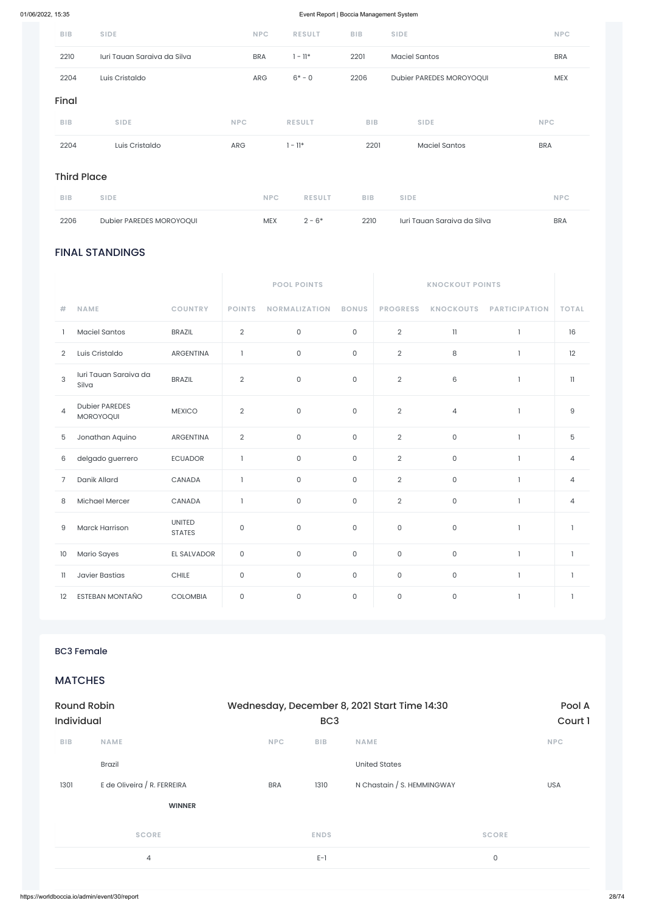# FINAL STANDINGS

|                |                                    |                                |                     | <b>POOL POINTS</b>   |                     |                     |                         |                      |                          |
|----------------|------------------------------------|--------------------------------|---------------------|----------------------|---------------------|---------------------|-------------------------|----------------------|--------------------------|
| #              | <b>NAME</b>                        | <b>COUNTRY</b>                 | <b>POINTS</b>       | <b>NORMALIZATION</b> | <b>BONUS</b>        | <b>PROGRESS</b>     | <b>KNOCKOUTS</b>        | <b>PARTICIPATION</b> | <b>TOTAL</b>             |
| 1.             | <b>Maciel Santos</b>               | <b>BRAZIL</b>                  | $\sqrt{2}$          | 0                    | $\mathsf{O}\xspace$ | $\overline{2}$      | $\overline{\mathbf{1}}$ | $\mathbf{1}$         | 16                       |
| $\overline{2}$ | Luis Cristaldo                     | <b>ARGENTINA</b>               | $\mathbf{1}$        | 0                    | $\mathsf{O}$        | $\overline{2}$      | 8                       | 1                    | 12                       |
| 3              | Iuri Tauan Saraiva da<br>Silva     | <b>BRAZIL</b>                  | $\overline{2}$      | 0                    | $\mathsf O$         | $\overline{2}$      | 6                       | -1                   | 11                       |
| $\overline{4}$ | <b>Dubier PAREDES</b><br>MOROYOQUI | <b>MEXICO</b>                  | $\sqrt{2}$          | 0                    | $\mathsf O$         | $\overline{2}$      | $\overline{4}$          | $\mathbf{I}$         | $\mathsf g$              |
| 5              | Jonathan Aquino                    | <b>ARGENTINA</b>               | $\sqrt{2}$          | 0                    | $\mathsf{O}$        | $\mathbf{2}$        | $\mathsf{O}\xspace$     | $\mathbf{1}$         | 5                        |
| 6              | delgado guerrero                   | <b>ECUADOR</b>                 | $\mathbf{I}$        | 0                    | $\mathsf{O}\xspace$ | $\overline{2}$      | $\mathsf O$             | $\mathbf{I}$         | $\overline{4}$           |
| $\overline{7}$ | Danik Allard                       | CANADA                         | $\mathbf{1}$        | $\mathsf{O}$         | $\mathsf O$         | $\overline{2}$      | $\mathsf O$             | $\mathbf{1}$         | $\overline{4}$           |
| 8              | Michael Mercer                     | CANADA                         | $\mathbf{1}$        | 0                    | $\mathsf{O}\xspace$ | $\overline{2}$      | $\mathsf{O}\xspace$     | $\mathbf{1}$         | $\overline{4}$           |
| 9              | <b>Marck Harrison</b>              | <b>UNITED</b><br><b>STATES</b> | $\mathsf O$         | $\mathsf{O}$         | $\mathsf O$         | $\mathsf O$         | $\mathsf{O}\xspace$     | $\mathbf{1}$         | $\overline{\phantom{a}}$ |
| 10             | Mario Sayes                        | EL SALVADOR                    | $\mathsf O$         | 0                    | $\mathsf{O}$        | $\mathsf{O}\xspace$ | $\mathsf{O}\xspace$     | $\mathbf{1}$         | $\overline{1}$           |
| $\mathbf{1}$   | <b>Javier Bastias</b>              | $\text{CHILE}$                 | $\mathsf{O}\xspace$ | 0                    | $\mathsf{O}\xspace$ | $\mathsf{O}\xspace$ | $\mathsf{O}$            | $\mathbb{I}$         | $\mathbf{1}$             |
| 12             | ESTEBAN MONTAÑO                    | <b>COLOMBIA</b>                | $\mathsf{O}\xspace$ | $\mathsf{O}$         | $\mathsf O$         | $\mathsf O$         | $\mathsf{O}$            | $\mathbf{1}$         | $\overline{1}$           |

| <b>Round Robin</b> |                                              |            | Wednesday, December 8, 2021 Start Time 14:30<br>BC <sub>3</sub> |                            |              |            |  |  |
|--------------------|----------------------------------------------|------------|-----------------------------------------------------------------|----------------------------|--------------|------------|--|--|
| Individual         |                                              |            |                                                                 | Court 1                    |              |            |  |  |
| <b>BIB</b>         | <b>NAME</b>                                  | <b>NPC</b> | <b>BIB</b>                                                      | <b>NAME</b>                | <b>NPC</b>   |            |  |  |
|                    | <b>Brazil</b>                                |            |                                                                 | <b>United States</b>       |              |            |  |  |
| 1301               | E de Oliveira / R. FERREIRA                  | <b>BRA</b> | 1310                                                            | N Chastain / S. HEMMINGWAY |              | <b>USA</b> |  |  |
|                    | <b>WINNER</b>                                |            |                                                                 |                            |              |            |  |  |
|                    | <b>SCORE</b>                                 |            | <b>ENDS</b>                                                     |                            | <b>SCORE</b> |            |  |  |
|                    | 4                                            |            | $E-1$                                                           |                            | $\mathsf O$  |            |  |  |
|                    |                                              |            |                                                                 |                            |              |            |  |  |
|                    | https://worldboccia.io/admin/event/30/report |            |                                                                 |                            |              |            |  |  |

| <b>BIB</b> | <b>SIDE</b>                 | <b>NPC</b> | <b>RESULT</b> | <b>BIB</b> | <b>SIDE</b>              | <b>NPC</b> |  |  |  |  |
|------------|-----------------------------|------------|---------------|------------|--------------------------|------------|--|--|--|--|
| 2210       | Iuri Tauan Saraiva da Silva | <b>BRA</b> | $1 - 11*$     | 2201       | <b>Maciel Santos</b>     | <b>BRA</b> |  |  |  |  |
| 2204       | Luis Cristaldo              | ARG        | $6* - 0$      | 2206       | Dubier PAREDES MOROYOQUI | <b>MEX</b> |  |  |  |  |
| Final      |                             |            |               |            |                          |            |  |  |  |  |
| <b>BIB</b> | <b>SIDE</b>                 | <b>NPC</b> | <b>RESULT</b> | <b>BIB</b> | <b>SIDE</b>              | <b>NPC</b> |  |  |  |  |
| 2204       | Luis Cristaldo              | ARG        | $1 - 11*$     | 2201       | <b>Maciel Santos</b>     | <b>BRA</b> |  |  |  |  |
|            | <b>Third Place</b>          |            |               |            |                          |            |  |  |  |  |

| <b>BIB</b> | SIDE                     |     | <b>RESULT</b> | <b>RIR</b> | SIDE                        |            |
|------------|--------------------------|-----|---------------|------------|-----------------------------|------------|
| 2206       | Dubier PAREDES MOROYOOUI | MEX | $2 - 6*$      | 2210       | luri Tauan Saraiya da Silya | <b>BRA</b> |

BC3 Female

**MATCHES**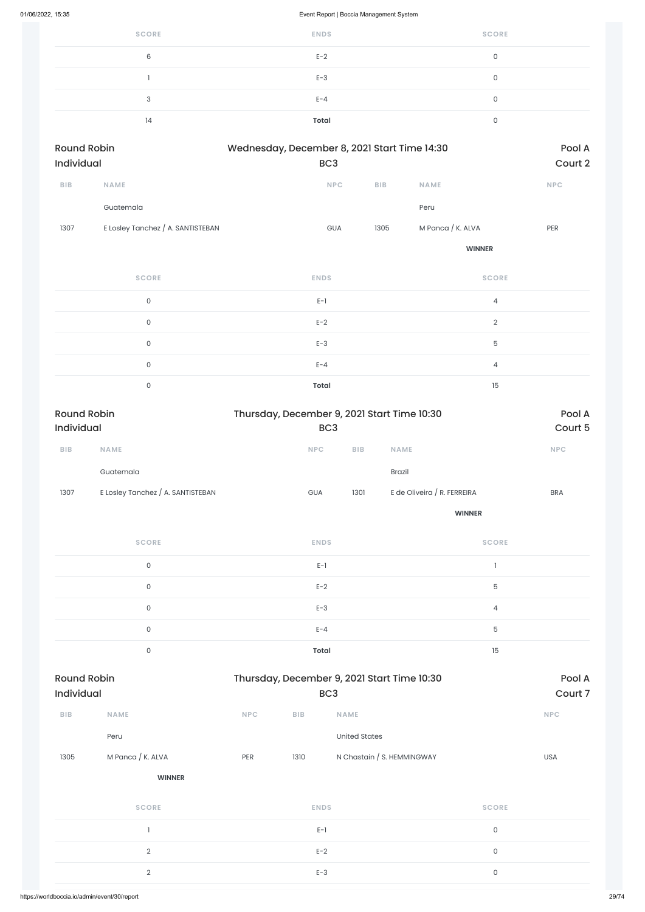| <b>SCORE</b> | <b>ENDS</b> | <b>SCORE</b> |
|--------------|-------------|--------------|
| 6            | $E-2$       |              |
|              | $E-3$       | $\mathbf 0$  |
| 3            | $E - 4$     | $\Omega$     |
| 14           | Total       | ∩            |
|              |             |              |

| <b>Round Robin</b><br>Individual |                                   | Wednesday, December 8, 2021 Start Time 14:30<br>BC <sub>3</sub> |            | Pool A<br>Court 2 |                   |            |
|----------------------------------|-----------------------------------|-----------------------------------------------------------------|------------|-------------------|-------------------|------------|
| <b>BIB</b>                       | <b>NAME</b>                       |                                                                 | <b>NPC</b> | <b>BIB</b>        | <b>NAME</b>       | <b>NPC</b> |
|                                  | Guatemala                         |                                                                 |            |                   | Peru              |            |
| 1307                             | E Losley Tanchez / A. SANTISTEBAN |                                                                 | <b>GUA</b> | 1305              | M Panca / K. ALVA | <b>PER</b> |

**WINNER**

| <b>SCORE</b> | <b>ENDS</b>  | <b>SCORE</b>   |
|--------------|--------------|----------------|
| $\Omega$     | $E-1$        | $\overline{4}$ |
| $\mathbf{O}$ | $E-2$        | $\overline{2}$ |
| $\Omega$     | $E-3$        | 5              |
| $\Omega$     | $E - 4$      | $\overline{4}$ |
| $\cap$       | <b>Total</b> | 15             |

| <b>Round Robin</b><br>Individual |                                   | Thursday, December 9, 2021 Start Time 10:30<br>BC <sub>3</sub> |                         | Pool A<br>Court 5           |            |
|----------------------------------|-----------------------------------|----------------------------------------------------------------|-------------------------|-----------------------------|------------|
| BIB                              | <b>NAME</b>                       | NPC                                                            | ${\sf B}{\sf I}{\sf B}$ | <b>NAME</b>                 | NPC        |
|                                  | Guatemala                         |                                                                |                         | Brazil                      |            |
| 1307                             | E Losley Tanchez / A. SANTISTEBAN | GUA                                                            | 1301                    | E de Oliveira / R. FERREIRA | <b>BRA</b> |
|                                  |                                   |                                                                |                         | <b>WINNER</b>               |            |
|                                  | <b>SCORE</b>                      | <b>ENDS</b>                                                    |                         | <b>SCORE</b>                |            |
|                                  | $\mathsf{O}\xspace$               | $E-1$                                                          |                         | $\mathbf{I}$                |            |
|                                  | $\mathsf{O}\xspace$               | $E-2$                                                          |                         | 5                           |            |
|                                  | $\mathsf{O}\xspace$               | $E-3$                                                          |                         | 4                           |            |
|                                  | $\mathsf{O}\xspace$               | $E - 4$                                                        |                         | 5                           |            |
|                                  | $\mathsf{O}\xspace$               | <b>Total</b>                                                   |                         | 15                          |            |

Round Robin **Robin Example 2** Thursday, December 9, 2021 Start Time 10:30 **Pool A** 

| Individual |                   |     |             | BC <sub>3</sub>            | Court 7      |            |  |
|------------|-------------------|-----|-------------|----------------------------|--------------|------------|--|
| BIB        | <b>NAME</b>       | NPC | BIB         | <b>NAME</b>                |              | <b>NPC</b> |  |
|            | Peru              |     |             | <b>United States</b>       |              |            |  |
| 1305       | M Panca / K. ALVA | PER | 1310        | N Chastain / S. HEMMINGWAY |              | <b>USA</b> |  |
|            | <b>WINNER</b>     |     |             |                            |              |            |  |
|            | <b>SCORE</b>      |     | <b>ENDS</b> |                            | <b>SCORE</b> |            |  |
|            |                   |     | $E-1$       |                            | $\mathsf{O}$ |            |  |
|            | $\overline{2}$    |     | $E-2$       |                            | $\mathsf{O}$ |            |  |
|            | $\overline{2}$    |     | $E-3$       |                            | $\mathsf{O}$ |            |  |
|            |                   |     |             |                            |              |            |  |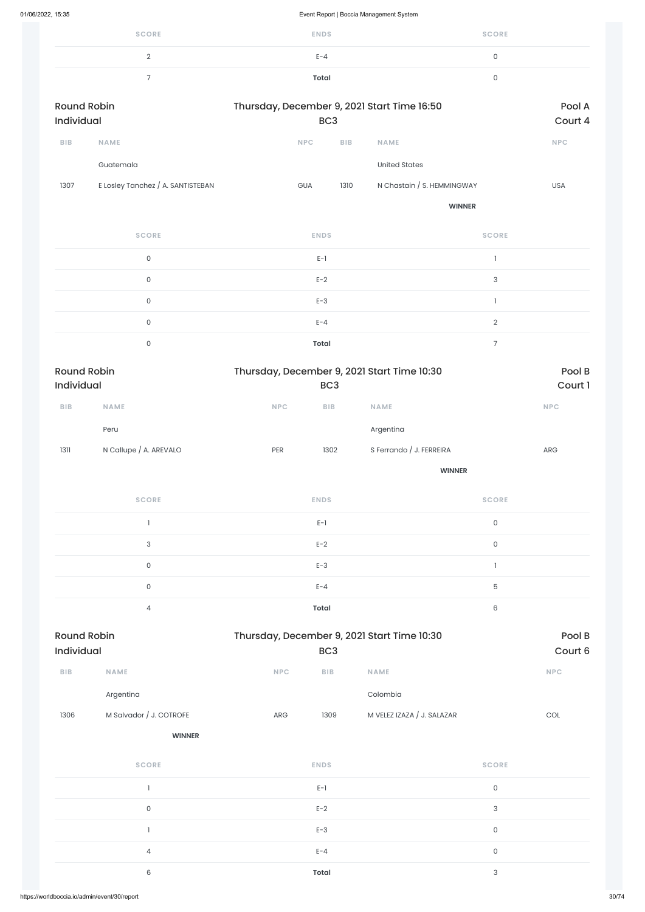| <b>SCORE</b>             | <b>ENDS</b> | <b>SCORE</b> |
|--------------------------|-------------|--------------|
|                          | $E - 4$     | u            |
| $\overline{\phantom{0}}$ | Total       |              |

| <b>Round Robin</b><br>Individual |                                   | Thursday, December 9, 2021 Start Time 16:50<br>BC <sub>3</sub> |            |                            | Pool A<br>Court 4 |
|----------------------------------|-----------------------------------|----------------------------------------------------------------|------------|----------------------------|-------------------|
| <b>BIB</b>                       | <b>NAME</b>                       | <b>NPC</b>                                                     | <b>BIB</b> | <b>NAME</b>                | <b>NPC</b>        |
|                                  | Guatemala                         |                                                                |            | United States              |                   |
| 1307                             | E Losley Tanchez / A. SANTISTEBAN | <b>GUA</b>                                                     | 1310       | N Chastain / S. HEMMINGWAY | <b>USA</b>        |
|                                  |                                   |                                                                |            | <b>WINNER</b>              |                   |

| <b>SCORE</b> | <b>ENDS</b>  | <b>SCORE</b> |
|--------------|--------------|--------------|
| $\Omega$     | $E-1$        |              |
| $\Omega$     | $E-2$        | 3            |
| $\mathbf{0}$ | $E-3$        |              |
| $\Omega$     | $E - 4$      | $\Omega$     |
| 0            | <b>Total</b> |              |

| <b>Round Robin</b><br><b>Individual</b> |                        |            | Thursday, December 9, 2021 Start Time 10:30<br>BC <sub>3</sub> |                          |            |
|-----------------------------------------|------------------------|------------|----------------------------------------------------------------|--------------------------|------------|
| <b>BIB</b>                              | <b>NAME</b>            | <b>NPC</b> | <b>BIB</b>                                                     | <b>NAME</b>              | <b>NPC</b> |
|                                         | Peru                   |            |                                                                | Argentina                |            |
| 1311                                    | N Callupe / A. AREVALO | <b>PER</b> | 1302                                                           | S Ferrando / J. FERREIRA | ARG        |

**WINNER**

| <b>SCORE</b>   | <b>ENDS</b>  | <b>SCORE</b> |
|----------------|--------------|--------------|
|                | $E-1$        | 0            |
| 3              | $E-2$        | 0            |
| 0              | $E-3$        |              |
| 0              | $E - 4$      | 5            |
| $\overline{4}$ | <b>Total</b> | 6            |

| Round Robin |             | Thursday, December 9, 2021 Start Time 10:30 | Pool B     |
|-------------|-------------|---------------------------------------------|------------|
| Individual  |             | BC <sub>3</sub>                             | Court 6    |
| <b>BIB</b>  | <b>NAME</b> | <b>NPC</b><br><b>NAME</b><br><b>BIB</b>     | <b>NPC</b> |

|      | Argentina               |     |              | Colombia                   |                           |     |
|------|-------------------------|-----|--------------|----------------------------|---------------------------|-----|
| 1306 | M Salvador / J. COTROFE | ARG | 1309         | M VELEZ IZAZA / J. SALAZAR |                           | COL |
|      | <b>WINNER</b>           |     |              |                            |                           |     |
|      | <b>SCORE</b>            |     | <b>ENDS</b>  |                            | <b>SCORE</b>              |     |
|      |                         |     | $E-1$        |                            | $\mathsf{O}$              |     |
|      | $\mathsf{O}$            |     | $E-2$        |                            | $\sqrt{3}$                |     |
|      |                         |     | $E-3$        |                            | $\mathsf{O}$              |     |
|      | $\overline{4}$          |     | $E - 4$      |                            | $\mathsf{O}$              |     |
|      | 6                       |     | <b>Total</b> |                            | $\ensuremath{\mathsf{3}}$ |     |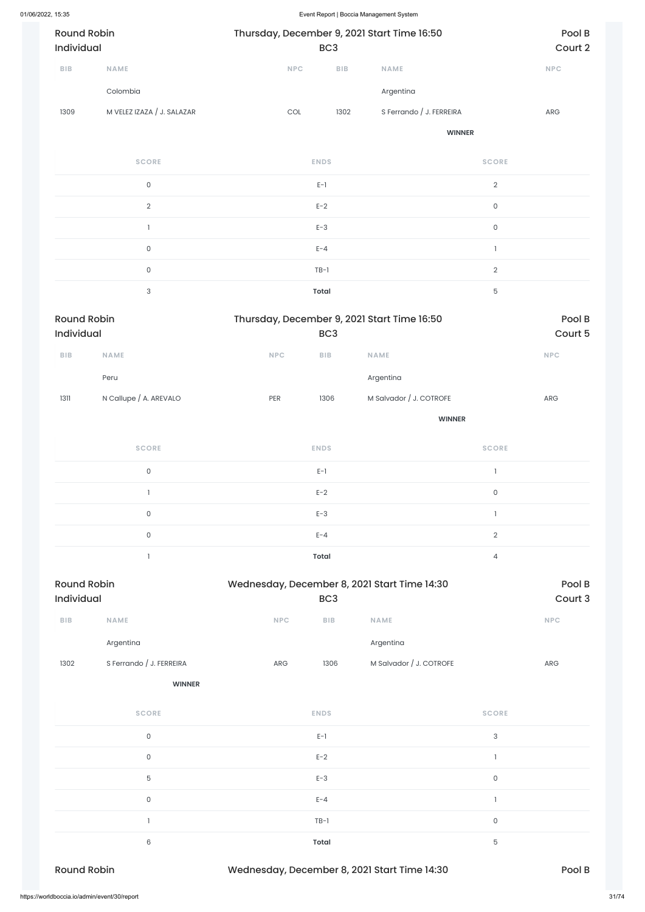| <b>Round Robin</b><br><b>Individual</b> |                            | Thursday, December 9, 2021 Start Time 16:50 | BC <sub>3</sub> |                          | Pool B<br>Court 2 |
|-----------------------------------------|----------------------------|---------------------------------------------|-----------------|--------------------------|-------------------|
| <b>BIB</b>                              | <b>NAME</b>                | <b>NPC</b>                                  | <b>BIB</b>      | <b>NAME</b>              | <b>NPC</b>        |
|                                         | Colombia                   |                                             |                 | Argentina                |                   |
| 1309                                    | M VELEZ IZAZA / J. SALAZAR | COL                                         | 1302            | S Ferrando / J. FERREIRA | ARG               |
|                                         |                            |                                             |                 | <b>WINNER</b>            |                   |
|                                         | <b>SCORE</b>               |                                             | <b>ENDS</b>     |                          | <b>SCORE</b>      |

| 0              | $E-1$        | $\overline{2}$ |
|----------------|--------------|----------------|
| $\overline{2}$ | $E-2$        | 0              |
|                | $E-3$        | 0              |
| 0              | $E - 4$      |                |
| $\cap$         | $TB-1$       | $\Omega$       |
| 3              | <b>Total</b> | 5              |

| <b>Round Robin</b><br>Individual |                        |            | Thursday, December 9, 2021 Start Time 16:50<br>BC <sub>3</sub> |                         |                          | Pool B                      |
|----------------------------------|------------------------|------------|----------------------------------------------------------------|-------------------------|--------------------------|-----------------------------|
|                                  |                        |            |                                                                |                         |                          | Court 5                     |
| BIB                              | NAME                   | <b>NPC</b> | ${\sf B}{\sf I}{\sf B}$                                        | <b>NAME</b>             |                          | $\ensuremath{\mathsf{NPC}}$ |
|                                  | Peru                   |            |                                                                | Argentina               |                          |                             |
| 1311                             | N Callupe / A. AREVALO | PER        | 1306                                                           | M Salvador / J. COTROFE |                          | ${\sf ARG}$                 |
|                                  |                        |            |                                                                | <b>WINNER</b>           |                          |                             |
|                                  | <b>SCORE</b>           |            | <b>ENDS</b>                                                    |                         | <b>SCORE</b>             |                             |
|                                  | $\mathsf{O}\xspace$    |            | $E-1$                                                          |                         | $\overline{\phantom{a}}$ |                             |
|                                  |                        |            | $E-2$                                                          |                         | $\mathsf{O}\xspace$      |                             |
|                                  | $\mathsf{O}\xspace$    |            | $E-3$                                                          |                         | $\mathbf{I}$             |                             |
|                                  | $\mathsf{O}\xspace$    |            | $E - 4$                                                        |                         | $\sqrt{2}$               |                             |
|                                  |                        |            | <b>Total</b>                                                   |                         | $\overline{4}$           |                             |

| <b>SCORE</b>                                 | <b>ENDS</b>                                  | <b>SCORE</b> |       |
|----------------------------------------------|----------------------------------------------|--------------|-------|
| $\mathsf{O}\xspace$                          | $E-1$                                        | $\mathbf{3}$ |       |
| $\mathsf{O}\xspace$                          | $E-2$                                        |              |       |
| $\mathbf 5$                                  | $E-3$                                        | $\mathsf O$  |       |
| $\mathsf{O}\xspace$                          | $E - 4$                                      |              |       |
|                                              | $TB-1$                                       | $\mathsf O$  |       |
| 6                                            | <b>Total</b>                                 | $\mathbf 5$  |       |
| <b>Round Robin</b>                           | Wednesday, December 8, 2021 Start Time 14:30 | Pool B       |       |
| https://worldboccia.io/admin/event/30/report |                                              |              | 31/74 |

| <b>Round Robin</b><br><b>Individual</b> |                          | Wednesday, December 8, 2021 Start Time 14:30<br>BC <sub>3</sub> |            |                         | Pool B<br>Court 3 |
|-----------------------------------------|--------------------------|-----------------------------------------------------------------|------------|-------------------------|-------------------|
| <b>BIB</b>                              | <b>NAME</b>              | <b>NPC</b>                                                      | <b>BIB</b> | <b>NAME</b>             | <b>NPC</b>        |
|                                         | Argentina                |                                                                 |            | Argentina               |                   |
| 1302                                    | S Ferrando / J. FERREIRA | <b>ARG</b>                                                      | 1306       | M Salvador / J. COTROFE | <b>ARG</b>        |

**WINNER**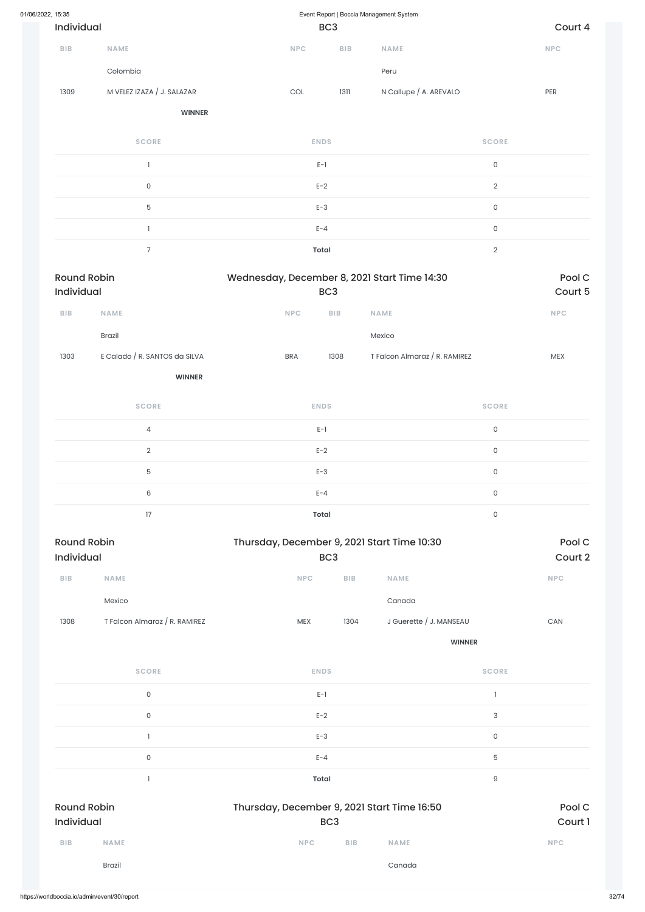| 01/06/2022, 15:35                |                               | Event Report   Boccia Management System                        |                         |                               |                     |                   |
|----------------------------------|-------------------------------|----------------------------------------------------------------|-------------------------|-------------------------------|---------------------|-------------------|
| Individual                       |                               |                                                                | BC <sub>3</sub>         |                               |                     | Court 4           |
| BIB                              | <b>NAME</b>                   | NPC                                                            | ${\sf B}{\sf I}{\sf B}$ | <b>NAME</b>                   |                     | NPC               |
|                                  | Colombia                      |                                                                |                         | Peru                          |                     |                   |
| 1309                             | M VELEZ IZAZA / J. SALAZAR    | $\mathop{\rm COL}\nolimits$                                    | 1311                    | N Callupe / A. AREVALO        |                     | PER               |
|                                  | <b>WINNER</b>                 |                                                                |                         |                               |                     |                   |
|                                  | <b>SCORE</b>                  |                                                                | <b>ENDS</b>             |                               | <b>SCORE</b>        |                   |
|                                  | $\mathbf{1}$                  |                                                                | $E-1$                   |                               | $\mathsf{O}\xspace$ |                   |
|                                  | $\mathsf{O}\xspace$           |                                                                | $E-2$                   |                               | $\overline{2}$      |                   |
|                                  | $\overline{5}$                | $E-3$                                                          | $\mathsf{O}\xspace$     |                               |                     |                   |
|                                  | 1                             |                                                                | $E - 4$                 |                               | $\mathsf{O}\xspace$ |                   |
|                                  | $\overline{7}$                |                                                                | <b>Total</b>            |                               | $\mathbf{2}$        |                   |
| <b>Round Robin</b><br>Individual |                               | Wednesday, December 8, 2021 Start Time 14:30                   | BC <sub>3</sub>         |                               |                     | Pool C<br>Court 5 |
| <b>BIB</b>                       | <b>NAME</b>                   | NPC                                                            | <b>BIB</b>              | NAME                          |                     | NPC               |
|                                  | Brazil                        |                                                                |                         | Mexico                        |                     |                   |
| 1303                             | E Calado / R. SANTOS da SILVA | <b>BRA</b>                                                     | 1308                    | T Falcon Almaraz / R. RAMIREZ |                     | <b>MEX</b>        |
|                                  | <b>WINNER</b>                 |                                                                |                         |                               |                     |                   |
|                                  | <b>SCORE</b>                  |                                                                | <b>ENDS</b>             |                               | <b>SCORE</b>        |                   |
|                                  | $\overline{4}$                |                                                                | $E-1$                   |                               | $\mathsf{O}\xspace$ |                   |
|                                  | $\sqrt{2}$                    |                                                                | $E-2$                   |                               | $\mathsf{O}\xspace$ |                   |
|                                  | $\overline{5}$                |                                                                | $E-3$                   |                               | $\mathsf{O}\xspace$ |                   |
|                                  | $\,6\,$                       |                                                                | $E - 4$                 |                               | $\mathsf{O}\xspace$ |                   |
|                                  | 17                            |                                                                | <b>Total</b>            |                               | $\mathsf{O}\xspace$ |                   |
| <b>Round Robin</b><br>Individual |                               | Thursday, December 9, 2021 Start Time 10:30<br>BC <sub>3</sub> | Pool C<br>Court 2       |                               |                     |                   |
| BIB                              | NAME                          | $\ensuremath{\mathsf{NPC}}$                                    | BIB                     | <b>NAME</b>                   |                     | <b>NPC</b>        |
|                                  | Mexico                        |                                                                |                         | Canada                        |                     |                   |
| 1308                             | T Falcon Almaraz / R. RAMIREZ | MEX                                                            | 1304                    | J Guerette / J. MANSEAU       |                     | CAN               |
|                                  |                               |                                                                |                         |                               | <b>WINNER</b>       |                   |

**SCORE ENDS SCORE**

|                     |                                  |  | $E-1$ |                                             |             |                           |             |  |            |
|---------------------|----------------------------------|--|-------|---------------------------------------------|-------------|---------------------------|-------------|--|------------|
| $\mathsf{O}\xspace$ |                                  |  |       |                                             | $E-2$       | $\ensuremath{\mathsf{3}}$ |             |  |            |
|                     |                                  |  |       |                                             | $E-3$       | $\mathsf{O}\xspace$       |             |  |            |
| $\mathsf{O}\xspace$ |                                  |  |       |                                             | $\mathbf 5$ |                           |             |  |            |
|                     |                                  |  |       |                                             | $\hbox{9}$  |                           |             |  |            |
|                     | <b>Round Robin</b><br>Individual |  |       | Thursday, December 9, 2021 Start Time 16:50 |             | Pool C<br>Court 1         |             |  |            |
| <b>BIB</b>          | <b>NAME</b>                      |  |       |                                             | <b>NPC</b>  | <b>BIB</b>                | <b>NAME</b> |  | <b>NPC</b> |
|                     | Brazil                           |  |       |                                             |             |                           | Canada      |  |            |
|                     |                                  |  |       |                                             |             |                           |             |  |            |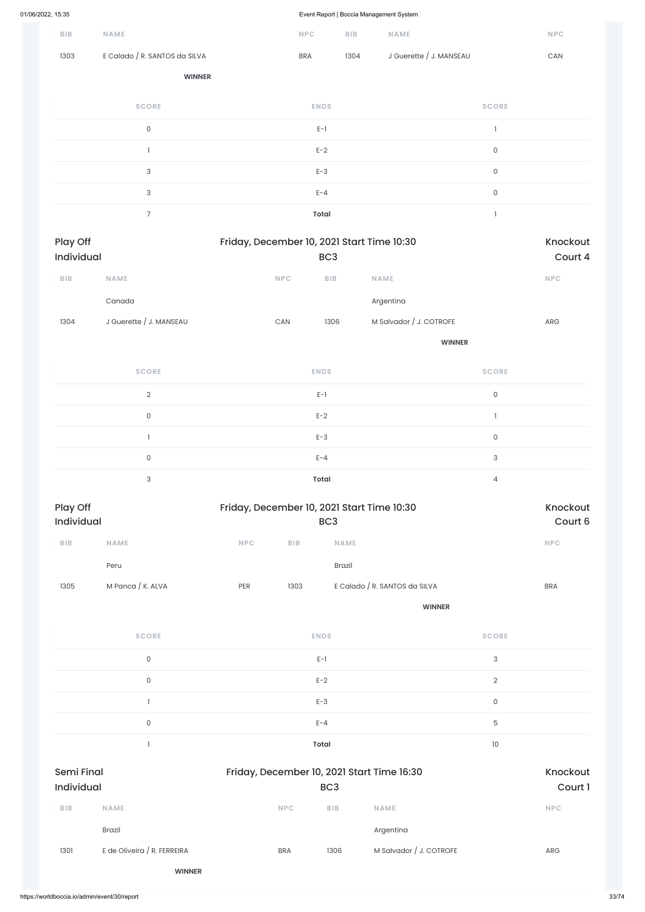|                         |                               |     |                                            |                         | ◡                             |                           |                             |
|-------------------------|-------------------------------|-----|--------------------------------------------|-------------------------|-------------------------------|---------------------------|-----------------------------|
| ${\sf B}{\sf I}{\sf B}$ | NAME                          |     | $\ensuremath{\mathsf{NPC}}$                | ${\sf B}{\sf I}{\sf B}$ | NAME                          |                           | NPC                         |
| 1303                    | E Calado / R. SANTOS da SILVA |     | <b>BRA</b>                                 | 1304                    | J Guerette / J. MANSEAU       |                           | CAN                         |
|                         | <b>WINNER</b>                 |     |                                            |                         |                               |                           |                             |
|                         | <b>SCORE</b>                  |     |                                            | <b>ENDS</b>             |                               | <b>SCORE</b>              |                             |
|                         | $\mathsf{O}\xspace$           |     |                                            | $E-1$                   |                               | $\mathbf{I}$              |                             |
|                         | $\mathbf{l}$                  |     |                                            | $E-2$                   |                               | $\mathsf{O}\xspace$       |                             |
|                         | $\sqrt{3}$                    |     |                                            | $E-3$                   |                               | $\mathsf{O}\xspace$       |                             |
|                         | $\ensuremath{\mathsf{3}}$     |     |                                            | $E - 4$                 |                               | $\mathsf{O}\xspace$       |                             |
|                         | $\overline{7}$                |     |                                            | <b>Total</b>            |                               | $\mathbf{I}$              |                             |
| Play Off<br>Individual  |                               |     | Friday, December 10, 2021 Start Time 10:30 | BC <sub>3</sub>         |                               |                           | Knockout<br>Court 4         |
| ${\sf B}{\sf I}{\sf B}$ | NAME                          |     | NPC                                        | ${\sf B}{\sf I}{\sf B}$ | NAME                          |                           | <b>NPC</b>                  |
|                         | Canada                        |     |                                            |                         | Argentina                     |                           |                             |
| 1304                    | J Guerette / J. MANSEAU       |     | CAN                                        | 1306                    | M Salvador / J. COTROFE       |                           | ${\sf ARG}$                 |
|                         |                               |     |                                            |                         |                               | <b>WINNER</b>             |                             |
|                         | <b>SCORE</b>                  |     |                                            | <b>ENDS</b>             |                               | <b>SCORE</b>              |                             |
|                         | $\sqrt{2}$                    |     |                                            | $E-1$                   |                               | $\mathsf{O}\xspace$       |                             |
|                         | $\mathsf{O}\xspace$           |     |                                            | $E-2$                   |                               | $\mathbf{I}$              |                             |
|                         | $\mathbf{I}$                  |     |                                            | $E-3$                   |                               | $\mathsf{O}\xspace$       |                             |
|                         | $\mathsf{O}\xspace$           |     |                                            | $E - 4$                 |                               | $\ensuremath{\mathsf{3}}$ |                             |
|                         | $\ensuremath{\mathsf{3}}$     |     |                                            | <b>Total</b>            |                               | $\overline{4}$            |                             |
| Play Off<br>Individual  |                               |     | Friday, December 10, 2021 Start Time 10:30 | BC <sub>3</sub>         |                               |                           | Knockout<br>Court 6         |
| ${\sf B}{\sf I}{\sf B}$ | <b>NAME</b>                   | NPC | ${\sf BIB}$                                | NAME                    |                               |                           | $\ensuremath{\mathsf{NPC}}$ |
|                         | Peru                          |     |                                            | Brazil                  |                               |                           |                             |
| 1305                    | M Panca / K. ALVA             | PER | 1303                                       |                         | E Calado / R. SANTOS da SILVA |                           | <b>BRA</b>                  |
|                         |                               |     |                                            |                         | <b>WINNER</b>                 |                           |                             |
|                         | <b>SCORE</b>                  |     |                                            | <b>ENDS</b>             |                               | <b>SCORE</b>              |                             |
|                         | $\mathsf{O}\xspace$           |     |                                            | $E-1$                   |                               | $\ensuremath{\mathsf{3}}$ |                             |

0 between the contract  $E-2$  and  $E-2$  and  $E-2$  and  $E-2$  and  $E-2$  and  $E-2$  and  $E-2$ 

|                   |                             |            | $E-3$                                                         |                         |                |            |  |
|-------------------|-----------------------------|------------|---------------------------------------------------------------|-------------------------|----------------|------------|--|
|                   | $\mathsf{O}\xspace$         |            | $E - 4$                                                       |                         | $\overline{5}$ |            |  |
|                   |                             |            | Total                                                         |                         | 10             |            |  |
| <b>Semi Final</b> |                             |            | Friday, December 10, 2021 Start Time 16:30<br>BC <sub>3</sub> |                         |                |            |  |
| Individual        |                             |            |                                                               |                         |                |            |  |
| <b>BIB</b>        | <b>NAME</b>                 | <b>NPC</b> | <b>BIB</b>                                                    | <b>NAME</b>             |                | <b>NPC</b> |  |
|                   | <b>Brazil</b>               |            |                                                               | Argentina               |                |            |  |
| 1301              | E de Oliveira / R. FERREIRA | <b>BRA</b> | 1306                                                          | M Salvador / J. COTROFE |                | ARG        |  |
|                   | <b>WINNER</b>               |            |                                                               |                         |                |            |  |
|                   |                             |            |                                                               |                         |                |            |  |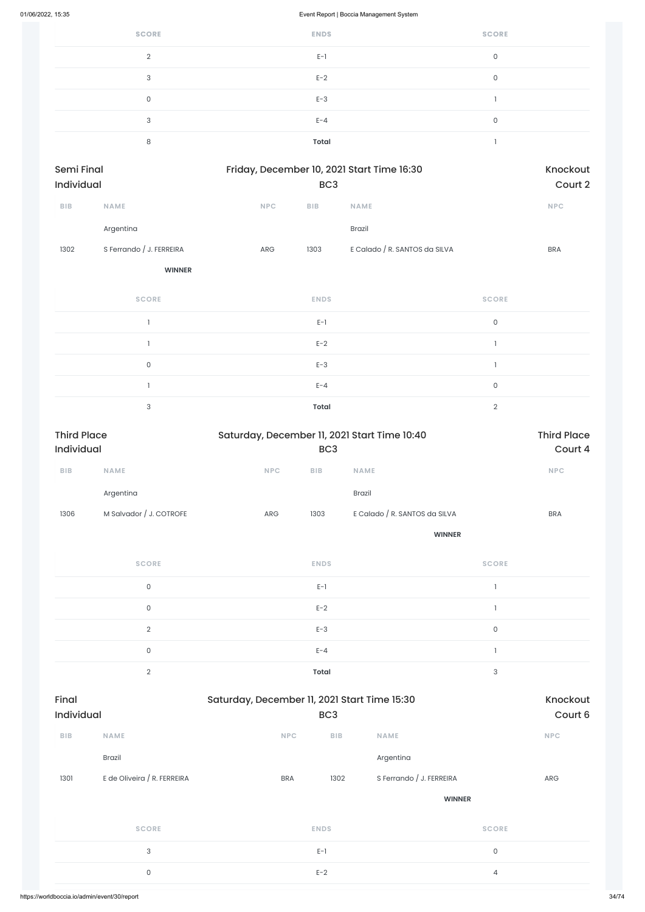| <b>SCORE</b>     | <b>ENDS</b>  | <b>SCORE</b> |
|------------------|--------------|--------------|
| $\cap$           | $E-1$        | 0            |
| 3                | $E-2$        | 0            |
| 0                | $E-3$        |              |
| $\sqrt{2}$<br>۰J | $E - 4$      | 0            |
| 8                | <b>Total</b> |              |

| <b>Semi Final</b><br><b>Individual</b> |             |            | Friday, December 10, 2021 Start Time 16:30<br>BC <sub>3</sub> |                               |            |  |  |  |
|----------------------------------------|-------------|------------|---------------------------------------------------------------|-------------------------------|------------|--|--|--|
| <b>BIB</b>                             | <b>NAME</b> | <b>NPC</b> | <b>BIB</b>                                                    | <b>NAME</b>                   | <b>NPC</b> |  |  |  |
|                                        | Argentina   |            |                                                               | <b>Brazil</b>                 |            |  |  |  |
| S Ferrando / J. FERREIRA<br>1302       |             | <b>ARG</b> | 1303                                                          | E Calado / R. SANTOS da SILVA | <b>BRA</b> |  |  |  |

**WINNER**

| <b>SCORE</b> | <b>ENDS</b>  | <b>SCORE</b> |
|--------------|--------------|--------------|
|              | $E-1$        | $\Omega$     |
|              | $E-2$        |              |
| 0            | $E-3$        |              |
|              | $E - 4$      | $\Omega$     |
| 3            | <b>Total</b> | $\cap$       |

| <b>Third Place</b><br>Individual |                         | Saturday, December 11, 2021 Start Time 10:40 | <b>Third Place</b><br>Court 4 |                               |                                       |            |
|----------------------------------|-------------------------|----------------------------------------------|-------------------------------|-------------------------------|---------------------------------------|------------|
| <b>BIB</b>                       | <b>NAME</b>             | NPC                                          | <b>BIB</b>                    | <b>NAME</b>                   |                                       | <b>NPC</b> |
|                                  | Argentina               |                                              |                               | Brazil                        |                                       |            |
| 1306                             | M Salvador / J. COTROFE | ARG                                          | 1303                          | E Calado / R. SANTOS da SILVA |                                       | <b>BRA</b> |
|                                  |                         |                                              |                               | <b>WINNER</b>                 |                                       |            |
|                                  | <b>SCORE</b>            |                                              | <b>ENDS</b>                   |                               | <b>SCORE</b>                          |            |
|                                  | $\mathsf{O}$            |                                              | $E-1$                         |                               | $\mathbf{I}$                          |            |
|                                  | $\mathsf{O}\xspace$     |                                              | $E-2$                         |                               | $\mathbf{1}$                          |            |
|                                  | $\overline{2}$          |                                              | $E-3$                         |                               | $\mathsf O$                           |            |
|                                  | $\mathsf{O}$            |                                              | $E - 4$                       |                               | $\begin{array}{c} \hline \end{array}$ |            |
|                                  | $\overline{2}$          |                                              | <b>Total</b>                  |                               | $\ensuremath{\mathsf{3}}$             |            |

| Final<br>Individual |                             | Saturday, December 11, 2021 Start Time 15:30 | Knockout<br>Court 6 |                          |              |
|---------------------|-----------------------------|----------------------------------------------|---------------------|--------------------------|--------------|
| <b>BIB</b>          | <b>NAME</b>                 | <b>NPC</b>                                   | BIB                 | <b>NAME</b>              | <b>NPC</b>   |
|                     | <b>Brazil</b>               |                                              |                     | Argentina                |              |
| 1301                | E de Oliveira / R. FERREIRA | <b>BRA</b>                                   | 1302                | S Ferrando / J. FERREIRA | ARG          |
|                     |                             |                                              |                     | <b>WINNER</b>            |              |
| <b>SCORE</b>        |                             |                                              | <b>ENDS</b>         |                          | <b>SCORE</b> |
|                     | $\ensuremath{\mathsf{3}}$   |                                              | $E-1$               |                          | $\mathsf{O}$ |
| $\mathsf O$         |                             |                                              | $E-2$               |                          | 4            |
|                     |                             |                                              |                     |                          |              |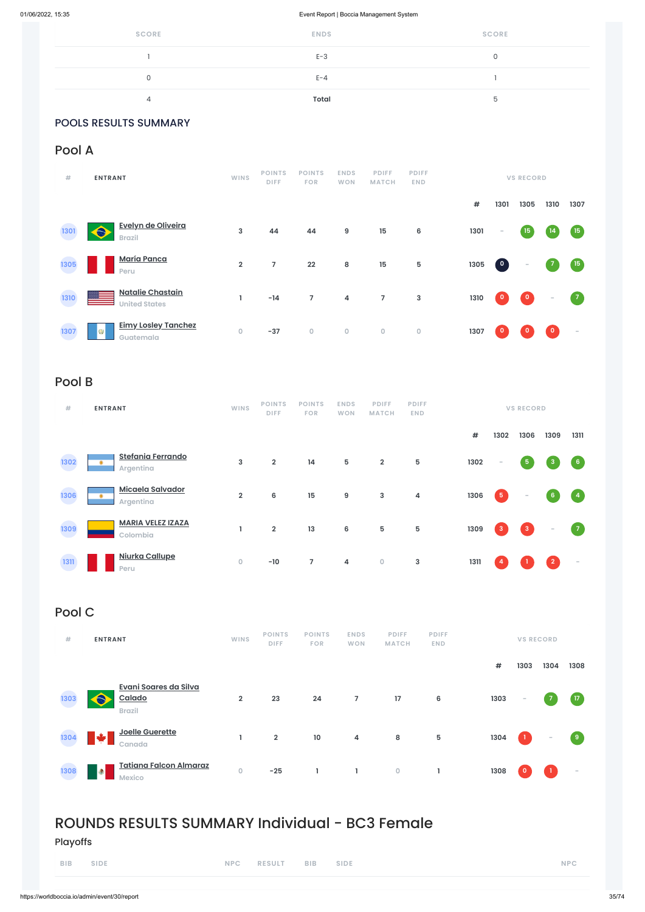| <b>SCORE</b> | <b>ENDS</b>  | <b>SCORE</b> |
|--------------|--------------|--------------|
|              | $E-3$        |              |
| 0            | $E - 4$      |              |
| 4            | <b>Total</b> | n            |

# POOLS RESULTS SUMMARY

# Pool A

| #    | <b>ENTRANT</b>                                       | <b>WINS</b>    | <b>POINTS</b><br><b>DIFF</b> | <b>POINTS</b><br><b>FOR</b> | <b>ENDS</b><br><b>WON</b> | <b>PDIFF</b><br><b>MATCH</b> | <b>PDIFF</b><br><b>END</b> |      | <b>VS RECORD</b>                  |                         |                 |             |
|------|------------------------------------------------------|----------------|------------------------------|-----------------------------|---------------------------|------------------------------|----------------------------|------|-----------------------------------|-------------------------|-----------------|-------------|
|      |                                                      |                |                              |                             |                           |                              |                            | $\#$ | 1301                              | 1305                    | 1310            | 1307        |
| 1301 | Evelyn de Oliveira<br><b>Brazil</b>                  | 3              | 44                           | 44                          | $\boldsymbol{9}$          | 15                           | 6                          | 1301 | $\sim$                            | 15                      | $\overline{14}$ | (15)        |
| 1305 | <b>María Panca</b><br>Peru                           | $\overline{2}$ | 7                            | 22                          | 8                         | 15                           | $\mathbf 5$                | 1305 | $\begin{pmatrix} 0 \end{pmatrix}$ | $\sim$                  | $\overline{7}$  | $\sqrt{15}$ |
| 1310 | <b>Natalie Chastain</b><br><b>United States</b>      |                | $-14$                        | $\overline{7}$              | 4                         | $\overline{7}$               | 3                          | 1310 | $\mathbf{0}$                      | $\overline{\mathbf{0}}$ | $\sim$          | $\sqrt{7}$  |
| 1307 | <b>Eimy Losley Tanchez</b><br><b>CD</b><br>Guatemala | $\circ$        | $-37$                        | $\mathbf 0$                 | $\mathbf 0$               | $\circ$                      | $\mathsf{O}\xspace$        | 1307 | $\mathbf 0$                       | $\mathbf 0$             | $\circ$         | $\sim$      |

# Pool B

| #    | <b>ENTRANT</b>                             | <b>WINS</b>         | <b>POINTS</b><br><b>DIFF</b> | <b>POINTS</b><br><b>FOR</b> | <b>ENDS</b><br><b>WON</b> | <b>PDIFF</b><br><b>MATCH</b> | <b>PDIFF</b><br><b>END</b> |      |                | <b>VS RECORD</b>                                      |                 |                          |
|------|--------------------------------------------|---------------------|------------------------------|-----------------------------|---------------------------|------------------------------|----------------------------|------|----------------|-------------------------------------------------------|-----------------|--------------------------|
|      |                                            |                     |                              |                             |                           |                              |                            | #    | 1302           | 1306                                                  | 1309            | 1311                     |
| 1302 | <b>Stefania Ferrando</b><br>۰<br>Argentina | 3                   | $\overline{2}$               | 14                          | 5                         | $\overline{2}$               | 5                          | 1302 | $\sim$         | $\overline{\mathbf{5}}$                               | $\mathbf{3}$    | $6 \frac{1}{2}$          |
| 1306 | <b>Micaela Salvador</b><br>۰<br>Argentina  | $\overline{2}$      | 6                            | 15                          | 9                         | 3                            | 4                          | 1306 | $\sqrt{5}$     | $\sim$                                                | $6\overline{6}$ | $\lceil 4 \rceil$        |
| 1309 | <b>MARIA VELEZ IZAZA</b><br>Colombia       |                     | $\overline{\mathbf{2}}$      | 13                          | 6                         | $5\phantom{.0}$              | $5\phantom{.0}$            | 1309 | $\overline{3}$ | $\begin{array}{ c c } \hline 3 \\ \hline \end{array}$ | $\sim$          | $\sqrt{7}$               |
| 1311 | Niurka Callupe<br>Peru                     | $\mathsf{O}\xspace$ | $-10$                        | $\overline{7}$              | 4                         | $\bullet$                    | $\mathbf{3}$               | 1311 | $\overline{a}$ |                                                       | $\overline{2}$  | $\overline{\phantom{a}}$ |

# Pool C

| POINTS POINTS ENDS PDIFF PDIFF<br>WINS<br>#<br><b>VS RECORD</b><br><b>ENTRANT</b><br><b>DIFF</b><br><b>FOR</b><br>WON MATCH<br>END |  |
|------------------------------------------------------------------------------------------------------------------------------------|--|
|------------------------------------------------------------------------------------------------------------------------------------|--|



# ROUNDS RESULTS SUMMARY Individual - BC3 Female

Playoffs

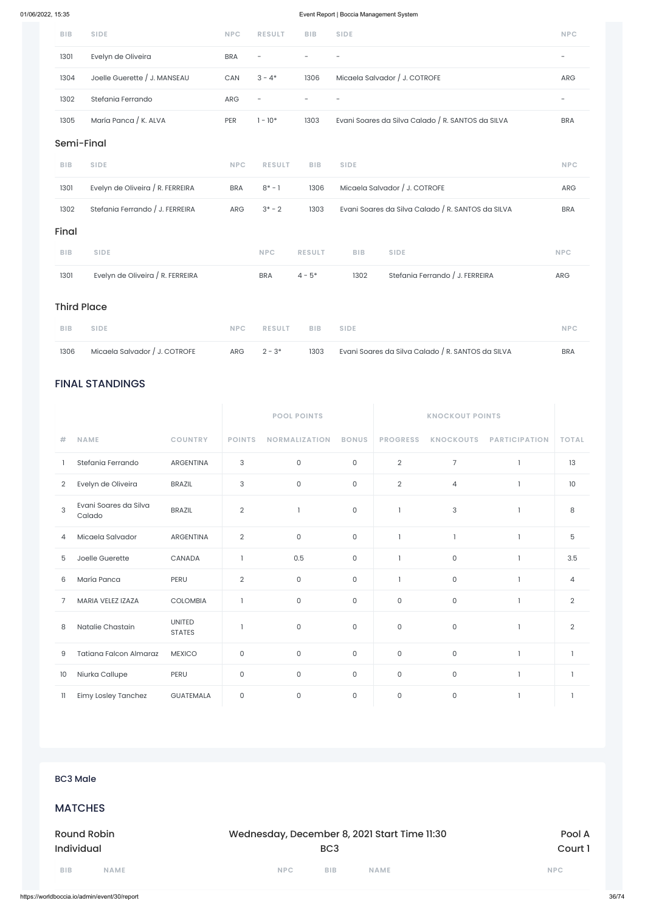# FINAL STANDINGS

|                |                                 |                                | <b>POOL POINTS</b><br><b>KNOCKOUT POINTS</b> |                      |              |                 |                  |                      |                |
|----------------|---------------------------------|--------------------------------|----------------------------------------------|----------------------|--------------|-----------------|------------------|----------------------|----------------|
| #              | <b>NAME</b>                     | <b>COUNTRY</b>                 | <b>POINTS</b>                                | <b>NORMALIZATION</b> | <b>BONUS</b> | <b>PROGRESS</b> | <b>KNOCKOUTS</b> | <b>PARTICIPATION</b> | <b>TOTAL</b>   |
|                | Stefania Ferrando               | <b>ARGENTINA</b>               | 3                                            | $\mathsf{O}\xspace$  | $\mathsf O$  | $\overline{2}$  | $\overline{7}$   | $\mathbf{1}$         | 13             |
| $\overline{2}$ | Evelyn de Oliveira              | <b>BRAZIL</b>                  | 3                                            | $\mathsf{O}\xspace$  | $\mathbf 0$  | $\overline{2}$  | $\overline{4}$   | ı                    | 10             |
| 3              | Evani Soares da Silva<br>Calado | <b>BRAZIL</b>                  | $\overline{2}$                               | $\mathbf{1}$         | $\mathsf O$  | L               | 3                | $\mathbf{1}$         | 8              |
| 4              | Micaela Salvador                | <b>ARGENTINA</b>               | $\overline{2}$                               | $\mathsf{O}\xspace$  | $\mathsf{O}$ |                 | $\overline{1}$   | $\mathbf{1}$         | 5              |
| 5              | Joelle Guerette                 | CANADA                         |                                              | 0.5                  | $\mathsf{O}$ | $\mathbf{I}$    | $\mathsf O$      | $\mathbf{1}$         | 3.5            |
| 6              | María Panca                     | PERU                           | $\overline{2}$                               | $\mathsf{O}\xspace$  | $\mathsf{O}$ |                 | $\mathsf O$      | 1                    | $\overline{4}$ |
| 7              | MARIA VELEZ IZAZA               | <b>COLOMBIA</b>                |                                              | 0                    | $\mathbf 0$  | 0               | $\mathsf{O}$     | $\mathbf{1}$         | $\overline{2}$ |
| 8              | Natalie Chastain                | <b>UNITED</b><br><b>STATES</b> |                                              | $\mathsf O$          | $\mathsf O$  | 0               | $\mathsf O$      | $\mathbf{1}$         | $\overline{2}$ |
| 9              | <b>Tatiana Falcon Almaraz</b>   | <b>MEXICO</b>                  | $\mathsf O$                                  | $\mathsf{O}\xspace$  | $\mathsf{O}$ | 0               | $\mathsf{O}$     | $\mathbf{1}$         | $\mathbf{I}$   |
| 10             | Niurka Callupe                  | PERU                           | 0                                            | $\mathsf{O}$         | $\mathbf 0$  | 0               | $\mathsf O$      | $\mathbf{1}$         |                |

| <b>BIB</b>         | <b>SIDE</b>                      | <b>NPC</b> | <b>RESULT</b>            | <b>BIB</b>               | <b>SIDE</b> |                                                   | <b>NPC</b>               |
|--------------------|----------------------------------|------------|--------------------------|--------------------------|-------------|---------------------------------------------------|--------------------------|
| 1301               | Evelyn de Oliveira               | <b>BRA</b> | $\overline{\phantom{0}}$ | $\overline{\phantom{0}}$ |             |                                                   | $\overline{\phantom{a}}$ |
| 1304               | Joelle Guerette / J. MANSEAU     | CAN        | $3 - 4*$                 | 1306                     |             | Micaela Salvador / J. COTROFE                     | <b>ARG</b>               |
| 1302               | Stefania Ferrando                | ARG        | $\overline{\phantom{0}}$ | $\overline{\phantom{0}}$ |             |                                                   | $\overline{\phantom{a}}$ |
| 1305               | María Panca / K. ALVA            | PER        | $1 - 10*$                | 1303                     |             | Evani Soares da Silva Calado / R. SANTOS da SILVA | <b>BRA</b>               |
| Semi-Final         |                                  |            |                          |                          |             |                                                   |                          |
| <b>BIB</b>         | <b>SIDE</b>                      | <b>NPC</b> | <b>RESULT</b>            | <b>BIB</b>               | <b>SIDE</b> |                                                   | <b>NPC</b>               |
| 1301               | Evelyn de Oliveira / R. FERREIRA | <b>BRA</b> | $8^* - 1$                | 1306                     |             | Micaela Salvador / J. COTROFE                     | <b>ARG</b>               |
| 1302               | Stefania Ferrando / J. FERREIRA  | ARG        | $3* - 2$                 | 1303                     |             | Evani Soares da Silva Calado / R. SANTOS da SILVA | <b>BRA</b>               |
| Final              |                                  |            |                          |                          |             |                                                   |                          |
| <b>BIB</b>         | <b>SIDE</b>                      |            | <b>NPC</b>               | <b>RESULT</b>            | <b>BIB</b>  | <b>SIDE</b>                                       | <b>NPC</b>               |
| 1301               | Evelyn de Oliveira / R. FERREIRA |            | <b>BRA</b>               | $4 - 5*$                 | 1302        | Stefania Ferrando / J. FERREIRA                   | ARG                      |
| <b>Third Place</b> |                                  |            |                          |                          |             |                                                   |                          |

| 11<br>Eimy Losley Tanchez | GUATEMALA | 0 | 0          | 0               | 0                                            | 0 |            |
|---------------------------|-----------|---|------------|-----------------|----------------------------------------------|---|------------|
|                           |           |   |            |                 |                                              |   |            |
|                           |           |   |            |                 |                                              |   |            |
|                           |           |   |            |                 |                                              |   |            |
|                           |           |   |            |                 |                                              |   |            |
| <b>BC3 Male</b>           |           |   |            |                 |                                              |   |            |
|                           |           |   |            |                 |                                              |   |            |
| <b>MATCHES</b>            |           |   |            |                 |                                              |   |            |
|                           |           |   |            |                 |                                              |   |            |
| <b>Round Robin</b>        |           |   |            |                 | Wednesday, December 8, 2021 Start Time 11:30 |   | Pool A     |
| <b>Individual</b>         |           |   |            | BC <sub>3</sub> |                                              |   | Court 1    |
| BIB<br><b>NAME</b>        |           |   | <b>NPC</b> | <b>BIB</b>      | <b>NAME</b>                                  |   | <b>NPC</b> |
|                           |           |   |            |                 |                                              |   |            |

| BIB SIDE |  | NPC RESULT BIB SIDE |  | <b>NPC</b> |
|----------|--|---------------------|--|------------|

| 1306 | Micaela Salvador / J. COTROFE | $ARG \qquad 2-3^*$ | 1303 Evani Soares da Silva Calado / R. SANTOS da SILVA | <b>BRA</b> |
|------|-------------------------------|--------------------|--------------------------------------------------------|------------|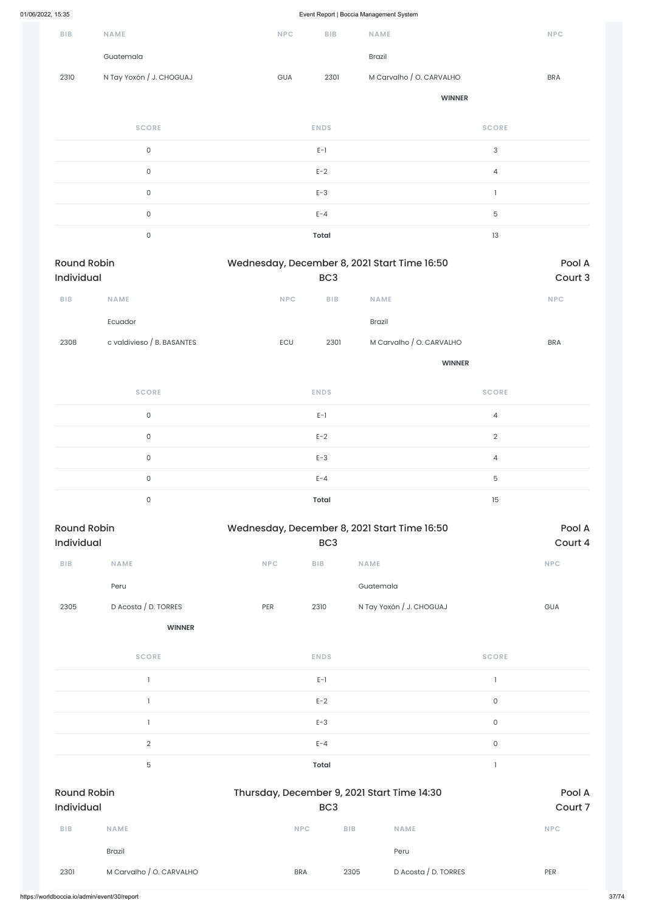|                         |                            |            |                 | ັ                                            |                           |            |
|-------------------------|----------------------------|------------|-----------------|----------------------------------------------|---------------------------|------------|
| BIB                     | <b>NAME</b>                | <b>NPC</b> | BIB             | <b>NAME</b>                                  |                           | NPC        |
|                         | Guatemala                  |            |                 | Brazil                                       |                           |            |
| 2310                    | N Tay Yoxón / J. CHOGUAJ   | <b>GUA</b> | 2301            | M Carvalho / O. CARVALHO                     |                           | <b>BRA</b> |
|                         |                            |            |                 |                                              | <b>WINNER</b>             |            |
|                         | <b>SCORE</b>               |            | <b>ENDS</b>     |                                              | <b>SCORE</b>              |            |
|                         | $\mathsf{O}$               |            | $E-1$           |                                              | $\ensuremath{\mathsf{3}}$ |            |
|                         | $\mathsf{O}$               |            | $E-2$           |                                              | $\overline{4}$            |            |
|                         | $\mathsf{O}$               |            | $E-3$           |                                              | $\mathbbm{1}$             |            |
|                         | $\mathsf{O}\xspace$        |            | $E - 4$         |                                              | $\mathbf 5$               |            |
|                         | $\mathsf{O}\xspace$        |            | <b>Total</b>    |                                              | 13                        |            |
| <b>Round Robin</b>      |                            |            |                 | Wednesday, December 8, 2021 Start Time 16:50 |                           | Pool A     |
| Individual              |                            |            | BC <sub>3</sub> |                                              |                           | Court 3    |
| BIB                     | NAME                       | <b>NPC</b> | BIB             | NAME                                         |                           | <b>NPC</b> |
|                         | Ecuador                    |            |                 | Brazil                                       |                           |            |
| 2308                    | c valdivieso / B. BASANTES | ECU        | 2301            | M Carvalho / O. CARVALHO                     |                           | <b>BRA</b> |
|                         |                            |            |                 |                                              | <b>WINNER</b>             |            |
|                         | <b>SCORE</b>               |            | <b>ENDS</b>     |                                              | <b>SCORE</b>              |            |
|                         | $\mathsf{O}$               |            | $E-1$           |                                              | $\overline{4}$            |            |
|                         | $\mathsf{O}$               |            | $E-2$           |                                              | $\sqrt{2}$                |            |
|                         | $\mathsf{O}\xspace$        |            | $E-3$           |                                              | $\overline{4}$            |            |
|                         | $\mathsf{O}$               |            | $E - 4$         |                                              | $\mathbf 5$               |            |
|                         | $\mathsf{O}\xspace$        |            | <b>Total</b>    |                                              | 15                        |            |
| <b>Round Robin</b>      |                            |            |                 | Wednesday, December 8, 2021 Start Time 16:50 |                           | Pool A     |
| Individual              |                            |            | BC <sub>3</sub> |                                              |                           | Court 4    |
| ${\sf B}{\sf I}{\sf B}$ | <b>NAME</b>                | NPC        | BIB             | NAME                                         |                           | <b>NPC</b> |
|                         | Peru                       |            |                 | Guatemala                                    |                           |            |
| 2305                    | D Acosta / D. TORRES       | PER        | 2310            | N Tay Yoxón / J. CHOGUAJ                     |                           | <b>GUA</b> |
|                         | <b>WINNER</b>              |            |                 |                                              |                           |            |
|                         | <b>SCORE</b>               |            | <b>ENDS</b>     |                                              | <b>SCORE</b>              |            |

1 decreases the contract of  $E-1$  and  $E-1$  and  $E-1$  and  $E-1$  and  $E-1$  and  $E-1$ 

|                                  |                          | $E-2$                                                          |            |                      | $\mathsf{O}\xspace$ |            |
|----------------------------------|--------------------------|----------------------------------------------------------------|------------|----------------------|---------------------|------------|
|                                  |                          | $E-3$                                                          |            |                      | $\mathsf{O}\xspace$ |            |
|                                  | $\overline{2}$           | $E - 4$                                                        |            |                      | $\mathsf{O}\xspace$ |            |
|                                  | $\mathbf 5$              | <b>Total</b>                                                   |            |                      |                     |            |
| <b>Round Robin</b><br>Individual |                          | Thursday, December 9, 2021 Start Time 14:30<br>BC <sub>3</sub> |            | Pool A<br>Court 7    |                     |            |
| <b>BIB</b>                       | <b>NAME</b>              | <b>NPC</b>                                                     | <b>BIB</b> | <b>NAME</b>          |                     | <b>NPC</b> |
|                                  | <b>Brazil</b>            |                                                                |            | Peru                 |                     |            |
| 2301                             | M Carvalho / O. CARVALHO | <b>BRA</b>                                                     | 2305       | D Acosta / D. TORRES |                     | PER        |
|                                  |                          |                                                                |            |                      |                     |            |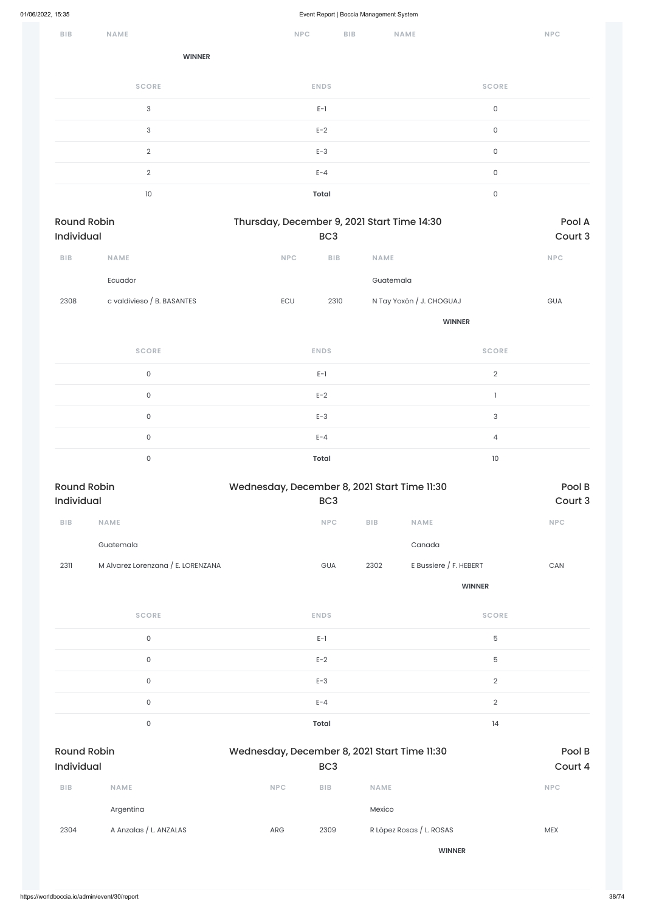| $B$   $B$                        | <b>NAME</b>                        | <b>NPC</b>                                   | <b>BIB</b>      |             | <b>NAME</b>              |                           | <b>NPC</b>                  |
|----------------------------------|------------------------------------|----------------------------------------------|-----------------|-------------|--------------------------|---------------------------|-----------------------------|
|                                  | <b>WINNER</b>                      |                                              |                 |             |                          |                           |                             |
|                                  | <b>SCORE</b>                       | <b>ENDS</b>                                  |                 |             |                          | <b>SCORE</b>              |                             |
|                                  | $\sqrt{3}$                         | $E-1$                                        |                 |             |                          | $\mathsf{O}\xspace$       |                             |
|                                  | $\sqrt{3}$                         | $E-2$                                        |                 |             |                          | $\mathsf{O}$              |                             |
|                                  | $\sqrt{2}$                         | $E-3$                                        |                 |             |                          | $\mathsf{O}$              |                             |
|                                  | $\sqrt{2}$                         | $E - 4$                                      |                 |             |                          | $\mathsf{O}$              |                             |
|                                  | 10                                 | <b>Total</b>                                 |                 |             |                          | $\mathsf{O}$              |                             |
| <b>Round Robin</b><br>Individual |                                    | Thursday, December 9, 2021 Start Time 14:30  | BC <sub>3</sub> |             |                          |                           | Pool A<br>Court 3           |
| $B$   $B$                        | NAME                               | <b>NPC</b>                                   | BIB             | <b>NAME</b> |                          |                           | <b>NPC</b>                  |
|                                  | Ecuador                            |                                              |                 | Guatemala   |                          |                           |                             |
| 2308                             | c valdivieso / B. BASANTES         | ECU                                          | 2310            |             | N Tay Yoxón / J. CHOGUAJ |                           | GUA                         |
|                                  |                                    |                                              |                 |             | <b>WINNER</b>            |                           |                             |
|                                  | <b>SCORE</b>                       | <b>ENDS</b>                                  |                 |             |                          | <b>SCORE</b>              |                             |
|                                  | $\mathsf{O}\xspace$                | $E-1$                                        |                 |             |                          | $\sqrt{2}$                |                             |
|                                  | $\mathsf{O}\xspace$                | $E-2$                                        |                 |             |                          | $\mathbf{I}$              |                             |
|                                  | $\mathsf{O}\xspace$                | $E-3$                                        |                 |             |                          | $\ensuremath{\mathsf{3}}$ |                             |
|                                  | $\mathsf{O}\xspace$                | $E - 4$                                      |                 |             |                          | $\overline{4}$            |                             |
|                                  | $\mathsf{O}\xspace$                | <b>Total</b>                                 |                 |             |                          | $10\,$                    |                             |
| <b>Round Robin</b><br>Individual |                                    | Wednesday, December 8, 2021 Start Time 11:30 | BC <sub>3</sub> |             |                          |                           | Pool B<br>Court 3           |
| ${\sf B}{\sf I}{\sf B}$          | NAME                               |                                              | $\sf{NPC}$      | BIB         | <b>NAME</b>              |                           | $\ensuremath{\mathsf{NPC}}$ |
|                                  | Guatemala                          |                                              |                 |             | Canada                   |                           |                             |
| 2311                             | M Alvarez Lorenzana / E. LORENZANA |                                              | GUA             | 2302        | E Bussiere / F. HEBERT   |                           | CAN                         |
|                                  |                                    |                                              |                 |             |                          | <b>WINNER</b>             |                             |
|                                  | <b>SCORE</b>                       | <b>ENDS</b>                                  |                 |             |                          | <b>SCORE</b>              |                             |
|                                  | $\mathsf{O}\xspace$                | $E-1$                                        |                 |             |                          | $\mathbf 5$               |                             |

0 between the contract  $E-3$  and  $E-3$  and  $E-3$  and  $E-3$  and  $E-3$  and  $E-3$  and  $E-3$  and  $E-3$  and  $E-3$  and  $E-3$  and  $E-3$  and  $E-3$  and  $E-3$  and  $E-3$  and  $E-3$  and  $E-3$  and  $E-3$  and  $E-3$  and  $E-3$  and  $E-3$  an

0 between the contract of  $E-2$  for  $E-2$  for  $E-2$  for  $E-3$  for  $E-2$  for  $E-4$  for  $E-5$  for  $E-2$  for  $E-2$  for  $E-3$  for  $E-2$  for  $E-2$  for  $E-2$  for  $E-2$  for  $E-2$  for  $E-2$  for  $E-2$  for  $E-2$  for  $E-2$  for  $E-2$ 

|                                         | $\mathsf{O}\xspace$    |                                                                 | $E - 4$    |                          | $\sqrt{2}$ |                   |
|-----------------------------------------|------------------------|-----------------------------------------------------------------|------------|--------------------------|------------|-------------------|
|                                         | 0                      |                                                                 | Total      |                          | 14         |                   |
| <b>Round Robin</b><br><b>Individual</b> |                        | Wednesday, December 8, 2021 Start Time 11:30<br>BC <sub>3</sub> |            |                          |            | Pool B<br>Court 4 |
| <b>BIB</b>                              | <b>NAME</b>            | <b>NPC</b>                                                      | <b>BIB</b> | <b>NAME</b>              |            | <b>NPC</b>        |
|                                         | Argentina              |                                                                 |            | Mexico                   |            |                   |
| 2304                                    | A Anzalas / L. ANZALAS | ARG                                                             | 2309       | R López Rosas / L. ROSAS |            | <b>MEX</b>        |
|                                         |                        |                                                                 |            | <b>WINNER</b>            |            |                   |
|                                         |                        |                                                                 |            |                          |            |                   |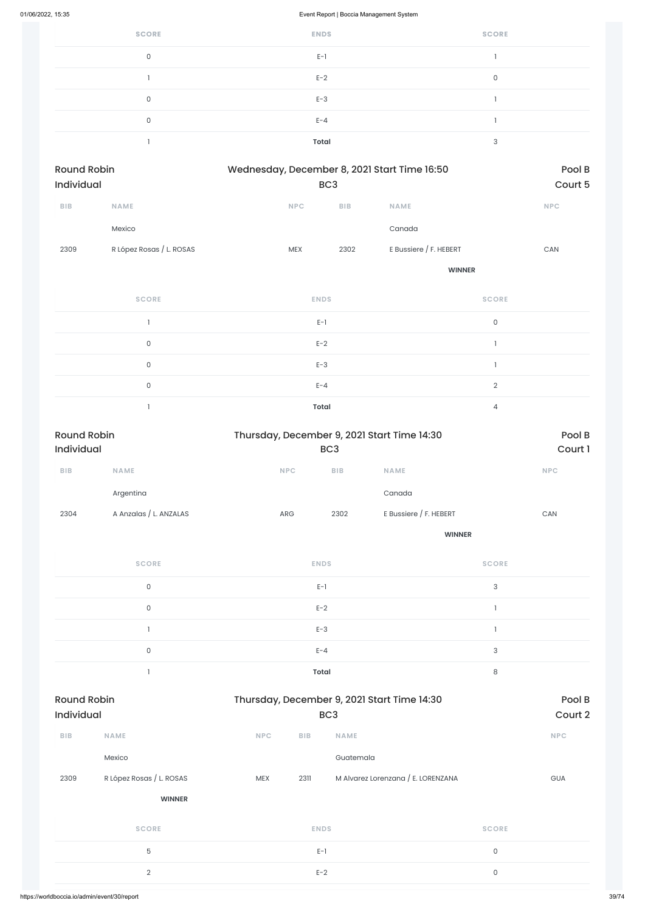| <b>SCORE</b> | <b>ENDS</b>  | <b>SCORE</b> |
|--------------|--------------|--------------|
| 0            | $E-1$        |              |
|              | $E-2$        | 0            |
| 0            | $E-3$        |              |
| 0            | $E - 4$      |              |
|              | <b>Total</b> | 3            |

| Round Robin<br>Individual |                          | Wednesday, December 8, 2021 Start Time 16:50 | BC <sub>3</sub> |                        | Pool B<br>Court 5 |
|---------------------------|--------------------------|----------------------------------------------|-----------------|------------------------|-------------------|
| <b>BIB</b>                | <b>NAME</b>              | <b>NPC</b>                                   | <b>BIB</b>      | <b>NAME</b>            | NPC               |
|                           | Mexico                   |                                              |                 | Canada                 |                   |
| 2309                      | R López Rosas / L. ROSAS | <b>MEX</b>                                   | 2302            | E Bussiere / F. HEBERT | CAN               |
|                           |                          |                                              |                 | <b>WINNER</b>          |                   |
|                           | <b>SCORE</b>             | <b>ENDS</b>                                  |                 | <b>SCORE</b>           |                   |
|                           |                          | $E-1$                                        |                 | $\mathsf O$            |                   |
|                           | $\mathsf{O}$             | $E-2$                                        |                 |                        |                   |
|                           | $\mathsf{O}\xspace$      | $E-3$                                        |                 |                        |                   |
|                           | $\mathsf{O}$             | $E - 4$                                      |                 | $\overline{2}$         |                   |

1 **Total** 4

| <b>Round Robin</b><br>Individual |                        | Thursday, December 9, 2021 Start Time 14:30 | BC <sub>3</sub> |                        | Pool B<br>Court 1 |
|----------------------------------|------------------------|---------------------------------------------|-----------------|------------------------|-------------------|
| <b>BIB</b>                       | <b>NAME</b>            | <b>NPC</b>                                  | <b>BIB</b>      | <b>NAME</b>            | <b>NPC</b>        |
|                                  | Argentina              |                                             |                 | Canada                 |                   |
| 2304                             | A Anzalas / L. ANZALAS | ARG                                         | 2302            | E Bussiere / F. HEBERT | CAN               |
|                                  |                        |                                             |                 | <b>WINNER</b>          |                   |
|                                  | <b>SCORE</b>           |                                             | <b>ENDS</b>     | <b>SCORE</b>           |                   |

| C      | $E-1$        | $\circ$  |
|--------|--------------|----------|
| $\sim$ | $E-2$        |          |
|        | $E-3$        |          |
|        | $E - 4$      | $\Omega$ |
|        | <b>Total</b> | $\Omega$ |

| <b>Round Robin</b><br><b>Individual</b> |                          |            | Thursday, December 9, 2021 Start Time 14:30<br>BC <sub>3</sub> |                                    |                     |            |
|-----------------------------------------|--------------------------|------------|----------------------------------------------------------------|------------------------------------|---------------------|------------|
| <b>BIB</b>                              | <b>NAME</b>              | <b>NPC</b> | <b>BIB</b>                                                     | <b>NAME</b>                        |                     | <b>NPC</b> |
|                                         | Mexico                   |            |                                                                | Guatemala                          |                     |            |
| 2309                                    | R López Rosas / L. ROSAS | <b>MEX</b> | 2311                                                           | M Alvarez Lorenzana / E. LORENZANA |                     | <b>GUA</b> |
|                                         | <b>WINNER</b>            |            |                                                                |                                    |                     |            |
|                                         | <b>SCORE</b>             |            | <b>ENDS</b>                                                    |                                    | <b>SCORE</b>        |            |
|                                         | 5                        |            | $E-1$                                                          |                                    | $\mathsf O$         |            |
|                                         | $\overline{2}$           |            | $E-2$                                                          |                                    | $\mathsf{O}\xspace$ |            |
|                                         |                          |            |                                                                |                                    |                     |            |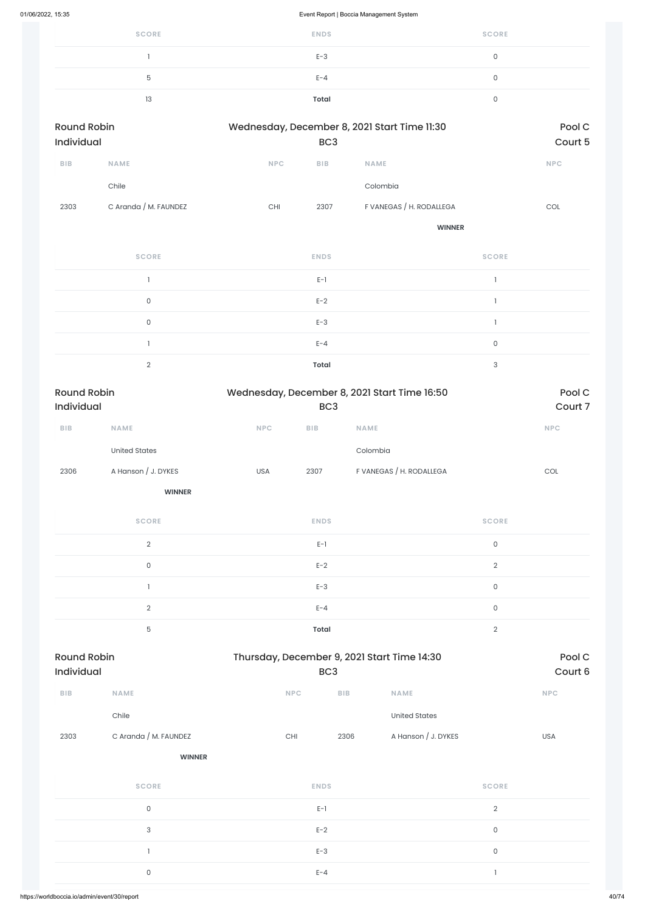| <b>SCORE</b> | <b>ENDS</b>  | <b>SCORE</b> |
|--------------|--------------|--------------|
|              | $E-3$        |              |
| 5            | $E - 4$      |              |
| 13           | <b>Total</b> |              |

| <b>Round Robin</b><br>Individual |                       |     | Wednesday, December 8, 2021 Start Time 11:30<br>BC <sub>3</sub> |                                              |                                       | Pool C<br>Court 5 |
|----------------------------------|-----------------------|-----|-----------------------------------------------------------------|----------------------------------------------|---------------------------------------|-------------------|
| <b>BIB</b>                       | <b>NAME</b>           | NPC | BIB                                                             | NAME                                         |                                       | NPC               |
|                                  | Chile                 |     |                                                                 | Colombia                                     |                                       |                   |
| 2303                             | C Aranda / M. FAUNDEZ | CHI | 2307                                                            | F VANEGAS / H. RODALLEGA                     |                                       | COL               |
|                                  |                       |     |                                                                 | <b>WINNER</b>                                |                                       |                   |
|                                  | <b>SCORE</b>          |     | <b>ENDS</b>                                                     |                                              | <b>SCORE</b>                          |                   |
|                                  | $\mathbf{1}$          |     | $E-1$                                                           |                                              | $\mathbf{1}$                          |                   |
|                                  | $\mathsf O$           |     | $E-2$                                                           |                                              | $\begin{array}{c} \hline \end{array}$ |                   |
|                                  | $\mathsf{O}$          |     | $E-3$                                                           |                                              | $\mathbf{I}$                          |                   |
|                                  | $\mathbf{I}$          |     | $E - 4$                                                         |                                              | $\mathsf O$                           |                   |
|                                  | $\overline{2}$        |     | <b>Total</b>                                                    |                                              | $\ensuremath{\mathsf{3}}$             |                   |
| Darrad Dalata                    |                       |     |                                                                 | $M$ odnosaku: Desambor 0.000 Charl Times $R$ |                                       | $D = -1$          |

| Round Robin<br><b>Individual</b> |                     |            | Wednesday, December 8, 2021 Start Time 16:50<br>BC <sub>3</sub> |                          |            |  |  |
|----------------------------------|---------------------|------------|-----------------------------------------------------------------|--------------------------|------------|--|--|
| <b>BIB</b>                       | <b>NAME</b>         | <b>NPC</b> | <b>BIB</b>                                                      | <b>NAME</b>              | <b>NPC</b> |  |  |
|                                  | United States       |            |                                                                 | Colombia                 |            |  |  |
| 2306                             | A Hanson / J. DYKES | <b>USA</b> | 2307                                                            | F VANEGAS / H. RODALLEGA | COL        |  |  |

| <b>SCORE</b> | <b>ENDS</b>  | <b>SCORE</b> |
|--------------|--------------|--------------|
| $\Omega$     | $E-1$        | $\Omega$     |
| $\Omega$     | $E-2$        | $\Omega$     |
|              | $E-3$        | 0            |
| $\Omega$     | $E - 4$      | $\Omega$     |
| 5            | <b>Total</b> | $\cap$       |

| <b>BIB</b> | <b>NAME</b>           | <b>NPC</b>  | <b>BIB</b> | <b>NAME</b>          |                                       | <b>NPC</b> |
|------------|-----------------------|-------------|------------|----------------------|---------------------------------------|------------|
|            | Chile                 |             |            | <b>United States</b> |                                       |            |
| 2303       | C Aranda / M. FAUNDEZ | CHI         | 2306       | A Hanson / J. DYKES  |                                       | USA        |
|            | <b>WINNER</b>         |             |            |                      |                                       |            |
|            | <b>SCORE</b>          | <b>ENDS</b> |            |                      | <b>SCORE</b>                          |            |
|            | $\mathsf O$           | $E-1$       |            |                      | $\sqrt{2}$                            |            |
|            | $\sqrt{3}$            | $E-2$       |            |                      | $\mathsf{O}\xspace$                   |            |
|            |                       | $E-3$       |            | $\mathsf{O}\xspace$  |                                       |            |
|            | $\mathsf O$           | $E - 4$     |            |                      | $\begin{array}{c} \hline \end{array}$ |            |
|            |                       |             |            |                      |                                       |            |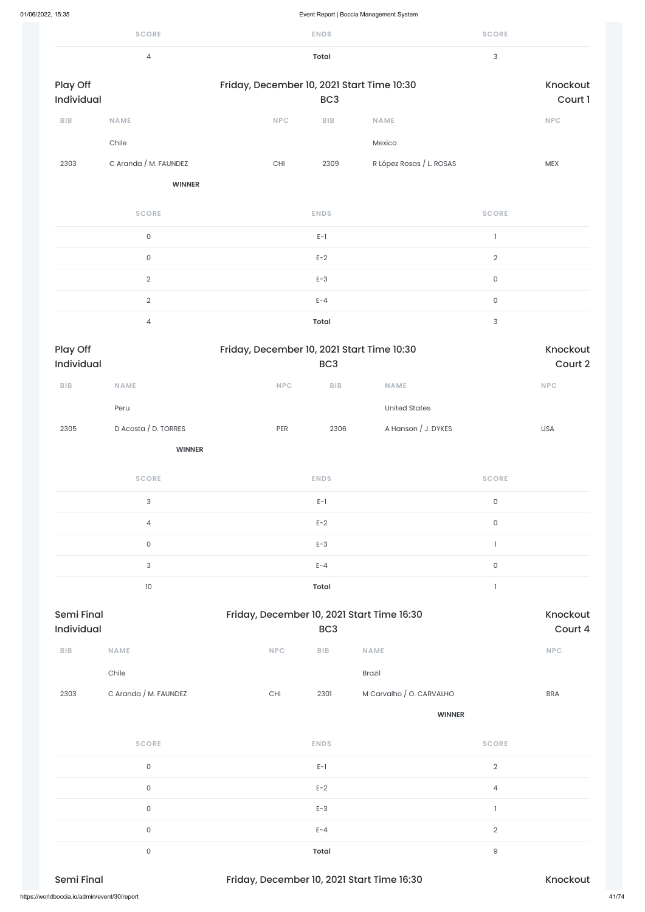|                        | <b>SCORE</b>          |                                            | <b>ENDS</b>  |                          | <b>SCORE</b>        |                 |  |
|------------------------|-----------------------|--------------------------------------------|--------------|--------------------------|---------------------|-----------------|--|
|                        | $\overline{4}$        |                                            | <b>Total</b> |                          | 3                   |                 |  |
| Play Off<br>Individual |                       | Friday, December 10, 2021 Start Time 10:30 |              | Knockout<br>Court 1      |                     |                 |  |
| BIB                    | <b>NAME</b>           | <b>NPC</b>                                 | BIB          | <b>NAME</b>              |                     | <b>NPC</b>      |  |
|                        | Chile                 |                                            |              | Mexico                   |                     |                 |  |
| 2303                   | C Aranda / M. FAUNDEZ | CHI                                        | 2309         | R López Rosas / L. ROSAS |                     | MEX             |  |
|                        | <b>WINNER</b>         |                                            |              |                          |                     |                 |  |
|                        | <b>SCORE</b>          |                                            | <b>ENDS</b>  |                          | <b>SCORE</b>        |                 |  |
|                        | $\mathsf{O}$          |                                            | $E-1$        |                          | $\mathbf{1}$        |                 |  |
|                        | $\mathsf{O}$          |                                            | $E-2$        |                          | $\overline{2}$      |                 |  |
|                        | $\sqrt{2}$            |                                            | $E-3$        |                          | $\mathsf{O}\xspace$ |                 |  |
|                        | $\overline{2}$        |                                            | $E - 4$      |                          | $\mathsf{O}\xspace$ |                 |  |
|                        | $\overline{4}$        |                                            | <b>Total</b> |                          | 3                   |                 |  |
| Play Off               |                       | Friday, December 10, 2021 Start Time 10:30 |              |                          |                     | <b>Knockout</b> |  |

| Play Off<br><b>Individual</b> |                      | Friday, December 10, 2021 Start Time 10:30<br>BC <sub>3</sub> |            |                     |            |  |  |  |  |
|-------------------------------|----------------------|---------------------------------------------------------------|------------|---------------------|------------|--|--|--|--|
| <b>BIB</b>                    | <b>NAME</b>          | <b>NPC</b>                                                    | <b>BIB</b> | <b>NAME</b>         | <b>NPC</b> |  |  |  |  |
|                               | Peru                 |                                                               |            | United States       |            |  |  |  |  |
| 2305                          | D Acosta / D. TORRES | <b>PER</b>                                                    | 2306       | A Hanson / J. DYKES | <b>USA</b> |  |  |  |  |
|                               |                      |                                                               |            |                     |            |  |  |  |  |

| 2303                                         | C Aranda / M. FAUNDEZ | CHI                                        | 2301         | M Carvalho / O. CARVALHO | <b>BRA</b>     |
|----------------------------------------------|-----------------------|--------------------------------------------|--------------|--------------------------|----------------|
|                                              |                       |                                            |              | <b>WINNER</b>            |                |
|                                              | <b>SCORE</b>          |                                            | <b>ENDS</b>  |                          | <b>SCORE</b>   |
|                                              | $\mathsf O$           |                                            | $E-1$        |                          | $\overline{2}$ |
|                                              | $\mathsf O$           |                                            | $E-2$        |                          | 4              |
|                                              | $\mathsf O$           |                                            | $E-3$        |                          |                |
|                                              | $\mathsf O$           |                                            | $E - 4$      |                          | $\overline{2}$ |
|                                              | $\mathsf O$           |                                            | <b>Total</b> |                          | $\mathsf g$    |
| Semi Final                                   |                       | Friday, December 10, 2021 Start Time 16:30 |              |                          | Knockout       |
| https://worldboccia.io/admin/event/30/report |                       |                                            |              |                          | 41/74          |

| <b>SCORE</b>   | <b>ENDS</b> | <b>SCORE</b> |
|----------------|-------------|--------------|
| 3              | $E-1$       | 0            |
| $\overline{4}$ | $E-2$       | 0            |
| $\mathbf 0$    | $E-3$       |              |
| 3              | $E - 4$     | 0            |
| 10             | Total       |              |
|                |             |              |

| Semi Final |             |            | Friday, December 10, 2021 Start Time 16:30 |             |            |  |  |  |  |
|------------|-------------|------------|--------------------------------------------|-------------|------------|--|--|--|--|
| Individual |             |            | BC <sub>3</sub>                            |             | Court 4    |  |  |  |  |
| <b>BIB</b> | <b>NAME</b> | <b>NPC</b> | <b>BIB</b>                                 | <b>NAME</b> | <b>NPC</b> |  |  |  |  |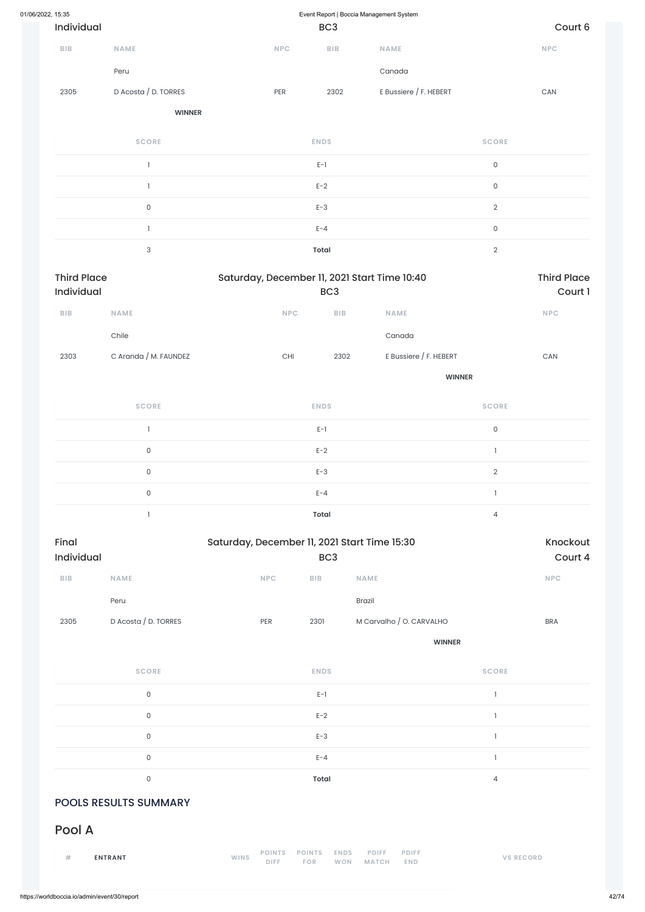| 01/06/2022, 15:35       |                                  |                                              | Event Report   Boccia Management System |                                              |                     |                               |  |  |  |
|-------------------------|----------------------------------|----------------------------------------------|-----------------------------------------|----------------------------------------------|---------------------|-------------------------------|--|--|--|
| Individual              |                                  |                                              | BC <sub>3</sub>                         |                                              |                     | Court 6                       |  |  |  |
| <b>BIB</b>              | <b>NAME</b>                      | <b>NPC</b>                                   | <b>BIB</b>                              | NAME                                         |                     | $\ensuremath{\mathsf{NPC}}$   |  |  |  |
|                         | Peru                             |                                              |                                         | Canada                                       |                     |                               |  |  |  |
| 2305                    | D Acosta / D. TORRES             | PER                                          | 2302                                    | E Bussiere / F. HEBERT                       |                     | ${\sf CAN}$                   |  |  |  |
|                         | <b>WINNER</b>                    |                                              |                                         |                                              |                     |                               |  |  |  |
|                         | <b>SCORE</b>                     |                                              | <b>ENDS</b>                             |                                              | <b>SCORE</b>        |                               |  |  |  |
|                         | $\mathbf{I}$                     |                                              | $E-1$                                   |                                              | $\mathsf{O}\xspace$ |                               |  |  |  |
|                         | $\mathbf{1}$                     |                                              | $E-2$                                   |                                              | $\mathsf{O}\xspace$ |                               |  |  |  |
|                         | $\mathsf{O}\xspace$              |                                              | $E-3$                                   |                                              | $\overline{2}$      |                               |  |  |  |
|                         | $\mathbf{1}$                     |                                              | $E - 4$                                 |                                              | $\mathsf{O}\xspace$ |                               |  |  |  |
|                         | $\ensuremath{\mathsf{3}}$        |                                              | <b>Total</b>                            |                                              | $\mathbf{2}$        |                               |  |  |  |
|                         | <b>Third Place</b><br>Individual |                                              | BC <sub>3</sub>                         | Saturday, December 11, 2021 Start Time 10:40 |                     | <b>Third Place</b><br>Court 1 |  |  |  |
| <b>BIB</b>              | <b>NAME</b>                      | NPC                                          | BIB                                     | <b>NAME</b>                                  |                     | <b>NPC</b>                    |  |  |  |
|                         | Chile                            |                                              |                                         | Canada                                       |                     |                               |  |  |  |
| 2303                    | C Aranda / M. FAUNDEZ            | $\mathsf{CHI}$                               | 2302                                    | E Bussiere / F. HEBERT                       |                     | $\mathsf{CAN}\xspace$         |  |  |  |
|                         |                                  |                                              |                                         |                                              | <b>WINNER</b>       |                               |  |  |  |
|                         | <b>SCORE</b>                     |                                              | <b>ENDS</b>                             |                                              | <b>SCORE</b>        |                               |  |  |  |
|                         | $\mathbf{1}$                     |                                              | $E-1$                                   |                                              | $\mathsf{O}\xspace$ |                               |  |  |  |
|                         | $\mathsf{O}\xspace$              |                                              | $E-2$                                   |                                              | $\mathbf{I}$        |                               |  |  |  |
|                         | $\mathsf{O}\xspace$              |                                              | $E-3$                                   |                                              | $\overline{2}$      |                               |  |  |  |
|                         | $\mathsf{O}\xspace$              |                                              | $E - 4$                                 |                                              | $\mathbf{I}$        |                               |  |  |  |
|                         | $\mathbf{I}$                     |                                              | Total                                   |                                              | $\overline{4}$      |                               |  |  |  |
| Final<br>Individual     |                                  | Saturday, December 11, 2021 Start Time 15:30 | BC <sub>3</sub>                         |                                              |                     | Knockout<br>Court 4           |  |  |  |
| ${\sf B}{\sf I}{\sf B}$ | NAME                             | <b>NPC</b>                                   | ${\sf B}{\sf I}{\sf B}$                 | NAME                                         |                     | <b>NPC</b>                    |  |  |  |
|                         | Peru                             |                                              |                                         | Brazil                                       |                     |                               |  |  |  |
| 2305                    | D Acosta / D. TORRES             | PER                                          | 2301                                    | M Carvalho / O. CARVALHO                     |                     | <b>BRA</b>                    |  |  |  |
|                         |                                  |                                              |                                         | <b>WINNER</b>                                |                     |                               |  |  |  |

**SCORE ENDS SCORE**

|                              | $\mathbf 0$    | $E-1$        |   |  |  |  |  |  |
|------------------------------|----------------|--------------|---|--|--|--|--|--|
|                              | $\mathbf 0$    | $E-2$        |   |  |  |  |  |  |
|                              | $\overline{0}$ | $E-3$        |   |  |  |  |  |  |
|                              | $\Omega$       | $E - 4$      |   |  |  |  |  |  |
|                              | $\overline{0}$ | <b>Total</b> | 4 |  |  |  |  |  |
| <b>POOLS RESULTS SUMMARY</b> |                |              |   |  |  |  |  |  |
| Pool A                       |                |              |   |  |  |  |  |  |

|  | <b>ENTRANT</b> | WINS |             |     | POINTS POINTS ENDS PDIFF | <b>PDIFF</b> | <b>VS RECORD</b> |
|--|----------------|------|-------------|-----|--------------------------|--------------|------------------|
|  |                |      | <b>DIFF</b> | FOR | WON MATCH                | <b>END</b>   |                  |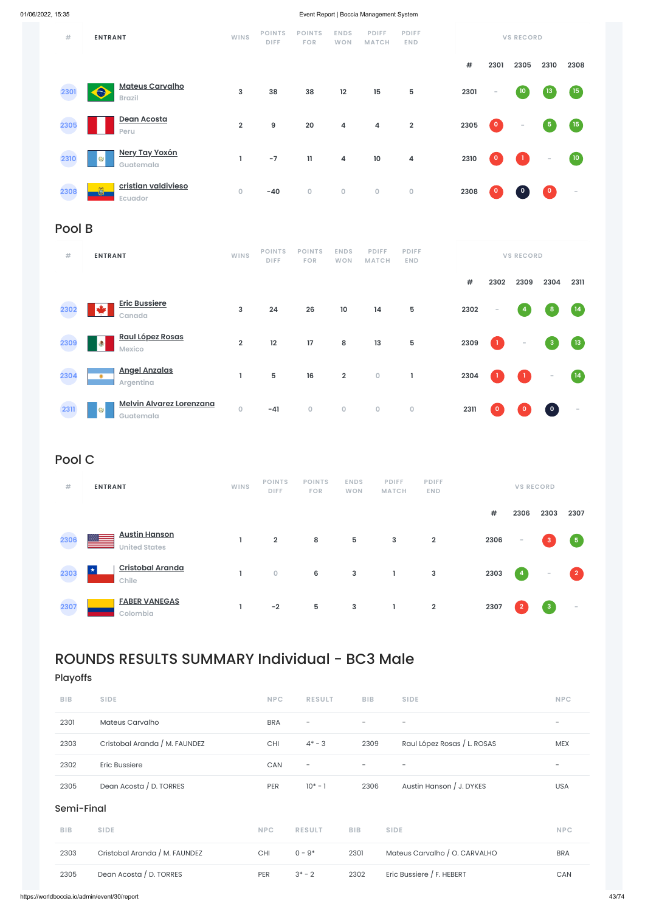

## Pool B

| #    | <b>ENTRANT</b>                                                             | <b>WINS</b>             | <b>POINTS</b><br>DIFF. | <b>POINTS</b><br><b>FOR</b> | <b>ENDS</b><br><b>WON</b> | <b>PDIFF</b><br><b>MATCH</b> | <b>PDIFF</b><br><b>END</b> |      |              | <b>VS RECORD</b>                                |              |                          |
|------|----------------------------------------------------------------------------|-------------------------|------------------------|-----------------------------|---------------------------|------------------------------|----------------------------|------|--------------|-------------------------------------------------|--------------|--------------------------|
|      |                                                                            |                         |                        |                             |                           |                              |                            | $\#$ | 2302         | 2309                                            | 2304         | 2311                     |
| 2302 | <b>Eric Bussiere</b><br>$\blacktriangleright$<br>Canada                    | 3                       | 24                     | 26                          | 10                        | 14                           | 5                          | 2302 | $\sim$       | $\overline{4}$                                  | 8            | (14)                     |
| 2309 | <b>Raul López Rosas</b><br>$\left  \bullet \right\rangle$<br><b>Mexico</b> | $\overline{\mathbf{2}}$ | 12                     | 17                          | 8                         | 13                           | 5                          | 2309 | $\mathbf{1}$ | $\overline{\phantom{a}}$                        | $\mathbf{3}$ | (13)                     |
| 2304 | <b>Angel Anzalas</b><br>$\bullet$<br><b>Argentina</b>                      | ı.                      | $5\phantom{1}$         | 16                          | $\overline{2}$            | $\mathbf 0$                  | L                          | 2304 |              | $\left( \begin{array}{c} 1 \end{array} \right)$ | $\sim$       | $\overline{14}$          |
| 2311 | <b>Melvin Alvarez Lorenzana</b><br><b>O</b><br>Guatemala                   | 0                       | $-41$                  | $\mathsf{O}\xspace$         | $\mathsf{O}\xspace$       | $\mathsf O$                  | $\mathsf O$                | 2311 | $\mathbf 0$  | $\circ$                                         | $\bullet$    | $\overline{\phantom{a}}$ |

# Pool C

| #    | <b>ENTRANT</b>                               | <b>WINS</b> | <b>POINTS</b><br><b>DIFF</b> | <b>POINTS</b><br><b>FOR</b> | <b>ENDS</b><br><b>WON</b> | <b>PDIFF</b><br><b>MATCH</b> | <b>PDIFF</b><br><b>END</b> |      |                | <b>VS RECORD</b>         |                          |
|------|----------------------------------------------|-------------|------------------------------|-----------------------------|---------------------------|------------------------------|----------------------------|------|----------------|--------------------------|--------------------------|
|      |                                              |             |                              |                             |                           |                              |                            | $\#$ | 2306           | 2303                     | 2307                     |
| 2306 | <b>Austin Hanson</b><br><b>United States</b> |             | $\overline{2}$               | 8                           | 5                         | $\mathbf{3}$                 | $\overline{2}$             | 2306 | $\sim$         | 3                        | $\sqrt{5}$               |
| 2303 | <b>Cristobal Aranda</b><br>$\star$<br>Chile  |             | $\overline{0}$               | 6                           | 3                         |                              | 3                          | 2303 | $\overline{4}$ | $\overline{\phantom{a}}$ | $\bullet$                |
| 2307 | <b>FABER VANEGAS</b><br>Colombia             |             | $-2$                         | 5                           | 3                         | ı                            | $\overline{\mathbf{2}}$    | 2307 | $\overline{2}$ | $\overline{3}$           | $\overline{\phantom{a}}$ |

# ROUNDS RESULTS SUMMARY Individual - BC3 Male

Playoffs

| <b>BIB</b> | <b>SIDE</b>                   | <b>NPC</b> | <b>RESULT</b>            | <b>BIB</b>               | <b>SIDE</b>                   | <b>NPC</b>               |
|------------|-------------------------------|------------|--------------------------|--------------------------|-------------------------------|--------------------------|
| 2301       | Mateus Carvalho               | <b>BRA</b> |                          | $\overline{\phantom{0}}$ | $\overline{\phantom{0}}$      | $\overline{\phantom{a}}$ |
| 2303       | Cristobal Aranda / M. FAUNDEZ | CHI        | $4* - 3$                 | 2309                     | Raul López Rosas / L. ROSAS   | <b>MEX</b>               |
| 2302       | <b>Eric Bussiere</b>          | CAN        | $\overline{\phantom{a}}$ |                          |                               | $\overline{\phantom{m}}$ |
| 2305       | Dean Acosta / D. TORRES       | PER        | $10^* - 1$               | 2306                     | Austin Hanson / J. DYKES      | USA                      |
| Semi-Final |                               |            |                          |                          |                               |                          |
| <b>BIB</b> | <b>SIDE</b>                   | <b>NPC</b> | <b>RESULT</b>            | <b>BIB</b>               | <b>SIDE</b>                   | <b>NPC</b>               |
| 2303       | Cristobal Aranda / M. FAUNDEZ | CHI        | $0 - 9*$                 | 2301                     | Mateus Carvalho / O. CARVALHO | <b>BRA</b>               |
| 2305       | Dean Acosta / D. TORRES       | PER        | $3^* - 2$                | 2302                     | Eric Bussiere / F. HEBERT     | CAN                      |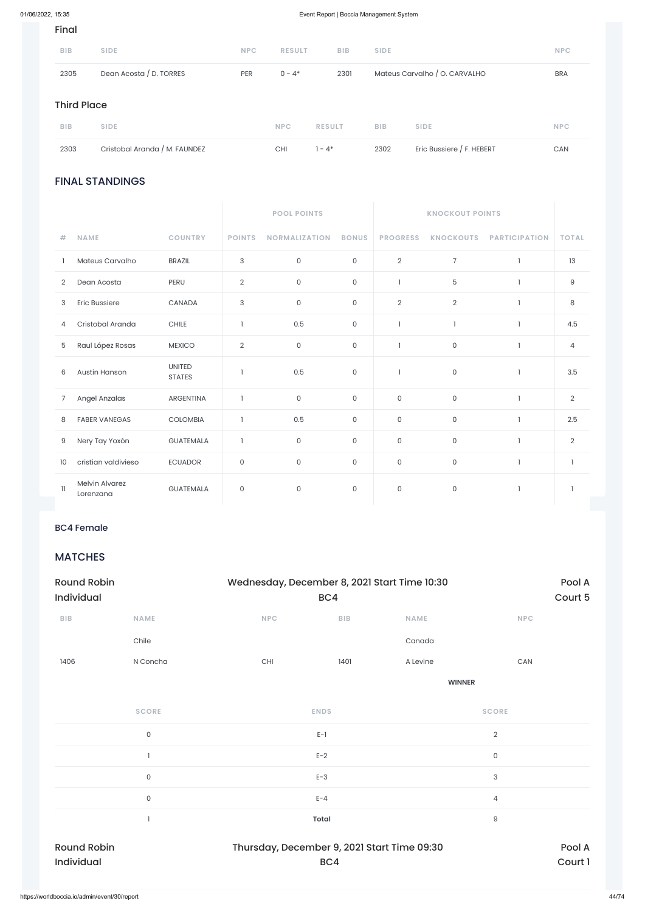### FINAL STANDINGS

|                |                                    |                                | <b>POOL POINTS</b> |                      |              |                     |                     |                      |                |
|----------------|------------------------------------|--------------------------------|--------------------|----------------------|--------------|---------------------|---------------------|----------------------|----------------|
| #              | <b>NAME</b>                        | <b>COUNTRY</b>                 | <b>POINTS</b>      | <b>NORMALIZATION</b> | <b>BONUS</b> | <b>PROGRESS</b>     | <b>KNOCKOUTS</b>    | <b>PARTICIPATION</b> | <b>TOTAL</b>   |
|                | Mateus Carvalho                    | <b>BRAZIL</b>                  | 3                  | $\mathsf{O}\xspace$  | $\mathsf{O}$ | $\overline{2}$      | $\overline{7}$      | $\mathbf{1}$         | 13             |
| $\overline{2}$ | Dean Acosta                        | PERU                           | $\overline{2}$     | $\mathsf{O}$         | 0            | 1                   | 5                   | -1                   | 9              |
| 3              | <b>Eric Bussiere</b>               | CANADA                         | 3                  | $\mathsf{O}$         | $\mathsf O$  | $\overline{2}$      | $\overline{2}$      | $\mathbf{1}$         | $\,8\,$        |
| 4              | Cristobal Aranda                   | <b>CHILE</b>                   | $\mathbf{1}$       | 0.5                  | $\mathsf O$  | $\mathbf{I}$        | $\mathbf{1}$        | $\mathbf{1}$         | 4.5            |
| 5              | Raul López Rosas                   | <b>MEXICO</b>                  | $\overline{2}$     | 0                    | 0            | $\mathbf{I}$        | $\mathsf O$         |                      | 4              |
| 6              | Austin Hanson                      | <b>UNITED</b><br><b>STATES</b> | $\mathbf{1}$       | 0.5                  | $\mathsf O$  | $\mathbf{I}$        | $\mathsf{O}\xspace$ | $\mathbf{1}$         | 3.5            |
| 7              | Angel Anzalas                      | <b>ARGENTINA</b>               | $\overline{1}$     | $\mathsf{O}\xspace$  | $\mathsf{O}$ | $\mathsf{O}\xspace$ | $\mathsf{O}\xspace$ | $\overline{1}$       | $\overline{2}$ |
| 8              | <b>FABER VANEGAS</b>               | <b>COLOMBIA</b>                | $\mathbf{1}$       | 0.5                  | $\mathbf{0}$ | $\mathsf O$         | $\mathsf{O}\xspace$ | $\overline{1}$       | 2.5            |
| 9              | Nery Tay Yoxón                     | <b>GUATEMALA</b>               | $\mathbf{1}$       | $\mathsf{O}\xspace$  | 0            | $\mathsf{O}\xspace$ | $\mathsf{O}\xspace$ | $\mathbf{1}$         | $\overline{2}$ |
| 10             | cristian valdivieso                | <b>ECUADOR</b>                 | 0                  | $\mathsf{O}\xspace$  | $\mathsf O$  | $\mathsf O$         | $\mathsf{O}\xspace$ | $\mathbf{1}$         | 1              |
| $\mathbf{1}$   | <b>Melvin Alvarez</b><br>Lorenzana | <b>GUATEMALA</b>               | $\mathsf{O}$       | $\mathsf O$          | $\mathsf O$  | $\mathsf{O}\xspace$ | $\mathsf{O}\xspace$ | $\mathbf{1}$         | $\mathbf{1}$   |

### Final

| 2303               | Cristobal Aranda / M. FAUNDEZ |            | <b>CHI</b>    | $1 - 4^*$     | 2302        | Eric Bussiere / F. HEBERT     | CAN        |
|--------------------|-------------------------------|------------|---------------|---------------|-------------|-------------------------------|------------|
| <b>BIB</b>         | <b>SIDE</b>                   |            | <b>NPC</b>    | <b>RESULT</b> | <b>BIB</b>  | <b>SIDE</b>                   | <b>NPC</b> |
| <b>Third Place</b> |                               |            |               |               |             |                               |            |
| 2305               | Dean Acosta / D. TORRES       | <b>PER</b> | $0 - 4*$      | 2301          |             | Mateus Carvalho / O. CARVALHO | <b>BRA</b> |
| <b>BIB</b>         | <b>SIDE</b>                   | <b>NPC</b> | <b>RESULT</b> | <b>BIB</b>    | <b>SIDE</b> |                               | <b>NPC</b> |

### BC4 Female

### MATCHES

| <b>Round Robin</b><br><b>Individual</b> |             | Wednesday, December 8, 2021 Start Time 10:30 | Pool A<br>Court 5 |             |            |
|-----------------------------------------|-------------|----------------------------------------------|-------------------|-------------|------------|
| <b>BIB</b>                              | <b>NAME</b> | <b>NPC</b>                                   | <b>BIB</b>        | <b>NAME</b> | <b>NPC</b> |
|                                         | Chile       |                                              |                   | Canada      |            |
| 1406                                    | N Concha    | <b>CHI</b>                                   | 1401              | A Levine    | CAN        |

| <b>SCORE</b>       | <b>ENDS</b>                                 | <b>SCORE</b>   |
|--------------------|---------------------------------------------|----------------|
| $\mathsf O$        | $E-1$                                       | $\overline{2}$ |
|                    | $E-2$                                       | 0              |
| 0                  | $E-3$                                       | 3              |
| $\mathsf O$        | $E - 4$                                     | $\overline{4}$ |
|                    | Total                                       | $\mathsf 9$    |
| <b>Round Robin</b> | Thursday, December 9, 2021 Start Time 09:30 | Pool A         |
| Individual         | BC4                                         | Court 1        |
|                    |                                             |                |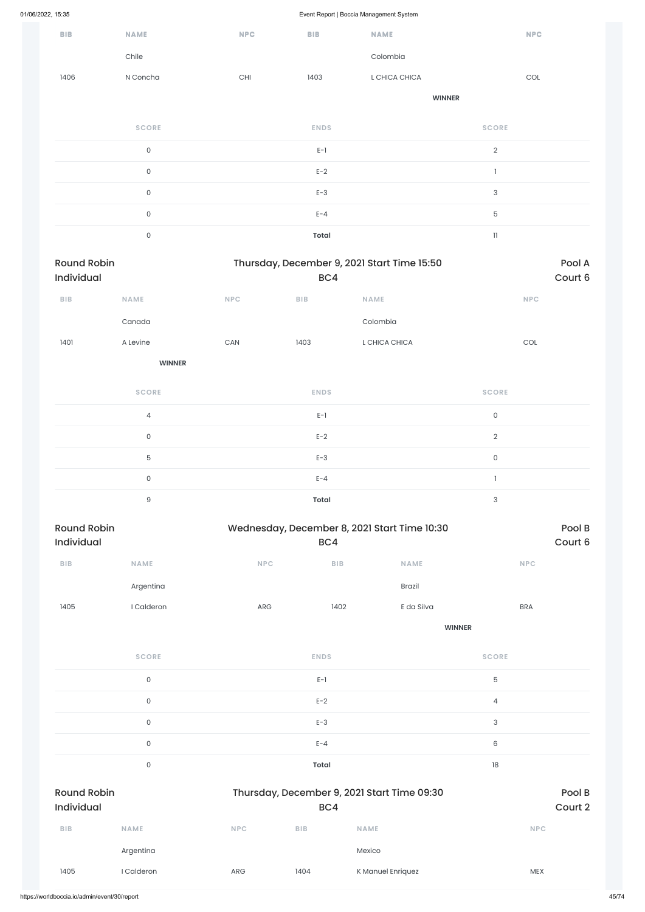Event Report | Boccia Management System

| <b>BIB</b>         | <b>NAME</b>         | <b>NPC</b>            | <b>BIB</b>              | <b>NAME</b>                                  |                           | <b>NPC</b>                  |
|--------------------|---------------------|-----------------------|-------------------------|----------------------------------------------|---------------------------|-----------------------------|
|                    | Chile               |                       |                         | Colombia                                     |                           |                             |
| 1406               | N Concha            | $\mathsf{CHI}$        | 1403                    | L CHICA CHICA                                |                           | $\mathop{\rm COL}\nolimits$ |
|                    |                     |                       |                         |                                              | <b>WINNER</b>             |                             |
|                    | <b>SCORE</b>        |                       | <b>ENDS</b>             |                                              | <b>SCORE</b>              |                             |
|                    | $\mathsf{O}\xspace$ |                       | $E-1$                   |                                              | $\overline{2}$            |                             |
|                    | $\mathsf{O}\xspace$ |                       | $E-2$                   |                                              | $\mathbf{I}$              |                             |
|                    | $\mathsf{O}\xspace$ |                       | $E-3$                   |                                              | $\mathsf 3$               |                             |
|                    | $\mathsf{O}\xspace$ |                       | $E - 4$                 |                                              | 5                         |                             |
|                    | $\mathsf{O}\xspace$ |                       | <b>Total</b>            |                                              | $11\,$                    |                             |
| <b>Round Robin</b> |                     |                       |                         | Thursday, December 9, 2021 Start Time 15:50  |                           | Pool A                      |
| Individual         |                     |                       | BC4                     |                                              |                           | Court 6                     |
| BIB                | NAME                | NPC                   | <b>BIB</b>              | NAME                                         |                           | <b>NPC</b>                  |
|                    | Canada              |                       |                         | Colombia                                     |                           |                             |
| 1401               | A Levine            | $\mathsf{CAN}\xspace$ | 1403                    | L CHICA CHICA                                |                           | COL                         |
|                    | <b>WINNER</b>       |                       |                         |                                              |                           |                             |
|                    | <b>SCORE</b>        |                       | <b>ENDS</b>             |                                              | <b>SCORE</b>              |                             |
|                    | $\sqrt{4}$          |                       | $E-1$                   |                                              | $\mathsf{O}\xspace$       |                             |
|                    | $\mathsf{O}\xspace$ |                       | $E-2$                   |                                              | $\overline{2}$            |                             |
|                    | $\mathbf 5$         |                       | $E-3$                   |                                              | $\mathsf{O}\xspace$       |                             |
|                    | $\mathsf{O}\xspace$ |                       | $E - 4$                 |                                              | $\mathbf{I}$              |                             |
|                    | $\hbox{9}$          |                       | <b>Total</b>            |                                              | $\ensuremath{\mathsf{3}}$ |                             |
| <b>Round Robin</b> |                     |                       |                         | Wednesday, December 8, 2021 Start Time 10:30 |                           | Pool B                      |
| Individual         |                     |                       | BC4                     |                                              |                           | Court 6                     |
| BIB                | NAME                | NPC                   | ${\sf B}{\sf I}{\sf B}$ | NAME                                         |                           | <b>NPC</b>                  |
|                    | Argentina           |                       |                         | Brazil                                       |                           |                             |
| 1405               | I Calderon          | ${\sf ARG}$           | 1402                    | E da Silva                                   |                           | <b>BRA</b>                  |
|                    |                     |                       |                         |                                              | <b>WINNER</b>             |                             |
|                    | <b>SCORE</b>        |                       | <b>ENDS</b>             |                                              | <b>SCORE</b>              |                             |
|                    |                     |                       |                         |                                              |                           |                             |

 $E-1$  5

|                                  | $\mathsf{O}$ |            | $E-2$        |                                             | $\overline{4}$ |                   |
|----------------------------------|--------------|------------|--------------|---------------------------------------------|----------------|-------------------|
|                                  | $\mathsf{O}$ |            | $E-3$        |                                             | $\sqrt{3}$     |                   |
|                                  | $\mathsf{O}$ |            | $E - 4$      |                                             | $\,6$          |                   |
|                                  | $\mathsf{O}$ |            | <b>Total</b> |                                             | 18             |                   |
| <b>Round Robin</b><br>Individual |              |            | BC4          | Thursday, December 9, 2021 Start Time 09:30 |                | Pool B<br>Court 2 |
| <b>BIB</b>                       | <b>NAME</b>  | <b>NPC</b> | <b>BIB</b>   | <b>NAME</b>                                 |                | <b>NPC</b>        |
|                                  | Argentina    |            |              | Mexico                                      |                |                   |
| 1405                             | I Calderon   | ARG        | 1404         | K Manuel Enriquez                           |                | <b>MEX</b>        |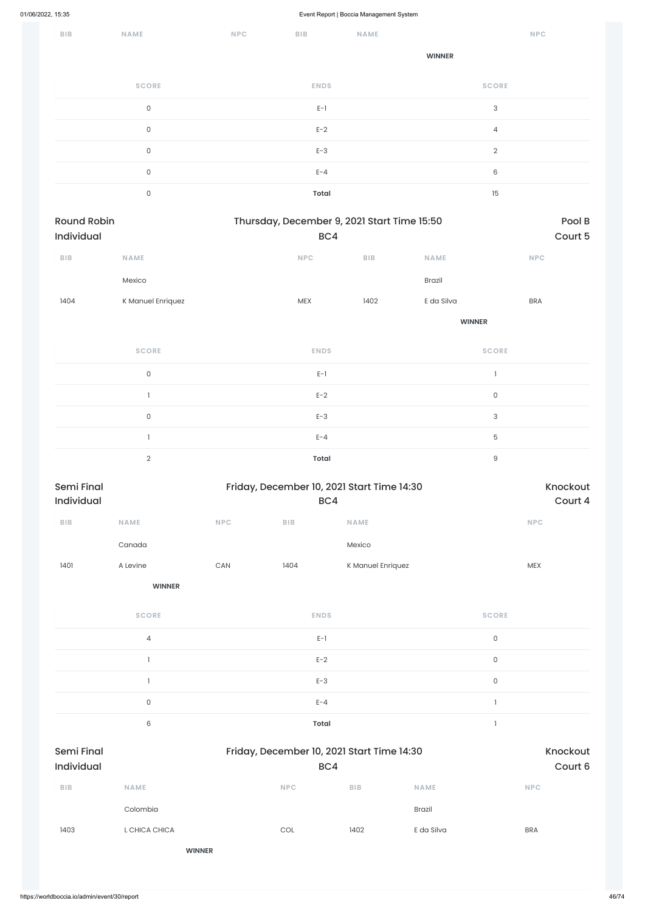| <b>BIB</b> | <b>NAME</b>         | <b>NPC</b> | <b>BIB</b>   | <b>NAME</b> | <b>NPC</b>                |
|------------|---------------------|------------|--------------|-------------|---------------------------|
|            |                     |            |              |             | <b>WINNER</b>             |
|            | <b>SCORE</b>        |            | <b>ENDS</b>  |             | <b>SCORE</b>              |
|            | $\mathsf{O}\xspace$ |            | $E-1$        |             | $\ensuremath{\mathsf{3}}$ |
|            | 0                   |            | $E-2$        |             | 4                         |
|            | 0                   |            | $E-3$        |             | $\overline{2}$            |
|            | $\mathsf{O}\xspace$ |            | $E - 4$      |             | 6                         |
|            | 0                   |            | <b>Total</b> |             | 15                        |

| Round Robin<br>Individual |                     |                       | Thursday, December 9, 2021 Start Time 15:50<br>BC4 |                                            |               |                           |  |
|---------------------------|---------------------|-----------------------|----------------------------------------------------|--------------------------------------------|---------------|---------------------------|--|
| BIB                       | NAME                |                       | NPC                                                | BIB                                        | NAME          | NPC                       |  |
|                           | Mexico              |                       |                                                    |                                            | Brazil        |                           |  |
| 1404                      | K Manuel Enriquez   |                       | MEX                                                | 1402                                       | E da Silva    | <b>BRA</b>                |  |
|                           |                     |                       |                                                    |                                            | <b>WINNER</b> |                           |  |
|                           | <b>SCORE</b>        |                       | <b>ENDS</b>                                        |                                            |               | <b>SCORE</b>              |  |
|                           | $\mathsf O$         |                       | $E-1$                                              |                                            |               | $\mathbf{I}$              |  |
|                           | $\mathbf{I}$        |                       | $E-2$                                              |                                            |               | $\mathsf{O}\xspace$       |  |
|                           | $\mathsf{O}\xspace$ |                       | $E-3$                                              |                                            |               | $\ensuremath{\mathsf{3}}$ |  |
|                           | $\mathbf{I}$        |                       | $E - 4$                                            |                                            |               | $\mathbf 5$               |  |
|                           | $\overline{2}$      |                       | <b>Total</b>                                       |                                            |               | $\hbox{9}$                |  |
| Semi Final<br>Individual  |                     |                       | BC4                                                | Friday, December 10, 2021 Start Time 14:30 |               | Knockout<br>Court 4       |  |
| ${\sf B}{\sf I}{\sf B}$   | NAME                | NPC                   | <b>BIB</b>                                         | <b>NAME</b>                                |               | <b>NPC</b>                |  |
|                           | Canada              |                       |                                                    | Mexico                                     |               |                           |  |
| 1401                      | A Levine            | $\mathsf{CAN}\xspace$ | 1404                                               | K Manuel Enriquez                          |               | ${\sf MEX}$               |  |
|                           | <b>WINNER</b>       |                       |                                                    |                                            |               |                           |  |
|                           | <b>SCORE</b>        |                       | <b>ENDS</b>                                        |                                            |               | <b>SCORE</b>              |  |
|                           | $\overline{4}$      |                       | $E-1$                                              |                                            |               | $\mathsf{O}\xspace$       |  |
|                           | $\mathbb{I}$        |                       | $E-2$                                              |                                            |               | $\mathsf{O}\xspace$       |  |
|                           |                     |                       |                                                    |                                            |               |                           |  |

|                                 | $\mathsf{O}$  | $E - 4$                                           |                     |             |            |
|---------------------------------|---------------|---------------------------------------------------|---------------------|-------------|------------|
|                                 | $6\,$         | Total                                             |                     |             |            |
| <b>Semi Final</b><br>Individual |               | Friday, December 10, 2021 Start Time 14:30<br>BC4 | Knockout<br>Court 6 |             |            |
| <b>BIB</b>                      | <b>NAME</b>   | <b>NPC</b>                                        | <b>BIB</b>          | <b>NAME</b> | <b>NPC</b> |
|                                 | Colombia      |                                                   |                     | Brazil      |            |
| 1403                            | L CHICA CHICA | $\mathop{\rm COL}\nolimits$                       | 1402                | E da Silva  | <b>BRA</b> |
|                                 |               | <b>WINNER</b>                                     |                     |             |            |
|                                 |               |                                                   |                     |             |            |

1 and  $E-3$  and  $E-3$  and  $E-3$  and  $E-3$  and  $E-3$  and  $E-3$  and  $E-3$  and  $E-3$  and  $E-3$  and  $E-3$  and  $E-3$  and  $E-3$  and  $E-3$  and  $E-3$  and  $E-3$  and  $E-3$  and  $E-3$  and  $E-3$  and  $E-3$  and  $E-3$  and  $E-3$  and  $E-3$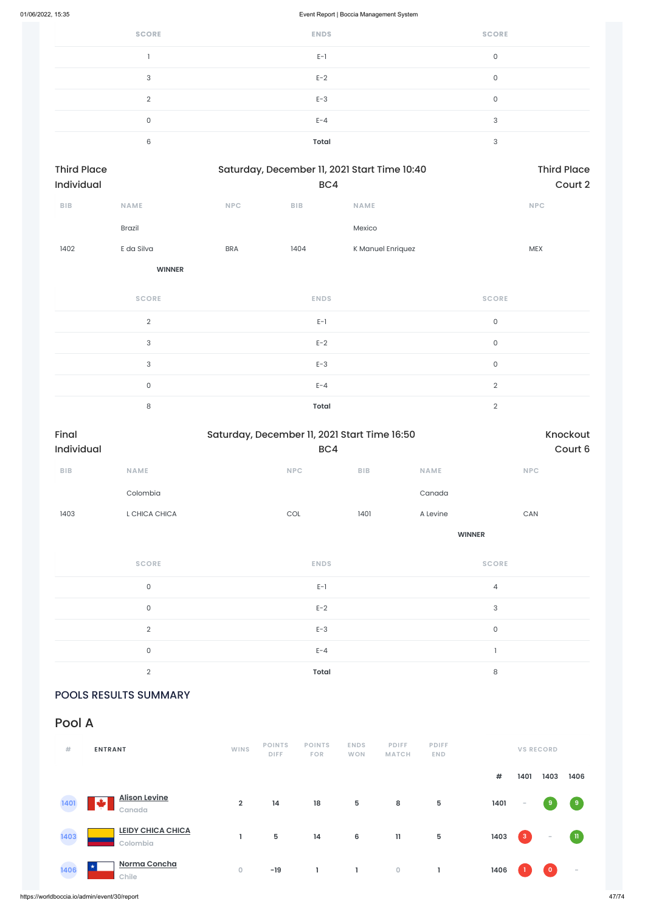https://worldboccia.io/admin/event/30/report 47/74

| <b>SCORE</b> | <b>ENDS</b>  | <b>SCORE</b> |
|--------------|--------------|--------------|
|              | $E-1$        | 0            |
| 3            | $E-2$        | 0            |
| $\Omega$     | $E-3$        | 0            |
| 0            | $E - 4$      | 3            |
| 6            | <b>Total</b> | 3            |

|               |            |            | <b>Third Place</b> |                                                     |
|---------------|------------|------------|--------------------|-----------------------------------------------------|
|               |            | Court 2    |                    |                                                     |
| <b>NAME</b>   | <b>NPC</b> | <b>BIB</b> | <b>NAME</b>        | <b>NPC</b>                                          |
| <b>Brazil</b> |            |            | Mexico             |                                                     |
| E da Silva    | <b>BRA</b> | 1404       | K Manuel Enriquez  | <b>MEX</b>                                          |
|               |            |            |                    | Saturday, December 11, 2021 Start Time 10:40<br>BC4 |

**WINNER**

| <b>SCORE</b>  | <b>ENDS</b>  | <b>SCORE</b>   |
|---------------|--------------|----------------|
| $\mathcal{L}$ | $E-1$        | $\mathbf 0$    |
| 3             | $E-2$        | $\mathbf 0$    |
| 3             | $E-3$        | $\mathbf 0$    |
| $\mathbf 0$   | $E - 4$      | $\overline{2}$ |
| 8             | <b>Total</b> | $\Omega$       |

| Final<br>Saturday, December 11, 2021 Start Time 16:50 |                     |                |         |               |                       |  |
|-------------------------------------------------------|---------------------|----------------|---------|---------------|-----------------------|--|
| Individual                                            |                     | BC4            | Court 6 |               |                       |  |
| BIB                                                   | <b>NAME</b>         | <b>NPC</b>     | BIB     | <b>NAME</b>   | <b>NPC</b>            |  |
|                                                       | Colombia            |                |         | Canada        |                       |  |
| 1403                                                  | L CHICA CHICA       | $\mathsf{COL}$ | 1401    | A Levine      | $\mathsf{CAN}\xspace$ |  |
|                                                       |                     |                |         | <b>WINNER</b> |                       |  |
|                                                       | <b>SCORE</b>        | <b>ENDS</b>    |         |               | <b>SCORE</b>          |  |
|                                                       | $\mathsf{O}\xspace$ | $E-1$          |         |               | $\sqrt{4}$            |  |
|                                                       | $\mathsf{O}$        | $E-2$          |         |               | $\sqrt{3}$            |  |
|                                                       | $\overline{2}$      | $E-3$          |         |               | $\mathsf{O}\xspace$   |  |
|                                                       | $\mathsf{O}\xspace$ | $E - 4$        |         |               | $\mathbf{I}$          |  |
|                                                       | $\overline{2}$      | <b>Total</b>   |         |               | $\,8\,$               |  |

### POOLS RESULTS SUMMARY

# Pool A

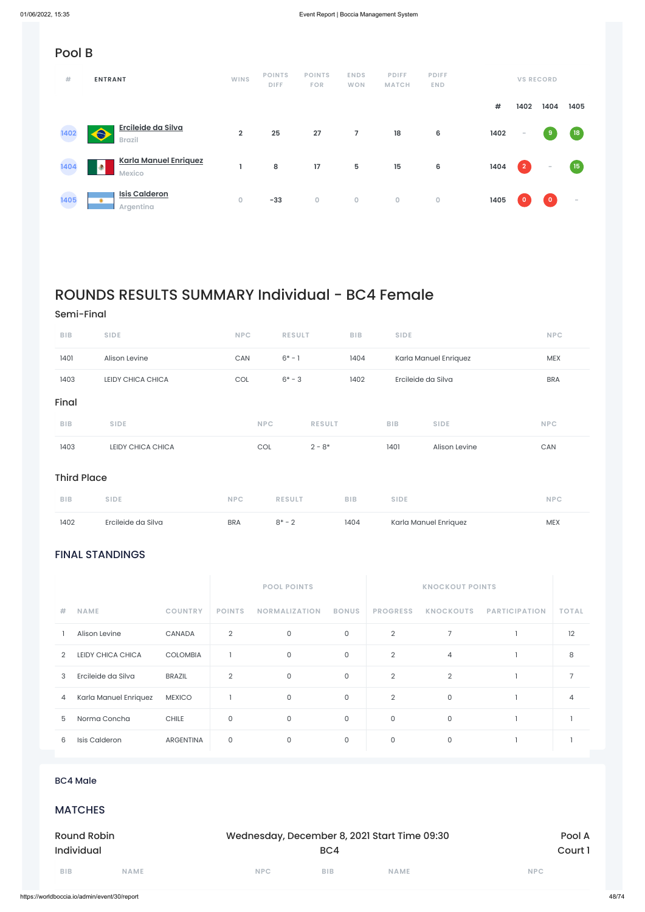### FINAL STANDINGS

|               |                    |                 |                | <b>POOL POINTS</b>   | <b>KNOCKOUT POINTS</b> |                 |                  |                      |              |
|---------------|--------------------|-----------------|----------------|----------------------|------------------------|-----------------|------------------|----------------------|--------------|
| #.            | <b>NAME</b>        | <b>COUNTRY</b>  | <b>POINTS</b>  | <b>NORMALIZATION</b> | <b>BONUS</b>           | <b>PROGRESS</b> | <b>KNOCKOUTS</b> | <b>PARTICIPATION</b> | <b>TOTAL</b> |
|               | Alison Levine      | <b>CANADA</b>   | 2              | 0                    | $\Omega$               | $\overline{2}$  |                  |                      | 12           |
| $\mathcal{D}$ | LEIDY CHICA CHICA  | <b>COLOMBIA</b> |                | 0                    | $\Omega$               | $\overline{2}$  | 4                |                      | 8            |
| 3             | Ercileide da Silva | BRAZIL          | $\overline{2}$ |                      | 0                      | $\overline{2}$  | ◠                |                      |              |

# Pool B

| #    | <b>ENTRANT</b>                                     | <b>WINS</b>    | <b>POINTS</b><br><b>DIFF</b> | <b>POINTS</b><br><b>FOR</b> | <b>ENDS</b><br><b>WON</b> | <b>PDIFF</b><br><b>MATCH</b> | <b>PDIFF</b><br><b>END</b> |      |                | <b>VS RECORD</b>        |      |
|------|----------------------------------------------------|----------------|------------------------------|-----------------------------|---------------------------|------------------------------|----------------------------|------|----------------|-------------------------|------|
|      |                                                    |                |                              |                             |                           |                              |                            | #    | 1402           | 1404                    | 1405 |
| 1402 | Ercileide da Silva<br>A<br><b>Brazil</b>           | $\overline{2}$ | 25                           | 27                          | 7                         | 18                           | 6                          | 1402 | $\sim$         | 9                       | (18) |
| 1404 | <b>Karla Manuel Enriquez</b><br>Ð<br><b>Mexico</b> |                | 8                            | 17                          | 5                         | 15                           | 6                          | 1404 | $\overline{2}$ | $\hspace{0.1mm}$        | (15) |
| 1405 | <b>Isis Calderon</b><br>۰<br>Argentina             | 0              | $-33$                        | $\mathsf O$                 | $\mathbf 0$               | $\mathsf O$                  | $\mathsf{O}\xspace$        | 1405 | $\mathbf 0$    | $\overline{\mathbf{o}}$ | -    |

# ROUNDS RESULTS SUMMARY Individual - BC4 Female

### Semi-Final

| 4          | Karla Manuel Enriquez | <b>MEXICO</b> |              | $\mathsf{O}$ | $\mathsf{O}$                                 | $\overline{2}$ | $\mathsf{O}$ |            | $\overline{4}$ |
|------------|-----------------------|---------------|--------------|--------------|----------------------------------------------|----------------|--------------|------------|----------------|
| 5          | Norma Concha          | <b>CHILE</b>  | $\mathsf O$  | $\mathsf{O}$ | $\mathsf{O}$                                 | $\mathsf O$    | $\mathsf{O}$ |            |                |
| 6          | Isis Calderon         | ARGENTINA     | $\mathsf{O}$ | $\mathsf{O}$ | $\mathsf{O}$                                 | $\mathsf{O}$   | $\mathsf{O}$ |            |                |
|            |                       |               |              |              |                                              |                |              |            |                |
|            | <b>BC4 Male</b>       |               |              |              |                                              |                |              |            |                |
|            | <b>MATCHES</b>        |               |              |              |                                              |                |              |            |                |
|            | <b>Round Robin</b>    |               |              |              | Wednesday, December 8, 2021 Start Time 09:30 |                |              |            | Pool A         |
|            | <b>Individual</b>     |               | BC4          |              |                                              |                |              |            | Court 1        |
| <b>BIB</b> | <b>NAME</b>           |               | <b>NPC</b>   |              | <b>BIB</b>                                   | <b>NAME</b>    |              | <b>NPC</b> |                |
|            |                       |               |              |              |                                              |                |              |            |                |

| <b>BIB</b> | <b>SIDE</b>       | <b>NPC</b> | <b>RESULT</b> | <b>BIB</b> | <b>SIDE</b>        |                       | <b>NPC</b> |
|------------|-------------------|------------|---------------|------------|--------------------|-----------------------|------------|
| 1401       | Alison Levine     | CAN        | $6* - 1$      | 1404       |                    | Karla Manuel Enriquez | <b>MEX</b> |
| 1403       | LEIDY CHICA CHICA | <b>COL</b> | $6* - 3$      | 1402       | Ercileide da Silva |                       | <b>BRA</b> |
| Final      |                   |            |               |            |                    |                       |            |
| <b>BIB</b> | <b>SIDE</b>       | <b>NPC</b> | <b>RESULT</b> |            | <b>BIB</b>         | <b>SIDE</b>           | <b>NPC</b> |
| 1403       | LEIDY CHICA CHICA | COL        | $2 - 8*$      |            | 1401               | Alison Levine         | CAN        |
|            |                   |            |               |            |                    |                       |            |

### Third Place

| <b>BIB</b> | <b>SIDE</b>        | NPC        | <b>RESULT</b> | <b>BIB</b> | <b>SIDE</b>           | <b>NPC</b> |
|------------|--------------------|------------|---------------|------------|-----------------------|------------|
| 1402       | Ercileide da Silva | <b>BRA</b> | $R^* - 2$     | 1404       | Karla Manuel Enriquez | <b>MEX</b> |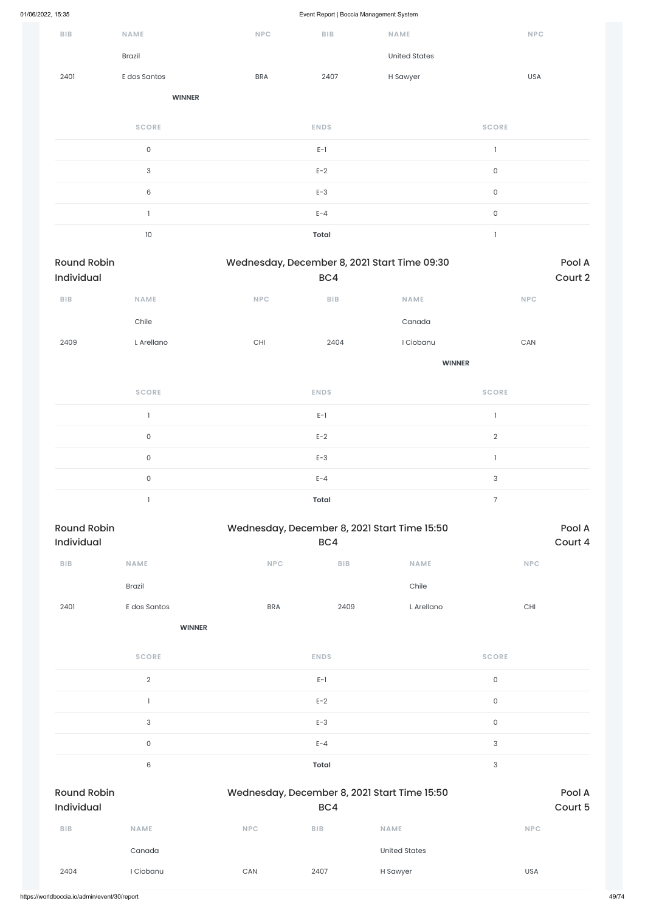|                                  |                     |                                                                                                                                                                                                                                                                                                                                                                                                            |              | $\overline{\phantom{a}}$ |                       |                   |
|----------------------------------|---------------------|------------------------------------------------------------------------------------------------------------------------------------------------------------------------------------------------------------------------------------------------------------------------------------------------------------------------------------------------------------------------------------------------------------|--------------|--------------------------|-----------------------|-------------------|
| ${\sf B}{\sf I}{\sf B}$          | NAME                | $\ensuremath{\mathsf{NPC}}$                                                                                                                                                                                                                                                                                                                                                                                | BIB          | NAME                     |                       | <b>NPC</b>        |
|                                  | Brazil              |                                                                                                                                                                                                                                                                                                                                                                                                            |              | <b>United States</b>     |                       |                   |
| 2401                             | E dos Santos        | <b>BRA</b>                                                                                                                                                                                                                                                                                                                                                                                                 | 2407         | H Sawyer                 | <b>USA</b>            |                   |
|                                  | <b>WINNER</b>       |                                                                                                                                                                                                                                                                                                                                                                                                            |              |                          |                       |                   |
|                                  | <b>SCORE</b>        |                                                                                                                                                                                                                                                                                                                                                                                                            | <b>ENDS</b>  |                          | <b>SCORE</b>          |                   |
|                                  | $\mathsf{O}\xspace$ |                                                                                                                                                                                                                                                                                                                                                                                                            | $E-1$        |                          | $\mathbf{1}$          |                   |
|                                  | $\sqrt{3}$          |                                                                                                                                                                                                                                                                                                                                                                                                            | $E-2$        |                          | $\mathsf{O}$          |                   |
|                                  | $\,6\,$             |                                                                                                                                                                                                                                                                                                                                                                                                            | $E-3$        |                          | $\mathsf{O}$          |                   |
|                                  | $\mathbf{1}$        |                                                                                                                                                                                                                                                                                                                                                                                                            | $E - 4$      |                          | $\mathsf{O}\xspace$   |                   |
|                                  | $10\,$              |                                                                                                                                                                                                                                                                                                                                                                                                            | <b>Total</b> |                          | $\mathbf{I}$          |                   |
| <b>Round Robin</b><br>Individual |                     |                                                                                                                                                                                                                                                                                                                                                                                                            | BC4          |                          |                       | Pool A<br>Court 2 |
| ${\sf B}{\sf I}{\sf B}$          | NAME                | $\ensuremath{\mathsf{NPC}}$                                                                                                                                                                                                                                                                                                                                                                                | BIB          | NAME                     | NPC                   |                   |
|                                  | Chile               |                                                                                                                                                                                                                                                                                                                                                                                                            |              | Canada                   |                       |                   |
| 2409                             | L Arellano          | $\mathsf{CHI}$                                                                                                                                                                                                                                                                                                                                                                                             | 2404         | I Ciobanu                | $\mathsf{CAN}\xspace$ |                   |
|                                  |                     |                                                                                                                                                                                                                                                                                                                                                                                                            |              |                          |                       |                   |
|                                  | <b>SCORE</b>        |                                                                                                                                                                                                                                                                                                                                                                                                            | <b>ENDS</b>  |                          | <b>SCORE</b>          |                   |
|                                  | $\mathbf{I}$        | Wednesday, December 8, 2021 Start Time 09:30<br><b>WINNER</b><br>$E-1$<br>$\mathbf{1}$<br>$\mathbf{2}$<br>$E-2$<br>$E-3$<br>$\mathbf{I}$<br>$\ensuremath{\mathsf{3}}$<br>$E - 4$<br>$\overline{7}$<br><b>Total</b><br>Wednesday, December 8, 2021 Start Time 15:50<br>BC4<br><b>NPC</b><br>BIB<br><b>NAME</b><br>Chile<br>L Arellano<br><b>BRA</b><br>2409<br><b>WINNER</b><br><b>ENDS</b><br><b>SCORE</b> |              |                          |                       |                   |
|                                  | $\mathsf O$         |                                                                                                                                                                                                                                                                                                                                                                                                            |              |                          |                       |                   |
|                                  | $\mathsf{O}\xspace$ |                                                                                                                                                                                                                                                                                                                                                                                                            |              |                          |                       |                   |
|                                  | $\mathsf{O}\xspace$ |                                                                                                                                                                                                                                                                                                                                                                                                            |              |                          |                       |                   |
|                                  | $\mathbf{I}$        |                                                                                                                                                                                                                                                                                                                                                                                                            |              |                          |                       |                   |
| <b>Round Robin</b><br>Individual |                     |                                                                                                                                                                                                                                                                                                                                                                                                            |              |                          |                       | Pool A<br>Court 4 |
| ${\sf B}{\sf I}{\sf B}$          | NAME                |                                                                                                                                                                                                                                                                                                                                                                                                            |              |                          | <b>NPC</b>            |                   |
|                                  | Brazil              |                                                                                                                                                                                                                                                                                                                                                                                                            |              |                          |                       |                   |
| 2401                             | E dos Santos        |                                                                                                                                                                                                                                                                                                                                                                                                            |              |                          | CHI                   |                   |
|                                  |                     |                                                                                                                                                                                                                                                                                                                                                                                                            |              |                          |                       |                   |
|                                  | <b>SCORE</b>        |                                                                                                                                                                                                                                                                                                                                                                                                            |              |                          |                       |                   |
|                                  |                     |                                                                                                                                                                                                                                                                                                                                                                                                            |              |                          |                       |                   |

2 and  $E-I$  and  $E-I$  and  $E$  and  $E$  and  $E$  and  $E$  and  $E$  and  $E$  and  $E$  and  $E$  and  $E$  and  $E$  and  $E$  and  $E$  and  $E$  and  $E$  and  $E$  and  $E$  and  $E$  and  $E$  and  $E$  and  $E$  and  $E$  and  $E$  and  $E$  and  $E$  and  $E$  a

|                                  |              |            | $E-2$                                               |                      | $\mathsf{O}\xspace$ |            |  |
|----------------------------------|--------------|------------|-----------------------------------------------------|----------------------|---------------------|------------|--|
|                                  | $\sqrt{3}$   |            | $E-3$                                               |                      | $\mathsf{O}\xspace$ |            |  |
|                                  | $\mathsf{O}$ |            | $E - 4$                                             |                      | 3                   |            |  |
|                                  | $6\,$        |            | Total                                               |                      | 3                   |            |  |
| <b>Round Robin</b><br>Individual |              |            | Wednesday, December 8, 2021 Start Time 15:50<br>BC4 |                      |                     |            |  |
| <b>BIB</b>                       | <b>NAME</b>  | <b>NPC</b> | <b>BIB</b>                                          | <b>NAME</b>          |                     | <b>NPC</b> |  |
|                                  | Canada       |            |                                                     | <b>United States</b> |                     |            |  |
| 2404                             | I Ciobanu    | CAN        | 2407                                                | H Sawyer             |                     | <b>USA</b> |  |
|                                  |              |            |                                                     |                      |                     |            |  |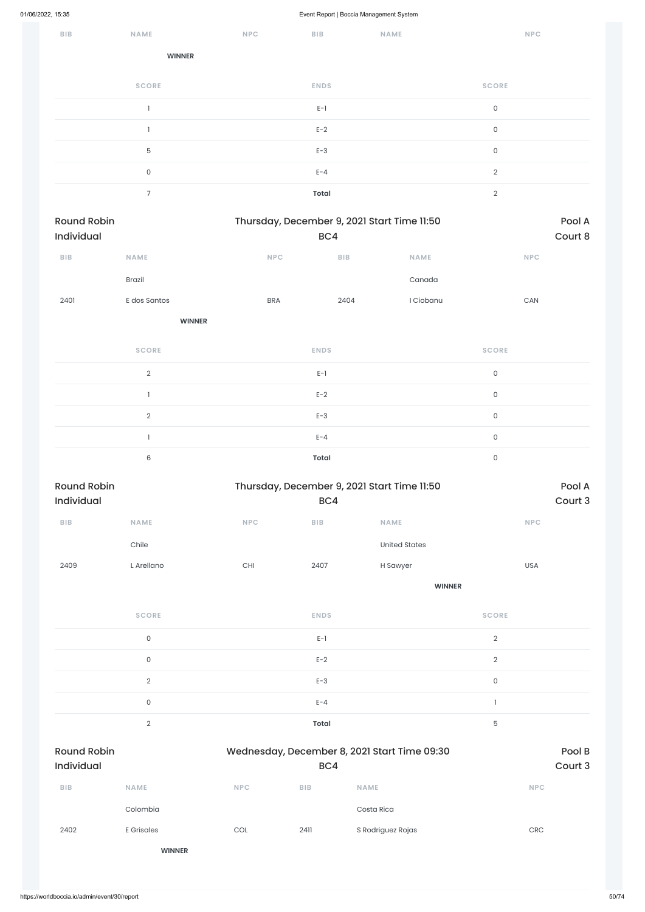| BIB | NAME          | <b>NPC</b> | BIB         | NAME | <b>NPC</b>     |
|-----|---------------|------------|-------------|------|----------------|
|     | <b>WINNER</b> |            |             |      |                |
|     | <b>SCORE</b>  |            | <b>ENDS</b> |      | <b>SCORE</b>   |
|     |               |            | $E-1$       |      | $\mathsf{O}$   |
|     |               |            | $E-2$       |      | $\mathsf{O}$   |
|     | 5             |            | $E-3$       |      | $\mathsf{O}$   |
|     | 0             |            | $E - 4$     |      | $\overline{2}$ |
|     | 7             |            | Total       |      | $\overline{2}$ |

| Thursday, December 9, 2021 Start Time 11:50<br><b>Round Robin</b> |                |                             |                                |                                             |                     |         |  |
|-------------------------------------------------------------------|----------------|-----------------------------|--------------------------------|---------------------------------------------|---------------------|---------|--|
| Individual                                                        |                |                             | BC4                            |                                             |                     | Court 8 |  |
| ${\sf B}{\sf I}{\sf B}$                                           | <b>NAME</b>    | NPC                         | ${\sf B}{\sf I}{\sf B}$        | <b>NAME</b>                                 | NPC                 |         |  |
|                                                                   | Brazil         |                             |                                | Canada                                      |                     |         |  |
| 2401                                                              | E dos Santos   | <b>BRA</b>                  | 2404                           | I Ciobanu                                   | CAN                 |         |  |
|                                                                   | <b>WINNER</b>  |                             |                                |                                             |                     |         |  |
|                                                                   | <b>SCORE</b>   |                             | <b>ENDS</b>                    |                                             | <b>SCORE</b>        |         |  |
|                                                                   | $\overline{2}$ |                             | $E-1$                          |                                             | $\mathsf{O}\xspace$ |         |  |
|                                                                   | $\mathbf{1}$   |                             | $E-2$                          | $\mathsf{O}\xspace$                         |                     |         |  |
|                                                                   | $\overline{2}$ |                             | $E-3$                          |                                             | $\mathsf{O}\xspace$ |         |  |
|                                                                   | $\mathbf{1}$   |                             | $E - 4$                        |                                             | $\mathsf{O}\xspace$ |         |  |
|                                                                   | 6              |                             | <b>Total</b>                   |                                             | $\mathsf{O}\xspace$ |         |  |
| <b>Round Robin</b>                                                |                |                             |                                | Thursday, December 9, 2021 Start Time 11:50 |                     | Pool A  |  |
| Individual                                                        |                |                             | BC4                            |                                             |                     | Court 3 |  |
| BIB                                                               | NAME           | $\ensuremath{\mathsf{NPC}}$ | BIB                            | <b>NAME</b>                                 | <b>NPC</b>          |         |  |
|                                                                   | Chile          |                             |                                | <b>United States</b>                        |                     |         |  |
| 2409                                                              | L Arellano     | $\mathsf{CHI}$              | 2407                           | H Sawyer                                    | <b>USA</b>          |         |  |
|                                                                   |                |                             |                                | <b>WINNER</b>                               |                     |         |  |
|                                                                   | <b>SCORE</b>   |                             | <b>ENDS</b>                    |                                             | <b>SCORE</b>        |         |  |
|                                                                   | $\mathsf O$    |                             | $\mathsf{E}\text{-}\mathsf{1}$ |                                             | $\sqrt{2}$          |         |  |
|                                                                   | $\mathsf O$    |                             | $E-2$                          |                                             | $\sqrt{2}$          |         |  |
|                                                                   | $\overline{2}$ |                             | $E-3$                          |                                             | $\mathsf{O}\xspace$ |         |  |

|                                  | $\mathsf{O}$      |            | $E - 4$    |                                              |             |                   |
|----------------------------------|-------------------|------------|------------|----------------------------------------------|-------------|-------------------|
|                                  | $\overline{2}$    |            | Total      |                                              | $\mathbf 5$ |                   |
| <b>Round Robin</b><br>Individual |                   |            | BC4        | Wednesday, December 8, 2021 Start Time 09:30 |             | Pool B<br>Court 3 |
| <b>BIB</b>                       | <b>NAME</b>       | <b>NPC</b> | <b>BIB</b> | <b>NAME</b>                                  |             | <b>NPC</b>        |
|                                  | Colombia          |            |            | Costa Rica                                   |             |                   |
| 2402                             | <b>E</b> Grisales | COL        | 2411       | S Rodriguez Rojas                            |             | <b>CRC</b>        |
|                                  | <b>WINNER</b>     |            |            |                                              |             |                   |
|                                  |                   |            |            |                                              |             |                   |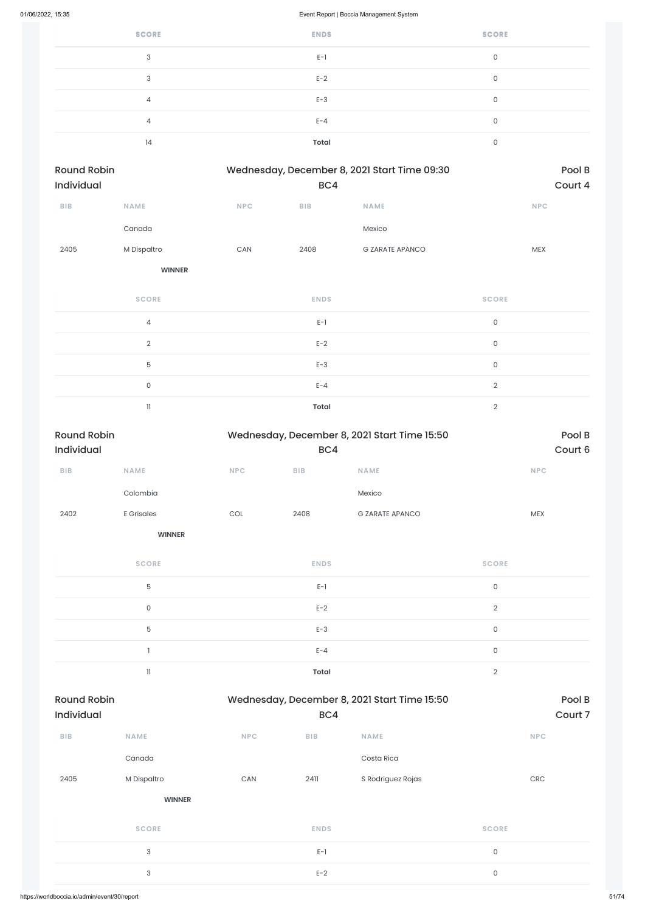| <b>SCORE</b> | <b>ENDS</b> | <b>SCORE</b> |
|--------------|-------------|--------------|
| 3            | $E-1$       | 0            |
| 3            | $E-2$       | 0            |
| 4            | $E-3$       | 0            |
| 4            | $E - 4$     | 0            |
| 14           | Total       | 0            |

| <b>Round Robin</b> |             | Wednesday, December 8, 2021 Start Time 09:30<br>BC4 |            |                        | Pool B     |
|--------------------|-------------|-----------------------------------------------------|------------|------------------------|------------|
| <b>Individual</b>  |             |                                                     |            |                        | Court 4    |
| <b>BIB</b>         | <b>NAME</b> | <b>NPC</b>                                          | <b>BIB</b> | <b>NAME</b>            | <b>NPC</b> |
|                    | Canada      |                                                     |            | Mexico                 |            |
| 2405               | M Dispaltro | CAN                                                 | 2408       | <b>G ZARATE APANCO</b> | <b>MEX</b> |

| <b>SCORE</b>   | <b>ENDS</b>  | <b>SCORE</b>  |
|----------------|--------------|---------------|
| $\overline{4}$ | $E-1$        | 0             |
| 2              | $E-2$        | $\mathbf 0$   |
| 5              | $E-3$        | 0             |
| $\Omega$       | $E - 4$      | $\mathcal{D}$ |
| 11             | <b>Total</b> | $\Omega$      |

| <b>Round Robin</b><br>Individual |                            |            | Wednesday, December 8, 2021 Start Time 15:50<br>BC4 |                        |                     | Pool B     |  |
|----------------------------------|----------------------------|------------|-----------------------------------------------------|------------------------|---------------------|------------|--|
|                                  |                            |            |                                                     |                        |                     | Court 6    |  |
| ${\sf B}{\sf I}{\sf B}$          | <b>NAME</b>                | <b>NPC</b> | BIB                                                 | <b>NAME</b>            |                     | NPC        |  |
|                                  | Colombia                   |            |                                                     | Mexico                 |                     |            |  |
| 2402                             | <b>E</b> Grisales          | COL        | 2408                                                | <b>G ZARATE APANCO</b> |                     | <b>MEX</b> |  |
|                                  | <b>WINNER</b>              |            |                                                     |                        |                     |            |  |
|                                  | <b>SCORE</b>               |            | <b>ENDS</b>                                         |                        | <b>SCORE</b>        |            |  |
|                                  | $\mathbf 5$                |            | $E-1$                                               |                        | $\mathsf{O}\xspace$ |            |  |
|                                  | $\mathsf{O}$               |            | $E-2$                                               |                        | $\sqrt{2}$          |            |  |
|                                  | $\mathbf 5$                |            | $E-3$                                               |                        | $\mathsf{O}\xspace$ |            |  |
|                                  |                            |            | $E - 4$                                             |                        | $\mathsf{O}$        |            |  |
|                                  | $\ensuremath{\mathsf{11}}$ |            | <b>Total</b>                                        |                        | $\sqrt{2}$          |            |  |

| <b>Round Robin</b><br>Wednesday, December 8, 2021 Start Time 15:50<br>Individual<br>BC4 |               |            |             | Pool B<br>Court 7 |                     |  |
|-----------------------------------------------------------------------------------------|---------------|------------|-------------|-------------------|---------------------|--|
| <b>BIB</b>                                                                              | <b>NAME</b>   | <b>NPC</b> | BIB         | <b>NAME</b>       | <b>NPC</b>          |  |
|                                                                                         | Canada        |            |             | Costa Rica        |                     |  |
| 2405                                                                                    | M Dispaltro   | CAN        | 2411        | S Rodriguez Rojas | CRC                 |  |
|                                                                                         | <b>WINNER</b> |            |             |                   |                     |  |
|                                                                                         | <b>SCORE</b>  |            | <b>ENDS</b> |                   | <b>SCORE</b>        |  |
|                                                                                         | $\sqrt{3}$    |            | $E-1$       |                   | $\mathsf{O}\xspace$ |  |
|                                                                                         | $\sqrt{3}$    |            | $E-2$       |                   | $\mathsf 0$         |  |
|                                                                                         |               |            |             |                   |                     |  |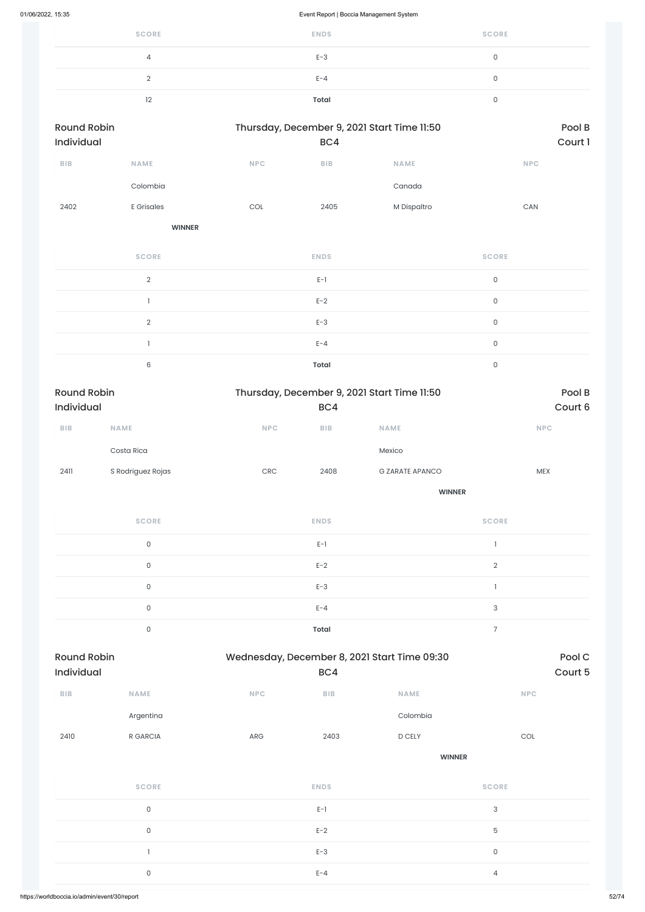| <b>SCORE</b> | <b>ENDS</b> | <b>SCORE</b> |
|--------------|-------------|--------------|
| 4            | $E-3$       |              |
|              | $E - 4$     |              |
| 12           | Total       |              |

| <b>Round Robin</b><br>Individual |               |            | Thursday, December 9, 2021 Start Time 11:50<br>BC4 |             | Pool B<br>Court 1 |
|----------------------------------|---------------|------------|----------------------------------------------------|-------------|-------------------|
| <b>BIB</b>                       | <b>NAME</b>   | <b>NPC</b> | <b>BIB</b>                                         | <b>NAME</b> | <b>NPC</b>        |
|                                  | Colombia      |            |                                                    | Canada      |                   |
| 2402                             | E Grisales    | COL        | 2405                                               | M Dispaltro | <b>CAN</b>        |
|                                  | <b>WINNER</b> |            |                                                    |             |                   |

| <b>SCORE</b> | <b>ENDS</b>  | <b>SCORE</b> |
|--------------|--------------|--------------|
| $\Omega$     | $E-1$        | 0            |
|              | $E-2$        | 0            |
| $\Omega$     | $E-3$        | $\cap$       |
|              | $E - 4$      | n            |
| 6            | <b>Total</b> |              |

| <b>Round Robin</b> |                   |            | Thursday, December 9, 2021 Start Time 11:50 |                        |            |
|--------------------|-------------------|------------|---------------------------------------------|------------------------|------------|
| <b>Individual</b>  |                   |            | BC4                                         |                        | Court 6    |
| <b>BIB</b>         | <b>NAME</b>       | <b>NPC</b> | <b>BIB</b>                                  | <b>NAME</b>            | <b>NPC</b> |
|                    | Costa Rica        |            |                                             | Mexico                 |            |
| 2411               | S Rodriguez Rojas | <b>CRC</b> | 2408                                        | <b>G ZARATE APANCO</b> | <b>MEX</b> |
|                    |                   |            |                                             | <b>WINNER</b>          |            |

| <b>SCORE</b> | <b>ENDS</b>  | <b>SCORE</b> |
|--------------|--------------|--------------|
| 0            | $E-1$        |              |
| 0            | $E-2$        | $\Omega$     |
| $\Omega$     | $E-3$        |              |
| $\mathbf 0$  | $E - 4$      | 3            |
| 0            | <b>Total</b> | −            |

| <b>BIB</b> | <b>NAME</b>         | <b>NPC</b>  | BIB         | <b>NAME</b>   | <b>NPC</b>          |
|------------|---------------------|-------------|-------------|---------------|---------------------|
|            | Argentina           |             |             | Colombia      |                     |
| 2410       | R GARCIA            | ${\sf ARG}$ | 2403        | D CELY        | COL                 |
|            |                     |             |             | <b>WINNER</b> |                     |
|            | SCORE               |             | <b>ENDS</b> |               | <b>SCORE</b>        |
|            | $\mathsf{O}\xspace$ |             | $E-1$       |               | $\sqrt{3}$          |
|            | $\mathsf{O}\xspace$ |             | $E-2$       |               | $\mathbf 5$         |
|            |                     |             | $E-3$       |               | $\mathsf{O}\xspace$ |
|            | $\mathsf O$         |             | $E - 4$     |               | $\overline{4}$      |
|            |                     |             |             |               |                     |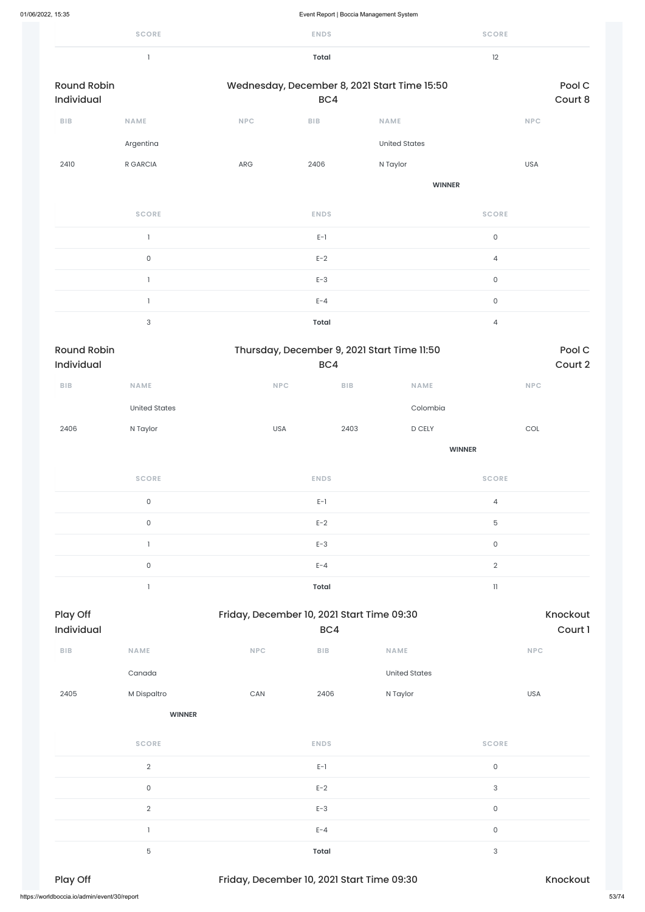|                                  | <b>SCORE</b>              |            | <b>ENDS</b>                    |                                              | <b>SCORE</b>        |                   |
|----------------------------------|---------------------------|------------|--------------------------------|----------------------------------------------|---------------------|-------------------|
|                                  | $\mathbf{1}$              |            | <b>Total</b>                   |                                              | 12                  |                   |
| <b>Round Robin</b><br>Individual |                           |            | BC4                            | Wednesday, December 8, 2021 Start Time 15:50 |                     | Pool C<br>Court 8 |
| BIB                              | NAME                      | <b>NPC</b> | <b>BIB</b>                     | NAME                                         | <b>NPC</b>          |                   |
|                                  | Argentina                 |            |                                | <b>United States</b>                         |                     |                   |
| 2410                             | R GARCIA                  | ARG        | 2406                           | N Taylor                                     | <b>USA</b>          |                   |
|                                  |                           |            |                                | <b>WINNER</b>                                |                     |                   |
|                                  | <b>SCORE</b>              |            | <b>ENDS</b>                    |                                              | <b>SCORE</b>        |                   |
|                                  | $\mathbbm{1}$             |            | $E-1$                          |                                              | $\mathsf{O}$        |                   |
|                                  | $\mathsf{O}\xspace$       |            | $E-2$                          |                                              | $\overline{4}$      |                   |
|                                  | $\mathbf{I}$              |            | $E-3$                          |                                              | $\mathsf{O}$        |                   |
|                                  | $\mathbf{1}$              |            | $E - 4$                        |                                              | $\mathsf{O}\xspace$ |                   |
|                                  | $\ensuremath{\mathsf{3}}$ |            | <b>Total</b>                   |                                              | $\overline{4}$      |                   |
| <b>Round Robin</b><br>Individual |                           |            | BC4                            | Thursday, December 9, 2021 Start Time 11:50  |                     | Pool C<br>Court 2 |
| BIB                              | <b>NAME</b>               |            | NPC<br>${\sf B}{\sf I}{\sf B}$ | <b>NAME</b>                                  |                     | <b>NPC</b>        |

| 2405                                         | M Dispaltro    | $\mathsf{CAN}\xspace$                      | 2406         | N Taylor |              | <b>USA</b> |       |
|----------------------------------------------|----------------|--------------------------------------------|--------------|----------|--------------|------------|-------|
|                                              | <b>WINNER</b>  |                                            |              |          |              |            |       |
|                                              | <b>SCORE</b>   |                                            | <b>ENDS</b>  |          | <b>SCORE</b> |            |       |
|                                              | $\overline{2}$ |                                            | $E-1$        |          | $\mathsf O$  |            |       |
|                                              | $\mathsf O$    |                                            | $E-2$        |          | 3            |            |       |
|                                              | $\overline{2}$ |                                            | $E-3$        |          | $\mathsf O$  |            |       |
|                                              |                |                                            | $E - 4$      |          | $\mathsf O$  |            |       |
|                                              | 5              |                                            | <b>Total</b> |          | 3            |            |       |
| Play Off                                     |                | Friday, December 10, 2021 Start Time 09:30 |              |          |              | Knockout   |       |
| https://worldboccia.io/admin/event/30/report |                |                                            |              |          |              |            | 53/74 |

|      | United States |     |      | Colombia |     |
|------|---------------|-----|------|----------|-----|
| 2406 | N Taylor      | USA | 2403 | D CELY   | COL |

**WINNER**

|                        | <b>SCORE</b> |            | <b>ENDS</b>                                       |             | <b>SCORE</b>               |                            |
|------------------------|--------------|------------|---------------------------------------------------|-------------|----------------------------|----------------------------|
|                        | $\mathsf O$  |            | $E-1$                                             |             | $\overline{4}$             |                            |
|                        | $\mathsf 0$  |            | $E-2$                                             |             | $\overline{5}$             |                            |
|                        |              |            | $E-3$                                             |             | $\mathsf 0$                |                            |
|                        | $\mathsf O$  |            | $E - 4$                                           |             | $\overline{2}$             |                            |
|                        |              |            | Total                                             |             | $\left\vert {}\right\vert$ |                            |
| Play Off<br>Individual |              |            | Friday, December 10, 2021 Start Time 09:30<br>BC4 |             |                            | <b>Knockout</b><br>Court 1 |
| <b>BIB</b>             | <b>NAME</b>  | <b>NPC</b> | <b>BIB</b>                                        | <b>NAME</b> | <b>NPC</b>                 |                            |

Canada United States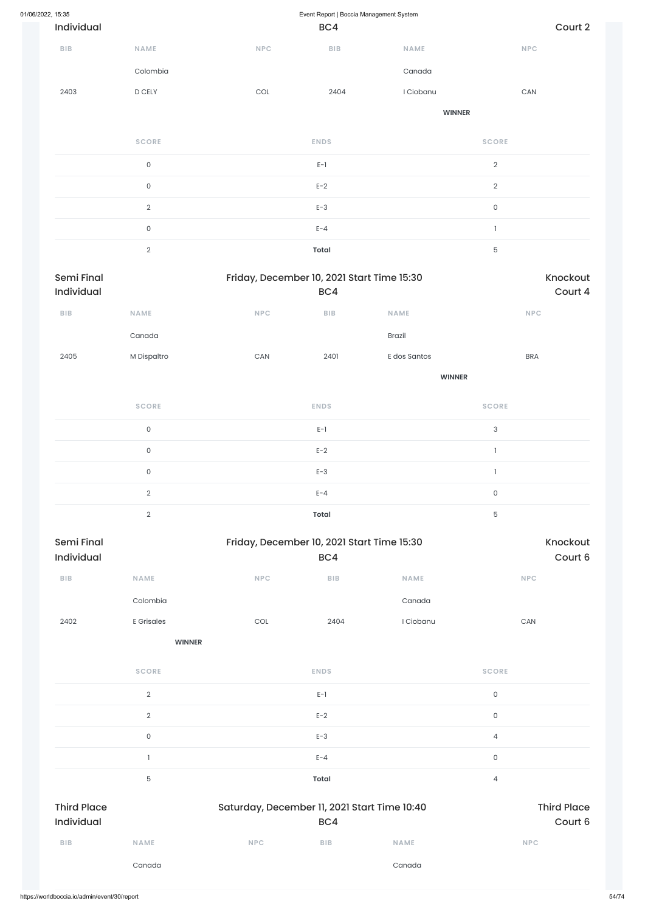| 01/06/2022, 15:35 |                          |                     |                       | Event Report   Boccia Management System           |               |                     |                     |
|-------------------|--------------------------|---------------------|-----------------------|---------------------------------------------------|---------------|---------------------|---------------------|
|                   | Individual               |                     |                       | BC4                                               |               |                     | Court 2             |
|                   | <b>BIB</b>               | NAME                | NPC                   | <b>BIB</b>                                        | <b>NAME</b>   |                     | <b>NPC</b>          |
|                   |                          | Colombia            |                       |                                                   | Canada        |                     |                     |
|                   | 2403                     | D CELY              | COL                   | 2404                                              | I Ciobanu     |                     | ${\sf CAN}$         |
|                   |                          |                     |                       |                                                   | <b>WINNER</b> |                     |                     |
|                   |                          | <b>SCORE</b>        |                       | <b>ENDS</b>                                       |               | <b>SCORE</b>        |                     |
|                   |                          | $\mathsf{O}\xspace$ |                       | $E-1$                                             |               | $\overline{2}$      |                     |
|                   |                          | $\mathsf{O}\xspace$ |                       | $E-2$                                             |               | $\overline{2}$      |                     |
|                   |                          | $\sqrt{2}$          |                       | $E-3$                                             |               | $\mathsf{O}\xspace$ |                     |
|                   |                          | $\mathsf{O}\xspace$ |                       | $E - 4$                                           |               | $\mathbbm{1}$       |                     |
|                   |                          | $\overline{2}$      |                       | <b>Total</b>                                      |               | $\mathbf 5$         |                     |
|                   | Semi Final<br>Individual |                     |                       | Friday, December 10, 2021 Start Time 15:30<br>BC4 |               |                     | Knockout<br>Court 4 |
|                   | <b>BIB</b>               | NAME                | <b>NPC</b>            | ${\sf B}{\sf I}{\sf B}$                           | NAME          |                     | <b>NPC</b>          |
|                   |                          | Canada              |                       |                                                   | Brazil        |                     |                     |
|                   | 2405                     | M Dispaltro         | $\mathsf{CAN}\xspace$ | 2401                                              | E dos Santos  |                     | <b>BRA</b>          |
|                   |                          |                     |                       |                                                   | <b>WINNER</b> |                     |                     |
|                   |                          | <b>SCORE</b>        |                       | <b>ENDS</b>                                       |               | <b>SCORE</b>        |                     |
|                   |                          | $\mathsf{O}\xspace$ |                       | $\mathsf{E}\text{-}\mathsf{1}$                    |               | $\sqrt{3}$          |                     |
|                   |                          | $\mathsf{O}\xspace$ |                       | $E-2$                                             |               | $\mathbf{1}$        |                     |
|                   |                          | $\mathsf{O}\xspace$ |                       | $E-3$                                             |               | $\mathbf{I}$        |                     |
|                   |                          | $\overline{2}$      |                       | $E - 4$                                           |               | $\mathsf{O}\xspace$ |                     |
|                   |                          | $\sqrt{2}$          |                       | <b>Total</b>                                      |               | 5                   |                     |
|                   | Semi Final<br>Individual |                     |                       | Friday, December 10, 2021 Start Time 15:30<br>BC4 |               |                     | Knockout<br>Court 6 |
|                   | BIB                      | NAME                | <b>NPC</b>            | ${\sf B}{\sf I}{\sf B}$                           | NAME          |                     | NPC                 |
|                   |                          | Colombia            |                       |                                                   | Canada        |                     |                     |
|                   |                          |                     |                       |                                                   |               |                     |                     |

2402 E Grisales COL 2404 I Ciobanu CAN

**WINNER**

**SCORE ENDS SCORE**

|                                  | $\sqrt{2}$     |                                              | $E-1$      |             | $\mathsf{O}\xspace$ |                               |
|----------------------------------|----------------|----------------------------------------------|------------|-------------|---------------------|-------------------------------|
|                                  | $\overline{2}$ |                                              | $E-2$      |             | $\mathsf{O}$        |                               |
|                                  | $\mathsf O$    |                                              | $E-3$      |             | 4                   |                               |
|                                  |                |                                              | $E - 4$    |             | $\mathsf{O}\xspace$ |                               |
|                                  | 5              |                                              | Total      |             | 4                   |                               |
|                                  |                |                                              |            |             |                     |                               |
| <b>Third Place</b><br>Individual |                | Saturday, December 11, 2021 Start Time 10:40 | BC4        |             |                     | <b>Third Place</b><br>Court 6 |
| BIB                              | <b>NAME</b>    | <b>NPC</b>                                   | <b>BIB</b> | <b>NAME</b> | <b>NPC</b>          |                               |
|                                  | Canada         |                                              |            | Canada      |                     |                               |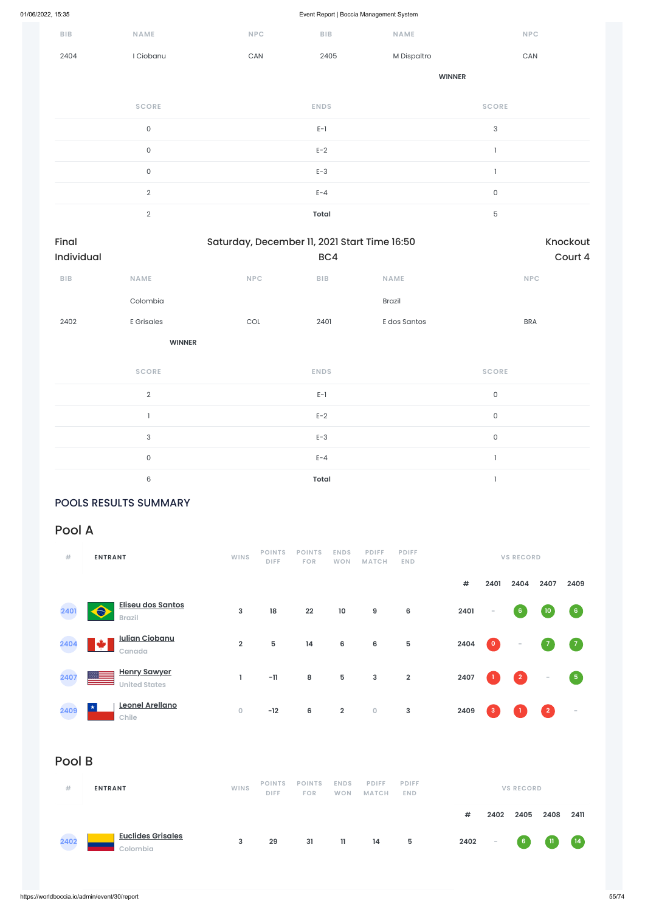| BIB                 | NAME                | NPC                                          | <b>BIB</b>              | <b>NAME</b>   | <b>NPC</b>                |                     |
|---------------------|---------------------|----------------------------------------------|-------------------------|---------------|---------------------------|---------------------|
| 2404                | I Ciobanu           | CAN                                          | 2405                    | M Dispaltro   | CAN                       |                     |
|                     |                     |                                              |                         | <b>WINNER</b> |                           |                     |
|                     | <b>SCORE</b>        |                                              | <b>ENDS</b>             |               | <b>SCORE</b>              |                     |
|                     | $\mathsf{O}\xspace$ |                                              | $E-1$                   |               | $\ensuremath{\mathsf{3}}$ |                     |
|                     | $\mathsf{O}\xspace$ |                                              | $E-2$                   |               | $\overline{\phantom{a}}$  |                     |
|                     | $\mathsf{O}$        |                                              | $E-3$                   |               | $\overline{1}$            |                     |
|                     | $\sqrt{2}$          |                                              | $E - 4$                 |               | $\mathsf O$               |                     |
|                     | $\mathbf{2}$        |                                              | <b>Total</b>            |               | $\overline{5}$            |                     |
| Final<br>Individual |                     | Saturday, December 11, 2021 Start Time 16:50 | BC4                     |               |                           | Knockout<br>Court 4 |
| BIB                 | <b>NAME</b>         | <b>NPC</b>                                   | ${\sf B}{\sf I}{\sf B}$ | <b>NAME</b>   | NPC                       |                     |

Colombia Brazil 2402 E Grisales COL 2401 E dos Santos BRA **WINNER**

| <b>SCORE</b>  | <b>ENDS</b>  | <b>SCORE</b> |
|---------------|--------------|--------------|
| $\mathcal{D}$ | $E-1$        | 0            |
|               | $E-2$        | $\Omega$     |
| 3             | $E-3$        | 0            |
| $\Omega$      | $E - 4$      |              |
| 6             | <b>Total</b> |              |

### POOLS RESULTS SUMMARY

# Pool A

| #    | <b>ENTRANT</b>                                 | <b>WINS</b>    | <b>POINTS</b><br><b>DIFF</b> | <b>POINTS</b><br><b>FOR</b> | <b>ENDS</b><br><b>WON</b> | <b>PDIFF</b><br><b>MATCH</b> | <b>PDIFF</b><br>END.    | <b>VS RECORD</b> |           |                |                          |                |
|------|------------------------------------------------|----------------|------------------------------|-----------------------------|---------------------------|------------------------------|-------------------------|------------------|-----------|----------------|--------------------------|----------------|
|      |                                                |                |                              |                             |                           |                              |                         | #                | 2401      | 2404           | 2407                     | 2409           |
| 2401 | <b>Eliseu dos Santos</b><br>A<br><b>Brazil</b> | 3              | 18                           | 22                          | 10                        | 9                            | 6                       | 2401             | $\sim$    | 6 <sup>1</sup> | $10\,$                   | 6 <sub>6</sub> |
| 2404 | <b>Iulian Ciobanu</b><br>Canada                | $\overline{2}$ | 5                            | 14                          | 6                         | 6                            | 5                       | 2404             | $\bullet$ | $\sim$         |                          | $\sqrt{7}$     |
| 2407 | <b>Henry Sawyer</b><br><b>United States</b>    |                | $-11$                        | 8                           | 5                         | 3                            | $\overline{\mathbf{2}}$ | 2407             |           | $\overline{2}$ | $\overline{\phantom{a}}$ | 5              |

| Leonel Arellano<br>★<br>2409<br>Chile<br>a a | $\overline{0}$ | $-12$                        | 6                           | $\overline{2}$            | $\bullet$                    | $\mathbf{3}$               | 2409 | $\mathbf{3}$ |                          | $\boxed{2}$ | $\sim$      |
|----------------------------------------------|----------------|------------------------------|-----------------------------|---------------------------|------------------------------|----------------------------|------|--------------|--------------------------|-------------|-------------|
| Pool B                                       |                |                              |                             |                           |                              |                            |      |              |                          |             |             |
| #<br><b>ENTRANT</b>                          | <b>WINS</b>    | <b>POINTS</b><br><b>DIFF</b> | <b>POINTS</b><br><b>FOR</b> | <b>ENDS</b><br><b>WON</b> | <b>PDIFF</b><br><b>MATCH</b> | <b>PDIFF</b><br><b>END</b> | $\#$ | 2402         | <b>VS RECORD</b><br>2405 | 2408        | 2411        |
| <b>Euclides Grisales</b><br>2402<br>Colombia | 3              | 29                           | 31                          | $\mathbf{11}$             | 14                           | $5\phantom{.0}$            | 2402 | $\sim$       | 6 <sub>o</sub>           | -11         | $\sqrt{14}$ |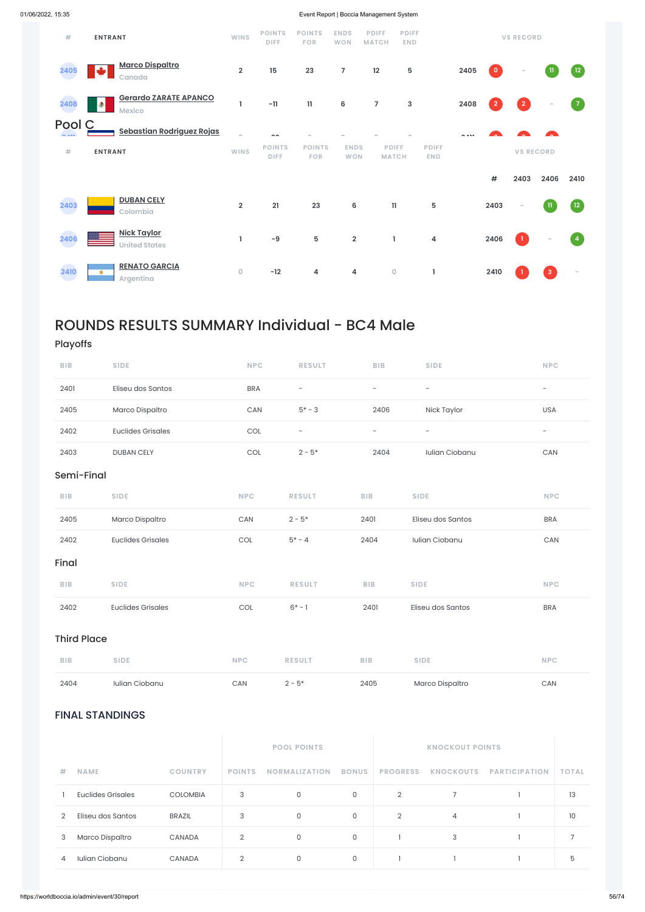### FINAL STANDINGS

|   |                          |                 |                | <b>POOL POINTS</b>   |              |                 |                  |                      |              |
|---|--------------------------|-----------------|----------------|----------------------|--------------|-----------------|------------------|----------------------|--------------|
| # | <b>NAME</b>              | <b>COUNTRY</b>  | <b>POINTS</b>  | <b>NORMALIZATION</b> | <b>BONUS</b> | <b>PROGRESS</b> | <b>KNOCKOUTS</b> | <b>PARTICIPATION</b> | <b>TOTAL</b> |
|   | <b>Euclides Grisales</b> | <b>COLOMBIA</b> | 3              | 0                    | 0            | $\overline{2}$  |                  |                      | 13           |
| 2 | Eliseu dos Santos        | <b>BRAZIL</b>   | 3              | 0                    | 0            | $\overline{2}$  | $\overline{4}$   |                      | 10           |
| 3 | Marco Dispaltro          | <b>CANADA</b>   | $\overline{2}$ | 0                    | 0            |                 | 3                |                      | 7            |
| 4 | Iulian Ciobanu           | <b>CANADA</b>   | $\overline{2}$ | 0                    | 0            |                 |                  |                      | 5            |

| #                 | <b>ENTRANT</b>                                     | <b>WINS</b>             | <b>POINTS</b><br><b>DIFF</b> | <b>POINTS</b><br><b>FOR</b> | <b>ENDS</b><br><b>WON</b> | <b>PDIFF</b><br><b>MATCH</b> | <b>PDIFF</b><br><b>END</b>   |                            |        |                | <b>VS RECORD</b>         |              |                                   |
|-------------------|----------------------------------------------------|-------------------------|------------------------------|-----------------------------|---------------------------|------------------------------|------------------------------|----------------------------|--------|----------------|--------------------------|--------------|-----------------------------------|
| 2405              | <b>Marco Dispaltro</b><br>₩<br>Canada              | $\overline{2}$          | 15                           | 23                          | $\overline{7}$            | 12                           | 5                            |                            | 2405   | $\circ$        | -                        | -11          | 12                                |
| 2408              | <b>Gerardo ZARATE APANCO</b><br>۰<br><b>Mexico</b> | ı                       | $-11$                        | $\mathbf{11}$               | $\bf 6$                   | $\overline{7}$               | 3                            |                            | 2408   | $\overline{2}$ | $\boxed{2}$              |              | $\sqrt{7}$                        |
| Pool C<br>$A = 1$ | <b>Sebastian Rodriguez Rojas</b>                   | $\sim$                  | $\sim$                       |                             |                           |                              |                              |                            | $\sim$ |                |                          |              |                                   |
| #                 | <b>ENTRANT</b>                                     | <b>WINS</b>             | <b>POINTS</b><br><b>DIFF</b> | <b>POINTS</b><br><b>FOR</b> | <b>ENDS</b><br><b>WON</b> |                              | <b>PDIFF</b><br><b>MATCH</b> | <b>PDIFF</b><br><b>END</b> |        |                | <b>VS RECORD</b>         |              |                                   |
|                   |                                                    |                         |                              |                             |                           |                              |                              |                            |        | $\#$           | 2403                     | 2406         | 2410                              |
| 2403              | <b>DUBAN CELY</b><br>Colombia                      | $\overline{\mathbf{2}}$ | 21                           | 23                          | $\bf 6$                   |                              | $\mathbf{1}$                 | 5                          |        | 2403           | $\overline{\phantom{a}}$ | $\mathbf{u}$ | $\sqrt{12}$                       |
| 2406              | <b>Nick Taylor</b><br><b>United States</b>         | L                       | $-9$                         | 5                           | $\overline{\mathbf{2}}$   |                              | 1                            | 4                          |        | 2406           | $\mathbf{1}$             |              | $\begin{pmatrix} 4 \end{pmatrix}$ |
| 2410              | <b>RENATO GARCIA</b><br>۰<br>Argentina             | $\mathbf 0$             | $-12$                        | 4                           | 4                         |                              | $\mathsf{O}\xspace$          | L                          |        | 2410           |                          | 3            | $\sim$                            |

# ROUNDS RESULTS SUMMARY Individual - BC4 Male

# Playoffs

| <b>BIB</b>         | <b>SIDE</b>              | <b>NPC</b> | <b>RESULT</b>            | <b>BIB</b>               | <b>SIDE</b>              | <b>NPC</b>               |
|--------------------|--------------------------|------------|--------------------------|--------------------------|--------------------------|--------------------------|
| 2401               | Eliseu dos Santos        | <b>BRA</b> | $\overline{\phantom{a}}$ | $\overline{\phantom{a}}$ | $\overline{\phantom{a}}$ | $\overline{\phantom{a}}$ |
| 2405               | Marco Dispaltro          | CAN        | $5* - 3$                 | 2406                     | Nick Taylor              | <b>USA</b>               |
| 2402               | <b>Euclides Grisales</b> | COL        | $\overline{\phantom{a}}$ | $\overline{\phantom{a}}$ | $\overline{\phantom{a}}$ | $\overline{\phantom{a}}$ |
| 2403               | <b>DUBAN CELY</b>        | COL        | $2 - 5*$                 | 2404                     | Iulian Ciobanu           | CAN                      |
| Semi-Final         |                          |            |                          |                          |                          |                          |
| <b>BIB</b>         | <b>SIDE</b>              | <b>NPC</b> | <b>RESULT</b>            | <b>BIB</b>               | <b>SIDE</b>              | <b>NPC</b>               |
| 2405               | Marco Dispaltro          | CAN        | $2 - 5*$                 | 2401                     | Eliseu dos Santos        | <b>BRA</b>               |
| 2402               | <b>Euclides Grisales</b> | COL        | $5* - 4$                 | 2404                     | Iulian Ciobanu           | ${\sf CAN}$              |
| Final              |                          |            |                          |                          |                          |                          |
| <b>BIB</b>         | <b>SIDE</b>              | <b>NPC</b> | <b>RESULT</b>            | <b>BIB</b>               | <b>SIDE</b>              | <b>NPC</b>               |
| 2402               | <b>Euclides Grisales</b> | COL        | $6* - 1$                 | 2401                     | Eliseu dos Santos        | <b>BRA</b>               |
|                    |                          |            |                          |                          |                          |                          |
| <b>Third Place</b> |                          |            |                          |                          |                          |                          |

| 2404 | Iulian Ciobanu | CAN | . – ス* | 2405 | Marco Dispaltro | CAN |
|------|----------------|-----|--------|------|-----------------|-----|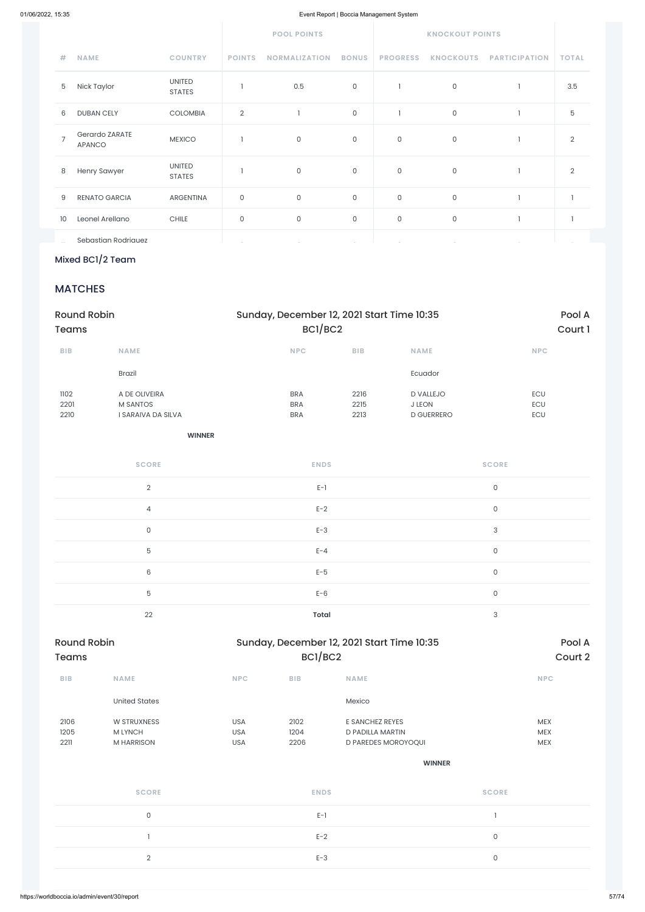|                |                                 |                                | <b>POOL POINTS</b> |                      | <b>KNOCKOUT POINTS</b> |                     |                     |                      |                |
|----------------|---------------------------------|--------------------------------|--------------------|----------------------|------------------------|---------------------|---------------------|----------------------|----------------|
| #              | <b>NAME</b>                     | <b>COUNTRY</b>                 | <b>POINTS</b>      | <b>NORMALIZATION</b> | <b>BONUS</b>           | <b>PROGRESS</b>     | <b>KNOCKOUTS</b>    | <b>PARTICIPATION</b> | <b>TOTAL</b>   |
| 5              | Nick Taylor                     | <b>UNITED</b><br><b>STATES</b> |                    | 0.5                  | $\mathsf O$            |                     | $\mathsf{O}\xspace$ |                      | 3.5            |
| 6              | <b>DUBAN CELY</b>               | <b>COLOMBIA</b>                | $\overline{2}$     |                      | $\mathsf{O}\xspace$    |                     | $\mathsf{O}$        |                      | 5              |
| $\overline{7}$ | Gerardo ZARATE<br><b>APANCO</b> | <b>MEXICO</b>                  |                    | $\mathsf{O}\xspace$  | 0                      | 0                   | $\mathsf O$         |                      | $\overline{2}$ |
| 8              | Henry Sawyer                    | <b>UNITED</b><br><b>STATES</b> |                    | $\mathsf O$          | $\mathsf O$            | 0                   | $\mathsf{O}$        |                      | $\overline{2}$ |
| 9              | <b>RENATO GARCIA</b>            | <b>ARGENTINA</b>               | $\mathsf O$        | $\mathsf{O}\xspace$  | $\mathsf O$            | $\mathsf{O}\xspace$ | $\mathsf O$         |                      |                |
| 10             | Leonel Arellano                 | <b>CHILE</b>                   | $\mathsf O$        | $\mathsf{O}\xspace$  | 0                      | $\mathsf{O}\xspace$ | $\mathsf{O}$        |                      |                |
|                | Sebastian Rodriauez             |                                |                    |                      |                        |                     |                     |                      |                |

Mixed BC1/2 Team

## **MATCHES**

| <b>Round Robin</b><br><b>Teams</b> |                                                 | Sunday, December 12, 2021 Start Time 10:35 |                         | Pool A<br>Court 1                               |                              |  |
|------------------------------------|-------------------------------------------------|--------------------------------------------|-------------------------|-------------------------------------------------|------------------------------|--|
|                                    |                                                 |                                            | BC1/BC2                 |                                                 |                              |  |
| BIB                                | NAME                                            | <b>NPC</b>                                 | ${\sf B}{\sf I}{\sf B}$ | NAME                                            | NPC                          |  |
|                                    | <b>Brazil</b>                                   |                                            |                         | Ecuador                                         |                              |  |
| 1102<br>2201<br>2210               | A DE OLIVEIRA<br>M SANTOS<br>I SARAIVA DA SILVA | <b>BRA</b><br><b>BRA</b><br><b>BRA</b>     | 2216<br>2215<br>2213    | D VALLEJO<br><b>J LEON</b><br><b>D GUERRERO</b> | ECU<br>$\mathsf{ECU}$<br>ECU |  |
|                                    | <b>WINNER</b>                                   |                                            |                         |                                                 |                              |  |
|                                    | <b>SCORE</b>                                    |                                            | <b>ENDS</b>             |                                                 | <b>SCORE</b>                 |  |
|                                    | $\overline{2}$                                  |                                            | $E-1$                   |                                                 | $\mathsf{O}\xspace$          |  |
|                                    | 4                                               |                                            | $E-2$                   |                                                 | $\mathsf{O}\xspace$          |  |
|                                    | $\mathsf{O}\xspace$                             |                                            | $E-3$                   |                                                 | 3                            |  |
|                                    | 5                                               |                                            | $E - 4$                 |                                                 | $\mathsf{O}\xspace$          |  |
|                                    | $\,6\,$                                         |                                            | $E-5$                   |                                                 | $\mathsf{O}\xspace$          |  |
|                                    | 5                                               |                                            | $E-6$                   |                                                 | $\mathsf{O}\xspace$          |  |
|                                    | 22                                              |                                            | <b>Total</b>            |                                                 | $\ensuremath{\mathsf{3}}$    |  |

| <b>Round Robin</b> |             |            |            | Sunday, December 12, 2021 Start Time 10:35 | Pool A     |  |
|--------------------|-------------|------------|------------|--------------------------------------------|------------|--|
| Teams              |             |            | BC1/BC2    |                                            | Court 2    |  |
| <b>BIB</b>         | <b>NAME</b> | <b>NPC</b> | <b>BIB</b> | <b>NAME</b>                                | <b>NPC</b> |  |

|                      | <b>United States</b>                        |                                        |                      | Mexico                                                     |                                        |
|----------------------|---------------------------------------------|----------------------------------------|----------------------|------------------------------------------------------------|----------------------------------------|
| 2106<br>1205<br>2211 | W STRUXNESS<br>M LYNCH<br><b>M HARRISON</b> | <b>USA</b><br><b>USA</b><br><b>USA</b> | 2102<br>1204<br>2206 | E SANCHEZ REYES<br>D PADILLA MARTIN<br>D PAREDES MOROYOQUI | <b>MEX</b><br><b>MEX</b><br><b>MEX</b> |
|                      |                                             |                                        |                      | <b>WINNER</b>                                              |                                        |
|                      | <b>SCORE</b>                                |                                        | <b>ENDS</b>          |                                                            | <b>SCORE</b>                           |
|                      | $\mathsf{O}\xspace$                         |                                        | $E-1$                |                                                            |                                        |
|                      |                                             |                                        | $E-2$                |                                                            | $\mathsf{O}\xspace$                    |
|                      | $\overline{2}$                              |                                        | $E-3$                |                                                            | $\mathsf{O}$                           |
|                      |                                             |                                        |                      |                                                            |                                        |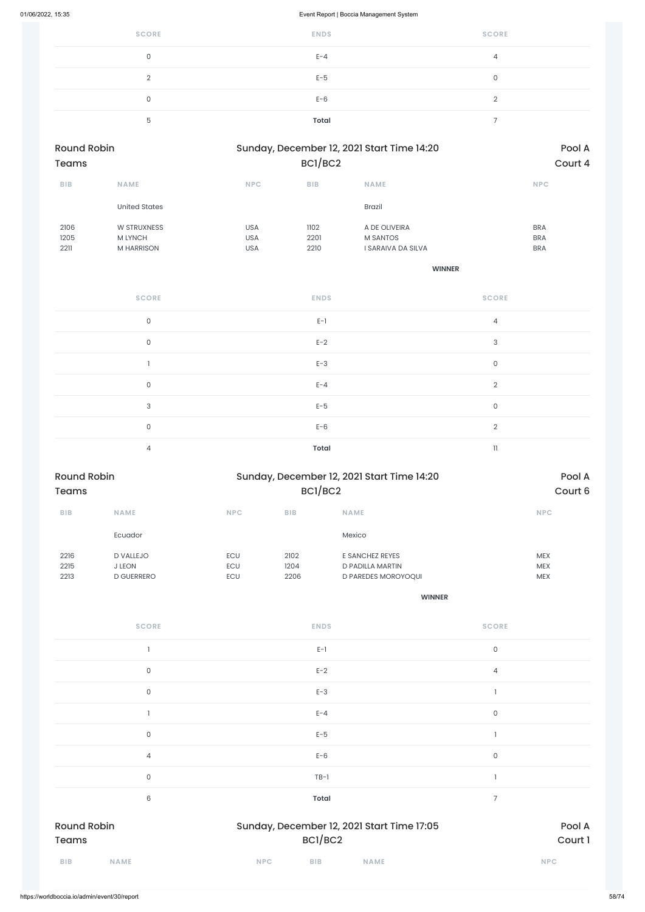| <b>SCORE</b> | <b>ENDS</b>  | <b>SCORE</b> |
|--------------|--------------|--------------|
| 0            | $E - 4$      | 4            |
| ◠            | $E-5$        | 0            |
| 0            | $E-6$        | ◠            |
| 5            | <b>Total</b> |              |

| <b>Round Robin</b> |                      | Sunday, December 12, 2021 Start Time 14:20 | Pool A     |                    |            |
|--------------------|----------------------|--------------------------------------------|------------|--------------------|------------|
| <b>Teams</b>       |                      | BCI/BC2                                    | Court 4    |                    |            |
| <b>BIB</b>         | <b>NAME</b>          | <b>NPC</b>                                 | <b>BIB</b> | <b>NAME</b>        | <b>NPC</b> |
|                    | <b>United States</b> |                                            |            | <b>Brazil</b>      |            |
| 2106               | W STRUXNESS          | <b>USA</b>                                 | 1102       | A DE OLIVEIRA      | <b>BRA</b> |
| 1205               | <b>M LYNCH</b>       | <b>USA</b>                                 | 2201       | <b>M SANTOS</b>    | <b>BRA</b> |
| 2211               | <b>M HARRISON</b>    | <b>USA</b>                                 | 2210       | I SARAIVA DA SILVA | <b>BRA</b> |

**WINNER**

| <b>SCORE</b> | <b>ENDS</b>  | <b>SCORE</b>        |
|--------------|--------------|---------------------|
| $\mathsf O$  | $E-1$        | 4                   |
| $\mathbf 0$  | $E-2$        | 3                   |
|              | $E-3$        | $\mathsf{O}\xspace$ |
| $\mathsf O$  | $E - 4$      | $\overline{2}$      |
| 3            | $E-5$        | 0                   |
| $\mathbf 0$  | $E-6$        | $\overline{2}$      |
| 4            | <b>Total</b> | 11                  |

| <b>Round Robin</b> |                   |            | Sunday, December 12, 2021 Start Time 14:20 | Pool A                     |            |
|--------------------|-------------------|------------|--------------------------------------------|----------------------------|------------|
| <b>Teams</b>       |                   |            | BCI/BC2                                    | Court 6                    |            |
| <b>BIB</b>         | <b>NAME</b>       | <b>NPC</b> | <b>BIB</b>                                 | <b>NAME</b>                | <b>NPC</b> |
|                    | Ecuador           |            |                                            | Mexico                     |            |
| 2216               | <b>D VALLEJO</b>  | <b>ECU</b> | 2102                                       | E SANCHEZ REYES            | <b>MEX</b> |
| 2215               | <b>J LEON</b>     | <b>ECU</b> | 1204                                       | D PADILLA MARTIN           | <b>MEX</b> |
| 2213               | <b>D GUERRERO</b> | <b>ECU</b> | 2206                                       | <b>D PAREDES MOROYOQUI</b> | <b>MEX</b> |

| <b>SCORE</b> | <b>ENDS</b> | <b>SCORE</b> |
|--------------|-------------|--------------|
|              | $E-1$       |              |
|              | $E-2$       |              |

| <b>BIB</b><br><b>NAME</b>          | <b>NPC</b><br><b>BIB</b><br><b>NAME</b>               |             | <b>NPC</b>        |
|------------------------------------|-------------------------------------------------------|-------------|-------------------|
| <b>Round Robin</b><br><b>Teams</b> | Sunday, December 12, 2021 Start Time 17:05<br>BC1/BC2 |             | Pool A<br>Court 1 |
| 6                                  | <b>Total</b>                                          | 7           |                   |
| $\mathsf{O}\xspace$                | $TB-1$                                                |             |                   |
| $\overline{4}$                     | $E-6$                                                 | $\mathsf O$ |                   |
| $\mathsf{O}$                       | $E-5$                                                 |             |                   |
|                                    | $E - 4$                                               | $\mathsf O$ |                   |
| 0                                  | $E-3$                                                 |             |                   |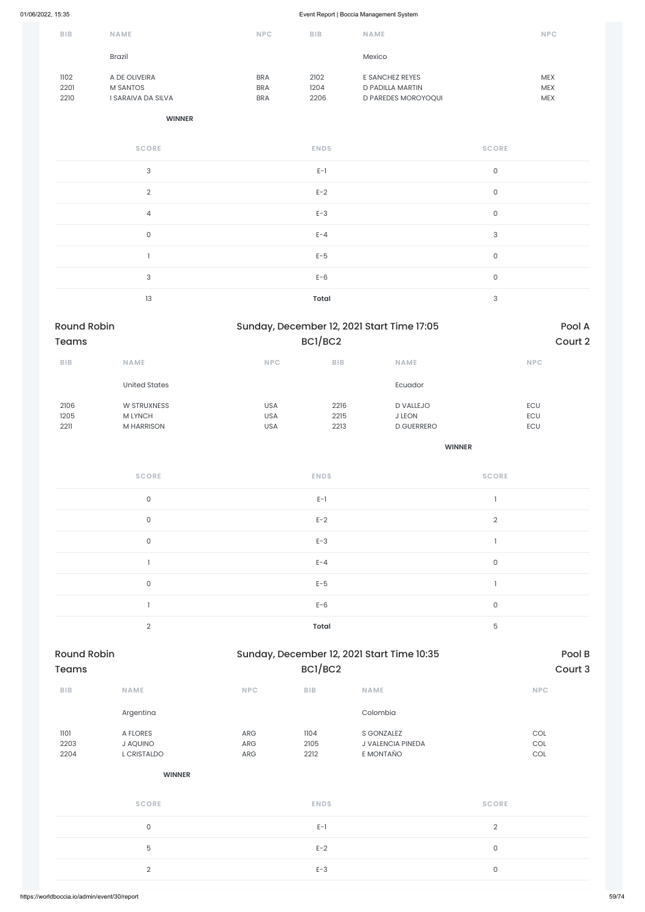| <b>BIB</b>   | <b>NAME</b>                      | <b>NPC</b>               | <b>BIB</b>   | <b>NAME</b>                         | <b>NPC</b>               |
|--------------|----------------------------------|--------------------------|--------------|-------------------------------------|--------------------------|
|              | <b>Brazil</b>                    |                          |              | Mexico                              |                          |
| 1102<br>2201 | A DE OLIVEIRA<br><b>M SANTOS</b> | <b>BRA</b><br><b>BRA</b> | 2102<br>1204 | E SANCHEZ REYES<br>D PADILLA MARTIN | <b>MEX</b><br><b>MEX</b> |
| 2210         | I SARAIVA DA SILVA               | <b>BRA</b>               | 2206         | <b>D PAREDES MOROYOQUI</b>          | <b>MEX</b>               |

#### **WINNER**

| <b>SCORE</b>   | <b>ENDS</b>  | <b>SCORE</b> |
|----------------|--------------|--------------|
| 3              | $E-1$        | $\mathsf{O}$ |
| $\overline{2}$ | $E-2$        | $\mathsf O$  |
| $\overline{4}$ | $E-3$        | $\mathsf{O}$ |
| $\mathsf{O}$   | $E - 4$      | $\sqrt{3}$   |
|                | $E-5$        | $\mathsf{O}$ |
| $\sqrt{3}$     | $E-6$        | $\mathsf{O}$ |
| 13             | <b>Total</b> | 3            |

# Round Robin Sunday, December 12, 2021 Start Time 10:35 Teams BC1/BC2 Court 3

| <b>Round Robin</b><br><b>Teams</b> |                      | Sunday, December 12, 2021 Start Time 17:05 | BCI/BC2    |                   | Pool A<br>Court 2 |
|------------------------------------|----------------------|--------------------------------------------|------------|-------------------|-------------------|
|                                    |                      |                                            |            |                   |                   |
| <b>BIB</b>                         | <b>NAME</b>          | <b>NPC</b>                                 | <b>BIB</b> | <b>NAME</b>       | <b>NPC</b>        |
|                                    | <b>United States</b> |                                            |            | Ecuador           |                   |
| 2106                               | <b>W STRUXNESS</b>   | <b>USA</b>                                 | 2216       | <b>D VALLEJO</b>  | ECU               |
| 1205                               | <b>M LYNCH</b>       | <b>USA</b>                                 | 2215       | <b>J LEON</b>     | ECU               |
| 2211                               | <b>M HARRISON</b>    | <b>USA</b>                                 | 2213       | <b>D GUERRERO</b> | ECU               |
|                                    |                      |                                            |            |                   |                   |

| <b>SCORE</b>   | <b>ENDS</b>  | <b>SCORE</b> |
|----------------|--------------|--------------|
| $\mathsf{O}$   | $E-1$        |              |
| $\mathsf{O}$   | $E-2$        | 2            |
| $\mathsf O$    | $E-3$        |              |
|                | $E - 4$      | $\mathsf O$  |
| $\mathsf{O}$   | $E-5$        |              |
|                | $E-6$        | $\mathsf O$  |
| $\overline{2}$ | <b>Total</b> | 5            |

| <b>BIB</b>           | <b>NAME</b>                         | <b>NPC</b>        | <b>BIB</b>           | <b>NAME</b>                                  | <b>NPC</b>          |
|----------------------|-------------------------------------|-------------------|----------------------|----------------------------------------------|---------------------|
|                      | Argentina                           |                   |                      | Colombia                                     |                     |
| 1101<br>2203<br>2204 | A FLORES<br>J AQUINO<br>L CRISTALDO | ARG<br>ARG<br>ARG | 1104<br>2105<br>2212 | S GONZALEZ<br>J VALENCIA PINEDA<br>E MONTAÑO | COL<br>COL<br>COL   |
|                      | <b>WINNER</b>                       |                   |                      |                                              |                     |
|                      | <b>SCORE</b>                        |                   | <b>ENDS</b>          |                                              | <b>SCORE</b>        |
|                      | $\mathsf{O}\xspace$                 |                   | $E-1$                |                                              | $\sqrt{2}$          |
|                      | 5                                   |                   | $E-2$                |                                              | $\mathsf{O}\xspace$ |
|                      | $\sqrt{2}$                          |                   | $E-3$                |                                              | $\mathsf{O}\xspace$ |
|                      |                                     |                   |                      |                                              |                     |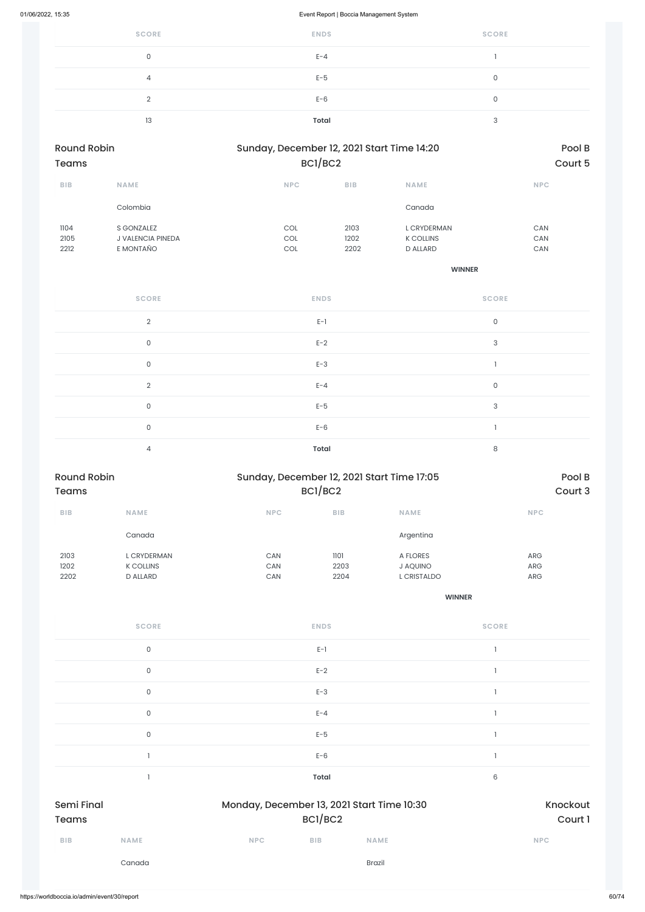| <b>SCORE</b> | <b>ENDS</b>  | <b>SCORE</b> |
|--------------|--------------|--------------|
| 0            | $E - 4$      |              |
|              | $E-5$        |              |
| $\cap$       | $E-6$        |              |
| 13           | <b>Total</b> | $\sqrt{2}$   |

| <b>Round Robin</b><br><b>Teams</b> |                          | Sunday, December 12, 2021 Start Time 14:20<br>BC1/BC2 |            |                  | Pool B<br>Court 5 |
|------------------------------------|--------------------------|-------------------------------------------------------|------------|------------------|-------------------|
| <b>BIB</b>                         | <b>NAME</b>              | <b>NPC</b>                                            | <b>BIB</b> | <b>NAME</b>      | <b>NPC</b>        |
|                                    | Colombia                 |                                                       |            | Canada           |                   |
| 1104                               | S GONZALEZ               | COL                                                   | 2103       | L CRYDERMAN      | CAN               |
| 2105                               | <b>J VALENCIA PINEDA</b> | COL                                                   | 1202       | <b>K COLLINS</b> | <b>CAN</b>        |
| 2212                               | E MONTAÑO                | COL                                                   | 2202       | <b>D ALLARD</b>  | <b>CAN</b>        |
|                                    |                          |                                                       |            | <b>WINNER</b>    |                   |

| <b>SCORE</b>   | <b>ENDS</b>  | <b>SCORE</b> |
|----------------|--------------|--------------|
| $\overline{2}$ | $E-1$        | $\mathsf O$  |
| $\mathsf O$    | $E-2$        | $\mathbf{3}$ |
| $\mathsf O$    | $E-3$        |              |
| $\overline{2}$ | $E - 4$      | $\mathsf O$  |
| $\mathsf O$    | $E-5$        | $\mathbf{3}$ |
| $\mathsf O$    | $E-6$        |              |
| 4              | <b>Total</b> | 8            |

| <b>Round Robin</b><br><b>Teams</b> |                                                           |                   | Sunday, December 12, 2021 Start Time 17:05<br>BCI/BC2 |                                     |                                 |
|------------------------------------|-----------------------------------------------------------|-------------------|-------------------------------------------------------|-------------------------------------|---------------------------------|
| <b>BIB</b>                         | <b>NAME</b>                                               | <b>NPC</b>        | <b>BIB</b>                                            | <b>NAME</b>                         | <b>NPC</b>                      |
|                                    | Canada                                                    |                   |                                                       | Argentina                           |                                 |
| 2103<br>1202<br>2202               | <b>L CRYDERMAN</b><br><b>K COLLINS</b><br><b>D ALLARD</b> | CAN<br>CAN<br>CAN | 1101<br>2203<br>2204                                  | A FLORES<br>J AQUINO<br>L CRISTALDO | <b>ARG</b><br>ARG<br><b>ARG</b> |

| <b>SCORE</b> | <b>ENDS</b> | <b>SCORE</b> |
|--------------|-------------|--------------|
|              | $E-1$       |              |
|              | $E-2$       |              |

|               | $E-3$                                                 |            | 0           |                                   |
|---------------|-------------------------------------------------------|------------|-------------|-----------------------------------|
|               | $E - 4$                                               |            | $\mathsf O$ |                                   |
|               | $E-5$                                                 |            | 0           |                                   |
|               | $E-6$                                                 |            |             |                                   |
| 6             | Total                                                 |            |             |                                   |
|               | Monday, December 13, 2021 Start Time 10:30<br>BC1/BC2 |            |             | <b>Semi Final</b><br><b>Teams</b> |
| <b>NAME</b>   | <b>BIB</b>                                            | <b>NPC</b> | <b>NAME</b> | BIB                               |
|               |                                                       |            |             |                                   |
| <b>Brazil</b> |                                                       |            | Canada      |                                   |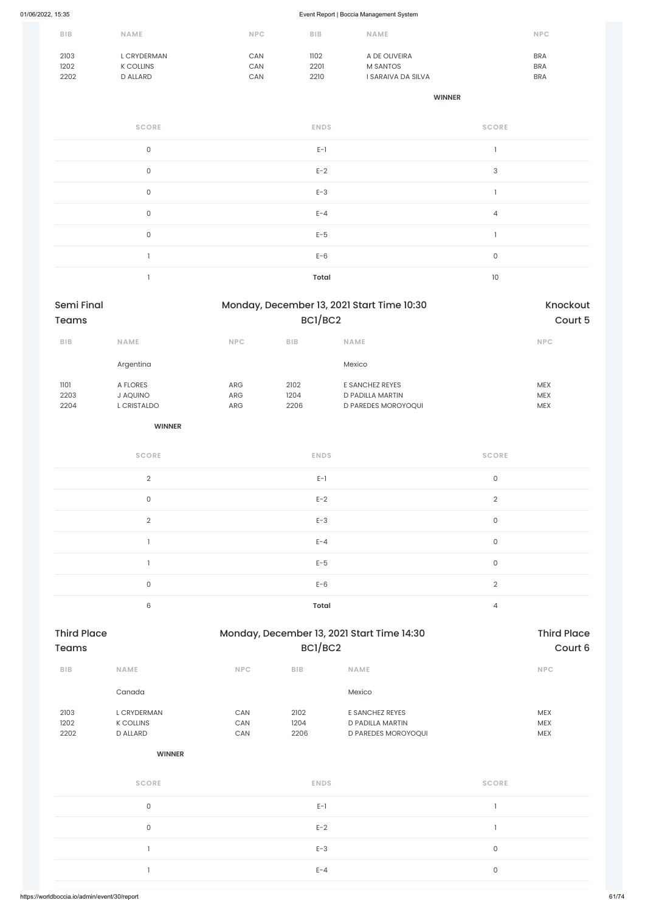| <b>BIB</b> | <b>NAME</b>      | <b>NPC</b> | <b>BIB</b> | <b>NAME</b>        | <b>NPC</b> |
|------------|------------------|------------|------------|--------------------|------------|
| 2103       | L CRYDERMAN      | CAN        | 1102       | A DE OLIVEIRA      | <b>BRA</b> |
| 1202       | <b>K COLLINS</b> | CAN        | 2201       | <b>M SANTOS</b>    | <b>BRA</b> |
| 2202       | D ALLARD         | CAN        | 2210       | I SARAIVA DA SILVA | <b>BRA</b> |

| <b>SCORE</b> | <b>ENDS</b>  | <b>SCORE</b>              |
|--------------|--------------|---------------------------|
| $\mathsf{O}$ | $E-1$        |                           |
| $\mathsf{O}$ | $E-2$        | $\ensuremath{\mathsf{3}}$ |
| $\mathsf O$  | $E-3$        |                           |
| $\mathsf O$  | $E - 4$      | $\overline{4}$            |
| $\mathsf{O}$ | $E-5$        |                           |
|              | $E-6$        | $\mathsf O$               |
|              | <b>Total</b> | 10                        |

| Semi Final<br><b>Teams</b> |                     | Monday, December 13, 2021 Start Time 10:30<br>BCI/BC2 |              |                                            | Knockout            |             |  |
|----------------------------|---------------------|-------------------------------------------------------|--------------|--------------------------------------------|---------------------|-------------|--|
|                            |                     |                                                       |              |                                            |                     | Court 5     |  |
| <b>BIB</b>                 | NAME                | <b>NPC</b>                                            | $B$   $B$    | <b>NAME</b>                                |                     | <b>NPC</b>  |  |
|                            | Argentina           |                                                       |              | Mexico                                     |                     |             |  |
| 1101                       | A FLORES            | ARG                                                   | 2102         | E SANCHEZ REYES                            |                     | <b>MEX</b>  |  |
| 2203                       | J AQUINO            | ${\sf ARG}$                                           | 1204         | D PADILLA MARTIN                           |                     | <b>MEX</b>  |  |
| 2204                       | L CRISTALDO         | ${\sf ARG}$                                           | 2206         | D PAREDES MOROYOQUI                        |                     | <b>MEX</b>  |  |
|                            | <b>WINNER</b>       |                                                       |              |                                            |                     |             |  |
|                            | <b>SCORE</b>        |                                                       | <b>ENDS</b>  |                                            | <b>SCORE</b>        |             |  |
|                            | $\overline{2}$      |                                                       | $E-1$        |                                            | $\mathsf{O}$        |             |  |
|                            | $\mathsf{O}\xspace$ |                                                       | $E-2$        |                                            | $\overline{2}$      |             |  |
|                            | $\overline{2}$      |                                                       | $E-3$        |                                            | $\mathsf{O}$        |             |  |
|                            | $\mathbf{I}$        |                                                       | $E - 4$      |                                            | $\mathsf{O}$        |             |  |
|                            | $\mathbf{1}$        |                                                       | $E-5$        |                                            | $\mathsf{O}\xspace$ |             |  |
|                            | $\mathsf{O}\xspace$ |                                                       | $E-6$        |                                            | $\overline{2}$      |             |  |
|                            | $\,6\,$             |                                                       | <b>Total</b> |                                            | $\overline{4}$      |             |  |
| Third Dlang                |                     |                                                       |              | Manday, Desamber 12, 2021 Chart Time 14:20 |                     | Third Dlane |  |

| <b>Third Place</b> |      |            |            | Monday, December 13, 2021 Start Time 14:30 | <b>Third Place</b> |  |  |
|--------------------|------|------------|------------|--------------------------------------------|--------------------|--|--|
| Teams              |      |            | BC1/BC2    | Court 6                                    |                    |  |  |
| <b>BIB</b>         | NAME | <b>NPC</b> | <b>BIB</b> | <b>NAME</b>                                | <b>NPC</b>         |  |  |

|                      | Canada                                             |                   |                      | Mexico                                                     |                                        |  |
|----------------------|----------------------------------------------------|-------------------|----------------------|------------------------------------------------------------|----------------------------------------|--|
| 2103<br>1202<br>2202 | L CRYDERMAN<br><b>K COLLINS</b><br><b>D ALLARD</b> | CAN<br>CAN<br>CAN | 2102<br>1204<br>2206 | E SANCHEZ REYES<br>D PADILLA MARTIN<br>D PAREDES MOROYOQUI | <b>MEX</b><br><b>MEX</b><br><b>MEX</b> |  |
|                      | <b>WINNER</b>                                      |                   |                      |                                                            |                                        |  |
|                      | <b>SCORE</b>                                       |                   | <b>ENDS</b>          |                                                            | <b>SCORE</b>                           |  |
|                      | $\mathsf{O}$                                       |                   | $E-1$                |                                                            |                                        |  |
|                      | $\mathsf{O}$                                       |                   | $E-2$                |                                                            |                                        |  |
|                      |                                                    |                   | $E-3$                |                                                            | $\mathsf{O}$                           |  |
|                      |                                                    |                   | $E - 4$              |                                                            | $\mathsf{O}$                           |  |
|                      |                                                    |                   |                      |                                                            |                                        |  |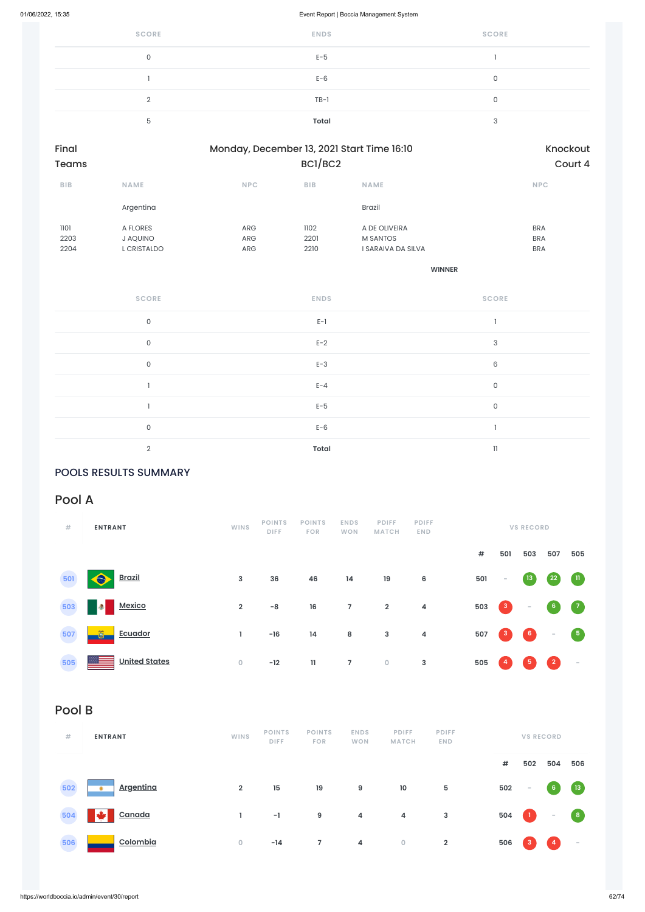| <b>SCORE</b> | <b>ENDS</b> | <b>SCORE</b> |
|--------------|-------------|--------------|
|              | $E-5$       |              |
|              | $E-6$       |              |
| $\Omega$     | $TB-1$      | $\sqrt{2}$   |
| 5            | Total       | っ            |
|              |             |              |

| Final<br><b>Teams</b> |             | Monday, December 13, 2021 Start Time 16:10 | Knockout<br>Court 4 |                    |            |
|-----------------------|-------------|--------------------------------------------|---------------------|--------------------|------------|
| <b>BIB</b>            | <b>NAME</b> | <b>NPC</b>                                 | <b>BIB</b>          | <b>NAME</b>        | <b>NPC</b> |
|                       | Argentina   |                                            |                     | <b>Brazil</b>      |            |
| 1101                  | A FLORES    | <b>ARG</b>                                 | 1102                | A DE OLIVEIRA      | <b>BRA</b> |
| 2203                  | J AQUINO    | <b>ARG</b>                                 | 2201                | <b>M SANTOS</b>    | <b>BRA</b> |
| 2204                  | L CRISTALDO | <b>ARG</b>                                 | 2210                | I SARAIVA DA SILVA | <b>BRA</b> |
|                       |             |                                            |                     |                    |            |

**WINNER**

| <b>SCORE</b>   | <b>ENDS</b> | <b>SCORE</b>    |
|----------------|-------------|-----------------|
| $\mathsf{O}$   | $E-1$       |                 |
| $\mathsf O$    | $E-2$       | 3               |
| $\mathsf O$    | $E-3$       | $6\phantom{1}6$ |
|                | $E - 4$     | $\mathsf O$     |
|                | $E-5$       | $\mathsf O$     |
| $\mathsf{O}$   | $E-6$       |                 |
| $\overline{2}$ | Total       | $\mathbf{I}$    |

### POOLS RESULTS SUMMARY

## Pool A

| #   | <b>ENTRANT</b>                         | WINS           | <b>POINTS</b><br><b>DIFF</b> | <b>POINTS</b><br><b>FOR</b> | <b>ENDS</b><br><b>WON</b> | <b>PDIFF</b><br><b>MATCH</b> | <b>PDIFF</b><br><b>END</b> |     |                 | <b>VS RECORD</b>  |                |                                   |
|-----|----------------------------------------|----------------|------------------------------|-----------------------------|---------------------------|------------------------------|----------------------------|-----|-----------------|-------------------|----------------|-----------------------------------|
|     |                                        |                |                              |                             |                           |                              |                            | #   | 501             | 503               | 507            | 505                               |
| 501 | <b>Brazil</b>                          | 3              | 36                           | 46                          | 14                        | 19                           | 6                          | 501 | $\sim$          | $\boxed{13}$      | 22             | $\blacksquare$                    |
| 503 | Mexico<br>$\bullet$                    | $\overline{2}$ | $-8$                         | 16                          | $\overline{7}$            | $\overline{2}$               | $\overline{\mathbf{4}}$    | 503 | $\vert 3 \vert$ | $\sim$            | 6 <sub>1</sub> | $\begin{pmatrix} 7 \end{pmatrix}$ |
| 507 | õ<br><b>Ecuador</b>                    | Τ.             | $-16$                        | 14                          | 8                         | $\mathbf{3}$                 | $\pmb{4}$                  | 507 | $\mathbf{3}$    | $\left( 6\right)$ | $\sim$         | $\sqrt{5}$                        |
| 505 | <b>United States</b><br><u> 333 — </u> | $\circ$        | $-12$                        | $\mathbf{H}$                | $\overline{7}$            | $\mathsf O$                  | 3                          | 505 | 4               | $-5$              | $\overline{2}$ | $\overline{\phantom{a}}$          |

Pool B

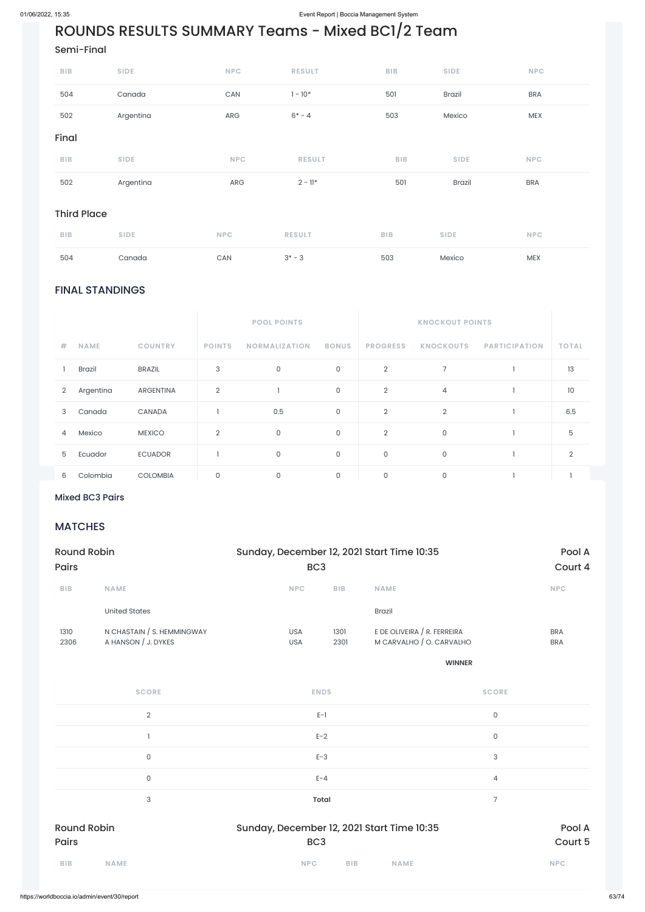# ROUNDS RESULTS SUMMARY Teams - Mixed BC1/2 Team

### FINAL STANDINGS

|                |             |                  |                | <b>POOL POINTS</b>   |              |                 | <b>KNOCKOUT POINTS</b> |                      |              |
|----------------|-------------|------------------|----------------|----------------------|--------------|-----------------|------------------------|----------------------|--------------|
| #              | <b>NAME</b> | <b>COUNTRY</b>   | <b>POINTS</b>  | <b>NORMALIZATION</b> | <b>BONUS</b> | <b>PROGRESS</b> | <b>KNOCKOUTS</b>       | <b>PARTICIPATION</b> | <b>TOTAL</b> |
|                | Brazil      | <b>BRAZIL</b>    | 3              | $\mathsf{O}$         | $\mathsf{O}$ | $\overline{2}$  | 7                      |                      | 13           |
| $\overline{2}$ | Argentina   | <b>ARGENTINA</b> | $\overline{2}$ |                      | $\mathsf{O}$ | $\overline{2}$  | 4                      |                      | 10           |
| 3              | Canada      | CANADA           |                | 0.5                  | $\mathsf{O}$ | $\overline{2}$  | $\overline{2}$         |                      | 6.5          |
| $\overline{4}$ | Mexico      | <b>MEXICO</b>    | 2              | 0                    | 0            | $\overline{2}$  | 0                      |                      | 5            |
| 5              | Ecuador     | <b>ECUADOR</b>   |                | $\mathbf 0$          | 0            | 0               | 0                      |                      | 2            |
| 6              | Colombia    | <b>COLOMBIA</b>  | $\mathbf 0$    | $\mathbf 0$          | $\mathbf 0$  | 0               | 0                      |                      |              |

### $2^2$ Mixed BC3 Pairs  $2^2$

### Semi-Final

| $B$   $B$          | <b>SIDE</b> | <b>NPC</b>            | <b>RESULT</b> | <b>BIB</b> | <b>SIDE</b>   | <b>NPC</b> |
|--------------------|-------------|-----------------------|---------------|------------|---------------|------------|
| 504                | Canada      | $\mathsf{CAN}\xspace$ | $1 - 10*$     | 501        | Brazil        | <b>BRA</b> |
| 502                | Argentina   | ARG                   | $6* - 4$      | 503        | Mexico        | MEX        |
| Final              |             |                       |               |            |               |            |
| BIB                | <b>SIDE</b> | <b>NPC</b>            | <b>RESULT</b> | <b>BIB</b> | <b>SIDE</b>   | <b>NPC</b> |
| 502                | Argentina   | ARG                   | $2 - 11*$     | 501        | <b>Brazil</b> | <b>BRA</b> |
| <b>Third Place</b> |             |                       |               |            |               |            |
| BIB                | <b>SIDE</b> | <b>NPC</b>            | <b>RESULT</b> | BIB        | <b>SIDE</b>   | <b>NPC</b> |
| 504                | Canada      | CAN                   | $3^* - 3$     | 503        | Mexico        | <b>MEX</b> |

### MATCHES

| Round Robin<br><b>Pairs</b> |                                                   |                          | Sunday, December 12, 2021 Start Time 10:35<br>BC <sub>3</sub> |                                                         |                          |  |  |
|-----------------------------|---------------------------------------------------|--------------------------|---------------------------------------------------------------|---------------------------------------------------------|--------------------------|--|--|
|                             |                                                   |                          |                                                               |                                                         | Court 4                  |  |  |
| <b>BIB</b>                  | <b>NAME</b>                                       | <b>NPC</b>               | <b>BIB</b>                                                    | <b>NAME</b>                                             | <b>NPC</b>               |  |  |
|                             | United States                                     |                          |                                                               | <b>Brazil</b>                                           |                          |  |  |
| 1310<br>2306                | N CHASTAIN / S. HEMMINGWAY<br>A HANSON / J. DYKES | <b>USA</b><br><b>USA</b> | 1301<br>2301                                                  | E DE OLIVEIRA / R. FERREIRA<br>M CARVALHO / O. CARVALHO | <b>BRA</b><br><b>BRA</b> |  |  |

| <b>SCORE</b>                | <b>ENDS</b>                                                   | <b>SCORE</b>      |
|-----------------------------|---------------------------------------------------------------|-------------------|
| $\overline{2}$              | $E-1$                                                         | $\mathsf O$       |
|                             | $E-2$                                                         | $\mathsf O$       |
| $\mathsf{O}$                | $E-3$                                                         | 3                 |
| $\mathbf 0$                 | $E - 4$                                                       | 4                 |
| 3                           | <b>Total</b>                                                  | 7                 |
| <b>Round Robin</b><br>Pairs | Sunday, December 12, 2021 Start Time 10:35<br>BC <sub>3</sub> | Pool A<br>Court 5 |
| <b>BIB</b><br><b>NAME</b>   | <b>NPC</b><br><b>BIB</b><br><b>NAME</b>                       | <b>NPC</b>        |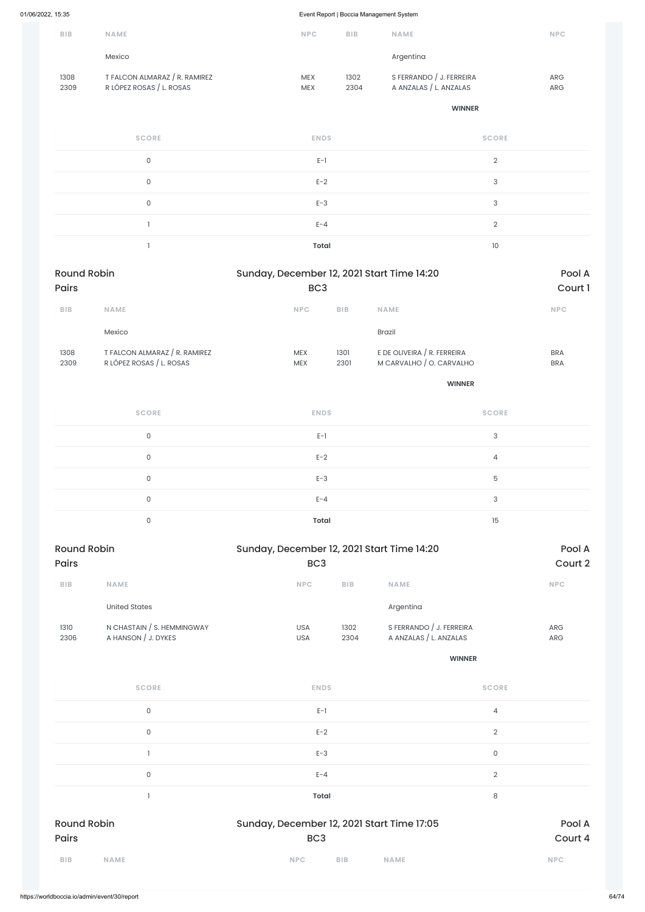| <b>BIB</b>   | <b>NAME</b>                                               | <b>NPC</b>               | <b>BIB</b>   | <b>NAME</b>                                        | <b>NPC</b>        |
|--------------|-----------------------------------------------------------|--------------------------|--------------|----------------------------------------------------|-------------------|
|              | Mexico                                                    |                          |              | Argentina                                          |                   |
| 1308<br>2309 | T FALCON ALMARAZ / R. RAMIREZ<br>R LÓPEZ ROSAS / L. ROSAS | <b>MEX</b><br><b>MEX</b> | 1302<br>2304 | S FERRANDO / J. FERREIRA<br>A ANZALAS / L. ANZALAS | <b>ARG</b><br>ARG |

**WINNER**

| <b>SCORE</b> | <b>ENDS</b>  | <b>SCORE</b> |
|--------------|--------------|--------------|
| $\Omega$     | $E-1$        | $\Omega$     |
| 0            | $E-2$        | 3            |
| $\Omega$     | $E-3$        | 3            |
|              | $E - 4$      | $\cap$       |
|              | <b>Total</b> | 10           |

| <b>Round Robin</b> |                               | Sunday, December 12, 2021 Start Time 14:20 |            |                             | Pool A     |
|--------------------|-------------------------------|--------------------------------------------|------------|-----------------------------|------------|
| <b>Pairs</b>       |                               | BC <sub>3</sub>                            |            |                             | Court 1    |
| <b>BIB</b>         | <b>NAME</b>                   | <b>NPC</b>                                 | <b>BIB</b> | <b>NAME</b>                 | <b>NPC</b> |
|                    | Mexico                        |                                            |            | <b>Brazil</b>               |            |
| 1308               | T FALCON ALMARAZ / R. RAMIREZ | <b>MEX</b>                                 | 1301       | E DE OLIVEIRA / R. FERREIRA | <b>BRA</b> |
| 2309               | R LÓPEZ ROSAS / L. ROSAS      | <b>MEX</b>                                 | 2301       | M CARVALHO / O. CARVALHO    | <b>BRA</b> |

**WINNER**

| <b>SCORE</b> | <b>ENDS</b>  | <b>SCORE</b> |
|--------------|--------------|--------------|
| 0            | $E-1$        | 3            |
| 0            | $E-2$        | 4            |
| $\Omega$     | $E-3$        | 5            |
| 0            | $E - 4$      | 3            |
| $\Omega$     | <b>Total</b> | 15           |

| <b>Round Robin</b> |                                                   | Sunday, December 12, 2021 Start Time 14:20 |                 |                                                    | Pool A                   |
|--------------------|---------------------------------------------------|--------------------------------------------|-----------------|----------------------------------------------------|--------------------------|
| <b>Pairs</b>       |                                                   |                                            | BC <sub>3</sub> |                                                    | Court 2                  |
| <b>BIB</b>         | <b>NAME</b>                                       | <b>NPC</b>                                 | <b>BIB</b>      | <b>NAME</b>                                        | <b>NPC</b>               |
|                    | <b>United States</b>                              |                                            |                 | Argentina                                          |                          |
| 1310<br>2306       | N CHASTAIN / S. HEMMINGWAY<br>A HANSON / J. DYKES | <b>USA</b><br><b>USA</b>                   | 1302<br>2304    | S FERRANDO / J. FERREIRA<br>A ANZALAS / L. ANZALAS | <b>ARG</b><br><b>ARG</b> |

| BIB<br><b>NAME</b>          | <b>NAME</b><br><b>NPC</b><br><b>BIB</b>                       | <b>NPC</b>        |
|-----------------------------|---------------------------------------------------------------|-------------------|
| <b>Round Robin</b><br>Pairs | Sunday, December 12, 2021 Start Time 17:05<br>BC <sub>3</sub> | Pool A<br>Court 4 |
|                             | <b>Total</b>                                                  | $\,8\,$           |
| $\mathsf{O}\xspace$         | $E - 4$                                                       | $\sqrt{2}$        |
|                             | $E-3$                                                         | $\mathsf{O}$      |
| $\mathsf{O}\xspace$         | $E-2$                                                         | $\sqrt{2}$        |
| $\mathsf 0$                 | $E-1$                                                         | 4                 |
| <b>SCORE</b>                | <b>ENDS</b>                                                   | <b>SCORE</b>      |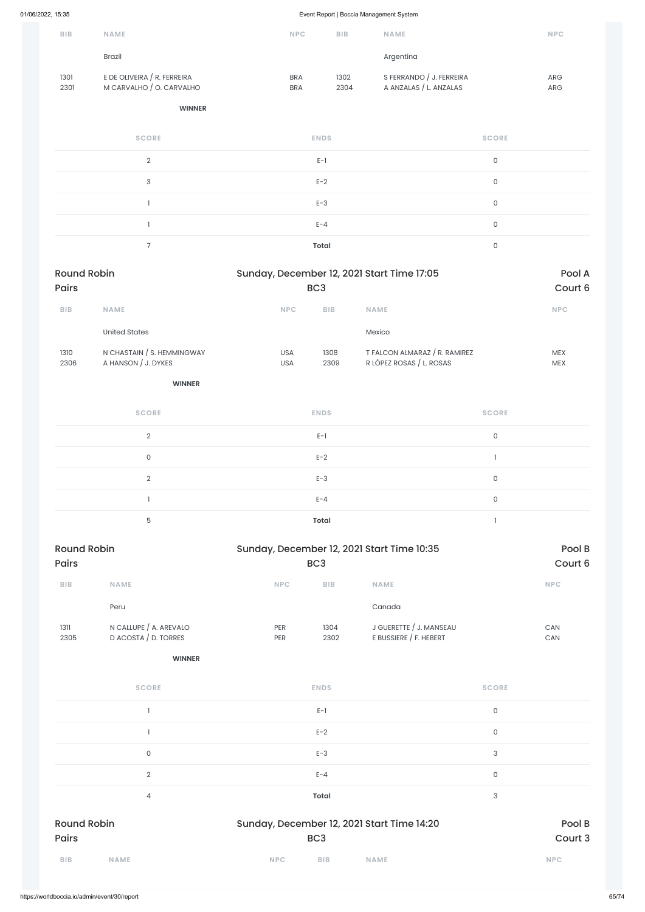| <b>BIB</b>   | <b>NAME</b>                                             | <b>NPC</b>               | <b>BIB</b>   | <b>NAME</b>                                        | <b>NPC</b>               |
|--------------|---------------------------------------------------------|--------------------------|--------------|----------------------------------------------------|--------------------------|
|              | <b>Brazil</b>                                           |                          |              | Argentina                                          |                          |
| 1301<br>2301 | E DE OLIVEIRA / R. FERREIRA<br>M CARVALHO / O. CARVALHO | <b>BRA</b><br><b>BRA</b> | 1302<br>2304 | S FERRANDO / J. FERREIRA<br>A ANZALAS / L. ANZALAS | <b>ARG</b><br><b>ARG</b> |

#### **WINNER**

| <b>SCORE</b>  | <b>ENDS</b>  | <b>SCORE</b> |
|---------------|--------------|--------------|
| $\mathcal{D}$ | $E-1$        | 0            |
| 3             | $E-2$        | $\Omega$     |
|               | $E-3$        | 0            |
|               | $E - 4$      | 0            |
|               | <b>Total</b> | 0            |

| <b>Round Robin</b><br><b>Pairs</b> |                            |                 | Sunday, December 12, 2021 Start Time 17:05 |                               |            |
|------------------------------------|----------------------------|-----------------|--------------------------------------------|-------------------------------|------------|
|                                    |                            | BC <sub>3</sub> |                                            |                               | Court 6    |
| <b>BIB</b>                         | <b>NAME</b>                | <b>NPC</b>      | <b>BIB</b>                                 | <b>NAME</b>                   | <b>NPC</b> |
|                                    | United States              |                 |                                            | Mexico                        |            |
| 1310                               | N CHASTAIN / S. HEMMINGWAY | <b>USA</b>      | 1308                                       | T FALCON ALMARAZ / R. RAMIREZ | <b>MEX</b> |
| 2306                               | A HANSON / J. DYKES        | <b>USA</b>      | 2309                                       | R LÓPEZ ROSAS / L. ROSAS      | <b>MEX</b> |

**WINNER**

| <b>SCORE</b>  | <b>ENDS</b>  | <b>SCORE</b> |
|---------------|--------------|--------------|
| $\mathcal{D}$ | $E-1$        | 0            |
| $\mathbf 0$   | $E-2$        |              |
| $\mathcal{D}$ | $E-3$        | 0            |
|               | $E - 4$      | 0            |
| 5             | <b>Total</b> |              |

| <b>Round Robin</b><br><b>Pairs</b> |                                                |                          | Sunday, December 12, 2021 Start Time 10:35 |                                                   |            |
|------------------------------------|------------------------------------------------|--------------------------|--------------------------------------------|---------------------------------------------------|------------|
|                                    |                                                | BC <sub>3</sub>          |                                            | Court 6                                           |            |
| <b>BIB</b>                         | <b>NAME</b>                                    | <b>NPC</b>               | <b>BIB</b>                                 | <b>NAME</b>                                       | <b>NPC</b> |
|                                    | Peru                                           |                          |                                            | Canada                                            |            |
| 1311<br>2305                       | N CALLUPE / A. AREVALO<br>D ACOSTA / D. TORRES | <b>PER</b><br><b>PER</b> | 1304<br>2302                               | J GUERETTE / J. MANSEAU<br>E BUSSIERE / F. HEBERT | CAN<br>CAN |

| <b>SCORE</b>       | <b>ENDS</b>                                | <b>SCORE</b> |
|--------------------|--------------------------------------------|--------------|
|                    | $E-1$                                      | $\mathsf O$  |
|                    | $E-2$                                      | $\mathsf O$  |
| $\mathsf O$        | $E-3$                                      | 3            |
| $\overline{2}$     | $E - 4$                                    | $\mathsf O$  |
| 4                  | <b>Total</b>                               | 3            |
| <b>Round Robin</b> | Sunday, December 12, 2021 Start Time 14:20 | Pool B       |
| Pairs              | BC <sub>3</sub>                            | Court 3      |
| BIB<br><b>NAME</b> | BIB<br><b>NPC</b><br><b>NAME</b>           | NPC          |
|                    |                                            |              |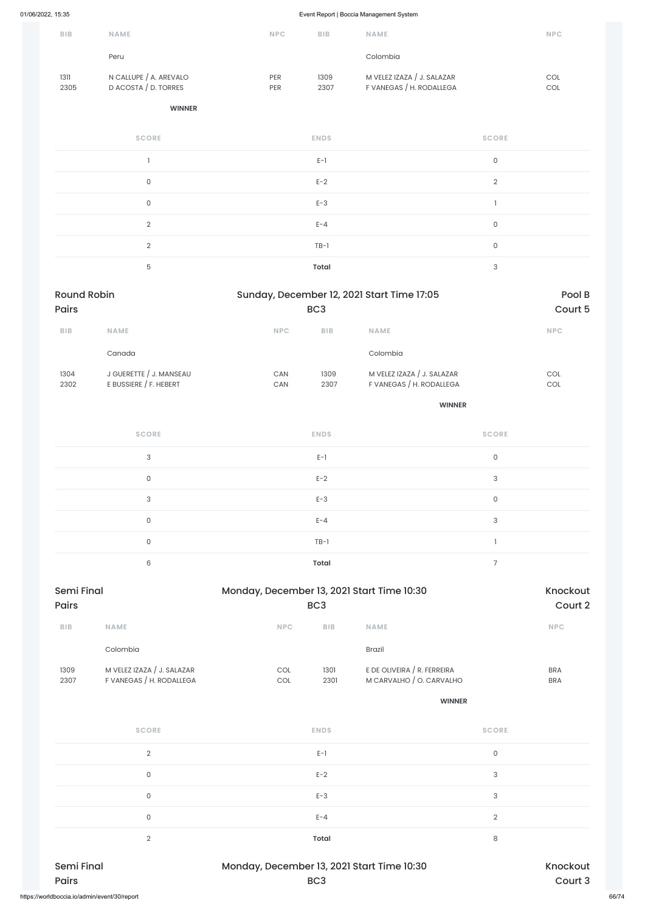| <b>BIB</b>   | <b>NAME</b>                                    | <b>NPC</b>               | <b>BIB</b>   | <b>NAME</b>                                            | <b>NPC</b> |
|--------------|------------------------------------------------|--------------------------|--------------|--------------------------------------------------------|------------|
|              | Peru                                           |                          |              | Colombia                                               |            |
| 1311<br>2305 | N CALLUPE / A. AREVALO<br>D ACOSTA / D. TORRES | <b>PER</b><br><b>PER</b> | 1309<br>2307 | M VELEZ IZAZA / J. SALAZAR<br>F VANEGAS / H. RODALLEGA | COL<br>COL |

#### **WINNER**

| <b>SCORE</b>   | <b>ENDS</b>  | <b>SCORE</b>   |
|----------------|--------------|----------------|
|                | $E-1$        | 0              |
| $\Omega$       | $E-2$        | $\overline{2}$ |
| $\Omega$       | $E-3$        |                |
| 2              | $E - 4$      | 0              |
| $\overline{2}$ | $TB-1$       | $\mathsf{O}$   |
| 5              | <b>Total</b> | 3              |

| <b>Round Robin</b> |                                                   |            | Sunday, December 12, 2021 Start Time 17:05 |                                                        |            |
|--------------------|---------------------------------------------------|------------|--------------------------------------------|--------------------------------------------------------|------------|
| <b>Pairs</b>       |                                                   |            | BC <sub>3</sub>                            |                                                        | Court 5    |
| <b>BIB</b>         | <b>NAME</b>                                       | <b>NPC</b> | <b>BIB</b>                                 | <b>NAME</b>                                            | <b>NPC</b> |
|                    | Canada                                            |            |                                            | Colombia                                               |            |
| 1304<br>2302       | J GUERETTE / J. MANSEAU<br>E BUSSIERE / F. HEBERT | CAN<br>CAN | 1309<br>2307                               | M VELEZ IZAZA / J. SALAZAR<br>F VANEGAS / H. RODALLEGA | COL<br>COL |

| <b>Semi Final</b> | Monday, December 13, 2021 Start Time 10:30 |                | Knockout<br>Court 3 |
|-------------------|--------------------------------------------|----------------|---------------------|
| $\overline{2}$    | <b>Total</b>                               | 8              |                     |
| 0                 | $E - 4$                                    | $\overline{2}$ |                     |
| $\mathbf 0$       | $E-3$                                      | 3              |                     |
| 0                 | $E-2$                                      | 3              |                     |
| $\overline{2}$    | $E-1$                                      | 0              |                     |

#### **WINNER**

| <b>SCORE</b> | <b>ENDS</b>  | <b>SCORE</b> |
|--------------|--------------|--------------|
| 3            | $E-1$        | $\circ$      |
| $\mathbf{0}$ | $E-2$        | 3            |
| 3            | $E-3$        | 0            |
| $\mathbf 0$  | $E - 4$      | 3            |
| $\mathsf{O}$ | $TB-1$       |              |
| 6            | <b>Total</b> |              |

| Semi Final<br><b>Pairs</b> |                            | Monday, December 13, 2021 Start Time 10:30<br>BC <sub>3</sub> |            |                             | Knockout<br>Court 2 |
|----------------------------|----------------------------|---------------------------------------------------------------|------------|-----------------------------|---------------------|
| <b>BIB</b>                 | <b>NAME</b>                | <b>NPC</b>                                                    | <b>BIB</b> | <b>NAME</b>                 | <b>NPC</b>          |
|                            | Colombia                   |                                                               |            | <b>Brazil</b>               |                     |
| 1309                       | M VELEZ IZAZA / J. SALAZAR | COL                                                           | 1301       | E DE OLIVEIRA / R. FERREIRA | <b>BRA</b>          |
| 2307                       | F VANEGAS / H. RODALLEGA   | <b>COL</b>                                                    | 2301       | M CARVALHO / O. CARVALHO    | <b>BRA</b>          |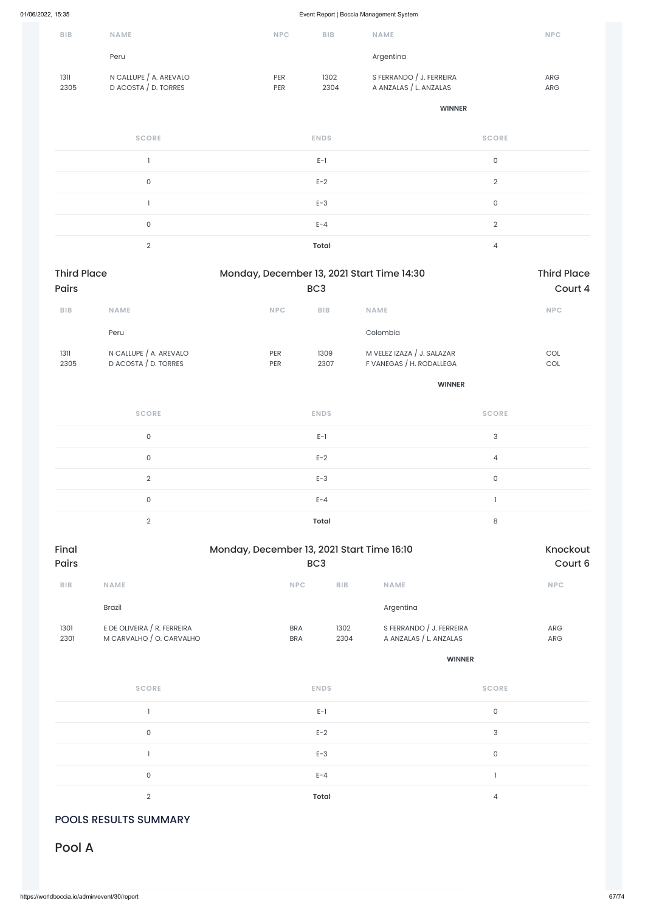| <b>BIB</b>   | <b>NAME</b>                                    | <b>NPC</b>               | <b>BIB</b>   | <b>NAME</b>                                        | <b>NPC</b>               |
|--------------|------------------------------------------------|--------------------------|--------------|----------------------------------------------------|--------------------------|
|              | Peru                                           |                          |              | Argentina                                          |                          |
| 1311<br>2305 | N CALLUPE / A. AREVALO<br>D ACOSTA / D. TORRES | <b>PER</b><br><b>PER</b> | 1302<br>2304 | S FERRANDO / J. FERREIRA<br>A ANZALAS / L. ANZALAS | <b>ARG</b><br><b>ARG</b> |

**WINNER**

| <b>SCORE</b> | <b>ENDS</b>  | <b>SCORE</b> |
|--------------|--------------|--------------|
|              | $E-1$        | 0            |
| $\mathbf 0$  | $E-2$        | $\Omega$     |
|              | $E-3$        | 0            |
| $\Omega$     | $E - 4$      | $\Omega$     |
| $\Omega$     | <b>Total</b> |              |

| <b>Third Place</b> |                        | Monday, December 13, 2021 Start Time 14:30 |            |                            | <b>Third Place</b> |
|--------------------|------------------------|--------------------------------------------|------------|----------------------------|--------------------|
| <b>Pairs</b>       |                        | BC <sub>3</sub>                            |            |                            | Court 4            |
| <b>BIB</b>         | <b>NAME</b>            | <b>NPC</b>                                 | <b>BIB</b> | <b>NAME</b>                | <b>NPC</b>         |
|                    | Peru                   |                                            |            | Colombia                   |                    |
| 1311               | N CALLUPE / A. AREVALO | <b>PER</b>                                 | 1309       | M VELEZ IZAZA / J. SALAZAR | COL                |
| 2305               | D ACOSTA / D. TORRES   | <b>PER</b>                                 | 2307       | F VANEGAS / H. RODALLEGA   | <b>COL</b>         |

**WINNER**

| <b>SCORE</b> | <b>ENDS</b>  | <b>SCORE</b> |
|--------------|--------------|--------------|
| 0            | $E-1$        | 3            |
| 0            | $E-2$        | 4            |
| $\Omega$     | $E-3$        | 0            |
| 0            | $E - 4$      |              |
| $\cap$       | <b>Total</b> | 8            |

| Final        | Monday, December 13, 2021 Start Time 16:10 |            |            | Knockout                 |            |
|--------------|--------------------------------------------|------------|------------|--------------------------|------------|
| <b>Pairs</b> | BC <sub>3</sub>                            |            |            | Court 6                  |            |
| <b>BIB</b>   | <b>NAME</b>                                | <b>NPC</b> | <b>BIB</b> | <b>NAME</b>              | <b>NPC</b> |
|              | <b>Brazil</b>                              |            |            | Argentina                |            |
| 1301         | E DE OLIVEIRA / R. FERREIRA                | <b>BRA</b> | 1302       | S FERRANDO / J. FERREIRA | <b>ARG</b> |
| 2301         | M CARVALHO / O. CARVALHO                   | <b>BRA</b> | 2304       | A ANZALAS / L. ANZALAS   | <b>ARG</b> |

**WINNER**

| <b>SCORE</b> | <b>ENDS</b> | <b>SCORE</b> |
|--------------|-------------|--------------|
|              | $E-1$       | $\cap$       |
| 0            | $E-2$       | 3            |
|              | $E-3$       | $\cap$       |
| $\Omega$     | $E - 4$     |              |
| $\cap$       | Total       | 4            |

### POOLS RESULTS SUMMARY

# Pool A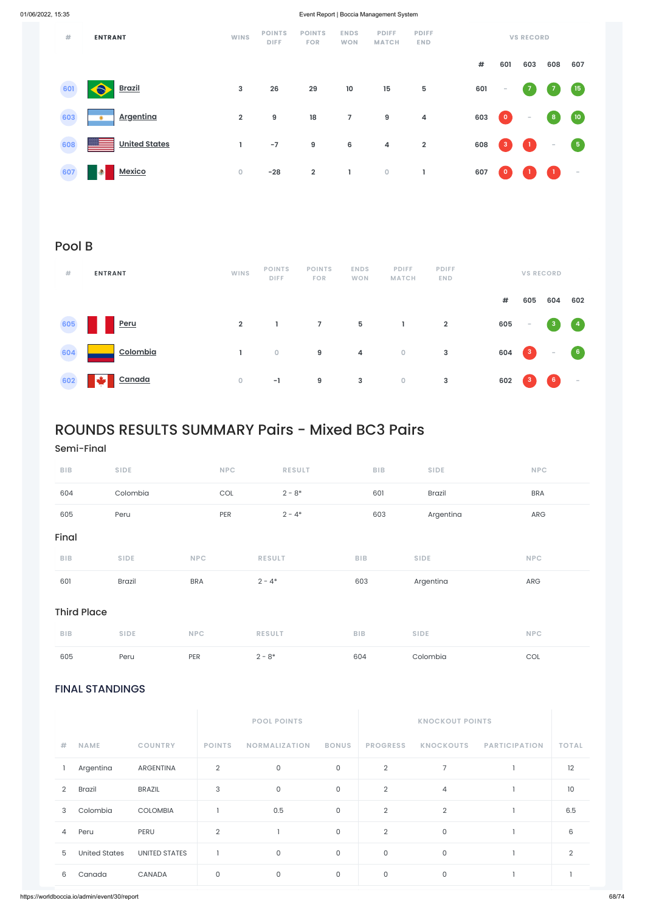### FINAL STANDINGS

|                |               |                      |                | <b>POOL POINTS</b>   |              |                 | <b>KNOCKOUT POINTS</b> |                      |                |  |
|----------------|---------------|----------------------|----------------|----------------------|--------------|-----------------|------------------------|----------------------|----------------|--|
| #              | <b>NAME</b>   | <b>COUNTRY</b>       | <b>POINTS</b>  | <b>NORMALIZATION</b> | <b>BONUS</b> | <b>PROGRESS</b> | <b>KNOCKOUTS</b>       | <b>PARTICIPATION</b> | <b>TOTAL</b>   |  |
|                | Argentina     | ARGENTINA            | $\overline{2}$ | $\mathsf O$          | $\mathsf{O}$ | $\overline{2}$  | 7                      |                      | 12             |  |
| 2              | <b>Brazil</b> | <b>BRAZIL</b>        | 3              | $\mathsf{O}$         | $\mathsf O$  | $\overline{2}$  | $\overline{4}$         |                      | 10             |  |
| 3              | Colombia      | <b>COLOMBIA</b>      |                | 0.5                  | $\mathsf{O}$ | $\overline{2}$  | $\overline{2}$         |                      | 6.5            |  |
| $\overline{4}$ | Peru          | PERU                 | $\overline{2}$ |                      | $\mathsf O$  | $\overline{2}$  | $\mathsf O$            |                      | 6              |  |
| 5              | United States | <b>UNITED STATES</b> |                | $\mathsf{O}$         | $\mathsf{O}$ | $\mathsf{O}$    | $\mathsf O$            |                      | $\mathfrak{D}$ |  |
| 6              | Canada        | CANADA               | $\mathbf 0$    | $\mathsf O$          | 0            | 0               | 0                      |                      |                |  |

| #   | <b>ENTRANT</b>       | <b>WINS</b>    | <b>POINTS</b><br><b>DIFF</b> | <b>POINTS</b><br><b>FOR</b> | <b>ENDS</b><br><b>WON</b> | <b>PDIFF</b><br><b>MATCH</b> | <b>PDIFF</b><br><b>END</b> |     |                          | <b>VS RECORD</b>              |                          |                                           |
|-----|----------------------|----------------|------------------------------|-----------------------------|---------------------------|------------------------------|----------------------------|-----|--------------------------|-------------------------------|--------------------------|-------------------------------------------|
|     |                      |                |                              |                             |                           |                              |                            | #   | 601                      | 603                           | 608                      | 607                                       |
| 601 | 8<br><b>Brazil</b>   | 3              | 26                           | 29                          | 10                        | $15\phantom{.0}$             | 5                          | 601 | $\overline{\phantom{m}}$ | $\overline{7}$                | $\overline{z}$           | $\begin{array}{c} \boxed{15} \end{array}$ |
| 603 | <b>Argentina</b>     | $\overline{2}$ | 9                            | 18                          | $\overline{7}$            | $\boldsymbol{9}$             | 4                          | 603 | $\bullet$                | $\sim$                        | $\boldsymbol{8}$         | $\sqrt{10}$                               |
| 608 | <b>United States</b> | L              | $-7$                         | $\boldsymbol{9}$            | 6                         | $\overline{4}$               | $\overline{\mathbf{2}}$    | 608 | $\mathbf{3}$             | $\left\vert \cdot\right\vert$ | $\overline{\phantom{a}}$ | $\left(5\right)$                          |
| 607 | <b>Mexico</b><br>۰   | $\overline{0}$ | $-28$                        | $\overline{2}$              | Т.                        | $\mathbf 0$                  | L                          | 607 | $\mathbf{0}$             |                               | $\mathbf{1}$             | $\sim$                                    |

# Pool B

| #   | <b>ENTRANT</b> | <b>WINS</b>    | <b>POINTS</b><br><b>DIFF</b> | <b>POINTS</b><br><b>FOR</b> | <b>ENDS</b><br><b>WON</b> | <b>PDIFF</b><br><b>MATCH</b> | <b>PDIFF</b><br><b>END</b> |     |                                                       | <b>VS RECORD</b>                                      |                                   |
|-----|----------------|----------------|------------------------------|-----------------------------|---------------------------|------------------------------|----------------------------|-----|-------------------------------------------------------|-------------------------------------------------------|-----------------------------------|
|     |                |                |                              |                             |                           |                              |                            | #   | 605                                                   | 604                                                   | 602                               |
| 605 | Peru           | $\overline{2}$ |                              | $\overline{7}$              | $5\overline{5}$           | Т.                           | $\overline{2}$             | 605 | $\overline{\phantom{a}}$                              | $\begin{array}{ c c } \hline 3 \\ \hline \end{array}$ | $\begin{pmatrix} 4 \end{pmatrix}$ |
| 604 | Colombia       |                | $\overline{0}$               | 9                           | $\overline{4}$            | $\circ$                      | $\mathbf{3}$               | 604 | $\begin{array}{ c c } \hline 3 \\ \hline \end{array}$ | $\sim$                                                | $6^{\circ}$                       |
| 602 | Canada         | $\overline{0}$ | $-1$                         | 9                           | $\mathbf{3}$              | $\bullet$                    | 3                          | 602 | $\mathbf{3}$                                          | 6                                                     | $\overline{\phantom{a}}$          |

# ROUNDS RESULTS SUMMARY Pairs - Mixed BC3 Pairs

### Semi-Final

| BIB                | <b>SIDE</b> | NPC        |               | <b>RESULT</b> |            | BIB | <b>SIDE</b>   | NPC        |  |
|--------------------|-------------|------------|---------------|---------------|------------|-----|---------------|------------|--|
| 604                | Colombia    | COL        |               | $2 - 8*$      |            | 601 | <b>Brazil</b> | <b>BRA</b> |  |
| 605                | Peru        | PER        |               | $2 - 4*$      |            | 603 | Argentina     | ARG        |  |
| Final              |             |            |               |               |            |     |               |            |  |
| <b>BIB</b>         | <b>SIDE</b> | <b>NPC</b> | <b>RESULT</b> |               | BIB        |     | <b>SIDE</b>   | <b>NPC</b> |  |
| 601                | Brazil      | <b>BRA</b> | $2 - 4*$      |               | 603        |     | Argentina     | ARG        |  |
| <b>Third Place</b> |             |            |               |               |            |     |               |            |  |
| BIB                | <b>SIDE</b> | <b>NPC</b> | <b>RESULT</b> |               | <b>BIB</b> |     | <b>SIDE</b>   | <b>NPC</b> |  |
| 605                | Peru        | PER        | $2 - 8*$      |               | 604        |     | Colombia      | COL        |  |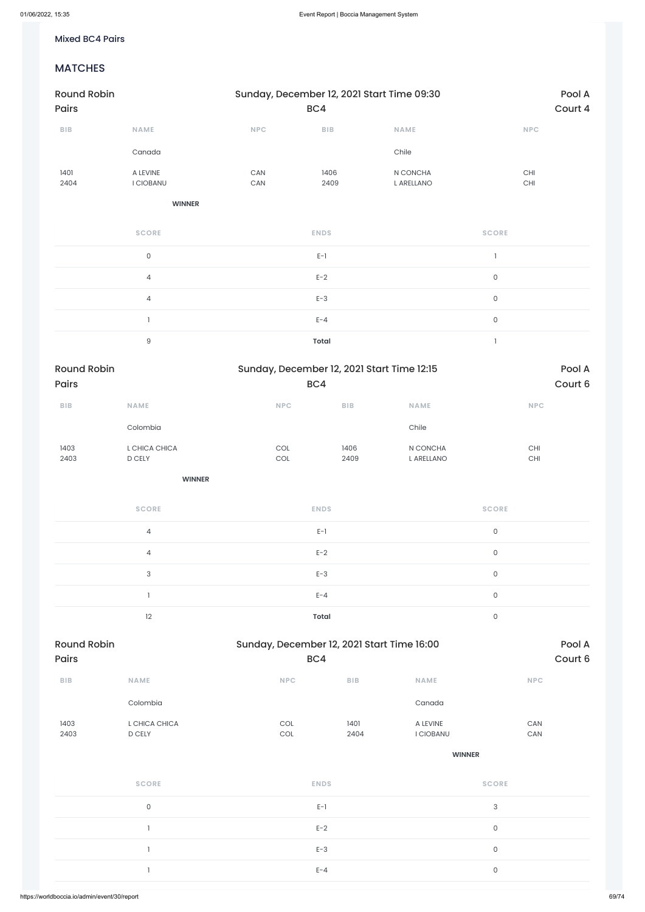#### Mixed BC4 Pairs

### MATCHES

| <b>Round Robin</b>          |                              |                                                            | Sunday, December 12, 2021 Start Time 09:30 |                         |                                            |                     |                             |                   |
|-----------------------------|------------------------------|------------------------------------------------------------|--------------------------------------------|-------------------------|--------------------------------------------|---------------------|-----------------------------|-------------------|
| Pairs                       |                              |                                                            | BC4                                        |                         |                                            |                     |                             | Court 4           |
| ${\bf B} {\sf I} {\bf B}$   | <b>NAME</b>                  | NPC                                                        | <b>BIB</b>                                 |                         | <b>NAME</b>                                |                     | <b>NPC</b>                  |                   |
|                             | Canada                       |                                                            |                                            |                         | Chile                                      |                     |                             |                   |
| 1401<br>2404                | A LEVINE<br><b>I CIOBANU</b> | CAN<br>CAN                                                 | 1406<br>2409                               |                         | N CONCHA<br>L ARELLANO                     |                     | CHI<br>$\mathsf{CHI}$       |                   |
|                             | <b>WINNER</b>                |                                                            |                                            |                         |                                            |                     |                             |                   |
|                             | <b>SCORE</b>                 |                                                            | <b>ENDS</b>                                |                         |                                            | <b>SCORE</b>        |                             |                   |
|                             | $\mathsf{O}$                 |                                                            | $E-1$                                      |                         |                                            | $\mathbf{I}$        |                             |                   |
|                             | $\overline{4}$               |                                                            | $E-2$                                      |                         |                                            | $\mathsf{O}$        |                             |                   |
|                             | $\sqrt{4}$                   |                                                            | $E-3$                                      |                         |                                            | $\mathsf{O}$        |                             |                   |
|                             | $\mathbf{I}$                 |                                                            | $E - 4$                                    |                         |                                            | $\mathsf{O}$        |                             |                   |
|                             | $\mathsf 9$                  |                                                            | <b>Total</b>                               |                         |                                            | $\mathbf{I}$        |                             |                   |
| <b>Round Robin</b><br>Pairs |                              |                                                            | BC4                                        |                         | Sunday, December 12, 2021 Start Time 12:15 |                     |                             | Pool A<br>Court 6 |
| BIB                         | <b>NAME</b>                  | NPC                                                        |                                            | ${\sf B}{\sf I}{\sf B}$ | <b>NAME</b>                                |                     | $\ensuremath{\mathsf{NPC}}$ |                   |
|                             | Colombia                     |                                                            |                                            |                         | Chile                                      |                     |                             |                   |
| 1403<br>2403                | L CHICA CHICA<br>D CELY      | $\mathop{\rm COL}\nolimits$<br>$\mathop{\rm COL}\nolimits$ |                                            | 1406<br>2409            | N CONCHA<br>L ARELLANO                     |                     | CHI<br>$\mathsf{CHI}$       |                   |
|                             | <b>WINNER</b>                |                                                            |                                            |                         |                                            |                     |                             |                   |
|                             | <b>SCORE</b>                 |                                                            | <b>ENDS</b>                                |                         |                                            | <b>SCORE</b>        |                             |                   |
|                             | $\sqrt{4}$                   |                                                            | $E-1$                                      |                         |                                            | $\mathsf{O}\xspace$ |                             |                   |
|                             | $\overline{4}$               |                                                            | $E-2$                                      |                         |                                            | $\mathsf{O}$        |                             |                   |
|                             | $\ensuremath{\mathsf{3}}$    |                                                            | $E-3$                                      |                         |                                            | $\mathsf{O}$        |                             |                   |
|                             | $\mathbf{1}$                 |                                                            | $E - 4$                                    |                         |                                            | $\mathsf{O}$        |                             |                   |
|                             | 12                           |                                                            | <b>Total</b>                               |                         |                                            | $\mathsf{O}$        |                             |                   |
| <b>Round Robin</b><br>Pairs |                              |                                                            | BC4                                        |                         | Sunday, December 12, 2021 Start Time 16:00 |                     |                             | Pool A<br>Court 6 |
| BIB                         | <b>NAME</b>                  |                                                            | NPC                                        | BIB                     | <b>NAME</b>                                |                     | <b>NPC</b>                  |                   |

|              | Colombia                |                            | Canada                                     |  |
|--------------|-------------------------|----------------------------|--------------------------------------------|--|
| 1403<br>2403 | L CHICA CHICA<br>D CELY | 1401<br>COL<br>2404<br>COL | CAN<br>A LEVINE<br>CAN<br><b>I CIOBANU</b> |  |
|              |                         |                            | <b>WINNER</b>                              |  |
|              | <b>SCORE</b>            | <b>ENDS</b>                | <b>SCORE</b>                               |  |
|              | $\mathsf O$             | $E-1$                      | $\mathsf 3$                                |  |
|              |                         | $E-2$                      | $\mathsf 0$                                |  |
|              |                         | $E-3$                      | $\mathsf{O}\xspace$                        |  |
|              |                         | $E - 4$                    | $\mathsf{O}\xspace$                        |  |
|              |                         |                            |                                            |  |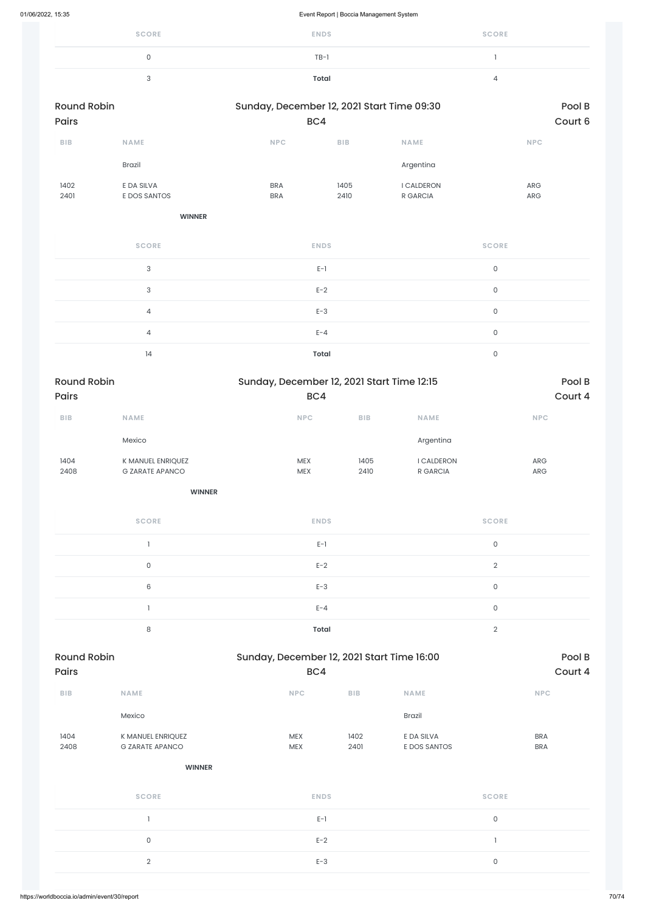| <b>SCORE</b> | <b>ENDS</b> | <b>SCORE</b> |
|--------------|-------------|--------------|
| 0            | $TB-1$      |              |
| ഄ            | Total       |              |

| <b>Round Robin</b><br><b>Pairs</b> |                            | Sunday, December 12, 2021 Start Time 09:30 | BC4          |                               | Pool B<br>Court 6        |
|------------------------------------|----------------------------|--------------------------------------------|--------------|-------------------------------|--------------------------|
| <b>BIB</b>                         | <b>NAME</b>                | <b>NPC</b>                                 | <b>BIB</b>   | <b>NAME</b>                   | <b>NPC</b>               |
|                                    | <b>Brazil</b>              |                                            |              | Argentina                     |                          |
| 1402<br>2401                       | E DA SILVA<br>E DOS SANTOS | <b>BRA</b><br><b>BRA</b>                   | 1405<br>2410 | <b>I CALDERON</b><br>R GARCIA | <b>ARG</b><br><b>ARG</b> |

**WINNER**

| <b>SCORE</b>   | <b>ENDS</b>  | <b>SCORE</b> |
|----------------|--------------|--------------|
| 3              | $E-1$        | $\Omega$     |
| 3              | $E-2$        | $\Omega$     |
| $\overline{4}$ | $E-3$        | $\Omega$     |
| 4              | $E - 4$      | $\Omega$     |
| 14             | <b>Total</b> | O            |

| BIB                                          | <b>NAME</b>                                 | <b>NPC</b>               | BIB          | <b>NAME</b>                | <b>NPC</b>               |       |
|----------------------------------------------|---------------------------------------------|--------------------------|--------------|----------------------------|--------------------------|-------|
|                                              | Mexico                                      |                          |              | <b>Brazil</b>              |                          |       |
| 1404<br>2408                                 | K MANUEL ENRIQUEZ<br><b>G ZARATE APANCO</b> | <b>MEX</b><br><b>MEX</b> | 1402<br>2401 | E DA SILVA<br>E DOS SANTOS | <b>BRA</b><br><b>BRA</b> |       |
|                                              | <b>WINNER</b>                               |                          |              |                            |                          |       |
|                                              | <b>SCORE</b>                                | <b>ENDS</b>              |              |                            | <b>SCORE</b>             |       |
|                                              |                                             | $E-1$                    |              | $\mathsf O$                |                          |       |
|                                              | $\mathsf{O}$                                | $E-2$                    |              |                            |                          |       |
|                                              | $\overline{2}$                              | $E-3$                    |              |                            | $\mathsf O$              |       |
| https://worldboccia.io/admin/event/30/report |                                             |                          |              |                            |                          | 70/74 |
|                                              |                                             |                          |              |                            |                          |       |

| <b>Round Robin</b><br><b>Pairs</b> |                                             |                          | Sunday, December 12, 2021 Start Time 12:15 |                               |                          |  |
|------------------------------------|---------------------------------------------|--------------------------|--------------------------------------------|-------------------------------|--------------------------|--|
|                                    |                                             | BC4                      | Court 4                                    |                               |                          |  |
| <b>BIB</b>                         | <b>NAME</b>                                 | <b>NPC</b>               | <b>BIB</b>                                 | <b>NAME</b>                   | <b>NPC</b>               |  |
|                                    | Mexico                                      |                          |                                            | Argentina                     |                          |  |
| 1404<br>2408                       | K MANUEL ENRIQUEZ<br><b>G ZARATE APANCO</b> | <b>MEX</b><br><b>MEX</b> | 1405<br>2410                               | <b>I CALDERON</b><br>R GARCIA | <b>ARG</b><br><b>ARG</b> |  |

| <b>SCORE</b> | <b>ENDS</b>  | <b>SCORE</b> |
|--------------|--------------|--------------|
|              | $E-1$        | 0            |
| $\mathbf 0$  | $E-2$        | $\Omega$     |
| 6            | $E-3$        | 0            |
|              | $E - 4$      | 0            |
| 8            | <b>Total</b> | $\cap$       |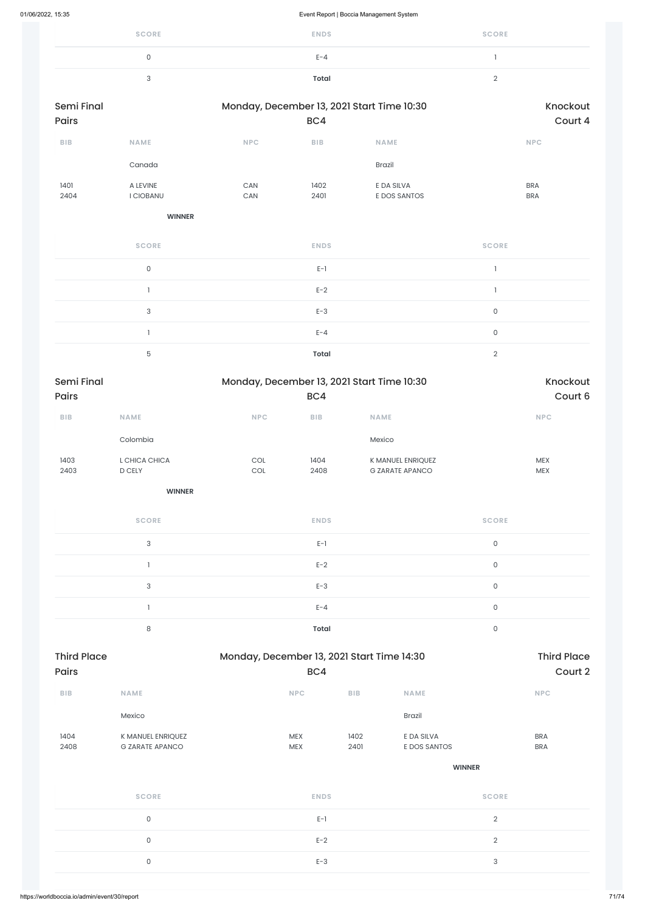| <b>SCORE</b> | <b>ENDS</b> | <b>SCORE</b> |
|--------------|-------------|--------------|
|              | $E - 4$     |              |
|              | Total       |              |

| Semi Final<br>Pairs |                         |                              | BC4                     | Monday, December 13, 2021 Start Time 10:30  |                     | Knockout<br>Court 4      |
|---------------------|-------------------------|------------------------------|-------------------------|---------------------------------------------|---------------------|--------------------------|
| BIB                 | NAME                    | <b>NPC</b>                   | ${\sf B}{\sf I}{\sf B}$ | NAME                                        |                     | <b>NPC</b>               |
|                     | Canada                  |                              |                         | Brazil                                      |                     |                          |
| 1401<br>2404        | A LEVINE<br>I CIOBANU   | CAN<br>$\mathsf{CAN}\xspace$ | 1402<br>2401            | E DA SILVA<br>E DOS SANTOS                  |                     | <b>BRA</b><br><b>BRA</b> |
|                     | <b>WINNER</b>           |                              |                         |                                             |                     |                          |
|                     | <b>SCORE</b>            |                              | <b>ENDS</b>             |                                             | <b>SCORE</b>        |                          |
|                     | $\mathsf{O}\xspace$     |                              | $E-1$                   |                                             | $\mathbf{1}$        |                          |
|                     | $\mathbf{I}$            |                              | $E-2$                   |                                             | $\mathbf{1}$        |                          |
|                     | 3                       |                              | $E-3$                   |                                             | $\mathsf{O}\xspace$ |                          |
|                     | $\mathbf{1}$            |                              | $E - 4$                 |                                             | $\mathsf{O}$        |                          |
|                     | 5                       |                              | <b>Total</b>            |                                             | $\overline{2}$      |                          |
| Semi Final<br>Pairs |                         |                              | BC4                     | Monday, December 13, 2021 Start Time 10:30  |                     | Knockout<br>Court 6      |
| BIB                 | <b>NAME</b>             | $\ensuremath{\mathsf{NPC}}$  | <b>BIB</b>              | <b>NAME</b>                                 |                     | NPC                      |
|                     | Colombia                |                              |                         | Mexico                                      |                     |                          |
| 1403<br>2403        | L CHICA CHICA<br>D CELY | COL<br>$_{\rm COL}$          | 1404<br>2408            | K MANUEL ENRIQUEZ<br><b>G ZARATE APANCO</b> |                     | MEX<br>MEX               |
|                     | <b>WINNER</b>           |                              |                         |                                             |                     |                          |
|                     | <b>SCORE</b>            |                              | <b>ENDS</b>             |                                             | <b>SCORE</b>        |                          |
|                     | $\mathsf 3$             |                              | $E-1$                   |                                             | $\mathsf{O}\xspace$ |                          |
|                     | $\mathbf{I}$            |                              | $E-2$                   |                                             | $\mathsf{O}\xspace$ |                          |
|                     | 3                       |                              | $E-3$                   |                                             | $\mathsf{O}\xspace$ |                          |
|                     | $\mathbf{I}$            |                              | $E - 4$                 |                                             | $\mathsf{O}\xspace$ |                          |
|                     | $\,8\,$                 |                              | Total                   |                                             | $\mathsf{O}\xspace$ |                          |
|                     |                         |                              |                         |                                             |                     |                          |

| BIB                                          | <b>NAME</b>                                 | <b>NPC</b>               | BIB          | <b>NAME</b>                | <b>NPC</b>               |       |
|----------------------------------------------|---------------------------------------------|--------------------------|--------------|----------------------------|--------------------------|-------|
|                                              | Mexico                                      |                          |              | <b>Brazil</b>              |                          |       |
| 1404<br>2408                                 | K MANUEL ENRIQUEZ<br><b>G ZARATE APANCO</b> | <b>MEX</b><br><b>MEX</b> | 1402<br>2401 | E DA SILVA<br>E DOS SANTOS | <b>BRA</b><br><b>BRA</b> |       |
|                                              |                                             |                          |              |                            |                          |       |
|                                              |                                             |                          |              | <b>WINNER</b>              |                          |       |
|                                              | <b>SCORE</b>                                | <b>ENDS</b>              |              | <b>SCORE</b>               |                          |       |
|                                              | $\mathsf{O}$                                | $E-1$                    |              | $\overline{2}$             |                          |       |
| $\mathsf O$                                  |                                             | $E-2$                    |              | $\overline{2}$             |                          |       |
| $\mathsf{O}$                                 |                                             | $E-3$                    |              | $\mathbf{3}$               |                          |       |
|                                              |                                             |                          |              |                            |                          |       |
| https://worldboccia.io/admin/event/30/report |                                             |                          |              |                            |                          | 71/74 |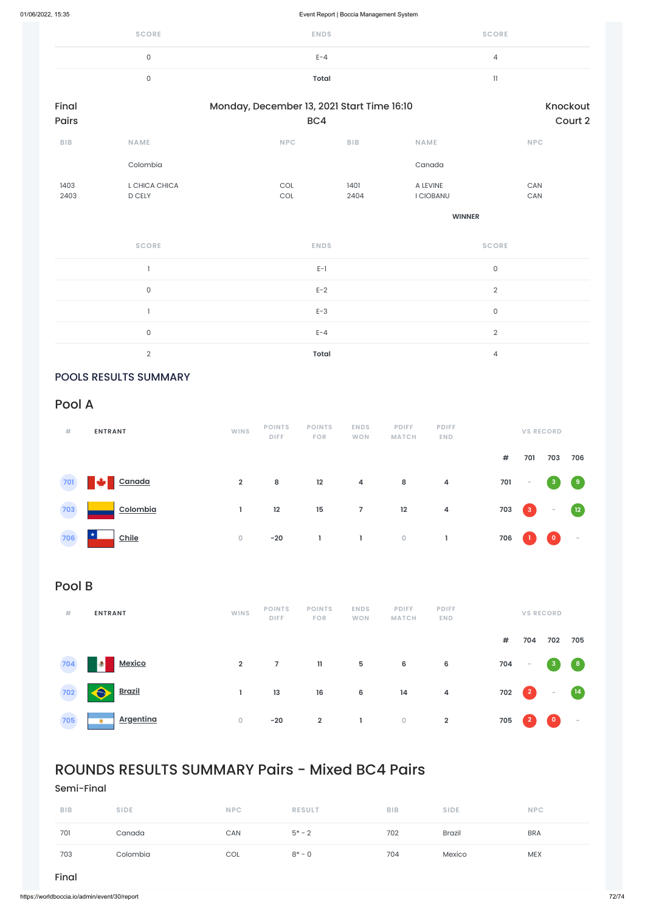| <b>SCORE</b> | <b>ENDS</b> | <b>SCORE</b> |
|--------------|-------------|--------------|
| 0            | $E - 4$     | 4            |
|              | Total       |              |

| Final<br>Pairs |                         | Monday, December 13, 2021 Start Time 16:10<br>BC4 |              |                              |                     |  |  |  |
|----------------|-------------------------|---------------------------------------------------|--------------|------------------------------|---------------------|--|--|--|
| BIB            | <b>NAME</b>             | <b>NPC</b>                                        | BIB          | <b>NAME</b>                  | <b>NPC</b>          |  |  |  |
|                | Colombia                |                                                   |              | Canada                       |                     |  |  |  |
| 1403<br>2403   | L CHICA CHICA<br>D CELY | COL<br>COL                                        | 1401<br>2404 | A LEVINE<br><b>I CIOBANU</b> | CAN<br>CAN          |  |  |  |
|                |                         |                                                   |              | <b>WINNER</b>                |                     |  |  |  |
|                | <b>SCORE</b>            | <b>ENDS</b>                                       |              |                              | <b>SCORE</b>        |  |  |  |
|                |                         | $E-1$                                             |              |                              | $\mathsf{O}\xspace$ |  |  |  |
|                | $\mathsf{O}$            | $E-2$                                             |              |                              | $\sqrt{2}$          |  |  |  |
|                |                         | $E-3$                                             |              |                              | $\mathsf{O}\xspace$ |  |  |  |
|                | $\mathsf O$             | $E - 4$                                           |              |                              | $\sqrt{2}$          |  |  |  |

2 **Total** 4

### POOLS RESULTS SUMMARY

Pool A

| #                     | <b>ENTRANT</b> | <b>WINS</b>    | <b>POINTS</b><br><b>DIFF</b> | <b>POINTS</b><br><b>FOR</b> | <b>ENDS</b><br><b>WON</b> | <b>PDIFF</b><br><b>MATCH</b> | <b>PDIFF</b><br><b>END</b> |     |                                                       | <b>VS RECORD</b> |                   |
|-----------------------|----------------|----------------|------------------------------|-----------------------------|---------------------------|------------------------------|----------------------------|-----|-------------------------------------------------------|------------------|-------------------|
|                       |                |                |                              |                             |                           |                              |                            | #   | 701                                                   | 703              | 706               |
| 701                   | Canada         | $\overline{2}$ | 8                            | 12                          | $\overline{4}$            | 8                            | 4                          | 701 | $\overline{\phantom{a}}$                              | $\sqrt{3}$       | $\left( 9\right)$ |
| 703<br><b>College</b> | Colombia       |                | 12                           | 15                          | 7 <sup>7</sup>            | 12                           | $\overline{4}$             | 703 | $\begin{array}{ c c } \hline 3 \\ \hline \end{array}$ | $\sim$           | $\boxed{12}$      |
| 706                   | Chile          | $\overline{0}$ | $-20$                        |                             |                           | $\overline{0}$               |                            | 706 |                                                       | $\mathbf 0$      | $\sim$            |

# Pool B

| # | <b>ENTRANT</b>    | <b>WINS</b> | <b>POINTS</b><br><b>DIFF</b> | <b>POINTS</b><br><b>FOR</b> | <b>ENDS</b><br><b>WON</b> | <b>PDIFF</b><br><b>MATCH</b> | <b>PDIFF</b><br><b>END</b> | <b>VS RECORD</b> |               |     |     |
|---|-------------------|-------------|------------------------------|-----------------------------|---------------------------|------------------------------|----------------------------|------------------|---------------|-----|-----|
|   |                   |             |                              |                             |                           |                              |                            | #                | 704           | 702 | 705 |
|   | 704 <b>Mexico</b> | $2^{\circ}$ | $\overline{7}$               | $11 -$                      |                           | 5 6                          | $6\overline{6}$            |                  | $704 - 3$ $8$ |     |     |

| 702 <u>Brazil</u>    |  |  | 1 13 16 6 14 4 702 2 - 14 |  |  |
|----------------------|--|--|---------------------------|--|--|
| 705 <b>Argentina</b> |  |  | 0 -20 2 1 0 2 705 2 0 -   |  |  |

# ROUNDS RESULTS SUMMARY Pairs - Mixed BC4 Pairs

Semi-Final

| <b>BIB</b> | <b>SIDE</b> | <b>NPC</b> | <b>RESULT</b> | <b>BIB</b> | <b>SIDE</b>   | <b>NPC</b> |
|------------|-------------|------------|---------------|------------|---------------|------------|
| 701        | Canada      | CAN        | $5* - 2$      | 702        | <b>Brazil</b> | <b>BRA</b> |
| 703        | Colombia    | COL        | $8^* - 0$     | 704        | Mexico        | <b>MEX</b> |

### Final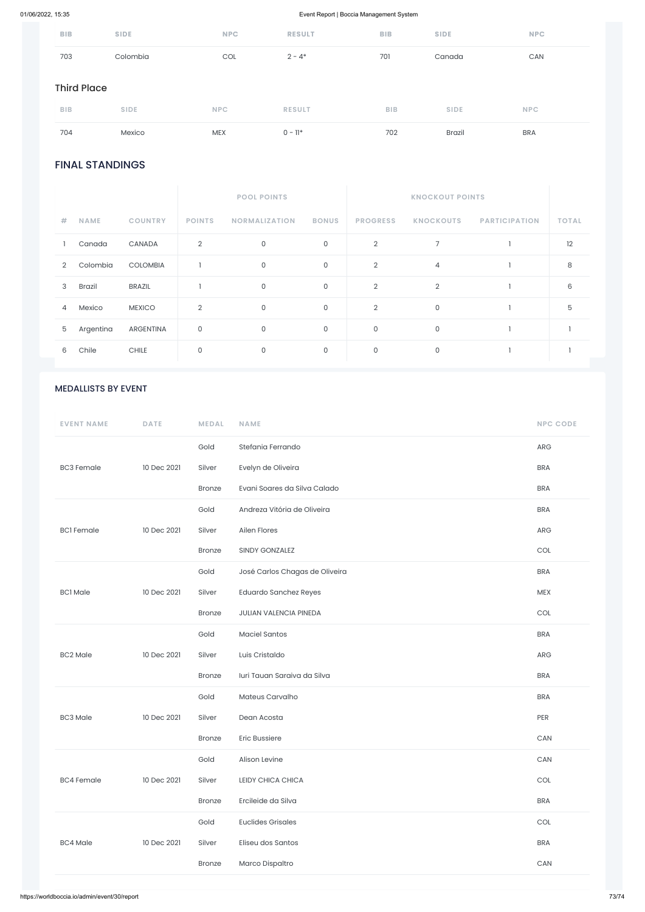## 01/06/2022, 15:35 Event Report | Boccia Management System

## FINAL STANDINGS

|   |             |                 | <b>POOL POINTS</b> |                      |              |                 |                  |                      |              |
|---|-------------|-----------------|--------------------|----------------------|--------------|-----------------|------------------|----------------------|--------------|
| # | <b>NAME</b> | <b>COUNTRY</b>  | <b>POINTS</b>      | <b>NORMALIZATION</b> | <b>BONUS</b> | <b>PROGRESS</b> | <b>KNOCKOUTS</b> | <b>PARTICIPATION</b> | <b>TOTAL</b> |
|   | Canada      | CANADA          | $\overline{2}$     | $\mathsf O$          | $\mathsf{O}$ | $\overline{2}$  | $\overline{7}$   |                      | 12           |
| 2 | Colombia    | <b>COLOMBIA</b> |                    | $\mathbf 0$          | $\mathsf O$  | $\overline{2}$  | 4                |                      | 8            |
| 3 | Brazil      | <b>BRAZIL</b>   |                    | $\mathsf O$          | $\mathsf O$  | $\overline{2}$  | $\overline{2}$   |                      | 6            |
| 4 | Mexico      | <b>MEXICO</b>   | 2                  | $\mathbf 0$          | $\mathsf{O}$ | $\overline{2}$  | $\mathsf O$      |                      | 5            |
| 5 | Argentina   | ARGENTINA       | 0                  | $\mathsf{O}$         | $\mathsf O$  | $\mathsf O$     | $\mathsf O$      |                      |              |
| 6 | Chile       | <b>CHILE</b>    | 0                  | $\mathbf 0$          | $\mathbf 0$  | $\circ$         | 0                |                      |              |

| 704                | Mexico      | <b>MEX</b> | $0 - 11*$     | 702        | <b>Brazil</b> | <b>BRA</b> |  |  |
|--------------------|-------------|------------|---------------|------------|---------------|------------|--|--|
| <b>BIB</b>         | <b>SIDE</b> | <b>NPC</b> | <b>RESULT</b> | <b>BIB</b> | <b>SIDE</b>   | <b>NPC</b> |  |  |
| <b>Third Place</b> |             |            |               |            |               |            |  |  |
| 703                | Colombia    | COL        | $2 - 4*$      | 701        | Canada        | CAN        |  |  |
| <b>BIB</b>         | <b>SIDE</b> | <b>NPC</b> | <b>RESULT</b> | <b>BIB</b> | <b>SIDE</b>   | <b>NPC</b> |  |  |

## MEDALLISTS BY EVENT

| <b>EVENT NAME</b> | <b>DATE</b> | <b>MEDAL</b>  | <b>NAME</b>                    | <b>NPC CODE</b> |
|-------------------|-------------|---------------|--------------------------------|-----------------|
|                   |             | Gold          | Stefania Ferrando              | <b>ARG</b>      |
| <b>BC3 Female</b> | 10 Dec 2021 | Silver        | Evelyn de Oliveira             | <b>BRA</b>      |
|                   |             | <b>Bronze</b> | Evani Soares da Silva Calado   | <b>BRA</b>      |
|                   | 10 Dec 2021 | Gold          | Andreza Vitória de Oliveira    | <b>BRA</b>      |
| <b>BCI</b> Female |             | Silver        | Ailen Flores                   | <b>ARG</b>      |
|                   |             | <b>Bronze</b> | <b>SINDY GONZALEZ</b>          | <b>COL</b>      |
|                   | 10 Dec 2021 | Gold          | José Carlos Chagas de Oliveira | <b>BRA</b>      |
| <b>BC1 Male</b>   |             | Silver        | <b>Eduardo Sanchez Reyes</b>   | <b>MEX</b>      |
|                   |             | Bronze        | <b>JULIAN VALENCIA PINEDA</b>  | <b>COL</b>      |
|                   | 10 Dec 2021 | Gold          | <b>Maciel Santos</b>           | <b>BRA</b>      |
| <b>BC2 Male</b>   |             | Silver        | Luis Cristaldo                 | <b>ARG</b>      |
|                   |             | <b>Bronze</b> | Iuri Tauan Saraiva da Silva    | <b>BRA</b>      |

|                   |             | Gold          | Mateus Carvalho          | <b>BRA</b> |
|-------------------|-------------|---------------|--------------------------|------------|
| <b>BC3 Male</b>   | 10 Dec 2021 | Silver        | Dean Acosta              | PER        |
|                   |             | <b>Bronze</b> | <b>Eric Bussiere</b>     | CAN        |
|                   |             | Gold          | Alison Levine            | CAN        |
| <b>BC4 Female</b> | 10 Dec 2021 | Silver        | LEIDY CHICA CHICA        | COL        |
|                   |             | <b>Bronze</b> | Ercileide da Silva       | <b>BRA</b> |
|                   |             |               |                          |            |
|                   |             | Gold          | <b>Euclides Grisales</b> | COL        |
| <b>BC4 Male</b>   | 10 Dec 2021 | Silver        | Eliseu dos Santos        | <b>BRA</b> |
|                   |             | <b>Bronze</b> | Marco Dispaltro          | CAN        |